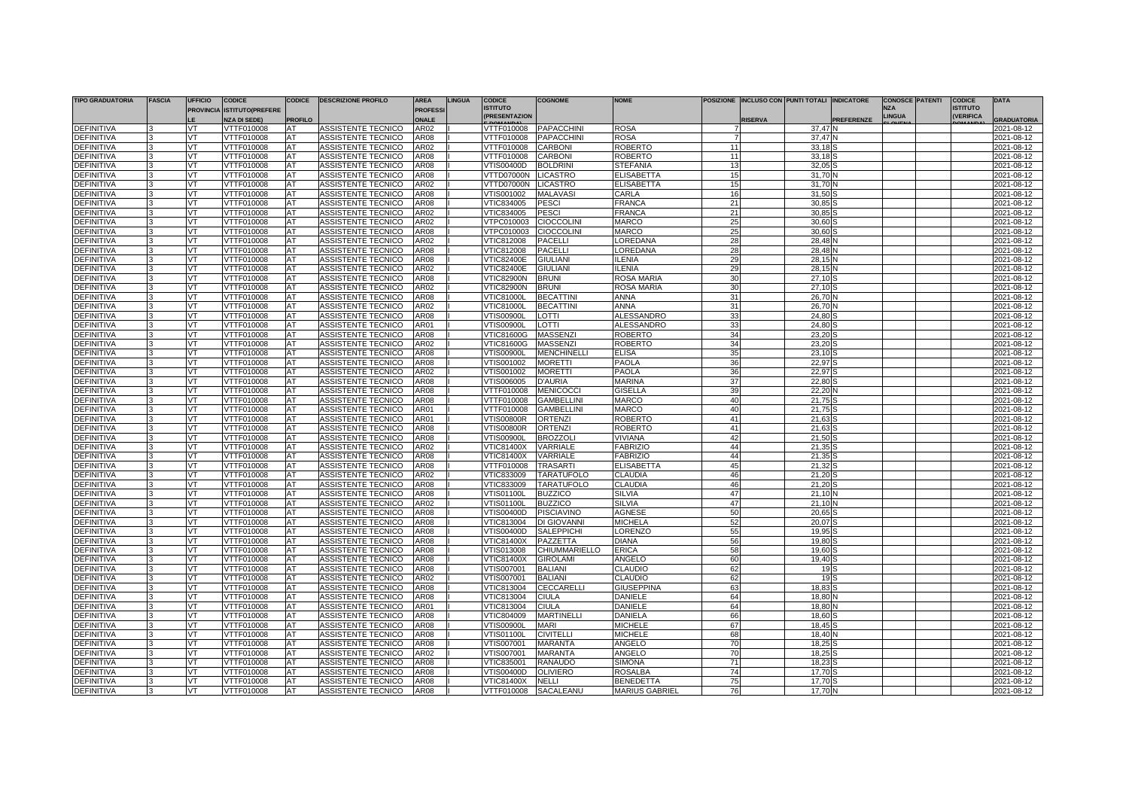| <b>TIPO GRADUATORIA</b>                | <b>FASCIA</b> | <b>UFFICIO</b>         | <b>CODICE</b>                     | <b>CODICE</b>  | <b>DESCRIZIONE PROFILO</b>               | <b>AREA</b>         | <b>LINGUA</b> | <b>CODICE</b>                          | <b>COGNOME</b>                     | <b>NOME</b>               |          |               | POSIZIONE INCLUSO CON PUNTI TOTALI INDICATORE |            |                             | <b>CONOSCE PATENTI</b> | <b>CODICE</b>                       | <b>DATA</b>              |
|----------------------------------------|---------------|------------------------|-----------------------------------|----------------|------------------------------------------|---------------------|---------------|----------------------------------------|------------------------------------|---------------------------|----------|---------------|-----------------------------------------------|------------|-----------------------------|------------------------|-------------------------------------|--------------------------|
|                                        |               |                        | <b>PROVINCIA ISTITUTO(PREFERE</b> |                |                                          | <b>PROFESS</b>      |               | <b>ISTITUTO</b><br><b>PRESENTAZION</b> |                                    |                           |          |               |                                               |            | <b>N7A</b><br><b>LINGUA</b> |                        | <b>ISTITUTO</b><br><b>IVERIFICA</b> |                          |
|                                        |               |                        | <b>NZA DI SEDE)</b>               | <b>PROFILO</b> |                                          | <b>NAIF</b>         |               |                                        |                                    |                           |          | <b>ISERVA</b> |                                               | PREFERENZE |                             |                        |                                     | <b>RADUATORIA</b>        |
| <b>DEFINITIVA</b>                      |               | VT                     | VTTF010008                        | AT             | <b>ASSISTENTE TECNICO</b>                | AR02                |               | VTTF010008                             | <b>PAPACCHINI</b>                  | ROSA                      |          |               | 37.47                                         |            |                             |                        |                                     | 2021-08-12               |
| <b>DEFINITIVA</b>                      |               | <b>VT</b>              | VTTF010008                        | AT             | ASSISTENTE TECNICO                       | AR08                |               | VTTF010008                             | <b>PAPACCHINI</b>                  | ROSA                      |          |               | 37.47                                         |            |                             |                        |                                     | 2021-08-12               |
| <b>EFINITIVA</b>                       |               | VT                     | <b>/TTF010008</b>                 | AT             | <b>ASSISTENTE TECNICO</b>                | <b>R02</b>          |               | VTTF010008                             | <b>CARBONI</b>                     | ROBERTO                   | 11       |               | 33.18                                         |            |                             |                        |                                     | 2021-08-12               |
| <b>DEFINITIVA</b>                      |               | VT                     | VTTF010008                        | AT<br>AT       | ASSISTENTE TECNICO                       | AR08<br>AR08        |               | VTTF010008<br><b>VTIS00400D</b>        | <b>CARBONI</b>                     | ROBERTO<br>STEFANIA       | 11       |               | 33,18<br>32.05                                |            |                             |                        |                                     | 2021-08-12               |
| <b>DEFINITIVA</b><br><b>EFINITIVA</b>  |               | <b>VT</b><br>VT        | VTTF010008<br>VTTF010008          | AT             | ASSISTENTE TECNICO<br>ASSISTENTE TECNICO | <b>AR08</b>         |               | VTTD07000N                             | <b>BOLDRINI</b><br><b>LICASTRO</b> | <b>ELISABETTA</b>         | 13<br>15 |               | 31.70                                         |            |                             |                        |                                     | 2021-08-12<br>2021-08-12 |
| <b>DEFINITIVA</b>                      |               | VT                     | VTTF010008                        | AT             | ASSISTENTE TECNICO                       | AR02                |               | VTTD07000N                             | <b>LICASTRO</b>                    | <b>ELISABETTA</b>         |          |               | 31,70                                         |            |                             |                        |                                     | 2021-08-12               |
| <b>DEFINITIVA</b>                      |               | <b>VT</b>              | VTTF010008                        | AT             | ASSISTENTE TECNICO                       | AR08                |               | VTIS001002                             | <b>MALAVASI</b>                    | CARLA                     | 16       |               | 31.50                                         |            |                             |                        |                                     | 2021-08-12               |
| )EFINITIVA                             |               | VT                     | VTTF010008                        | AT             | ASSISTENTE TECNICO                       | AR08                |               | VTIC834005                             | PESCI                              | FRANCA                    | 21       |               | 30.85                                         |            |                             |                        |                                     | 2021-08-12               |
| DEFINITIVA                             |               | VT                     | VTTF010008                        | AT             | ASSISTENTE TECNICO                       | AR02                |               | VTIC834005                             | <b>PESCI</b>                       | FRANCA                    | 21       |               | 30,85                                         |            |                             |                        |                                     | 2021-08-12               |
| DEFINITIVA                             |               | <b>VT</b>              | VTTF010008                        | AT             | ASSISTENTE TECNICO                       | AR02                |               | VTPC010003                             | <b>CIOCCOLINI</b>                  | <b>MARCO</b>              | 25       |               | 30.60                                         |            |                             |                        |                                     | 2021-08-12               |
| )EFINITIVA                             |               | VT                     | VTTF010008                        | AT             | ASSISTENTE TECNICO                       | AR08                |               | VTPC010003                             | <b>CIOCCOLINI</b>                  | <b>MARCO</b>              | 25       |               | 30.60                                         |            |                             |                        |                                     | 2021-08-12               |
| <b>DEFINITIVA</b>                      |               | VT                     | VTTF010008                        | AT             | ASSISTENTE TECNICO                       | <b>AR02</b>         |               | VTIC812008                             | <b>PACELLI</b>                     | <b>OREDANA</b>            | 28       |               | 28,48                                         |            |                             |                        |                                     | 2021-08-12               |
| <b>DEFINITIVA</b>                      |               | <b>VT</b>              | VTTF010008                        | AT             | ASSISTENTE TECNICO                       | AR08                |               | VTIC812008                             | <b>PACELLI</b>                     | LOREDANA                  | 28       |               | 28.48                                         |            |                             |                        |                                     | 2021-08-12               |
| <b>DEFINITIVA</b>                      |               | VT                     | VTTF010008                        | AT             | ASSISTENTE TECNICO                       | AR08                |               | <b>VTIC82400E</b>                      | <b>GIULIANI</b>                    | LENIA                     | 29       |               | 28.15                                         |            |                             |                        |                                     | 2021-08-12               |
| <b>DEFINITIVA</b>                      |               | VT                     | VTTF010008                        | AT             | ASSISTENTE TECNICO                       | AR02                |               | <b>VTIC82400E</b>                      | <b>GIULIANI</b>                    | <b>ILENIA</b>             | 29       |               | 28.15                                         |            |                             |                        |                                     | 2021-08-12               |
| <b>DEFINITIVA</b>                      |               | VT.                    | VTTF010008                        | AT             | ASSISTENTE TECNICO                       | AR08                |               | <b>VTIC82900N</b>                      | <b>BRUNI</b>                       | <b>ROSA MARIA</b>         | 30       |               | 27.10                                         |            |                             |                        |                                     | 2021-08-12               |
| <b>DEFINITIVA</b>                      |               | VT                     | VTTF010008                        | AT             | ASSISTENTE TECNICO                       | AR02                |               | <b>VTIC82900N</b>                      | <b>BRUNI</b>                       | <b>ROSA MARIA</b>         | 30       |               | 27.10                                         |            |                             |                        |                                     | 2021-08-12               |
| DEFINITIVA                             |               | VT                     | VTTF010008                        | AT             | ASSISTENTE TECNICO                       | <b>AR08</b>         |               | <b>VTIC81000L</b>                      | <b>BECATTINI</b>                   | <b>ANNA</b>               | 31       |               | 26,70                                         |            |                             |                        |                                     | 2021-08-12               |
| <b>DEFINITIVA</b>                      |               | <b>VT</b>              | VTTF010008                        | AT             | ASSISTENTE TECNICO                       | AR02                |               | <b>VTIC81000L</b>                      | <b>BECATTINI</b>                   | <b>ANNA</b>               | 31       |               | 26,70                                         |            |                             |                        |                                     | 2021-08-12               |
| <b>DEFINITIVA</b>                      |               | VT                     | /TTF010008                        | AT             | ASSISTENTE TECNICO                       | AR08                |               | <b>VTIS00900L</b>                      | LOTTI                              | <b>ALESSANDRO</b>         | 33       |               | 24.80                                         |            |                             |                        |                                     | 2021-08-12               |
| <b>DEFINITIVA</b>                      |               | VT                     | VTTF010008                        | AT             | ASSISTENTE TECNICO                       | AR01                |               | <b>VTIS00900L</b>                      | LOTTI                              | <b>ALESSANDRO</b>         | 33       |               | 24,80                                         |            |                             |                        |                                     | 2021-08-12               |
| DEFINITIVA                             |               | VT                     | VTTF010008                        | AT             | <b>ASSISTENTE TECNICO</b>                | AR08                |               | <b>VTIC81600G</b>                      | <b>MASSENZI</b>                    | ROBERTO                   | 34       |               | 23,20                                         |            |                             |                        |                                     | 2021-08-12               |
| <b>EFINITIVA</b>                       |               | VT                     | VTTF010008                        | AT             | ASSISTENTE TECNICO                       | AR02                |               | <b>VTIC81600G</b>                      | <b>MASSENZI</b>                    | <b>ROBERTO</b>            | 34       |               | 23.20                                         |            |                             |                        |                                     | 2021-08-12               |
| <b>EFINITIVA</b>                       |               | VT                     | VTTF010008                        | AT             | ASSISTENTE TECNICO                       | AR08                |               | √TIS00900L                             | <b>MENCHINELLI</b>                 | <b>ELISA</b>              | 35       |               | 23,10                                         |            |                             |                        |                                     | 2021-08-12               |
| DEFINITIVA                             |               | <b>VT</b>              | VTTF010008                        | AT             | ASSISTENTE TECNICO                       | AR08                |               | VTIS001002                             | <b>MORETTI</b>                     | <b>PAOLA</b>              | 36       |               | 22,97                                         |            |                             |                        |                                     | 2021-08-12               |
| DEFINITIVA                             |               | <b>VT</b>              | VTTF010008                        | AT             | ASSISTENTE TECNICO                       | AR02                |               | √TIS001002                             | <b>MORETTI</b>                     | PAOLA                     | 36       |               | 22,97                                         |            |                             |                        |                                     | 2021-08-12               |
| DEFINITIVA                             |               | VT                     | VTTF010008                        | AT             | ASSISTENTE TECNICO                       | AR08                |               | VTIS006005                             | <b>D'AURIA</b>                     | <b>MARINA</b>             | 37       |               | 22,80                                         |            |                             |                        |                                     | 2021-08-12               |
| DEFINITIVA                             |               | <b>VT</b>              | VTTF010008                        | AT             | <b>ASSISTENTE TECNICC</b>                | AR08                |               | VTTF010008                             | <b>MENICOCCI</b>                   | <b>GISELLA</b>            | 39       |               | 22,20                                         |            |                             |                        |                                     | 2021-08-12               |
| <b>EFINITIVA</b>                       |               | VT                     | VTTF010008                        | AT             | <b>ASSISTENTE TECNICC</b>                | AR08                |               | VTTF010008                             | <b>GAMBELLINI</b>                  | <b>MARCO</b>              | 40       |               | 21.75                                         |            |                             |                        |                                     | 2021-08-12               |
| <b>DEFINITIVA</b>                      |               | VT                     | VTTF010008                        | AT             | ASSISTENTE TECNICO                       | AR01                |               | VTTF010008                             | <b>GAMBELLINI</b>                  | <b>MARCO</b>              | 40       |               | 21.75                                         |            |                             |                        |                                     | 2021-08-12               |
| DEFINITIVA                             |               | VT<br><b>VT</b>        | VTTF010008                        | AT             | ASSISTENTE TECNICO                       | AR01                |               | <b>VTIS00800R</b>                      | <b>ORTENZI</b>                     | ROBERTO                   | 41<br>41 |               | 21,63                                         |            |                             |                        |                                     | 2021-08-12               |
| DEFINITIVA                             |               |                        | VTTF010008                        | AT             | <b>ASSISTENTE TECNICO</b>                | AR08<br>AR08        |               | <b>VTIS00800R</b>                      | <b>ORTENZI</b><br><b>BROZZOL</b>   | <b>ROBERTO</b><br>VIVIANA | 42       |               | 21.63<br>21.50                                |            |                             |                        |                                     | 2021-08-12               |
| <b>DEFINITIVA</b><br><b>DEFINITIVA</b> |               | <b>VT</b><br><b>VT</b> | VTTF010008<br>VTTF010008          | AT<br>AT       | ASSISTENTE TECNICO<br>ASSISTENTE TECNICC | AR02                |               | <b>VTIS00900L</b><br>VTIC81400X        | VARRIALE                           | <b>FABRIZIO</b>           | 44       |               | 21,35                                         |            |                             |                        |                                     | 2021-08-12<br>2021-08-12 |
| <b>DEFINITIVA</b>                      |               | VT                     | VTTF010008                        | AT             | ASSISTENTE TECNICO                       | AR08                |               | VTIC81400X                             | <b>VARRIALE</b>                    | <b>FABRIZIO</b>           | 44       |               | 21.35                                         |            |                             |                        |                                     | 2021-08-12               |
| <b>DEFINITIVA</b>                      |               | VT                     | VTTF010008                        | AТ             | ASSISTENTE TECNICO                       | <b>AR08</b>         |               | VTTF010008                             | <b>TRASARTI</b>                    | <b>ELISABETTA</b>         | 45       |               | 21.32                                         |            |                             |                        |                                     | 2021-08-12               |
| <b>DEFINITIVA</b>                      |               | VT                     | VTTF010008                        | AT             | ASSISTENTE TECNICO                       | AR02                |               | VTIC833009                             | <b>TARATUFOLO</b>                  | <b>CLAUDIA</b>            | 46       |               | 21,20                                         |            |                             |                        |                                     | 2021-08-12               |
| <b>DEFINITIVA</b>                      |               | <b>VT</b>              | VTTF010008                        | AT             | ASSISTENTE TECNICO                       | <b>AR08</b>         |               | VTIC833009                             | <b>TARATUFOLO</b>                  | <b>CLAUDIA</b>            | 46       |               | 21.20                                         |            |                             |                        |                                     | 2021-08-12               |
| <b>DEFINITIVA</b>                      |               | VT                     | VTTF010008                        | AT             | <b>ASSISTENTE TECNICO</b>                | AR08                |               | VTIS01100L                             | <b>BUZZICO</b>                     | <b>SILVIA</b>             | 47       |               | 21,10                                         |            |                             |                        |                                     | 2021-08-12               |
| <b>EFINITIVA</b>                       |               | <b>VT</b>              | VTTF010008                        | AT             | ASSISTENTE TECNICO                       | AR02                |               | <b>VTIS01100L</b>                      | <b>BUZZICO</b>                     | <b>SILVIA</b>             | 47       |               | 21,10                                         |            |                             |                        |                                     | 2021-08-12               |
| <b>DEFINITIVA</b>                      |               | VT                     | VTTF010008                        | AT             | ASSISTENTE TECNICO                       | AR08                |               | VTIS00400D                             | <b>PISCIAVINO</b>                  | <b>AGNESE</b>             | 50       |               | 20.65                                         |            |                             |                        |                                     | 2021-08-12               |
| <b>EFINITIVA</b>                       |               | <b>VT</b>              | VTTF010008                        | AT             | ASSISTENTE TECNICO                       | AR08                |               | VTIC813004                             | DI GIOVANNI                        | <b>MICHELA</b>            | 52       |               | 20.07                                         |            |                             |                        |                                     | 2021-08-12               |
| DEFINITIVA                             |               | VT                     | VTTF010008                        | AT             | ASSISTENTE TECNICO                       | AR08                |               | √TIS00400D                             | SALEPPICHI                         | LORENZO                   | 55       |               | 19,95                                         |            |                             |                        |                                     | 2021-08-12               |
| <b>DEFINITIVA</b>                      |               | VT                     | VTTF010008                        | AT             | ASSISTENTE TECNICO                       | AR08                |               | √TIC81400X                             | PAZZETTA                           | <b>DIANA</b>              | 56       |               | 19.80                                         |            |                             |                        |                                     | 2021-08-12               |
| <b>DEFINITIVA</b>                      |               | VT                     | VTTF010008                        | AT             | ASSISTENTE TECNICO                       | AR08                |               | VTIS013008                             | <b>CHIUMMARIELLO</b>               | <b>ERICA</b>              | 58       |               | 19.60                                         |            |                             |                        |                                     | 2021-08-12               |
| <b>DEFINITIVA</b>                      |               | <b>VT</b>              | VTTF010008                        | <b>AT</b>      | <b>ASSISTENTE TECNICC</b>                | AR08                |               | <b>VTIC81400X</b>                      | <b>GIROLAM</b>                     | ANGELO                    | 60       |               | 19.40                                         |            |                             |                        |                                     | $2021 - 08 - 12$         |
| <b>DEFINITIVA</b>                      |               | VT                     | VTTF010008                        | AT             | <b>ASSISTENTE TECNICO</b>                | AR08                |               | VTIS007001                             | <b>BALIANI</b>                     | CLAUDIO                   | 62       |               | 19 <sub>1</sub>                               |            |                             |                        |                                     | 2021-08-12               |
| <b>DEFINITIVA</b>                      |               | <b>VT</b>              | VTTF010008                        | AT             | ASSISTENTE TECNICO                       | AR02                |               | VTIS007001                             | <b>BALIANI</b>                     | <b>CLAUDIO</b>            | 62       |               | 19                                            |            |                             |                        |                                     | 2021-08-12               |
| DEFINITIVA                             |               | <b>VT</b>              | VTTF010008                        | AT             | <b>ASSISTENTE TECNICO</b>                | AR08                |               | VTIC813004                             | CECCARELLI                         | <b>GIUSEPPINA</b>         | 63       |               | 18,83                                         |            |                             |                        |                                     | 2021-08-12               |
| <b>DEFINITIVA</b>                      |               | VT                     | <b>/TTF010008</b>                 | AT             | ASSISTENTE TECNICO                       | AR08                |               | VTIC813004                             | <b>CIULA</b>                       | <b>DANIELE</b>            | 64       |               | 18.80                                         |            |                             |                        |                                     | 2021-08-12               |
| <b>DEFINITIVA</b>                      |               | <b>VT</b>              | VTTF010008                        | ΑТ             | <b>ASSISTENTE TECNICO</b>                | AR01                |               | VTIC813004                             | <b>CIULA</b>                       | <b>DANIELE</b>            | 64       |               | 18.80                                         |            |                             |                        |                                     | 2021-08-12               |
| <b>DEFINITIVA</b>                      |               | <b>VT</b>              | VTTF010008                        | AT             | ASSISTENTE TECNICC                       | AR08                |               | VTIC804009                             | <b>MARTINELLI</b>                  | DANIELA                   | 66       |               | 18,60                                         |            |                             |                        |                                     | 2021-08-12               |
| <b>DEFINITIVA</b>                      |               | VT                     | <b>/TTF010008</b>                 | AT             | ASSISTENTE TECNICO                       | <b>AR08</b>         |               | √TIS00900L                             | <b>MARI</b>                        | <b>MICHELE</b>            | 67       |               | 18.45                                         |            |                             |                        |                                     | 2021-08-12               |
| DEFINITIVA                             |               | <b>VT</b>              | VTTF010008                        | AT             | ASSISTENTE TECNICO                       | <b>AR08</b>         |               | VTIS01100L                             | <b>CIVITELL</b>                    | <b>MICHELE</b>            | 68       |               | 18.40                                         |            |                             |                        |                                     | 2021-08-12               |
| <b>DEFINITIVA</b>                      |               | VT                     | VTTF010008                        | AT             | <b>ASSISTENTE TECNICO</b>                | <b>AR08</b>         |               | VTIS007001                             | <b>MARANTA</b>                     | ANGELO                    | 70<br>70 |               | 18,25                                         |            |                             |                        |                                     | 2021-08-12               |
| <b>EFINITIVA</b>                       |               | VT                     | VTTF010008                        | AT             | ASSISTENTE TECNICO                       | <b>R02</b>          |               | VTIS007001                             | <b>MARANTA</b>                     | ANGELO                    |          |               | 18,25                                         |            |                             |                        |                                     | 2021-08-12               |
| DEFINITIVA<br><b>EFINITIVA</b>         |               | <b>VT</b><br>VT        | VTTF010008<br>VTTF010008          | AT<br>AT       | ASSISTENTE TECNICO<br>ASSISTENTE TECNICC | AR08<br><b>AR08</b> |               | VTIC835001<br>VTIS00400D               | <b>RANAUDO</b><br><b>OLIVIERO</b>  | SIMONA<br>ROSALBA         | 71<br>74 |               | 18,23<br>17,70                                |            |                             |                        |                                     | 2021-08-12<br>2021-08-12 |
| <b>DEFINITIVA</b>                      |               | VT                     | VTTF010008                        | AT             | ASSISTENTE TECNICO                       | AR08                |               | VTIC81400X                             | <b>NELLI</b>                       | BENEDETTA                 | 75       |               | 17.70                                         |            |                             |                        |                                     | 2021-08-12               |
| DEFINITIVA                             |               | <b>VT</b>              | VTTF010008                        | AT             | ASSISTENTE TECNICO                       | AR08                |               | VTTF010008                             | SACALEANU                          | <b>MARIUS GABRIEL</b>     | 76       |               | 17,70                                         |            |                             |                        |                                     | 2021-08-12               |
|                                        |               |                        |                                   |                |                                          |                     |               |                                        |                                    |                           |          |               |                                               |            |                             |                        |                                     |                          |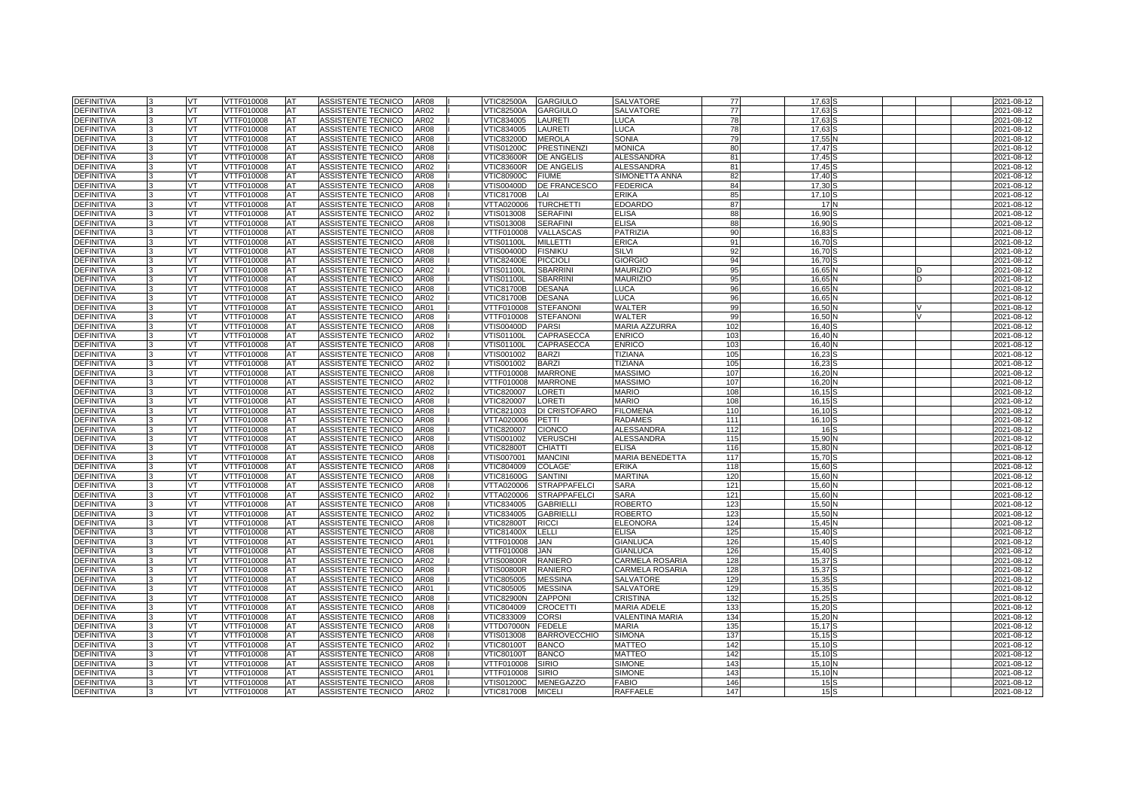| <b>DEFINITIVA</b>        | <b>VT</b>       | VTTF010008               | AT       | ASSISTENTE TECNICO<br><b>AR08</b>                               | <b>VTIC82500A</b>               | <b>GARGIULO</b>                      | SALVATORE                           | 77         | 17,63           |  | 2021-08-12               |
|--------------------------|-----------------|--------------------------|----------|-----------------------------------------------------------------|---------------------------------|--------------------------------------|-------------------------------------|------------|-----------------|--|--------------------------|
| )EFINITIVA               | VT              | /TTF010008               | AT       | ASSISTENTE TECNICO<br>AR02                                      | <b>VTIC82500A</b>               | <b>GARGIULO</b>                      | SALVATORE                           | 77         | 17.63           |  | 2021-08-12               |
| <b>DEFINITIVA</b>        | VT              | VTTF010008               | AT       | ASSISTENTE TECNICO<br>AR02                                      | VTIC834005                      | LAURETI                              | LUCA                                | 78         | 17,63           |  | 2021-08-12               |
| DEFINITIVA               | <b>VT</b>       | VTTF010008               | AT       | ASSISTENTE TECNICO<br>AR08                                      | VTIC834005                      | <b>LAURETI</b>                       | LUCA                                | 78         | 17,63           |  | 2021-08-12               |
| DEFINITIVA               | VT              | VTTF010008               | AT       | ASSISTENTE TECNICO<br>AR08                                      | VTIC83200D                      | <b>MEROLA</b>                        | <b>SONIA</b>                        | 79         | 17,55           |  | 2021-08-12               |
| DEFINITIVA               | VT              | VTTF010008               | AT       | AR08<br>ASSISTENTE TECNICO                                      | VTIS01200C                      | <b>PRESTINENZI</b>                   | <b>MONICA</b>                       | 80         | 17,47           |  | 2021-08-12               |
| DEFINITIVA               | <b>VT</b>       | VTTF010008               | AT       | ASSISTENTE TECNICO<br>AR08                                      | <b>VTIC83600R</b>               | <b>DE ANGELIS</b>                    | <b>ALESSANDRA</b>                   | 81         | 17,45           |  | 2021-08-12               |
| )EFINITIVA               | VT              | VTTF010008               | AT       | ASSISTENTE TECNICO<br>AR02                                      | VTIC83600R                      | <b>DE ANGELIS</b>                    | <b>ALESSANDRA</b>                   | 81         | 17.45           |  | 2021-08-12               |
| <b>DEFINITIVA</b>        | VT              | VTTF010008               | AT       | ASSISTENTE TECNICO<br>AR08                                      | <b>VTIC80900C</b>               | <b>FIUME</b>                         | SIMONETTA ANNA                      | 82         | 17,40           |  | 2021-08-12               |
| DEFINITIVA               | <b>VT</b>       | VTTF010008               | AT       | ASSISTENTE TECNICO<br>AR08                                      | VTIS00400D                      | <b>DE FRANCESCO</b>                  | <b>FEDERICA</b>                     | 84         | 17,30           |  | 2021-08-12               |
| DEFINITIVA               | VT              | VTTF010008               | AT       | ASSISTENTE TECNICO<br>AR08                                      | <b>VTIC81700B</b>               | LAI                                  | ERIKA                               | 85         | 17,10           |  | 2021-08-12               |
| <b>DEFINITIVA</b>        | VT              | VTTF010008               | AT       | ASSISTENTE TECNICO<br>AR08                                      | VTTA020006                      | <b>TURCHETTI</b>                     | EDOARDO                             | 87         | 17 <sup>1</sup> |  | 2021-08-12               |
| DEFINITIVA               | VT              | VTTF010008               | AT       | ASSISTENTE TECNICO<br>AR02                                      | VTIS013008                      | <b>SERAFINI</b>                      | <b>ELISA</b>                        | 88         | 16,90           |  | 2021-08-12               |
| )EFINITIVA               | VT              | VTTF010008               | AT       | ASSISTENTE TECNICO<br>AR08                                      | √TIS013008                      | <b>SERAFINI</b>                      | <b>ELISA</b>                        | 88         | 16,90           |  | 2021-08-12               |
| <b>DEFINITIVA</b>        | VT              | VTTF010008               | AT       | ASSISTENTE TECNICO<br>AR08                                      | VTTF010008                      | VALLASCAS                            | PATRIZIA                            | 90         | 16,83           |  | 2021-08-12               |
| DEFINITIVA               | VT              | VTTF010008               | AT       | ASSISTENTE TECNICO<br>AR08                                      | <b>VTIS01100L</b>               | <b>MILLETTI</b>                      | <b>ERICA</b>                        | 91         | 16.70           |  | 2021-08-12               |
| )EFINITIVA               | <b>VT</b>       | VTTF010008               | AT       | ASSISTENTE TECNICO<br>AR08                                      | √TIS00400D                      | <b>FISNIKU</b>                       | SILVI                               | 92         | 16,70           |  | 2021-08-12               |
| <b>DEFINITIVA</b>        | VT              | VTTF010008               | AT       | ASSISTENTE TECNICO<br>AR08                                      | <b>VTIC82400E</b>               | <b>PICCIOLI</b>                      | <b>GIORGIO</b>                      | 94         | 16,70           |  | 2021-08-12               |
| <b>DEFINITIVA</b>        | VT              | VTTF010008               | AT       | <b>ASSISTENTE TECNICO</b><br>AR02                               | <b>VTIS01100L</b>               | <b>SBARRIN</b>                       | <b>MAURIZIO</b>                     | 95         | 16.65           |  | 2021-08-12               |
| <b>EFINITIVA</b>         | VT              | VTTF010008               | AT       | ASSISTENTE TECNICO<br>AR08                                      | √TIS01100L                      | <b>SBARRIN</b>                       | <b>MAURIZIO</b>                     | 95         | 16,65           |  | 2021-08-12               |
| <b>EFINITIVA</b>         | VT              | VTTF010008               | AT       | ASSISTENTE TECNICO<br><b>AR08</b>                               | <b>VTIC81700B</b>               | <b>DESANA</b>                        | LUCA                                | 96         | 16,65           |  | 2021-08-12               |
| DEFINITIVA               | <b>VT</b>       | VTTF010008               | AT       | ASSISTENTE TECNICO<br>AR02                                      | <b>VTIC81700B</b>               | <b>DESANA</b>                        | LUCA                                | 96         | 16,65           |  | 2021-08-12               |
| )EFINITIVA               | VT              | VTTF010008               | AT       | ASSISTENTE TECNICO<br><b>\R01</b>                               | VTTF010008                      | <b>STEFANON</b>                      | WALTER                              | 99         | 16,50           |  | 2021-08-12               |
| <b>EFINITIVA</b>         | VT              | VTTF010008               | AT       | ASSISTENTE TECNICO<br><b>AR08</b>                               | VTTF010008                      | <b>STEFANONI</b>                     | WALTER                              | 99         | 16,50           |  | 2021-08-12               |
| DEFINITIVA               | <b>VT</b>       | VTTF010008               | AT       | <b>ASSISTENTE TECNICO</b><br>AR08                               | VTIS00400D                      | <b>PARSI</b>                         | MARIA AZZURRA                       | 102        | 16,40           |  | 2021-08-12               |
| <b>EFINITIVA</b>         | VT              | VTTF010008               | AT       | ASSISTENTE TECNICO<br><b>AR02</b>                               | √TIS01100L                      | CAPRASECCA                           | <b>ENRICO</b>                       | 103        | 16,40           |  | 2021-08-12               |
| <b>DEFINITIVA</b>        | VT              | VTTF010008               | AT       | ASSISTENTE TECNICO<br>AR08                                      | <b>VTIS01100L</b>               | CAPRASECCA                           | <b>ENRICO</b>                       | 103        | 16,40           |  | 2021-08-12               |
| DEFINITIVA               | <b>VT</b>       | VTTF010008               | AT       | ASSISTENTE TECNICO<br>AR08                                      | VTIS001002                      | <b>BARZI</b>                         | TIZIANA                             | 105        | 16,23           |  | 2021-08-12               |
| DEFINITIVA               | VT              | VTTF010008               | AT       | ASSISTENTE TECNICO<br>AR02                                      | VTIS001002                      | <b>BARZI</b>                         | <b>TIZIANA</b>                      | 105        | 16,23           |  | 2021-08-12               |
| <b>DEFINITIVA</b>        | VT              | VTTF010008               | AT       | <b>ASSISTENTE TECNICO</b><br><b>AR08</b>                        | VTTF010008                      | <b>MARRONE</b>                       | <b>MASSIMO</b>                      | 107        | 16,20           |  | 2021-08-12               |
| DEFINITIVA               | <b>VT</b>       | VTTF010008               | AT       | <b>ASSISTENTE TECNICO</b><br>AR02                               | VTTF010008                      | <b>MARRONE</b>                       | MASSIMO                             | 107        | 16,20           |  | 2021-08-12               |
| <b>EFINITIVA</b>         | VT              | VTTF010008               | AT       | ASSISTENTE TECNICO<br>AR02                                      | VTIC820007                      | LORETI                               | Mario                               | 108        | 16,15           |  | 2021-08-12               |
| <b>EFINITIVA</b>         | VT              | <b>/TTF010008</b>        | AT       | ASSISTENTE TECNICO<br><b>AR08</b>                               | VTIC820007                      | <b>LORETI</b>                        | <b>MARIO</b>                        | 105        | 16,15           |  | 2021-08-12               |
| DEFINITIVA               | VT              | VTTF010008               | AT       | ASSISTENTE TECNICO<br>AR08                                      | VTIC821003                      | DI CRISTOFARO                        | <b>FILOMENA</b>                     | 110        | 16,10           |  | 2021-08-12               |
| )EFINITIVA               | VT              | VTTF010008               | AT       | ASSISTENTE TECNICO<br><b>AR08</b>                               | VTTA020006                      | PETTI                                | <b>RADAMES</b>                      | 111        | 16,10           |  | 2021-08-12               |
| <b>EFINITIVA</b>         | VT              | /TTF010008               | AT       | ASSISTENTE TECNICO<br>AR08                                      | √TIC820007                      | <b>CIONCO</b>                        | <b>ALESSANDRA</b>                   | 112        | 16              |  | 2021-08-12               |
| DEFINITIVA               | <b>VT</b>       | VTTF010008               | AT       | <b>ASSISTENTE TECNICO</b><br>AR08                               | VTIS001002                      | VERUSCH                              | ALESSANDRA                          | 115        | 15,90           |  | 2021-08-12               |
| <b>EFINITIVA</b>         | VT              | VTTF010008               | AT       | <b>ASSISTENTE TECNICO</b><br><b>AR08</b>                        | <b>VTIC82800T</b>               | <b>CHIATTI</b>                       | ELISA                               | 116        | 15,80           |  | 2021-08-12               |
| <b>)EFINITIVA</b>        | VT              | VTTF010008               | AT       | ASSISTENTE TECNICO<br>AR08                                      | √TIS007001                      | <b>MANCINI</b>                       | <b>MARIA BENEDETTA</b>              | 117        | 15,70           |  | 2021-08-12               |
| DEFINITIVA               | <b>VT</b>       | VTTF010008               | AT       | AR08<br>ASSISTENTE TECNICO                                      | VTIC804009                      | <b>COLAGE</b>                        | ERIKA                               | 118        | 15,60           |  | 2021-08-12               |
| )EFINITIVA               | VT              | VTTF010008               | AT       | ASSISTENTE TECNICO<br>AR08                                      | <b>VTIC81600G</b>               | <b>SANTINI</b>                       | MARTINA                             | 120        | 15,60           |  | 2021-08-12               |
| <b>)EFINITIVA</b>        | VT              | /TTF010008               | AT       | ASSISTENTE TECNICO<br>AR08                                      | /TTA020006                      | <b>STRAPPAFELCI</b>                  | SARA                                | 121        | 15,60           |  | 2021-08-12               |
| DEFINITIVA               | VT              | VTTF010008               | AT       | AR02<br><b>ASSISTENTE TECNICO</b>                               | VTTA020006                      | <b>STRAPPAFELCI</b>                  | SARA                                | 121        | 15,60           |  | 2021-08-12               |
| <b>EFINITIVA</b>         | VT              | VTTF010008               | AT       | ASSISTENTE TECNICO<br><b>AR08</b>                               | VTIC834005                      | <b>GABRIELLI</b>                     | ROBERTO                             | 123        | 15,50           |  | 2021-08-12               |
| <b>)EFINITIVA</b>        | VT              | /TTF010008               | AT       | ASSISTENTE TECNICO<br>AR02                                      | VTIC834005                      | <b>GABRIELLI</b>                     | ROBERTO                             | 123        | 15,50           |  | 2021-08-12               |
| DEFINITIVA               | VT              | VTTF010008               | AT       | ASSISTENTE TECNICO<br><b>AR08</b>                               | <b>VTIC82800T</b>               | <b>RICCI</b>                         | <b>ELEONORA</b>                     | 124        | 15,45           |  | 2021-08-12               |
| DEFINITIVA               | VT              | VTTF010008               | AT       | ASSISTENTE TECNICO<br>AR08                                      | VTIC81400X                      | LELLI                                | ELISA                               | 125        | 15,40           |  | 2021-08-12               |
| DEFINITIVA               | VT              | VTTF010008               | AT       | ASSISTENTE TECNICO<br>AR01                                      | VTTF010008                      | JAN                                  | <b>GIANLUCA</b>                     | 126        | 15,40           |  | 2021-08-12               |
| DEFINITIVA<br>DEFINITIVA | <b>VT</b><br>VT | VTTF010008<br>VTTF010008 | AT<br>AT | AR08<br><b>ASSISTENTE TECNICO</b><br>ASSISTENTE TECNICO<br>AR02 | VTTF010008<br><b>VTIS00800R</b> | JAN<br><b>RANIERO</b>                | <b>GIANLUCA</b><br>CARMELA ROSARIA  | 126<br>128 | 15,40<br>15,37  |  | 2021-08-12<br>2021-08-12 |
| <b>DEFINITIVA</b>        | VT              |                          | AT       | AR08                                                            |                                 |                                      |                                     |            |                 |  |                          |
|                          |                 | VTTF010008               |          | ASSISTENTE TECNICO<br>AR08                                      | √TIS00800R                      | <b>RANIERO</b>                       | CARMELA ROSARIA<br><b>SALVATORE</b> | 128        | 15,37           |  | 2021-08-12               |
| DEFINITIVA               | VT<br>VT        | VTTF010008               | AT<br>AT | ASSISTENTE TECNICO<br><b>\R01</b>                               | VTIC805005                      | <b>MESSINA</b>                       |                                     | 129        | 15,35           |  | 2021-08-12               |
| DEFINITIVA               | VT              | VTTF010008               | AT       | ASSISTENTE TECNICO<br>ASSISTENTE TECNICO<br>AR08                | VTIC805005                      | <b>MESSINA</b><br><b>ZAPPONI</b>     | SALVATORE<br>CRISTINA               | 129<br>132 | 15,35           |  | 2021-08-12               |
| DEFINITIVA               |                 | VTTF010008               |          |                                                                 | <b>VTIC82900N</b>               |                                      |                                     |            | 15,25           |  | 2021-08-12               |
| DEFINITIVA<br>DEFINITIVA | <b>VT</b><br>VT | VTTF010008               | AT<br>AT | AR08<br><b>ASSISTENTE TECNICO</b><br>ASSISTENTE TECNICO<br>AR08 | VTIC804009<br>VTIC833009        | <b>CROCETTI</b><br><b>CORSI</b>      | MARIA ADELE<br>VALENTINA MARIA      | 133<br>134 | 15,20<br>15,20  |  | 2021-08-12<br>2021-08-12 |
| <b>DEFINITIVA</b>        |                 | VTTF010008               | AT       | ASSISTENTE TECNICO<br>AR08                                      |                                 |                                      | <b>MARIA</b>                        |            |                 |  |                          |
|                          | <b>VT</b>       | VTTF010008<br>VTTF010008 |          | AR08                                                            | VTTD07000N                      | <b>FEDELE</b><br><b>BARROVECCHIO</b> |                                     | 135<br>137 | 15,17           |  | 2021-08-12               |
| DEFINITIVA<br>DEFINITIVA | <b>VT</b><br>VT | VTTF010008               | AT<br>AT | ASSISTENTE TECNICO<br>ASSISTENTE TECNICO<br>AR02                | VTIS013008<br><b>VTIC80100T</b> | <b>BANCO</b>                         | <b>SIMONA</b><br><b>MATTEO</b>      | 142        | 15,15<br>15,10  |  | 2021-08-12<br>2021-08-12 |
| <b>DEFINITIVA</b>        | VT              | VTTF010008               | AT       | ASSISTENTE TECNICO<br>AR08                                      | <b>VTIC80100T</b>               | <b>BANCO</b>                         | <b>MATTEO</b>                       | 142        | 15,10           |  | 2021-08-12               |
| DEFINITIVA               | <b>VT</b>       | VTTF010008               | AT       | <b>ASSISTENTE TECNICO</b><br><b>\R08</b>                        | VTTF010008                      | <b>SIRIO</b>                         | <b>SIMONE</b>                       | 143        | 15,10           |  | 2021-08-12               |
| DEFINITIVA               | VT              | VTTF010008               | AT       | ASSISTENTE TECNICO<br>AR01                                      | VTTF010008                      | <b>SIRIO</b>                         | SIMONE                              | 143        | 15,10           |  | 2021-08-12               |
| DEFINITIVA               | VT              | VTTF010008               | AT       | ASSISTENTE TECNICO<br>AR08                                      | VTIS01200C                      | <b>MENEGAZZO</b>                     | FABIO                               | 146        | 15 <sup>5</sup> |  |                          |
| <b>DEFINITIVA</b>        | VT              |                          |          | AR02                                                            |                                 |                                      | RAFFAELE                            | 147        | 15 <sup>5</sup> |  | 2021-08-12               |
|                          |                 | VTTF010008               | AT       | ASSISTENTE TECNICO                                              | VTIC81700B                      | <b>MICELI</b>                        |                                     |            |                 |  | 2021-08-12               |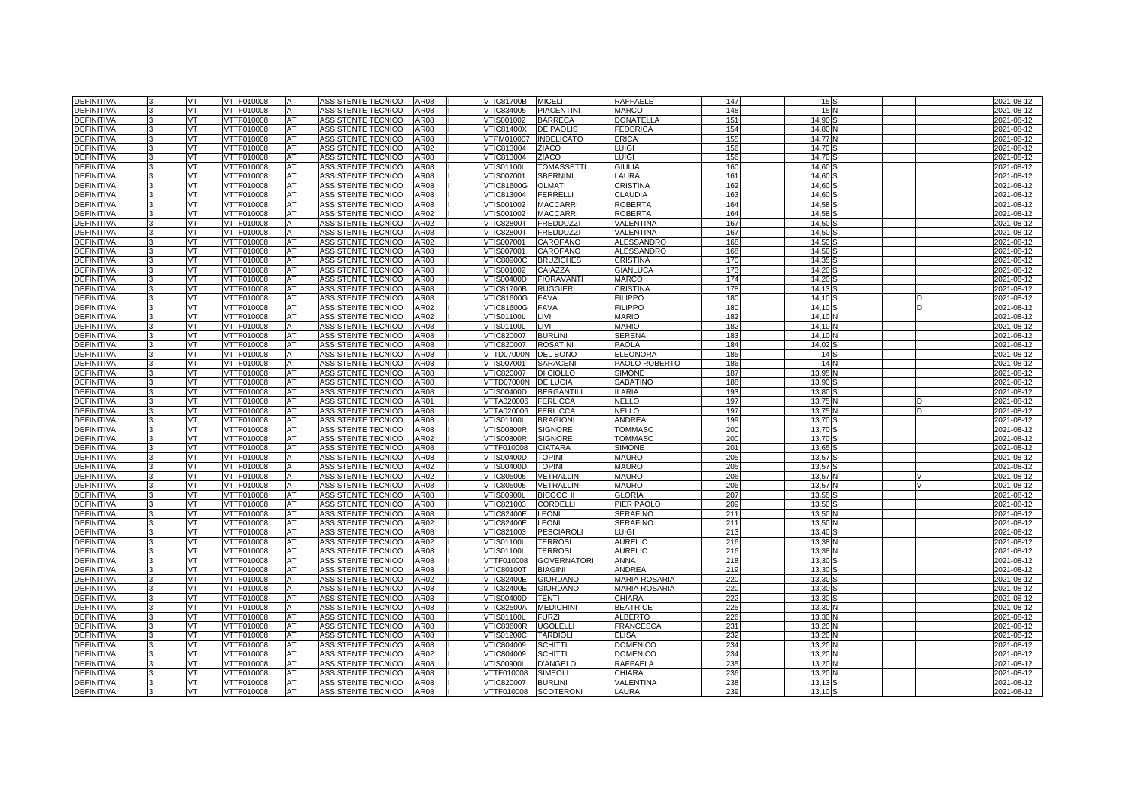| <b>DEFINITIVA</b>                      |    | VT        | VTTF010008               | AT              | ASSISTENTE TECNICO                       | <b>AR08</b>  | <b>VTIC81700B</b>        | <b>MICELI</b>                     | RAFFAELE                    | 147        | 15S              |  | 2021-08-12               |
|----------------------------------------|----|-----------|--------------------------|-----------------|------------------------------------------|--------------|--------------------------|-----------------------------------|-----------------------------|------------|------------------|--|--------------------------|
| <b>DEFINITIVA</b>                      |    | VT        | VTTF010008               | AT              | ASSISTENTE TECNICO                       | AR08         | VTIC834005               | <b>PIACENTINI</b>                 | MARCO                       | 148        | 15               |  | 2021-08-12               |
| <b>DEFINITIVA</b>                      |    | VT        | <b>VTTF010008</b>        | AT              | <b>ASSISTENTE TECNICO</b>                | <b>AR08</b>  | VTIS001002               | <b>BARRECA</b>                    | <b>DONATELLA</b>            | 151        | 14.90            |  | 2021-08-12               |
| <b>DEFINITIVA</b>                      |    | <b>VT</b> | VTTF010008               | <b>AT</b>       | ASSISTENTE TECNICO                       | <b>AR08</b>  | VTIC81400X               | <b>DE PAOLIS</b>                  | <b>FEDERICA</b>             | 154        | 14.80            |  | 2021-08-12               |
| <b>DEFINITIVA</b>                      |    | VT.       | VTTF010008               | AT              | ASSISTENTE TECNICO                       | <b>AR08</b>  | /TPM010007               | <b>INDELICATO</b>                 | <b>ERICA</b>                | 155        | 14.77            |  | 2021-08-12               |
| <b>DEFINITIVA</b>                      |    | VT        | VTTF010008               | AT              | ASSISTENTE TECNICO                       | AR02         | VTIC813004               | <b>ZIACO</b>                      | LUIGI                       | 156        | 14.70            |  | 2021-08-12               |
| <b>DEFINITIVA</b>                      |    | VT.       | VTTF010008               | <b>AT</b>       | ASSISTENTE TECNICO                       | <b>AR08</b>  | VTIC813004               | <b>ZIACO</b>                      | LUIGI                       | 156        | 14.70            |  | 2021-08-12               |
| <b>DEFINITIVA</b>                      |    | VT.       | VTTF010008               | AT              | ASSISTENTE TECNICO                       | AR08         | VTIS01100L               | <b>TOMASSETTI</b>                 | <b>GIULIA</b>               | 160        | 14.60            |  | 2021-08-12               |
| <b>DEFINITIVA</b>                      |    | VT        | VTTF010008               | AT              | ASSISTENTE TECNICO                       | AR08         | VTIS007001               | <b>SBERNIN</b>                    | LAURA                       | 161        | 14.60            |  | 2021-08-12               |
| <b>DEFINITIVA</b>                      |    | VT        | VTTF010008               | AT              | ASSISTENTE TECNICO                       | <b>AR08</b>  | VTIC81600G               | <b>OLMATI</b>                     | <b>CRISTINA</b>             | 162        | 14.60            |  | 2021-08-12               |
| DEFINITIVA                             |    | VT        | VTTF010008               | <b>IAT</b>      | <b>ASSISTENTE TECNICO</b>                | <b>AR08</b>  | VTIC813004               | <b>FERRELL</b>                    | <b>CLAUDIA</b>              | 163        | 14.60            |  | 2021-08-12               |
| <b>DEFINITIVA</b>                      |    | VT        | VTTF010008               | AT              | ASSISTENTE TECNICO                       | <b>AR08</b>  | VTIS001002               | <b>MACCARR</b>                    | <b>ROBERTA</b>              | 164        | 14.58            |  | 2021-08-12               |
| <b>DEFINITIVA</b>                      |    | VT.       | VTTF010008               | <b>AT</b>       | ASSISTENTE TECNICO                       | AR02         | VTIS001002               | <b>MACCARRI</b>                   | <b>ROBERTA</b>              | 164        | 14.58            |  | 2021-08-12               |
| <b>DEFINITIVA</b>                      |    | VT        | VTTF010008               | AT              | ASSISTENTE TECNICO                       | AR02         | <b>VTIC82800T</b>        | <b>FREDDUZZI</b>                  | VALENTINA                   | 167        | 14.50            |  | 2021-08-12               |
| <b>DEFINITIVA</b>                      |    | VT        | VTTF010008               | AT              | ASSISTENTE TECNICO                       | AR08         | <b>VTIC82800T</b>        | <b>FREDDUZZI</b>                  | VALENTINA                   | 167        | 14,50            |  | 2021-08-12               |
| <b>DEFINITIVA</b>                      |    | <b>VT</b> | VTTF010008               | <b>AT</b>       | ASSISTENTE TECNICO                       | AR02         | VTIS007001               | CAROFANO                          | <b>ALESSANDRO</b>           | 168        | 14.50            |  | 2021-08-12               |
| <b>DEFINITIVA</b>                      |    | VT        | VTTF010008               | <b>AT</b>       | ASSISTENTE TECNICO                       | <b>AR08</b>  | VTIS007001               | <b>CAROFANO</b>                   | <b>ALESSANDRO</b>           | 168        | 14.50            |  | 2021-08-12               |
| <b>DEFINITIVA</b>                      |    | VT.       | VTTF010008               | AT              | ASSISTENTE TECNICO                       | AR08         | VTIC80900C               | <b>BRUZICHES</b>                  | CRISTINA                    | 170        | 14,35            |  | 2021-08-12               |
| <b>DEFINITIVA</b>                      |    | VT.       | VTTF010008               | <b>AT</b>       | ASSISTENTE TECNICO                       | AR08         | VTIS001002               | CAIAZZA                           | GIANLUCA                    | 173        | 14.20            |  | 2021-08-12               |
| <b>DEFINITIVA</b>                      |    | VT.       | VTTF010008               | AT              | ASSISTENTE TECNICO                       | AR08         | VTIS00400D               | <b>FIORAVANTI</b>                 | <b>MARCO</b>                | 174        | 14.20            |  | 2021-08-12               |
| <b>DEFINITIVA</b>                      |    | VT        | VTTF010008               | AT              | ASSISTENTE TECNICO                       | AR08         | <b>VTIC81700B</b>        | <b>RUGGIERI</b>                   | CRISTINA                    | 178        | 14,13            |  | 2021-08-12               |
| <b>DEFINITIVA</b>                      |    | VT        | VTTF010008               | AT              | ASSISTENTE TECNICO                       | AR08         | VTIC81600G               | <b>FAVA</b>                       | <b>FILIPPO</b>              | 180        | 14.10            |  | 2021-08-12               |
| DEFINITIVA                             |    | VT        | VTTF010008               | AT              | ASSISTENTE TECNICO                       | AR02         | <b>VTIC81600G</b>        | <b>FAVA</b>                       | <b>FILIPPO</b>              | <b>180</b> | 14.10            |  | 2021-08-12               |
| <b>DEFINITIVA</b>                      |    | VT        | VTTF010008               | AT              | ASSISTENTE TECNICO                       | AR02         | VTIS01100L               | LIVI                              | <b>MARIO</b>                | 182        | 14,10            |  | 2021-08-12               |
| <b>DEFINITIVA</b>                      |    | VT.       | VTTF010008               | AT              | ASSISTENTE TECNICO                       | AR08         | <b>VTIS01100L</b>        | LIVI                              | <b>MARIO</b>                | 182        | 14.10            |  | 2021-08-12               |
| <b>DEFINITIVA</b>                      |    | VT.       | VTTF010008               | AT              | ASSISTENTE TECNICO                       | AR08         | VTIC820007               | <b>BURLINI</b>                    | <b>SERENA</b>               | 183        | 14.10            |  | 2021-08-12               |
| <b>DEFINITIVA</b>                      |    | VT        | VTTF010008               | AT              | ASSISTENTE TECNICO                       | AR08         | VTIC820007               | <b>ROSATINI</b>                   | PAOLA                       | 184        | 14,02            |  | 2021-08-12               |
| <b>DEFINITIVA</b>                      | ıз | VT        | VTTF010008               | <b>AT</b>       | ASSISTENTE TECNICO                       | AR08         | VTTD07000N               | <b>DEL BONO</b>                   | <b>ELEONORA</b>             | 185        | 14S              |  | 2021-08-12               |
| DEFINITIVA                             |    | VT        | VTTF010008               | AT              | ASSISTENTE TECNICO                       | AR08         | VTIS007001               | SARACENI                          | PAOLO ROBERTO               | 186        | 14               |  | 2021-08-12               |
| <b>DEFINITIVA</b>                      |    | VT        | VTTF010008               | AT              | ASSISTENTE TECNICO                       | AR08         | VTIC820007               | DI CIOLLO                         | <b>SIMONE</b>               | 187        | 13,95            |  | 2021-08-12               |
| <b>DEFINITIVA</b>                      |    | <b>VT</b> | VTTF010008               | AT              | ASSISTENTE TECNICO                       | AR08         | VTTD07000N               | <b>DE LUCIA</b>                   | <b>SABATINO</b>             | 188        | 13.90            |  | 2021-08-12               |
| <b>DEFINITIVA</b>                      |    | VT.       | VTTF010008               | AT              | ASSISTENTE TECNICO                       | AR08         | VTIS00400D               | <b>BERGANTILI</b>                 | LARIA                       | 193        | 13.80            |  | 2021-08-12               |
| <b>DEFINITIVA</b>                      |    | VT        | VTTF010008               | AT              | ASSISTENTE TECNICO                       | AR01         | VTTA020006               | <b>FERLICCA</b>                   | NELLO                       | 197        | 13,75            |  | 2021-08-12               |
| DEFINITIVA                             |    | VT        | VTTF010008               | AT              | ASSISTENTE TECNICO                       | AR08         | VTTA020006               | <b>FERLICCA</b>                   | NELLO                       | 197        | 13.75            |  | 2021-08-12               |
| DEFINITIVA                             |    | VT        | VTTF010008               | AT              | ASSISTENTE TECNICO                       | AR08         | VTIS01100L               | <b>BRAGIONI</b>                   | ANDREA                      | 199        | 13,70            |  | 2021-08-12               |
| <b>DEFINITIVA</b>                      |    | VT        | VTTF010008               | AT              | ASSISTENTE TECNICO                       | AR08         | /TIS00800R               | <b>SIGNORE</b>                    | TOMMASO                     | 200        | 13,70            |  | 2021-08-12               |
| <b>DEFINITIVA</b>                      |    | VT.       | VTTF010008               | AT              | ASSISTENTE TECNICO                       | AR02         | <b>VTIS00800R</b>        | <b>SIGNORE</b>                    | <b>TOMMASO</b>              | <b>200</b> | 13,70            |  | 2021-08-12               |
| <b>DEFINITIVA</b>                      |    | VT.       | VTTF010008               | AT              | ASSISTENTE TECNICO                       | AR08         | VTTF010008               | <b>CIATARA</b>                    | <b>SIMONE</b>               | 201        | 13.65            |  | 2021-08-12               |
| <b>DEFINITIVA</b>                      |    | VT        | <b>/TTF010008</b>        | AT              | ASSISTENTE TECNICO                       | AR08         | /TIS00400D               | <b>TOPINI</b>                     | MAURO                       | 205        | 13,57            |  | 2021-08-12               |
| <b>DEFINITIVA</b>                      |    | VT        | VTTF010008               | AT              | ASSISTENTE TECNICO                       | AR02         | VTIS00400D               | <b>TOPINI</b>                     | <b>MAURO</b>                | 205        | 13.57            |  | 2021-08-12               |
| <b>DEFINITIVA</b>                      |    | VT        | VTTF010008               | AT              | ASSISTENTE TECNICO                       | AR02         | VTIC805005               | VETRALLINI                        | <b>MAURO</b>                | 206        | 13,57            |  | 2021-08-12               |
| <b>DEFINITIVA</b>                      |    | VT        | /TTF010008               | AT              | ASSISTENTE TECNICO                       | AR08         | /TIC805005               | VETRALLINI                        | <b>MAURO</b>                | 206        | 13,57            |  | 2021-08-12               |
| DEFINITIVA                             |    | VT.       | VTTF010008               | AT              | ASSISTENTE TECNICO                       | <b>AR08</b>  | <b>VTIS00900L</b>        | <b>BICOCCHI</b>                   | <b>GLORIA</b>               | 207        | 13,55            |  | 2021-08-12               |
| DEFINITIVA                             |    | VT        | VTTF010008               | AT              | ASSISTENTE TECNICO                       | AR08         | VTIC821003               | <b>CORDELLI</b>                   | PIER PAOLO                  | 209        | 13.50            |  | 2021-08-12               |
| <b>DEFINITIVA</b>                      |    | VT        | VTTF010008               | AT              | ASSISTENTE TECNICO                       | AR08         | /TIC82400E               | <b>LEONI</b>                      | <b>SERAFINO</b>             | 211        | 13,50            |  | 2021-08-12               |
| <b>DEFINITIVA</b>                      |    | VT        | VTTF010008               | <b>AT</b>       | ASSISTENTE TECNICO                       | AR02         | <b>VTIC82400E</b>        | <b>LEONI</b>                      | <b>SERAFINO</b>             | 211        | 13.50            |  | 2021-08-12               |
| <b>DEFINITIVA</b>                      |    | VT        | VTTF010008               | <b>AT</b>       | ASSISTENTE TECNICO                       | AR08         | VTIC821003               | <b>PESCIAROLI</b>                 | LUIGI                       | 213        | 13,40            |  | 2021-08-12               |
| <b>DEFINITIVA</b>                      |    | VT        | VTTF010008               | AT              | <b>ASSISTENTE TECNICO</b>                | AR02         | /TIS01100L               | <b>TERROS</b>                     | <b>AURELIO</b>              | 216        | 13,38            |  | 2021-08-12               |
| <b>DEFINITIVA</b>                      |    | VT        | VTTF010008               | AT              | ASSISTENTE TECNICO                       | <b>AR08</b>  | √TIS01100L               | <b>TERROS</b>                     | <b>AURELIO</b>              | 216        | 13,38            |  | 2021-08-12               |
| <b>DEFINITIVA</b>                      |    | VT.       | VTTF010008               | AT              | ASSISTENTE TECNICO                       | AR08         | VTTF010008               | <b>GOVERNATORI</b>                | ANNA                        | 218        | 13,30            |  | 2021-08-12               |
| <b>DEFINITIVA</b>                      |    | VT        | VTTF010008               | AT              | ASSISTENTE TECNICO                       | AR08         | <b>VTIC80100T</b>        | <b>BIAGINI</b>                    | <b>ANDREA</b>               | 219        | 13,30            |  | 2021-08-12               |
| DEFINITIVA                             |    | VT        | VTTF010008               | AT              | ASSISTENTE TECNICO                       | AR02         | <b>VTIC82400E</b>        | <b>GIORDANO</b>                   | <b>MARIA ROSARIA</b>        | 220        | 13,30            |  | 2021-08-12               |
| DEFINITIVA                             |    | VT        | VTTF010008               | AT              | ASSISTENTE TECNICO                       | AR08         | <b>VTIC82400E</b>        | <b>GIORDANO</b>                   | <b>MARIA ROSARIA</b>        | 220        | 13,30            |  | 2021-08-12               |
| <b>DEFINITIVA</b>                      |    | VT        | VTTF010008               | AT              | ASSISTENTE TECNICO                       | AR08         | /TIS00400D               | <b>TENTI</b>                      | CHIARA                      | 222        | 13,30            |  | 2021-08-12               |
| <b>DEFINITIVA</b>                      |    |           |                          |                 |                                          |              |                          |                                   |                             |            |                  |  |                          |
|                                        |    | VT        |                          |                 |                                          | <b>AR08</b>  |                          |                                   |                             |            |                  |  |                          |
|                                        |    | VT        | VTTF010008               | AT              | ASSISTENTE TECNICO                       |              | <b>VTIC82500A</b>        | <b>MEDICHINI</b>                  | <b>BEATRICE</b>             | 225        | 13,30            |  | 2021-08-12               |
| DEFINITIVA                             |    | VT        | VTTF010008               | AT              | ASSISTENTE TECNICO                       | AR08         | √TIS01100L               | <b>FURZI</b>                      | ALBERTO                     | 226        | 13,30            |  | 2021-08-12               |
| <b>DEFINITIVA</b>                      |    |           | VTTF010008               | AT              | ASSISTENTE TECNICO                       | AR08         | VTIC83600R               | <b>UGOLELLI</b>                   | FRANCESCA                   | 231        | 13,20            |  | 2021-08-12               |
| <b>DEFINITIVA</b>                      |    | VT        | VTTF010008               | AT              | ASSISTENTE TECNICO                       | AR08         | VTIS01200C               | <b>TARDIOLI</b>                   | <b>ELISA</b>                | 232        | 13.20            |  | 2021-08-12               |
| DEFINITIVA                             |    | VT<br>VT  | VTTF010008               | AT              | ASSISTENTE TECNICO                       | AR08         | VTIC804009               | <b>SCHITTI</b>                    | <b>DOMENICO</b>             | 234        | 13,20            |  | 2021-08-12               |
| <b>DEFINITIVA</b><br><b>DEFINITIVA</b> |    | VT        | VTTF010008<br>VTTF010008 | AT<br>AT        | ASSISTENTE TECNICO<br>ASSISTENTE TECNICO | AR02<br>AR08 | VTIC804009<br>√TIS00900L | <b>SCHITTI</b><br><b>D'ANGELO</b> | <b>DOMENICO</b><br>RAFFAELA | 234<br>235 | 13,20<br>13,20   |  | 2021-08-12<br>2021-08-12 |
|                                        |    | VT        |                          |                 |                                          |              |                          |                                   |                             |            |                  |  |                          |
| DEFINITIVA                             |    | VT        | VTTF010008<br>VTTF010008 | AT              | ASSISTENTE TECNICO                       | AR08<br>AR08 | VTTF010008               | SIMEOL                            | CHIARA                      | 236        | 13,20            |  | 2021-08-12               |
| DEFINITIVA<br><b>DEFINITIVA</b>        | 3  | VT        | VTTF010008               | AT<br><b>AT</b> | ASSISTENTE TECNICO<br>ASSISTENTE TECNICO | AR08         | VTIC820007<br>VTTF010008 | <b>BURLINI</b><br>SCOTERONI       | VALENTINA<br>LAURA          | 238<br>239 | 13,13<br>13,10 S |  | 2021-08-12<br>2021-08-12 |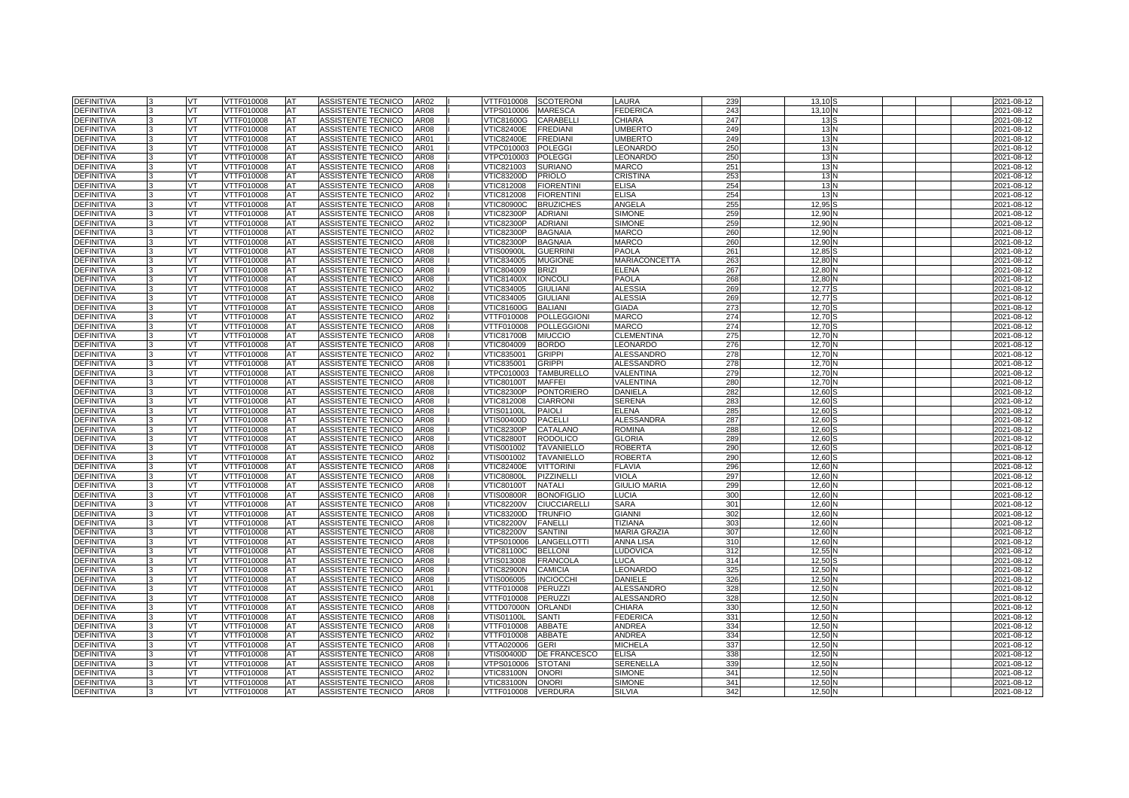| <b>DEFINITIVA</b> |    | VT        | VTTF010008        | <b>AT</b> | ASSISTENTE TECNICO        | AR02        | VTTF010008        | <b>SCOTERONI</b>    | LAURA                | 239             | 13,10           | 2021-08-12 |
|-------------------|----|-----------|-------------------|-----------|---------------------------|-------------|-------------------|---------------------|----------------------|-----------------|-----------------|------------|
| <b>DEFINITIVA</b> |    | VT        | VTTF010008        | AT        | ASSISTENTE TECNICO        | AR08        | VTPS010006        | <b>MARESCA</b>      | <b>FEDERICA</b>      | 243             | 13.10           | 2021-08-12 |
| <b>DEFINITIVA</b> |    | VT        | <b>VTTF010008</b> | AT        | <b>ASSISTENTE TECNICO</b> | <b>AR08</b> | <b>VTIC81600G</b> | CARABELLI           | CHIARA               | 247             | 13 <sub>5</sub> | 2021-08-12 |
| DEFINITIVA        |    | <b>VT</b> | VTTF010008        | AT        | ASSISTENTE TECNICO        | <b>AR08</b> | <b>VTIC82400E</b> | <b>FREDIANI</b>     | <b>UMBERTO</b>       | 24 <sup>c</sup> | 13N             | 2021-08-12 |
| <b>DEFINITIVA</b> |    | VT.       | VTTF010008        | AT        | ASSISTENTE TECNICO        | AR01        | <b>VTIC82400E</b> | <b>FREDIANI</b>     | <b>UMBERTO</b>       | 249             | 13N             | 2021-08-12 |
| <b>DEFINITIVA</b> |    | VT        | VTTF010008        | AT        | ASSISTENTE TECNICO        | AR01        | VTPC010003        | <b>POLEGGI</b>      | LEONARDO             | 25C             | 13N             | 2021-08-12 |
| <b>DEFINITIVA</b> |    | VT.       | VTTF010008        | <b>AT</b> | ASSISTENTE TECNICO        | <b>AR08</b> | VTPC010003        | <b>POLEGGI</b>      | LEONARDO             | 250             | 13N             | 2021-08-12 |
| <b>DEFINITIVA</b> |    | VT.       | VTTF010008        | AT        | ASSISTENTE TECNICO        | AR08        | VTIC821003        | <b>SURIANO</b>      | <b>MARCO</b>         | 251             | 13N             | 2021-08-12 |
| <b>DEFINITIVA</b> |    | VT        | VTTF010008        | AT        | ASSISTENTE TECNICO        | AR08        | VTIC83200D        | <b>PRIOLO</b>       | CRISTINA             | 253             | 13 <sup>h</sup> | 2021-08-12 |
| <b>DEFINITIVA</b> |    | VT        | VTTF010008        | AT        | ASSISTENTE TECNICO        | <b>AR08</b> | VTIC812008        | <b>FIORENTINI</b>   | <b>ELISA</b>         | 254             | 13N             | 2021-08-12 |
| DEFINITIVA        |    | VT        | VTTF010008        | <b>AT</b> | ASSISTENTE TECNICO        | <b>AR02</b> | VTIC812008        | <b>FIORENTINI</b>   | <b>ELISA</b>         | 254             | 13              | 2021-08-12 |
| <b>DEFINITIVA</b> |    | VT        | VTTF010008        | AT        | ASSISTENTE TECNICO        | AR08        | VTIC80900C        | <b>BRUZICHES</b>    | ANGELA               | 255             | 12,95           | 2021-08-12 |
| <b>DEFINITIVA</b> |    | VT.       | VTTF010008        | AT        | ASSISTENTE TECNICO        | <b>AR08</b> | <b>VTIC82300P</b> | <b>ADRIANI</b>      | <b>SIMONE</b>        | 259             | 12,90           | 2021-08-12 |
| <b>DEFINITIVA</b> |    | VT        | VTTF010008        | AT        | ASSISTENTE TECNICO        | AR02        | <b>VTIC82300P</b> | <b>ADRIANI</b>      | <b>SIMONE</b>        | 259             | 12.90           | 2021-08-12 |
| <b>DEFINITIVA</b> |    | VT        | VTTF010008        | AT        | ASSISTENTE TECNICO        | AR02        | VTIC82300P        | <b>BAGNAIA</b>      | <b>MARCO</b>         | 260             | 12,90           | 2021-08-12 |
| <b>DEFINITIVA</b> |    | <b>VT</b> | VTTF010008        | AT        | ASSISTENTE TECNICO        | AR08        | VTIC82300P        | <b>BAGNAIA</b>      | MARCO                | 260             | 12.90           | 2021-08-12 |
| DEFINITIVA        |    | VT        | VTTF010008        | <b>AT</b> | ASSISTENTE TECNICO        | <b>AR08</b> | √TIS00900L        | <b>GUERRIN</b>      | <b>PAOLA</b>         | 261             | 12.85           | 2021-08-12 |
| <b>DEFINITIVA</b> |    | VT.       | VTTF010008        | AT        | ASSISTENTE TECNICO        | AR08        | VTIC834005        | <b>MUGIONE</b>      | <b>MARIACONCETTA</b> | 263             | 12,80           | 2021-08-12 |
| <b>DEFINITIVA</b> |    | VT        | VTTF010008        | AT        | ASSISTENTE TECNICO        | AR08        | VTIC804009        | <b>BRIZI</b>        | <b>ELENA</b>         | 267             | 12.80           | 2021-08-12 |
| <b>DEFINITIVA</b> |    | VT        | VTTF010008        | AT        | ASSISTENTE TECNICO        | AR08        | VTIC81400X        | <b>IONCOL</b>       | PAOLA                | 268             | 12.80           | 2021-08-12 |
| <b>DEFINITIVA</b> |    | VT        | VTTF010008        | AT        | ASSISTENTE TECNICO        | AR02        | VTIC834005        | <b>GIULIANI</b>     | <b>ALESSIA</b>       | 269             | 12.77           | 2021-08-12 |
| <b>DEFINITIVA</b> |    | <b>VT</b> | VTTF010008        | AT        | ASSISTENTE TECNICO        | AR08        | VTIC834005        | <b>GIULIANI</b>     | <b>ALESSIA</b>       | <b>269</b>      | $12.77$ \$      | 2021-08-12 |
| DEFINITIVA        |    | VT        | VTTF010008        | AT        | ASSISTENTE TECNICO        | AR08        | VTIC81600G        | <b>BALIANI</b>      | <b>GIADA</b>         | 273             | 12.70           | 2021-08-12 |
| <b>DEFINITIVA</b> |    | VT        | VTTF010008        | AT        | ASSISTENTE TECNICO        | AR02        | VTTF010008        | <b>POLLEGGIONI</b>  | <b>MARCO</b>         | 274             | 12,70           | 2021-08-12 |
| <b>DEFINITIVA</b> | 3  | VT        | VTTF010008        | AT        | ASSISTENTE TECNICO        | AR08        | VTTF010008        | <b>POLLEGGIONI</b>  | <b>MARCO</b>         | 274             | 12.70           | 2021-08-12 |
| <b>DEFINITIVA</b> |    | VT.       | VTTF010008        | AT        | ASSISTENTE TECNICO        | AR08        | VTIC81700B        | <b>MIUCCIO</b>      | <b>CLEMENTINA</b>    | 275             | 12.70           | 2021-08-12 |
| <b>DEFINITIVA</b> |    | VT        | VTTF010008        | AT        | ASSISTENTE TECNICO        | AR08        | VTIC804009        | <b>BORDO</b>        | EONARDO              | 276             | 12,70           | 2021-08-12 |
| <b>DEFINITIVA</b> | l3 | VT        | VTTF010008        | AT        | ASSISTENTE TECNICO        | AR02        | VTIC835001        | <b>GRIPPI</b>       | <b>ALESSANDRC</b>    | 278             | 12.70           | 2021-08-12 |
| <b>DEFINITIVA</b> |    | VT        | VTTF010008        | AT        | ASSISTENTE TECNICO        | AR08        | VTIC835001        | <b>GRIPPI</b>       | <b>ALESSANDRO</b>    | 278             | 12.70           | 2021-08-12 |
| <b>DEFINITIVA</b> |    | VT        | VTTF010008        | AT        | ASSISTENTE TECNICO        | AR08        | VTPC010003        | <b>TAMBURELLO</b>   | VALENTINA            | 279             | 12,70           | 2021-08-12 |
| <b>DEFINITIVA</b> |    | VT        | VTTF010008        | AT        | ASSISTENTE TECNICO        | AR08        | <b>VTIC80100T</b> | <b>MAFFEI</b>       | <b>VALENTINA</b>     | 280             | 12.70           | 2021-08-12 |
| <b>DEFINITIVA</b> |    | VT.       | VTTF010008        | AT        | ASSISTENTE TECNICO        | AR08        | VTIC82300P        | <b>PONTORIERO</b>   | DANIELA              | 282             | 12.60           | 2021-08-12 |
| DEFINITIVA        |    | VT        | VTTF010008        | AT        | ASSISTENTE TECNICO        | AR08        | VTIC812008        | <b>CIARRON</b>      | <b>SERENA</b>        | 283             | 12,60           | 2021-08-12 |
| <b>DEFINITIVA</b> |    | VT        | VTTF010008        | AT        | ASSISTENTE TECNICO        | AR08        | <b>VTIS01100L</b> | <b>PAIOLI</b>       | <b>ELENA</b>         | 285             | 12.60           | 2021-08-12 |
| DEFINITIVA        |    | VT        | VTTF010008        | AT        | ASSISTENTE TECNICO        | AR08        | VTIS00400D        | <b>PACELL</b>       | <b>ALESSANDRA</b>    | 287             | 12,60           | 2021-08-12 |
| <b>DEFINITIVA</b> |    | VT        | VTTF010008        | AT        | ASSISTENTE TECNICO        | AR08        | VTIC82300P        | CATALANO            | ROMINA               | 288             | 12,60           | 2021-08-12 |
| <b>DEFINITIVA</b> |    | VT        | VTTF010008        | AT        | ASSISTENTE TECNICO        | <b>AR08</b> | <b>VTIC82800T</b> | <b>RODOLICO</b>     | <b>GLORIA</b>        | 289             | 12,60           | 2021-08-12 |
| DEFINITIVA        |    | VT.       | VTTF010008        | AT        | ASSISTENTE TECNICO        | AR08        | /TIS001002        | <b>TAVANIELLO</b>   | <b>ROBERTA</b>       | 290             | 12.60           | 2021-08-12 |
| <b>DEFINITIVA</b> |    | VT        | <b>/TTF010008</b> | AT        | ASSISTENTE TECNICO        | AR02        | /TIS001002        | <b>TAVANIELLO</b>   | ROBERTA              | 290             | 12,60           | 2021-08-12 |
| <b>DEFINITIVA</b> |    | VT        | VTTF010008        | AT        | ASSISTENTE TECNICO        | AR08        | <b>VTIC82400E</b> | <b>VITTORINI</b>    | <b>FLAVIA</b>        | 296             | 12.60           | 2021-08-12 |
| DEFINITIVA        |    | VT        | VTTF010008        | AT        | ASSISTENTE TECNICO        | AR08        | <b>VTIC80800L</b> | PIZZINELLI          | VIOLA                | 297             | 12,60           | 2021-08-12 |
| <b>DEFINITIVA</b> |    | VT        | /TTF010008        | AT        | ASSISTENTE TECNICO        | AR08        | <b>/TIC80100T</b> | <b>NATALI</b>       | <b>GIULIO MARIA</b>  | 299             | 12,60           | 2021-08-12 |
| <b>DEFINITIVA</b> |    | VT.       | VTTF010008        | AT        | ASSISTENTE TECNICO        | AR08        | <b>VTIS00800R</b> | <b>BONOFIGLIO</b>   | LUCIA                | 300             | 12,60           | 2021-08-12 |
| DEFINITIVA        |    | VT        | VTTF010008        | AT        | ASSISTENTE TECNICO        | AR08        | <b>VTIC82200V</b> | <b>CIUCCIARELLI</b> | <b>SARA</b>          | 301             | 12,60           | 2021-08-12 |
| <b>DEFINITIVA</b> |    | VT        | VTTF010008        | AT        | ASSISTENTE TECNICO        | AR08        | VTIC83200D        | <b>TRUNFIO</b>      | <b>GIANNI</b>        | 302             | 12,60           | 2021-08-12 |
| <b>DEFINITIVA</b> |    | VT        | VTTF010008        | AT        | ASSISTENTE TECNICO        | <b>AR08</b> | <b>VTIC82200V</b> | <b>FANELLI</b>      | <b>TIZIANA</b>       | 303             | 12.60           | 2021-08-12 |
| <b>DEFINITIVA</b> |    | VT        | VTTF010008        | <b>AT</b> | ASSISTENTE TECNICO        | AR08        | <b>VTIC82200V</b> | <b>SANTINI</b>      | <b>MARIA GRAZIA</b>  | 307             | 12,60           | 2021-08-12 |
| <b>DEFINITIVA</b> |    | VT        | VTTF010008        | AT        | ASSISTENTE TECNICO        | AR08        | /TPS010006        | LANGELLOTTI         | ANNA LISA            | 310             | 12,60           | 2021-08-12 |
| <b>DEFINITIVA</b> |    | VT        | VTTF010008        | AT        | ASSISTENTE TECNICO        | AR08        | VTIC81100C        | <b>BELLONI</b>      | LUDOVICA             | 312             | 12,55           | 2021-08-12 |
| <b>DEFINITIVA</b> |    | VT        | VTTF010008        | AT        | ASSISTENTE TECNICO        | AR08        | VTIS013008        | <b>FRANCOLA</b>     | LUCA                 | 314             | 12,50           | 2021-08-12 |
| <b>DEFINITIVA</b> |    | VT        | VTTF010008        | AT        | ASSISTENTE TECNICO        | AR08        | VTIC82900N        | <b>CAMICIA</b>      | LEONARDO             | 325             | 12,50           | 2021-08-12 |
| DEFINITIVA        |    | VT        | VTTF010008        | AT        | ASSISTENTE TECNICO        | AR08        | VTIS006005        | <b>INCIOCCHI</b>    | DANIELE              | 326             | 12,50           | 2021-08-12 |
| <b>DEFINITIVA</b> |    | VT        | VTTF010008        | AT        | ASSISTENTE TECNICO        | AR01        | VTTF010008        | PERUZZI             | ALESSANDRO           | 328             | 12,50           | 2021-08-12 |
| <b>DEFINITIVA</b> |    | VT        | VTTF010008        | AT        | ASSISTENTE TECNICO        | AR08        | VTTF010008        | PERUZZI             | ALESSANDRO           | 328             | 12,50           | 2021-08-12 |
| <b>DEFINITIVA</b> |    | VT        | VTTF010008        | AT        | ASSISTENTE TECNICO        | <b>AR08</b> | VTTD07000N        | <b>ORLAND</b>       | <b>CHIARA</b>        | 330             | 12,50           | 2021-08-12 |
| <b>DEFINITIVA</b> |    | VT        | VTTF010008        | AT        | ASSISTENTE TECNICO        | AR08        | √TIS01100L        | <b>SANTI</b>        | FEDERICA             | 331             | 12,50           | 2021-08-12 |
| <b>DEFINITIVA</b> |    | VT        | VTTF010008        | AT        | ASSISTENTE TECNICO        | AR08        | VTTF010008        | <b>ABBATE</b>       | ANDREA               | 334             | 12,50           | 2021-08-12 |
| <b>DEFINITIVA</b> |    | VT        | VTTF010008        | AT        | ASSISTENTE TECNICO        | AR02        | VTTF010008        | <b>ABBATE</b>       | <b>ANDREA</b>        | 334             | 12.50           | 2021-08-12 |
| <b>DEFINITIVA</b> |    | VT        | VTTF010008        | AT        | ASSISTENTE TECNICO        | AR08        | VTTA020006        | <b>GERI</b>         | <b>MICHELA</b>       | 337             | 12,50           | 2021-08-12 |
| <b>DEFINITIVA</b> |    | VT        | VTTF010008        | AT        | ASSISTENTE TECNICO        | AR08        | /TIS00400D        | DE FRANCESCO        | <b>ELISA</b>         | 338             | 12,50           | 2021-08-12 |
| <b>DEFINITIVA</b> |    | VT        | VTTF010008        | AT        | ASSISTENTE TECNICO        | AR08        | VTPS010006        | <b>STOTAN</b>       | SERENELLA            | 339             | 12,50           | 2021-08-12 |
| DEFINITIVA        |    | VT        | VTTF010008        | AT        | ASSISTENTE TECNICO        | AR02        | VTIC83100N        | <b>ONORI</b>        | <b>SIMONE</b>        | 341             | 12,50           | 2021-08-12 |
| DEFINITIVA        |    | VT        | VTTF010008        | AT        | ASSISTENTE TECNICO        | AR08        | <b>VTIC83100N</b> | <b>ONORI</b>        | <b>SIMONE</b>        | 341             | 12,50           | 2021-08-12 |
| <b>DEFINITIVA</b> | 3  | VT        | VTTF010008        | AT        | ASSISTENTE TECNICO        | AR08        | VTTF010008        | <b>VERDURA</b>      | <b>SILVIA</b>        | 342             | 12,50           | 2021-08-12 |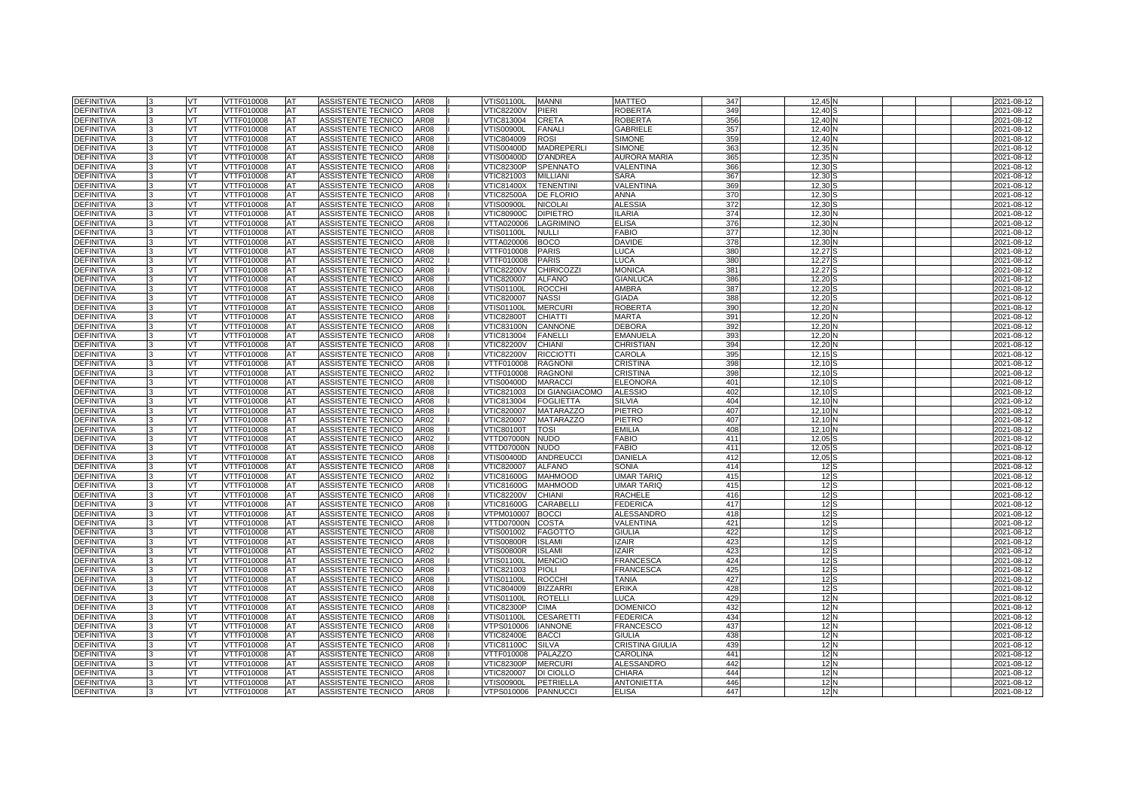| <b>DEFINITIVA</b> | VT  | VTTF010008 | <b>AT</b> | ASSISTENTE TECNICO        | AR08             | √TIS01100L        | <b>MANNI</b>      | MATTEO              | 347 | 12,45           |  | 2021-08-12 |
|-------------------|-----|------------|-----------|---------------------------|------------------|-------------------|-------------------|---------------------|-----|-----------------|--|------------|
| <b>DEFINITIVA</b> | VT  | VTTF010008 | AT        | ASSISTENTE TECNICO        | AR08             | <b>VTIC82200V</b> | <b>PIERI</b>      | ROBERTA             | 349 | 12,40           |  | 2021-08-12 |
| <b>DEFINITIVA</b> | VT. | VTTF010008 | AT        | ASSISTENTE TECNICO        | AR08             | VTIC813004        | <b>CRETA</b>      | ROBERTA             | 356 | 12,40           |  | 2021-08-12 |
| DEFINITIVA        | VT  | VTTF010008 | AT        | ASSISTENTE TECNICO        | AR08             | √TIS00900L        | <b>FANALI</b>     | <b>GABRIELE</b>     | 357 | 12,40           |  | 2021-08-12 |
| DEFINITIVA        | VT  | VTTF010008 | AT        | ASSISTENTE TECNICO        | AR08             | VTIC804009        | <b>ROSI</b>       | <b>SIMONE</b>       | 359 | 12,40           |  | 2021-08-12 |
| <b>DEFINITIVA</b> | VT  | VTTF010008 | AT        | ASSISTENTE TECNICO        | AR08             | VTIS00400D        | MADREPERLI        | <b>SIMONE</b>       | 363 | 12,35           |  | 2021-08-12 |
| <b>DEFINITIVA</b> | VT. | VTTF010008 | AT        | ASSISTENTE TECNICO        | AR08             | VTIS00400D        | <b>D'ANDREA</b>   | <b>AURORA MARIA</b> | 365 | 12,35           |  | 2021-08-12 |
| DEFINITIVA        | VT  | VTTF010008 | AT        | ASSISTENTE TECNICO        | AR08             | VTIC82300P        | <b>SPENNATO</b>   | VALENTINA           | 366 | 12.30           |  | 2021-08-12 |
| <b>DEFINITIVA</b> | VT  | VTTF010008 | AT        | ASSISTENTE TECNICO        | AR08             | VTIC821003        | <b>MILLIANI</b>   | <b>SARA</b>         | 367 | 12,30           |  | 2021-08-12 |
| <b>DEFINITIVA</b> | VT  | VTTF010008 | AT        | ASSISTENTE TECNICO        | <b>AR08</b>      | VTIC81400X        | <b>TENENTIN</b>   | VALENTINA           | 369 | 12,30           |  | 2021-08-12 |
| DEFINITIVA        | VT  | VTTF010008 | AT        | <b>ASSISTENTE TECNICO</b> | AR08             | VTIC82500A        | <b>DE FLORIO</b>  | ANNA                | 370 | 12,30           |  | 2021-08-12 |
| <b>DEFINITIVA</b> | VT  | VTTF010008 | AT        | ASSISTENTE TECNICO        | AR08             | /TIS00900L        | <b>NICOLAI</b>    | <b>ALESSIA</b>      | 372 | 12,30           |  | 2021-08-12 |
| DEFINITIVA        | VT  | VTTF010008 | AT        | ASSISTENTE TECNICO        | AR08             | <b>VTIC80900C</b> | <b>DIPIETRO</b>   | <b>ILARIA</b>       | 374 | 12,30           |  | 2021-08-12 |
| <b>DEFINITIVA</b> | VT  | VTTF010008 | AT        | ASSISTENTE TECNICO        | AR08             | VTTA020006        | LAGRIMINO         | <b>ELISA</b>        | 376 | 12,30           |  | 2021-08-12 |
| DEFINITIVA        | VT  | VTTF010008 | AT        | ASSISTENTE TECNICO        | AR08             | √TIS01100L        | <b>NULLI</b>      | <b>FABIO</b>        | 377 | 12,30           |  | 2021-08-12 |
| <b>DEFINITIVA</b> | VT  | VTTF010008 | AT        | ASSISTENTE TECNICO        | <b>AR08</b>      | VTTA020006        | <b>BOCO</b>       | <b>DAVIDE</b>       | 378 | 12,30           |  | 2021-08-12 |
| DEFINITIVA        | VT  | VTTF010008 | AT        | ASSISTENTE TECNICO        | AR08             | VTTF010008        | <b>PARIS</b>      | LUCA                | 380 | 12,27           |  | 2021-08-12 |
| <b>DEFINITIVA</b> | VT  | VTTF010008 | AT        | ASSISTENTE TECNICO        | AR02             | <b>/TTF010008</b> | <b>PARIS</b>      | LUCA                | 380 | 12,27           |  | 2021-08-12 |
| <b>DEFINITIVA</b> | VT  | VTTF010008 | AT        | ASSISTENTE TECNICO        | <b>AR08</b>      | <b>VTIC82200V</b> | <b>CHIRICOZZI</b> | <b>MONICA</b>       | 381 | 12.27           |  | 2021-08-12 |
| <b>DEFINITIVA</b> | VT  | VTTF010008 | AT        | ASSISTENTE TECNICO        | AR08             | VTIC820007        | <b>ALFANO</b>     | <b>GIANLUCA</b>     | 386 | 12,20           |  | 2021-08-12 |
| <b>DEFINITIVA</b> | VT  | VTTF010008 | AT        | ASSISTENTE TECNICO        | AR08             | √TIS01100L        | <b>ROCCH</b>      | AMBRA               | 387 | 12,20           |  | 2021-08-12 |
| <b>DEFINITIVA</b> | VT  | VTTF010008 | AT        | ASSISTENTE TECNICO        | AR08             | VTIC820007        | <b>NASSI</b>      | GIADA               | 388 | 12,20           |  | 2021-08-12 |
| <b>DEFINITIVA</b> | VT  | VTTF010008 | AT        | ASSISTENTE TECNICO        | AR08             | /TIS01100L        | <b>MERCURI</b>    | <b>ROBERTA</b>      | 390 | 12,20           |  | 2021-08-12 |
| <b>DEFINITIVA</b> | VT  | VTTF010008 | AT        | ASSISTENTE TECNICO        | AR08             | <b>/TIC82800T</b> | <b>CHIATTI</b>    | MARTA               | 391 | 12,20           |  | 2021-08-12 |
| <b>DEFINITIVA</b> | VT  | VTTF010008 | AT        | ASSISTENTE TECNICO        | AR08             | √TIC83100N        | <b>CANNONE</b>    | DEBORA              | 392 | 12,20           |  | 2021-08-12 |
| <b>DEFINITIVA</b> | VT  | VTTF010008 | AT        | ASSISTENTE TECNICO        | AR08             | VTIC813004        | <b>FANELLI</b>    | <b>EMANUELA</b>     | 393 | 12,20           |  | 2021-08-12 |
| DEFINITIVA        | VT  | VTTF010008 | AT        | ASSISTENTE TECNICO        | AR08             | <b>VTIC82200V</b> | <b>CHIANI</b>     | CHRISTIAN           | 394 | 12,20           |  | 2021-08-12 |
| <b>DEFINITIVA</b> | VT  | VTTF010008 | AT        | ASSISTENTE TECNICO        | AR08             | <b>VTIC82200V</b> | <b>RICCIOTTI</b>  | CAROLA              | 395 | 12,15           |  | 2021-08-12 |
| DEFINITIVA        | VT  | VTTF010008 | AT        | ASSISTENTE TECNICO        | AR08             | VTTF010008        | <b>RAGNONI</b>    | CRISTINA            | 398 | 12,10           |  | 2021-08-12 |
| <b>DEFINITIVA</b> | VT  | VTTF010008 | AT        | ASSISTENTE TECNICO        | AR02             | VTTF010008        | <b>RAGNONI</b>    | CRISTINA            | 398 | 12,10           |  | 2021-08-12 |
| <b>DEFINITIVA</b> | VT  | VTTF010008 | AT        | <b>ASSISTENTE TECNICO</b> | AR08             | VTIS00400D        | <b>MARACCI</b>    | <b>ELEONORA</b>     | 401 | 12,10           |  | 2021-08-12 |
| <b>DEFINITIVA</b> | VT  | VTTF010008 | AT        | ASSISTENTE TECNICO        | AR08             | VTIC821003        | DI GIANGIACOMO    | <b>ALESSIO</b>      | 402 | 12,10           |  | 2021-08-12 |
| <b>DEFINITIVA</b> | VT  | /TTF010008 | AT        | ASSISTENTE TECNICO        | AR08             | /TIC813004        | <b>FOGLIETTA</b>  | SILVIA              | 404 | 12,10           |  | 2021-08-12 |
| DEFINITIVA        | VT  | VTTF010008 | AT        | ASSISTENTE TECNICO        | AR08             | <b>VTIC820007</b> | <b>MATARAZZO</b>  | PIETRO              | 407 | 12,10           |  | 2021-08-12 |
| <b>DEFINITIVA</b> | VT  | VTTF010008 | AT        | ASSISTENTE TECNICO        | AR02             | VTIC820007        | <b>MATARAZZO</b>  | PIETRO              | 407 | 12,10           |  | 2021-08-12 |
| DEFINITIVA        | VT  | /TTF010008 | AT        | ASSISTENTE TECNICO        | AR <sub>08</sub> | <b>/TIC80100T</b> | <b>TOSI</b>       | <b>EMILIA</b>       | 408 | 12,10           |  | 2021-08-12 |
| <b>DEFINITIVA</b> | VT  | VTTF010008 | AT        | ASSISTENTE TECNICO        | AR02             | VTTD07000N        | <b>NUDO</b>       | <b>FABIO</b>        | 411 | 12,05           |  | 2021-08-12 |
| DEFINITIVA        | VT  | VTTF010008 | AT        | ASSISTENTE TECNICO        | AR08             | VTTD07000N        | <b>NUDO</b>       | FABIO               | 411 | 12,05           |  | 2021-08-12 |
| <b>DEFINITIVA</b> | VT  | VTTF010008 | AT        | ASSISTENTE TECNICO        | AR08             | VTIS00400D        | <b>ANDREUCCI</b>  | DANIELA             | 412 | 12,05           |  | 2021-08-12 |
| <b>DEFINITIVA</b> | VT  | VTTF010008 | AT        | ASSISTENTE TECNICO        | AR08             | VTIC820007        | <b>ALFANO</b>     | SONIA               | 414 | 12              |  | 2021-08-12 |
| <b>DEFINITIVA</b> | VT  | VTTF010008 | AT        | ASSISTENTE TECNICO        | AR02             | <b>VTIC81600G</b> | <b>MAHMOOD</b>    | <b>JMAR TARIQ</b>   | 415 | 12              |  | 2021-08-12 |
| <b>DEFINITIVA</b> | VT  | /TTF010008 | AT        | ASSISTENTE TECNICO        | AR08             | /TIC81600G        | <b>MAHMOOD</b>    | UMAR TARIQ          | 415 | 12S             |  | 2021-08-12 |
| <b>DEFINITIVA</b> | VT  | VTTF010008 | AT        | ASSISTENTE TECNICO        | AR08             | <b>VTIC82200V</b> | <b>CHIANI</b>     | <b>RACHELE</b>      | 416 | 12S             |  | 2021-08-12 |
| DEFINITIVA        | VT  | VTTF010008 | AT        | ASSISTENTE TECNICO        | AR08             | <b>VTIC81600G</b> | CARABELLI         | FEDERICA            | 417 | 12 <sup>5</sup> |  | 2021-08-12 |
| DEFINITIVA        | VT  | VTTF010008 | AT        | ASSISTENTE TECNICO        | AR08             | /TPM010007        | <b>BOCCI</b>      | ALESSANDRO          | 418 | 12S             |  | 2021-08-12 |
| <b>DEFINITIVA</b> | VT  | VTTF010008 | AT        | ASSISTENTE TECNICO        | AR08             | VTTD07000N        | <b>COSTA</b>      | VALENTINA           | 421 | 12S             |  | 2021-08-12 |
| DEFINITIVA        | VT  | VTTF010008 | AT        | ASSISTENTE TECNICO        | AR08             | VTIS001002        | <b>FAGOTTO</b>    | <b>GIULIA</b>       | 422 | 12S             |  | 2021-08-12 |
| <b>DEFINITIVA</b> | VT. | VTTF010008 | AT        | ASSISTENTE TECNICO        | AR08             | VTIS00800R        | <b>ISLAMI</b>     | <b>IZAIR</b>        | 423 | 12S             |  | 2021-08-12 |
| <b>DEFINITIVA</b> | VT  | VTTF010008 | AT        | ASSISTENTE TECNICO        | AR02             | VTIS00800R        | <b>ISLAMI</b>     | <b>IZAIR</b>        | 423 | 12S             |  | 2021-08-12 |
| DEFINITIVA        | VT  | VTTF010008 | AT        | ASSISTENTE TECNICO        | AR08             | √TIS01100L        | <b>MENCIO</b>     | <b>FRANCESCA</b>    | 424 | 12S             |  | 2021-08-12 |
| <b>DEFINITIVA</b> | VT  | VTTF010008 | AT        | ASSISTENTE TECNICO        | AR08             | VTIC821003        | <b>PIOLI</b>      | FRANCESCA           | 425 | 12S             |  | 2021-08-12 |
| <b>DEFINITIVA</b> | VT  | VTTF010008 | AT        | ASSISTENTE TECNICO        | AR08             | <b>VTIS01100L</b> | <b>ROCCH</b>      | TANIA               | 427 | 12S             |  | 2021-08-12 |
| DEFINITIVA        | VT  | VTTF010008 | AT        | ASSISTENTE TECNICO        | AR08             | VTIC804009        | <b>BIZZARRI</b>   | ERIKA               | 428 | 12S             |  | 2021-08-12 |
| DEFINITIVA        | VT  | VTTF010008 | AT        | ASSISTENTE TECNICO        | <b>AR08</b>      | /TIS01100L        | <b>ROTELLI</b>    | LUCA                | 429 | 12 <sub>N</sub> |  | 2021-08-12 |
| <b>DEFINITIVA</b> | VT  | VTTF010008 | AT        | ASSISTENTE TECNICO        | AR08             | VTIC82300P        | <b>CIMA</b>       | DOMENICO            | 432 | 12N             |  | 2021-08-12 |
| DEFINITIVA        | VT  | VTTF010008 | AT        | ASSISTENTE TECNICO        | AR08             | √TIS01100L        | <b>CESARETTI</b>  | FEDERICA            | 434 | 12N             |  | 2021-08-12 |
| <b>DEFINITIVA</b> | VT  | VTTF010008 | AT        | ASSISTENTE TECNICO        | <b>AR08</b>      | VTPS010006        | <b>IANNONE</b>    | <b>FRANCESCO</b>    | 437 | 12 <sub>N</sub> |  | 2021-08-12 |
| <b>DEFINITIVA</b> | VT  | VTTF010008 | AT        | ASSISTENTE TECNICO        | AR08             | VTIC82400E        | <b>BACCI</b>      | <b>GIULIA</b>       | 438 | 12N             |  | 2021-08-12 |
| DEFINITIVA        | VT  | VTTF010008 | AT        | ASSISTENTE TECNICO        | AR08             | VTIC81100C        | <b>SILVA</b>      | CRISTINA GIULIA     | 439 | 12N             |  | 2021-08-12 |
| <b>DEFINITIVA</b> | VT  | VTTF010008 | AT        | ASSISTENTE TECNICO        | AR08             | <b>/TTF010008</b> | PALAZZO           | CAROLINA            | 441 | 12 <sub>N</sub> |  | 2021-08-12 |
| <b>DEFINITIVA</b> | VT  | VTTF010008 | AT        | ASSISTENTE TECNICO        | AR08             | VTIC82300P        | <b>MERCURI</b>    | <b>ALESSANDRO</b>   | 442 | 12 <sub>N</sub> |  | 2021-08-12 |
| DEFINITIVA        | VT  | VTTF010008 | AT        | ASSISTENTE TECNICO        | AR08             | VTIC820007        | DI CIOLLO         | <b>CHIARA</b>       | 444 | 12N             |  | 2021-08-12 |
| <b>DEFINITIVA</b> | VT  | VTTF010008 | AT        | ASSISTENTE TECNICO        | <b>AR08</b>      | /TIS00900L        | PETRIELLA         | <b>ANTONIETTA</b>   | 446 | 12 <sub>N</sub> |  | 2021-08-12 |
| <b>DEFINITIVA</b> | VT  | VTTF010008 | AT        | ASSISTENTE TECNICO        | <b>AR08</b>      | VTPS010006        | <b>PANNUCCI</b>   | <b>ELISA</b>        | 447 | 12 <sub>N</sub> |  | 2021-08-12 |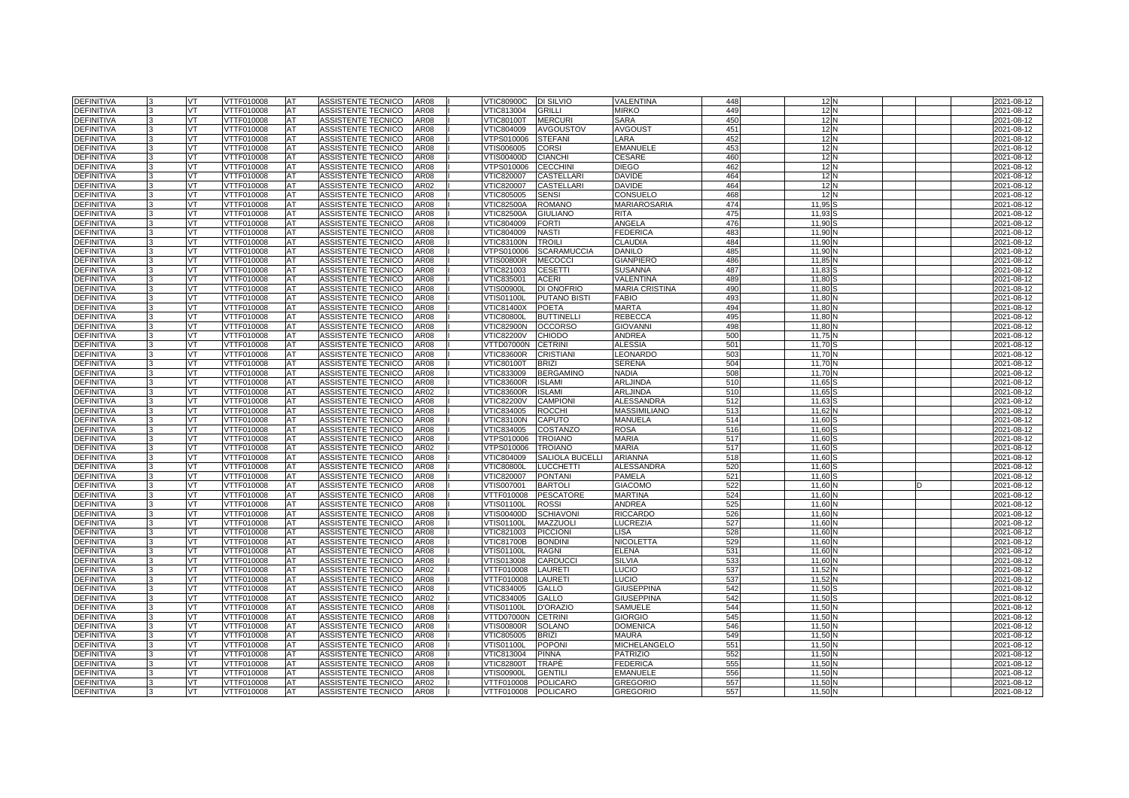| <b>DEFINITIVA</b> | VT  | VTTF010008 | <b>AT</b> | ASSISTENTE TECNICO        | AR08             | <b>VTIC80900C</b> | <b>DI SILVIO</b>       | VALENTINA             | 448             | 12 <sub>N</sub> |  | 2021-08-12 |
|-------------------|-----|------------|-----------|---------------------------|------------------|-------------------|------------------------|-----------------------|-----------------|-----------------|--|------------|
| <b>DEFINITIVA</b> | VT  | VTTF010008 | AT        | ASSISTENTE TECNICO        | AR08             | VTIC813004        | <b>GRILLI</b>          | MIRKO                 | 449             | 12N             |  | 2021-08-12 |
| <b>DEFINITIVA</b> | VT. | VTTF010008 | AT        | ASSISTENTE TECNICO        | AR08             | <b>VTIC80100T</b> | <b>MERCURI</b>         | <b>SARA</b>           | 45C             | 12N             |  | 2021-08-12 |
| DEFINITIVA        | VT  | VTTF010008 | AT        | ASSISTENTE TECNICO        | AR08             | VTIC804009        | <b>AVGOUSTOV</b>       | <b>AVGOUST</b>        | 451             | 12 <sub>N</sub> |  | 2021-08-12 |
| <b>DEFINITIVA</b> | VT  | VTTF010008 | AT        | ASSISTENTE TECNICO        | AR08             | √TPS010006        | <b>STEFANI</b>         | LARA                  | 452             | 12N             |  | 2021-08-12 |
| <b>DEFINITIVA</b> | VT. | VTTF010008 | AT        | ASSISTENTE TECNICO        | AR08             | √TIS006005        | <b>CORSI</b>           | <b>EMANUELE</b>       | 453             | 12 <sub>N</sub> |  | 2021-08-12 |
| DEFINITIVA        | VT. | VTTF010008 | AT        | ASSISTENTE TECNICO        | <b>AR08</b>      | VTIS00400D        | <b>CIANCHI</b>         | <b>CESARE</b>         | 460             | 12 <sub>N</sub> |  | 2021-08-12 |
| DEFINITIVA        | VT. | VTTF010008 | AT        | ASSISTENTE TECNICO        | AR08             | VTPS010006        | <b>CECCHINI</b>        | <b>DIEGO</b>          | 462             | 12N             |  | 2021-08-12 |
| DEFINITIVA        | VT  | VTTF010008 | AT        | ASSISTENTE TECNICO        | AR08             | VTIC820007        | <b>CASTELLARI</b>      | <b>DAVIDE</b>         | 464             | 12N             |  | 2021-08-12 |
| <b>DEFINITIVA</b> | VT  | VTTF010008 | AT        | ASSISTENTE TECNICO        | AR02             | VTIC820007        | <b>CASTELLARI</b>      | <b>DAVIDE</b>         | 464             | 12 <sub>N</sub> |  | 2021-08-12 |
| <b>DEFINITIVA</b> | VT  | VTTF010008 | AT        | ASSISTENTE TECNICO        | AR08             | VTIC805005        | <b>SENSI</b>           | CONSUELO              | 468             | 12              |  | 2021-08-12 |
| <b>DEFINITIVA</b> | VT  | VTTF010008 | AT        | ASSISTENTE TECNICO        | AR08             | /TIC82500A        | <b>ROMANO</b>          | MARIAROSARIA          | 474             | 11,95           |  | 2021-08-12 |
| DEFINITIVA        | VT  | VTTF010008 | AT        | ASSISTENTE TECNICO        | AR08             | <b>VTIC82500A</b> | <b>GIULIANO</b>        | <b>RITA</b>           | 475             | 11,93           |  | 2021-08-12 |
| <b>DEFINITIVA</b> | VT  | VTTF010008 | AT        | ASSISTENTE TECNICO        | AR08             | VTIC804009        | <b>FORTI</b>           | ANGELA                | 476             | 11,90           |  | 2021-08-12 |
| DEFINITIVA        | VT  | VTTF010008 | AT        | ASSISTENTE TECNICO        | AR08             | VTIC804009        | <b>NASTI</b>           | <b>FEDERICA</b>       | 483             | 11,90           |  | 2021-08-12 |
| <b>DEFINITIVA</b> | VT  | VTTF010008 | AT        | ASSISTENTE TECNICO        | AR08             | VTIC83100N        | <b>TROILI</b>          | <b>CLAUDIA</b>        | 484             | 11.90           |  | 2021-08-12 |
| <b>DEFINITIVA</b> | VT  | VTTF010008 | AT        | ASSISTENTE TECNICO        | AR08             | √TPS010006        | <b>SCARAMUCCIA</b>     | DANILO                | 485             | 11,90           |  | 2021-08-12 |
| <b>DEFINITIVA</b> | VT  | VTTF010008 | AT        | ASSISTENTE TECNICO        | AR08             | /TIS00800R        | <b>MECOCCI</b>         | <b>GIANPIERO</b>      | 486             | 11,85           |  | 2021-08-12 |
| <b>DEFINITIVA</b> | VT  | VTTF010008 | AT        | ASSISTENTE TECNICO        | AR08             | VTIC821003        | <b>CESETTI</b>         | <b>SUSANNA</b>        | 487             | 11.83           |  | 2021-08-12 |
| <b>DEFINITIVA</b> | VT  | VTTF010008 | AT        | ASSISTENTE TECNICO        | AR08             | VTIC835001        | <b>ACERI</b>           | VALENTINA             | 489             | 11,80           |  | 2021-08-12 |
| <b>DEFINITIVA</b> | VT  | VTTF010008 | AT        | ASSISTENTE TECNICO        | AR08             | √TIS00900L        | DI ONOFRIO             | <b>MARIA CRISTINA</b> | 49 <sub>C</sub> | 11,80           |  | 2021-08-12 |
| <b>DEFINITIVA</b> | VT  | VTTF010008 | AT        | ASSISTENTE TECNICO        | AR08             | √TIS01100L        | <b>PUTANO BISTI</b>    | FABIO                 | 493             | 11,80           |  | 2021-08-12 |
| <b>DEFINITIVA</b> | VT  | VTTF010008 | AT        | ASSISTENTE TECNICO        | AR08             | VTIC81400X        | <b>POETA</b>           | <b>MARTA</b>          | 494             | 11,80           |  | 2021-08-12 |
| <b>DEFINITIVA</b> | VT  | VTTF010008 | AT        | ASSISTENTE TECNICO        | AR08             | <b>/TIC80800L</b> | <b>BUTTINELL</b>       | <b>REBECCA</b>        | 495             | 11,80           |  | 2021-08-12 |
| <b>DEFINITIVA</b> | VT  | VTTF010008 | AT        | ASSISTENTE TECNICO        | AR08             | √TIC82900N        | <b>OCCORSO</b>         | <b>GIOVANN</b>        | 498             | 11,80           |  | 2021-08-12 |
| DEFINITIVA        | VT  | VTTF010008 | AT        | ASSISTENTE TECNICO        | AR08             | <b>VTIC82200V</b> | <b>CHIODO</b>          | ANDREA                | 500             | 11,75           |  | 2021-08-12 |
| DEFINITIVA        | VT  | VTTF010008 | AT        | ASSISTENTE TECNICO        | AR08             | VTTD07000N        | <b>CETRINI</b>         | ALESSIA               | 501             | 11,70           |  | 2021-08-12 |
| <b>DEFINITIVA</b> | VT  | VTTF010008 | AT        | ASSISTENTE TECNICO        | AR08             | √TIC83600R        | <b>CRISTIANI</b>       | LEONARDO              | 503             | 11,70           |  | 2021-08-12 |
| <b>DEFINITIVA</b> | VT  | VTTF010008 | AT        | ASSISTENTE TECNICO        | AR08             | <b>VTIC80100T</b> | <b>BRIZI</b>           | SERENA                | 504             | 11,70           |  | 2021-08-12 |
| <b>DEFINITIVA</b> | VT  | /TTF010008 | AT        | ASSISTENTE TECNICO        | AR08             | /TIC833009        | <b>BERGAMINO</b>       | NADIA                 | 508             | 11,70           |  | 2021-08-12 |
| <b>DEFINITIVA</b> | VT  | VTTF010008 | AT        | ASSISTENTE TECNICO        | AR08             | <b>VTIC83600R</b> | <b>ISLAMI</b>          | ARLJINDA              | 510             | 11,65           |  | 2021-08-12 |
| <b>DEFINITIVA</b> | VT  | VTTF010008 | AT        | ASSISTENTE TECNICO        | AR02             | VTIC83600R        | <b>ISLAMI</b>          | ARLJINDA              | 510             | 11,65           |  | 2021-08-12 |
| DEFINITIVA        | VT  | /TTF010008 | AT        | <b>ASSISTENTE TECNICO</b> | AR08             | /TIC82200V        | <b>CAMPIONI</b>        | <b>ALESSANDRA</b>     | 512             | 11,63           |  | 2021-08-12 |
| <b>DEFINITIVA</b> | VT  | VTTF010008 | AT        | ASSISTENTE TECNICO        | AR08             | VTIC834005        | <b>ROCCHI</b>          | MASSIMILIANO          | 513             | 11,62           |  | 2021-08-12 |
| <b>DEFINITIVA</b> | VT  | VTTF010008 | AT        | ASSISTENTE TECNICO        | AR08             | /TIC83100N        | CAPUTO                 | MANUELA               | 514             | 11,60           |  | 2021-08-12 |
| DEFINITIVA        | VT  | /TTF010008 | AT        | <b>ASSISTENTE TECNICO</b> | AR <sub>08</sub> | /TIC834005        | COSTANZO               | ROSA                  | 516             | 11.60           |  | 2021-08-12 |
| <b>DEFINITIVA</b> | VT  | VTTF010008 | AT        | ASSISTENTE TECNICO        | AR08             | VTPS010006        | <b>TROIANO</b>         | MARIA                 | 517             | 11,60           |  | 2021-08-12 |
| DEFINITIVA        | VT  | VTTF010008 | AT        | ASSISTENTE TECNICO        | AR02             | VTPS010006        | <b>TROIANO</b>         | <b>MARIA</b>          | 517             | 11,60           |  | 2021-08-12 |
| <b>DEFINITIVA</b> | VT  | VTTF010008 | AT        | ASSISTENTE TECNICO        | AR08             | VTIC804009        | <b>SALIOLA BUCELLI</b> | <b>ARIANNA</b>        | 518             | 11.60           |  | 2021-08-12 |
| <b>DEFINITIVA</b> | VT  | VTTF010008 | AT        | ASSISTENTE TECNICO        | AR08             | <b>VTIC80800L</b> | <b>LUCCHETTI</b>       | <b>ALESSANDRA</b>     | 520             | 11,60           |  | 2021-08-12 |
| <b>DEFINITIVA</b> | VT  | VTTF010008 | AT        | ASSISTENTE TECNICO        | AR08             | VTIC820007        | <b>PONTANI</b>         | PAMELA                | 521             | 11,60           |  | 2021-08-12 |
| <b>DEFINITIVA</b> | VT  | /TTF010008 | AT        | ASSISTENTE TECNICO        | AR08             | /TIS007001        | <b>BARTOLI</b>         | GIACOMO               | 522             | 11.60           |  | 2021-08-12 |
| <b>DEFINITIVA</b> | VT  | VTTF010008 | AT        | ASSISTENTE TECNICO        | AR08             | VTTF010008        | <b>PESCATORE</b>       | <b>MARTINA</b>        | 524             | 11,60           |  | 2021-08-12 |
| DEFINITIVA        | VT  | VTTF010008 | AT        | ASSISTENTE TECNICO        | AR08             | √TIS01100L        | <b>ROSSI</b>           | ANDREA                | 525             | 11,60           |  | 2021-08-12 |
| DEFINITIVA        | VT  | /TTF010008 | AT        | ASSISTENTE TECNICO        | AR08             | /TIS00400D        | <b>SCHIAVONI</b>       | <b>RICCARDO</b>       | 526             | 11.60           |  | 2021-08-12 |
| <b>DEFINITIVA</b> | VT  | VTTF010008 | AT        | ASSISTENTE TECNICO        | AR08             | VTIS01100L        | <b>MAZZUOLI</b>        | LUCREZIA              | 527             | 11,60           |  | 2021-08-12 |
| DEFINITIVA        | VT  | VTTF010008 | AT        | ASSISTENTE TECNICO        | AR08             | VTIC821003        | <b>PICCIONI</b>        | LISA                  | 528             | 11,60           |  | 2021-08-12 |
| <b>DEFINITIVA</b> | VT. | VTTF010008 | AT        | ASSISTENTE TECNICO        | AR08             | /TIC81700B        | <b>BONDINI</b>         | <b>NICOLETTA</b>      | 529             | 11.60           |  | 2021-08-12 |
| <b>DEFINITIVA</b> | VT  | VTTF010008 | AT        | ASSISTENTE TECNICO        | AR08             | VTIS01100L        | <b>RAGNI</b>           | ELENA                 | 531             | 11,60           |  | 2021-08-12 |
| DEFINITIVA        | VT  | VTTF010008 | AT        | ASSISTENTE TECNICO        | AR08             | VTIS013008        | CARDUCCI               | <b>SILVIA</b>         | 533             | 11,60           |  | 2021-08-12 |
| <b>DEFINITIVA</b> | VT  | VTTF010008 | AT        | ASSISTENTE TECNICO        | AR02             | VTTF010008        | LAURETI                | LUCIO                 | 537             | 11,52           |  | 2021-08-12 |
| <b>DEFINITIVA</b> | VT  | VTTF010008 | AT        | ASSISTENTE TECNICO        | AR08             | VTTF010008        | <b>LAURETI</b>         | LUCIO                 | 537             | 11,52           |  | 2021-08-12 |
| DEFINITIVA        | VT  | VTTF010008 | AT        | ASSISTENTE TECNICO        | AR08             | VTIC834005        | <b>GALLO</b>           | <b>GIUSEPPINA</b>     | 542             | 11,50           |  | 2021-08-12 |
| <b>DEFINITIVA</b> | VT  | VTTF010008 | AT        | ASSISTENTE TECNICO        | AR02             | /TIC834005        | <b>GALLO</b>           | <b>GIUSEPPINA</b>     | 542             | 11,50           |  | 2021-08-12 |
| <b>DEFINITIVA</b> | VT  | VTTF010008 | AT        | ASSISTENTE TECNICO        | AR08             | VTIS01100L        | <b>D'ORAZIO</b>        | SAMUELE               | 544             | 11,50           |  | 2021-08-12 |
| DEFINITIVA        | VT  | VTTF010008 | AT        | ASSISTENTE TECNICO        | AR08             | VTTD07000N        | <b>CETRINI</b>         | <b>GIORGIO</b>        | 545             | 11,50           |  | 2021-08-12 |
| <b>DEFINITIVA</b> | VT  | VTTF010008 | AT        | ASSISTENTE TECNICO        | <b>AR08</b>      | √TIS00800R        | <b>SOLANO</b>          | <b>DOMENICA</b>       | 546             | 11,50           |  | 2021-08-12 |
| <b>DEFINITIVA</b> | VT  | VTTF010008 | AT        | ASSISTENTE TECNICO        | AR08             | VTIC805005        | <b>BRIZI</b>           | MAURA                 | 549             | 11.50           |  | 2021-08-12 |
| DEFINITIVA        | VT  | VTTF010008 | AT        | ASSISTENTE TECNICO        | AR08             | √TIS01100L        | <b>POPON</b>           | MICHELANGELO          | 551             | 11,50           |  | 2021-08-12 |
| <b>DEFINITIVA</b> | VT  | VTTF010008 | AT        | ASSISTENTE TECNICO        | AR08             | /TIC813004        | <b>PINNA</b>           | <b>PATRIZIO</b>       | 552             | 11,50           |  | 2021-08-12 |
| <b>DEFINITIVA</b> | VT  | VTTF010008 | AT        | ASSISTENTE TECNICO        | AR08             | √TIC82800T        | TRAPÉ                  | FEDERICA              | 555             | 11,50           |  | 2021-08-12 |
| DEFINITIVA        | VT  | VTTF010008 | AT        | ASSISTENTE TECNICO        | AR08             | √TIS00900L        | <b>GENTILI</b>         | EMANUELE              | 556             | 11,50           |  | 2021-08-12 |
| <b>DEFINITIVA</b> | VT  | VTTF010008 | AT        | ASSISTENTE TECNICO        | AR02             | <b>/TTF010008</b> | <b>POLICARO</b>        | GREGORIO              | 557             | 11,50           |  | 2021-08-12 |
| <b>DEFINITIVA</b> | VT. | VTTF010008 | AT        | ASSISTENTE TECNICO        | AR08             | VTTF010008        | <b>POLICARO</b>        | <b>GREGORIO</b>       | 557             | 11,50           |  | 2021-08-12 |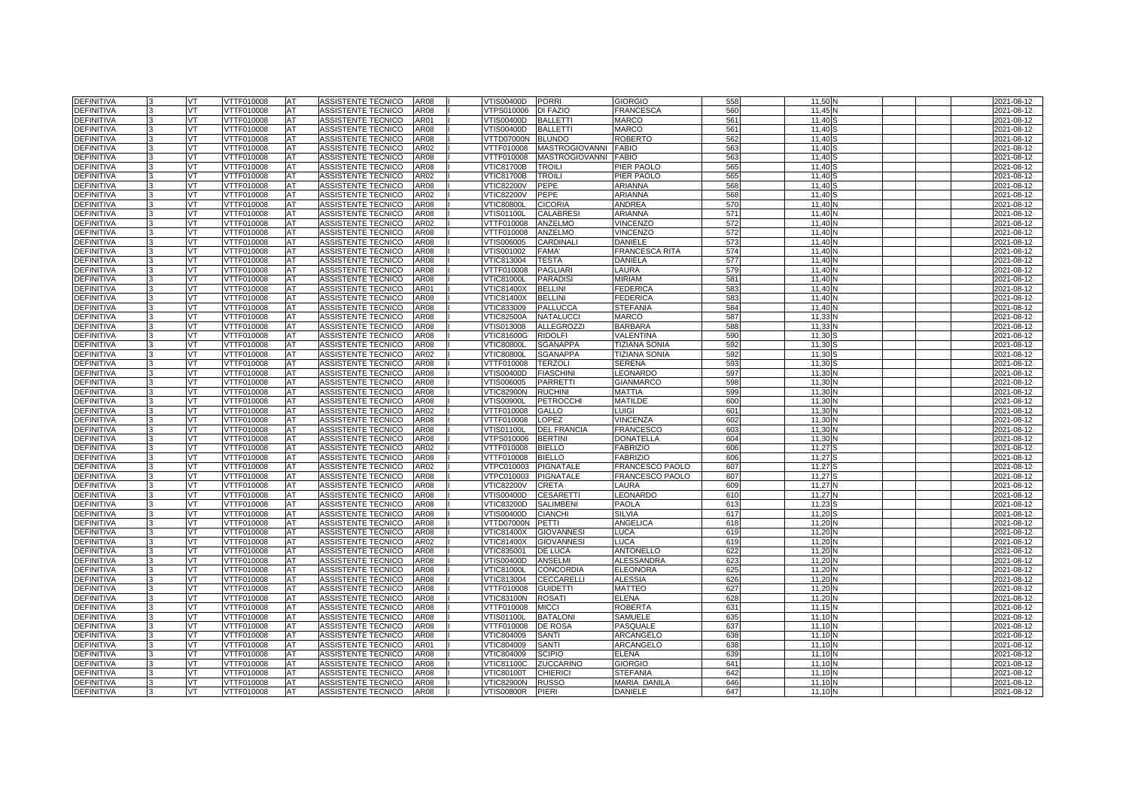| <b>DEFINITIVA</b> |   | VT  | VTTF010008        | AT        | ASSISTENTE TECNICO        | AR08        | VTIS00400D PORRI  |                       | <b>GIORGIO</b>         | 558 | 11.50 |  | 2021-08-12 |
|-------------------|---|-----|-------------------|-----------|---------------------------|-------------|-------------------|-----------------------|------------------------|-----|-------|--|------------|
| <b>DEFINITIVA</b> |   | VT  | VTTF010008        | AT        | <b>ASSISTENTE TECNICO</b> | AR08        | VTPS010006        | <b>DI FAZIO</b>       | FRANCESCA              | 560 | 11.45 |  | 2021-08-12 |
| <b>DEFINITIVA</b> |   | VT  | <b>VTTF010008</b> | AT        | <b>ASSISTENTE TECNICO</b> | AR01        | /TIS00400D        | <b>BALLETTI</b>       | MARCO                  | 561 | 11.40 |  | 2021-08-12 |
| <b>DEFINITIVA</b> |   | VT  | VTTF010008        | AT        | <b>ASSISTENTE TECNICO</b> | AR08        | VTIS00400D        | <b>BALLETTI</b>       | <b>MARCO</b>           | 561 | 11.40 |  | 2021-08-12 |
| <b>DEFINITIVA</b> |   | VT  | VTTF010008        | AT        | ASSISTENTE TECNICO        | <b>AR08</b> | VTTD07000N        | <b>BLUNDO</b>         | ROBERTO                | 562 | 11.40 |  | 2021-08-12 |
| <b>DEFINITIVA</b> |   | VT  | TTF010008         | AT        | ASSISTENTE TECNICO        | AR02        | TTF010008         | <b>MASTROGIOVANNI</b> | <b>FABIO</b>           | 563 | 11.40 |  | 2021-08-12 |
| <b>DEFINITIVA</b> |   | VT  | VTTF010008        | AT        | ASSISTENTE TECNICO        | AR08        | VTTF010008        | <b>MASTROGIOVANNI</b> | <b>FABIO</b>           | 563 | 11.40 |  | 2021-08-12 |
| <b>DEFINITIVA</b> |   | VT  | VTTF010008        | AT        | ASSISTENTE TECNICO        | AR08        | <b>VTIC81700B</b> | <b>TROIL</b>          | PIER PAOLO             | 565 | 11.40 |  | 2021-08-12 |
| <b>DEFINITIVA</b> |   | VT  | VTTF010008        | AT        | ASSISTENTE TECNICO        | AR02        | <b>VTIC81700B</b> | <b>TROILI</b>         | PIER PAOLO             | 565 | 11,40 |  | 2021-08-12 |
| <b>DEFINITIVA</b> |   | VT  | VTTF010008        | AT        | <b>ASSISTENTE TECNICO</b> | AR08        | <b>VTIC82200V</b> | <b>PEPE</b>           | <b>ARIANNA</b>         | 568 | 11.40 |  | 2021-08-12 |
| <b>DEFINITIVA</b> |   | VT  | <b>VTTF010008</b> | AT        | <b>ASSISTENTE TECNICO</b> | <b>AR02</b> | <b>VTIC82200V</b> | PEPE                  | <b>ARIANNA</b>         | 568 | 11,40 |  | 2021-08-12 |
| <b>DEFINITIVA</b> |   | VT  | VTTF010008        | AT        | ASSISTENTE TECNICO        | <b>AR08</b> | /TIC80800L        | <b>CICORIA</b>        | <b>ANDREA</b>          | 570 | 11.40 |  | 2021-08-12 |
| <b>DEFINITIVA</b> |   | VT  | VTTF010008        | AT        | ASSISTENTE TECNICO        | AR08        | VTIS01100L        | <b>CALABRES</b>       | <b>ARIANNA</b>         | 571 | 11.40 |  | 2021-08-12 |
| <b>DEFINITIVA</b> |   | VT  | <b>VTTF010008</b> | AT        | <b>ASSISTENTE TECNICO</b> | AR02        | <b>VTTF010008</b> | ANZELMO               | <b>VINCENZO</b>        | 572 | 11,40 |  | 2021-08-12 |
| <b>DEFINITIVA</b> |   | VT  | VTTF010008        | AT        | ASSISTENTE TECNICO        | AR08        | /TTF010008        | ANZELMO               | <b>VINCENZO</b>        | 572 | 11.40 |  | 2021-08-12 |
| <b>DEFINITIVA</b> |   | VT  | VTTF010008        | AT        | ASSISTENTE TECNICO        | AR08        | VTIS006005        | <b>CARDINAL</b>       | <b>DANIELE</b>         | 573 | 11.40 |  | 2021-08-12 |
| <b>DEFINITIVA</b> |   | VT  | <b>VTTF010008</b> | AT        | ASSISTENTE TECNICO        | <b>AR08</b> | VTIS001002        | <b>FAMA</b>           | <b>FRANCESCA RITA</b>  | 574 | 11,40 |  | 2021-08-12 |
| <b>DEFINITIVA</b> |   | VT  | VTTF010008        | AT        | ASSISTENTE TECNICO        | AR08        | VTIC813004        | <b>TESTA</b>          | DANIELA                | 577 | 11.40 |  | 2021-08-12 |
| <b>DEFINITIVA</b> |   | VT  | VTTF010008        | AT        | ASSISTENTE TECNICO        | AR08        | VTTF010008        | <b>PAGLIAR</b>        | LAURA                  | 579 | 11.40 |  | 2021-08-12 |
| DEFINITIVA        |   | VT  | VTTF010008        | AT        | ASSISTENTE TECNICO        | AR08        | <b>VTIC81000L</b> | <b>PARADISI</b>       | <b>MIRIAM</b>          | 581 | 11,40 |  | 2021-08-12 |
| <b>DEFINITIVA</b> |   | VT  | VTTF010008        | AT        | ASSISTENTE TECNICO        | AR01        | VTIC81400X        | <b>BELLINI</b>        | <b>FEDERICA</b>        | 583 | 11.40 |  | 2021-08-12 |
| <b>DEFINITIVA</b> |   | VT  | VTTF010008        | AT        | ASSISTENTE TECNICO        | AR08        | <b>VTIC81400X</b> | <b>BELLIN</b>         | <b>FEDERICA</b>        | 583 | 11.40 |  | 2021-08-12 |
| <b>DEFINITIVA</b> |   | VT  | VTTF010008        | AT        | ASSISTENTE TECNICO        | <b>AR08</b> | VTIC833009        | <b>PALLUCCA</b>       | <b>STEFANIA</b>        | 584 | 11,40 |  | 2021-08-12 |
| <b>DEFINITIVA</b> |   | VT  | VTTF010008        | AT        | ASSISTENTE TECNICO        | AR08        | <b>VTIC82500A</b> | <b>NATALUCC</b>       | MARCO                  | 587 | 11,33 |  | 2021-08-12 |
| <b>DEFINITIVA</b> |   | VT  | VTTF010008        | AT        | ASSISTENTE TECNICO        | AR08        | VTIS013008        | <b>ALLEGROZZI</b>     | <b>BARBARA</b>         | 588 | 11,33 |  | 2021-08-12 |
| DEFINITIVA        |   | VT  | VTTF010008        | AT        | ASSISTENTE TECNICO        | AR08        | <b>VTIC81600G</b> | <b>RIDOLFI</b>        | VALENTINA              | 590 | 11,30 |  | 2021-08-12 |
| DEFINITIVA        |   | VT  | VTTF010008        | AT        | ASSISTENTE TECNICO        | AR08        | <b>VTIC80800L</b> | <b>SGANAPPA</b>       | <b>TIZIANA SONIA</b>   | 592 | 11,30 |  | 2021-08-12 |
| DEFINITIVA        |   | VT  | VTTF010008        | AT        | ASSISTENTE TECNICO        | AR02        | <b>VTIC80800L</b> | <b>SGANAPPA</b>       | <b>TIZIANA SONIA</b>   | 592 | 11,30 |  | 2021-08-12 |
| <b>DEFINITIVA</b> |   | VT  | VTTF010008        | AT        | ASSISTENTE TECNICO        | AR08        | VTTF010008        | <b>TERZOLI</b>        | SERENA                 | 593 | 11,30 |  | 2021-08-12 |
| <b>DEFINITIVA</b> |   | VT  | VTTF010008        | AT        | ASSISTENTE TECNICO        | AR08        | /TIS00400D        | <b>FIASCHIN</b>       | EONARDO                | 597 | 11,30 |  | 2021-08-12 |
| <b>DEFINITIVA</b> |   | VT  | VTTF010008        | AT        | ASSISTENTE TECNICO        | AR08        | VTIS006005        | <b>PARRETTI</b>       | <b>GIANMARCO</b>       | 598 | 11,30 |  | 2021-08-12 |
| DEFINITIVA        |   | VT  | VTTF010008        | AT        | ASSISTENTE TECNICO        | AR08        | <b>VTIC82900N</b> | <b>RUCHINI</b>        | MATTIA                 | 599 | 11,30 |  | 2021-08-12 |
| <b>DEFINITIVA</b> |   | VT  | /TTF010008        | AT        | <b>ASSISTENTE TECNICO</b> | AR08        | /TIS00900L        | <b>PETROCCHI</b>      | <b>MATILDE</b>         | 600 | 11.30 |  | 2021-08-12 |
| <b>DEFINITIVA</b> |   | VT  | VTTF010008        | AT        | <b>ASSISTENTE TECNICO</b> | AR02        | VTTF010008        | <b>GALLO</b>          | LUIGI                  | 601 | 11.30 |  | 2021-08-12 |
| <b>DEFINITIVA</b> |   | VT  | VTTF010008        | AT        | ASSISTENTE TECNICO        | AR08        | VTTF010008        | LOPEZ                 | VINCENZA               | 602 | 11.30 |  | 2021-08-12 |
| <b>DEFINITIVA</b> |   | VT  | <b>/TTF010008</b> | AT        | <b>ASSISTENTE TECNICO</b> | AR08        | /TIS01100L        | <b>DEL FRANCIA</b>    | FRANCESCO              | 603 | 11.30 |  | 2021-08-12 |
| <b>DEFINITIVA</b> |   | VT  | VTTF010008        | AT        | ASSISTENTE TECNICO        | AR08        | VTPS010006        | <b>BERTINI</b>        | <b>DONATELLA</b>       | 604 | 11.30 |  | 2021-08-12 |
| <b>DEFINITIVA</b> |   | VT  | VTTF010008        | AT        | ASSISTENTE TECNICO        | AR02        | VTTF010008        | <b>BIELLO</b>         | <b>FABRIZIO</b>        | 606 | 11.27 |  | 2021-08-12 |
| <b>DEFINITIVA</b> |   | vт  | <b>VTTF010008</b> | AT        | <b>ASSISTENTE TECNICO</b> | AR08        | <b>/TTF010008</b> | <b>BIELLO</b>         | <b>FABRIZIO</b>        | 606 | 11.27 |  | 2021-08-12 |
| <b>DEFINITIVA</b> |   | VT  | VTTF010008        | AT        | <b>ASSISTENTE TECNICO</b> | AR02        | VTPC010003        | <b>PIGNATALE</b>      | <b>FRANCESCO PAOLO</b> | 607 | 11.27 |  | 2021-08-12 |
| DEFINITIVA        |   | VT  | VTTF010008        | AT        | ASSISTENTE TECNICO        | AR08        | /TPC010003        | PIGNATALE             | FRANCESCO PAOLO        | 607 | 11.27 |  | 2021-08-12 |
| <b>DEFINITIVA</b> |   | VT  | TTF010008         | AT        | ASSISTENTE TECNICO        | AR08        | /TIC82200V        | <b>CRETA</b>          | LAURA                  | 609 | 11.27 |  | 2021-08-12 |
| <b>DEFINITIVA</b> |   | VT  | VTTF010008        | AT        | ASSISTENTE TECNICO        | AR08        | VTIS00400D        | <b>CESARETTI</b>      | LEONARDO               | 610 | 11.27 |  | 2021-08-12 |
| <b>DEFINITIVA</b> |   | VT. | VTTF010008        | AT        | ASSISTENTE TECNICO        | AR08        | VTIC83200D        | <b>SALIMBENI</b>      | PAOLA                  | 613 | 11.23 |  | 2021-08-12 |
| <b>DEFINITIVA</b> |   | VT  | VTTF010008        | AT        | ASSISTENTE TECNICO        | AR08        | VTIS00400D        | <b>CIANCHI</b>        | <b>SILVIA</b>          | 617 | 11.20 |  | 2021-08-12 |
| <b>DEFINITIVA</b> |   | VT  | VTTF010008        | AT        | <b>ASSISTENTE TECNICO</b> | AR08        | VTTD07000N        | <b>PETTI</b>          | ANGELICA               | 618 | 11.20 |  | 2021-08-12 |
| <b>DEFINITIVA</b> |   | VT  | <b>VTTF010008</b> | <b>AT</b> | <b>ASSISTENTE TECNICO</b> | AR08        | VTIC81400X        | <b>GIOVANNESI</b>     | LUCA                   | 619 | 11,20 |  | 2021-08-12 |
| <b>DEFINITIVA</b> |   | VT  | VTTF010008        | AT        | ASSISTENTE TECNICO        | AR02        | /TIC81400X        | <b>GIOVANNESI</b>     | <b>LUCA</b>            | 619 | 11.20 |  | 2021-08-12 |
| <b>DEFINITIVA</b> |   | VT  | VTTF010008        | AT        | ASSISTENTE TECNICO        | <b>AR08</b> | VTIC835001        | <b>DE LUCA</b>        | <b>ANTONELLO</b>       | 622 | 11.20 |  | 2021-08-12 |
| <b>DEFINITIVA</b> |   | VT  | <b>VTTF010008</b> | AT        | <b>ASSISTENTE TECNICO</b> | AR08        | <b>VTIS00400D</b> | <b>ANSELMI</b>        | <b>ALESSANDRA</b>      | 623 | 11,20 |  | 2021-08-12 |
| <b>DEFINITIVA</b> |   | VT  | VTTF010008        | AT        | ASSISTENTE TECNICO        | AR08        | <b>VTIC81000L</b> | <b>CONCORDIA</b>      | <b>ELEONORA</b>        | 625 | 11.20 |  | 2021-08-12 |
| <b>DEFINITIVA</b> |   | VT  | VTTF010008        | AT        | ASSISTENTE TECNICO        | AR08        | VTIC813004        | <b>CECCARELLI</b>     | <b>ALESSIA</b>         | 626 | 11.20 |  | 2021-08-12 |
| DEFINITIVA        |   | VT  | VTTF010008        | AT        | ASSISTENTE TECNICO        | AR08        | VTTF010008        | <b>GUIDETTI</b>       | MATTEO                 | 627 | 11,20 |  | 2021-08-12 |
| <b>DEFINITIVA</b> |   | VT  | VTTF010008        | AT        | ASSISTENTE TECNICO        | AR08        | VTIC83100N        | <b>ROSATI</b>         | ELENA                  | 628 | 11,20 |  | 2021-08-12 |
| <b>DEFINITIVA</b> |   | VT  | VTTF010008        | <b>AT</b> | ASSISTENTE TECNICO        | <b>AR08</b> | VTTF010008        | <b>MICCI</b>          | <b>ROBERTA</b>         | 631 | 11.15 |  | 2021-08-12 |
| <b>DEFINITIVA</b> |   | VT  | VTTF010008        | <b>AT</b> | ASSISTENTE TECNICO        | AR08        | √TIS01100L        | <b>BATALONI</b>       | SAMUELE                | 635 | 11,10 |  | 2021-08-12 |
| <b>DEFINITIVA</b> |   | VT  | VTTF010008        | AT        | <b>ASSISTENTE TECNICO</b> | AR08        | VTTF010008        | <b>DE ROSA</b>        | PASQUALE               | 637 | 11,10 |  | 2021-08-12 |
| <b>DEFINITIVA</b> |   | VT  | VTTF010008        | AT        | ASSISTENTE TECNICO        | AR08        | VTIC804009        | <b>SANTI</b>          | ARCANGELO              | 638 | 11.10 |  | 2021-08-12 |
| DEFINITIVA        |   | VT  | VTTF010008        | AT        | ASSISTENTE TECNICO        | AR01        | VTIC804009        | SANTI                 | ARCANGELO              | 638 | 11,10 |  | 2021-08-12 |
| <b>DEFINITIVA</b> |   | VT  | VTTF010008        | AT        | ASSISTENTE TECNICO        | AR08        | VTIC804009        | <b>SCIPIO</b>         | <b>ELENA</b>           | 639 | 11,10 |  | 2021-08-12 |
| <b>DEFINITIVA</b> |   | VT  | VTTF010008        | AT        | ASSISTENTE TECNICO        | AR08        | VTIC81100C        | <b>ZUCCARINO</b>      | <b>GIORGIO</b>         | 641 | 11,10 |  | 2021-08-12 |
| DEFINITIVA        |   | VT. | VTTF010008        | AT        | ASSISTENTE TECNICO        | AR08        | <b>VTIC80100T</b> | <b>CHIERIC</b>        | STEFANIA               | 642 | 11,10 |  | 2021-08-12 |
| DEFINITIVA        |   | VT  | VTTF010008        | AT        | ASSISTENTE TECNICO        | AR08        | <b>VTIC82900N</b> | <b>RUSSO</b>          | MARIA DANILA           | 646 | 11,10 |  | 2021-08-12 |
| <b>DEFINITIVA</b> | 3 | VT  | VTTF010008        | AT        | ASSISTENTE TECNICO        | AR08        | VTIS00800R        | PIERI                 | DANIELE                | 647 | 11,10 |  | 2021-08-12 |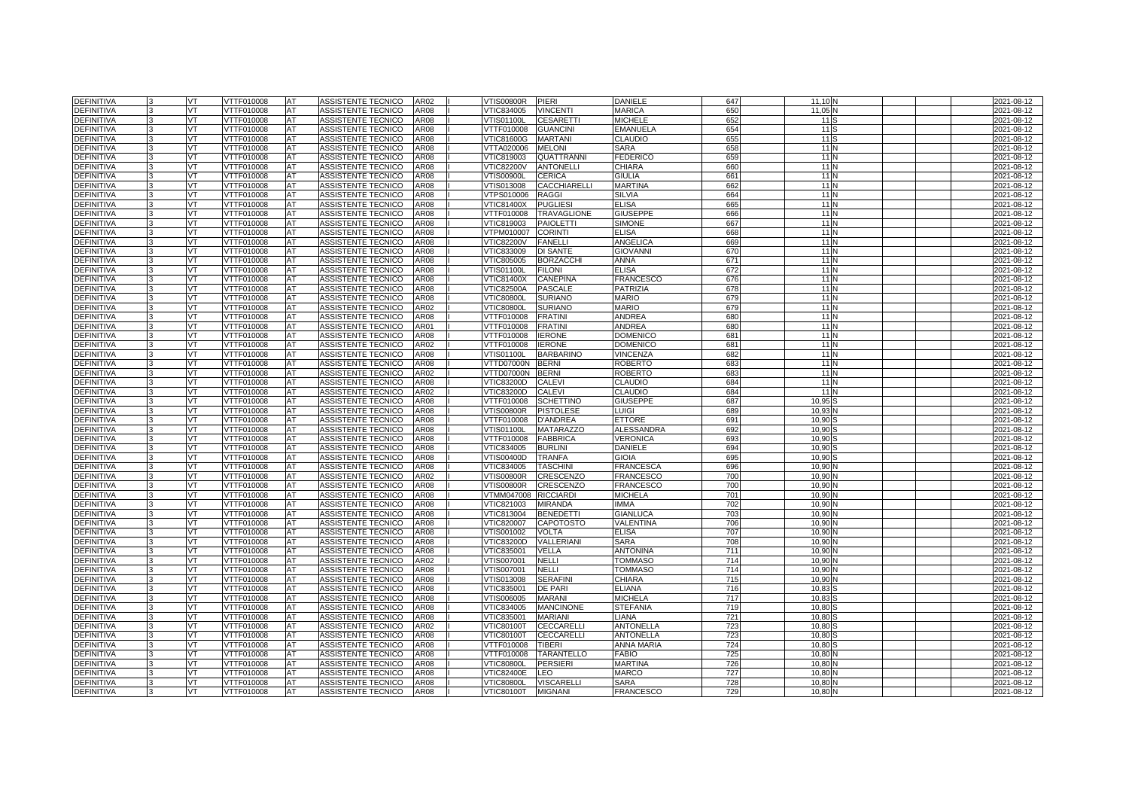| <b>DEFINITIVA</b>               | <b>VT</b> | VTTF010008               | <b>AT</b> | ASSISTENTE TECNICO                       | AR02                | √TIS00800R               | PIERI                              | DANIELE                           | 647        | 11,10 N                     | 2021-08-12               |
|---------------------------------|-----------|--------------------------|-----------|------------------------------------------|---------------------|--------------------------|------------------------------------|-----------------------------------|------------|-----------------------------|--------------------------|
| <b>DEFINITIVA</b>               | VT        | VTTF010008               | AT        | ASSISTENTE TECNICO                       | AR08                | VTIC834005               | <b>VINCENTI</b>                    | <b>MARICA</b>                     | 650        | 11,05 <sup>N</sup>          | 2021-08-12               |
| <b>DEFINITIVA</b>               | VT        | VTTF010008               | AT        | ASSISTENTE TECNICO                       | AR08                | √TIS01100L               | <b>CESARETTI</b>                   | <b>MICHELE</b>                    | 652        | 11 S                        | 2021-08-12               |
| DEFINITIVA                      | <b>VT</b> | VTTF010008               | AT        | ASSISTENTE TECNICO                       | AR08                | VTTF010008               | <b>GUANCINI</b>                    | <b>EMANUELA</b>                   | 654        | 11 <sup>S</sup>             | 2021-08-12               |
| <b>DEFINITIVA</b>               | VT        | VTTF010008               | AT        | ASSISTENTE TECNICO                       | AR08                | √TIC81600G               | <b>MARTANI</b>                     | <b>CLAUDIO</b>                    | 655        | 11S                         | 2021-08-12               |
| <b>DEFINITIVA</b>               | VT        | VTTF010008               | AT        | ASSISTENTE TECNICO                       | AR08                | VTTA020006               | <b>MELONI</b>                      | SARA                              | 658        | 11N                         | 2021-08-12               |
| <b>DEFINITIVA</b>               | VT.       | VTTF010008               | AT        | ASSISTENTE TECNICO                       | <b>AR08</b>         | VTIC819003               | <b>QUATTRANNI</b>                  | <b>FEDERICO</b>                   | 659        | $11$ N                      | 2021-08-12               |
| DEFINITIVA                      | VT        | VTTF010008               | AT        | ASSISTENTE TECNICO                       | AR08                | <b>VTIC82200V</b>        | <b>ANTONELLI</b>                   | CHIARA                            | 660        | 11 <sub>N</sub>             | 2021-08-12               |
| <b>DEFINITIVA</b>               | VT        | VTTF010008               | AT        | ASSISTENTE TECNICO                       | AR08                | √TIS00900L               | <b>CERICA</b>                      | <b>GIULIA</b>                     | 661        | 11N                         | 2021-08-12               |
| DEFINITIVA                      | <b>VT</b> | VTTF010008               | AT        | ASSISTENTE TECNICO                       | AR08                | VTIS013008               | <b>CACCHIARELLI</b>                | <b>MARTINA</b>                    | 662        | 11N                         | 2021-08-12               |
| <b>DEFINITIVA</b>               | VT        | VTTF010008               | AT        | ASSISTENTE TECNICO                       | AR08                | VTPS010006               | RAGGI                              | <b>SILVIA</b>                     | 664        | 11N                         | 2021-08-12               |
| <b>DEFINITIVA</b>               | VT        | VTTF010008               | AT        | ASSISTENTE TECNICO                       | AR08                | VTIC81400X               | <b>PUGLIESI</b>                    | <b>ELISA</b>                      | 665        | 11N                         | 2021-08-12               |
| DEFINITIVA                      | VT        | VTTF010008               | AT        | ASSISTENTE TECNICO                       | AR08                | VTTF010008               | <b>TRAVAGLIONE</b>                 | <b>GIUSEPPE</b>                   | 666        | 11N                         | 2021-08-12               |
| <b>DEFINITIVA</b>               | VT        | VTTF010008               | AT        | ASSISTENTE TECNICO                       | AR08                | VTIC819003               | <b>PAIOLETTI</b>                   | <b>SIMONE</b>                     | 667        | 11 <sub>N</sub>             | 2021-08-12               |
| DEFINITIVA                      | VT        | VTTF010008               | AT        | ASSISTENTE TECNICO                       | AR08                | VTPM010007               | <b>CORINTI</b>                     | <b>ELISA</b>                      | 668        | 11N                         | 2021-08-12               |
| <b>DEFINITIVA</b>               | <b>VT</b> | VTTF010008               | AT        | ASSISTENTE TECNICO                       | AR08                | <b>VTIC82200V</b>        | <b>FANELLI</b>                     | ANGELICA                          | 669        | 11N                         | 2021-08-12               |
| <b>DEFINITIVA</b>               | VT        | VTTF010008               | AT        | <b>ASSISTENTE TECNICO</b>                | AR08                | VTIC833009               | <b>DI SANTE</b>                    | GIOVANNI                          | 670        | 11N                         | 2021-08-12               |
| <b>DEFINITIVA</b>               | VT        | /TTF010008               | AT        | ASSISTENTE TECNICO                       | AR08                | VTIC805005               | <b>BORZACCHI</b>                   | <b>ANNA</b>                       | 671        | 11N                         | 2021-08-12               |
| <b>DEFINITIVA</b>               | VT        | VTTF010008               | AT        | ASSISTENTE TECNICO                       | AR08                | <b>VTIS01100L</b>        | <b>FILONI</b>                      | <b>ELISA</b>                      | 672        | 11N                         | 2021-08-12               |
| <b>DEFINITIVA</b>               | VT        | VTTF010008               | AT        | ASSISTENTE TECNICO                       | AR08                | VTIC81400X               | <b>CANEPINA</b>                    | <b>FRANCESCO</b>                  | 676        | 11N                         | 2021-08-12               |
| DEFINITIVA                      | VT        | VTTF010008               | AT        | ASSISTENTE TECNICO                       | AR08                | VTIC82500A               | <b>PASCALE</b>                     | <b>PATRIZIA</b>                   | 678        | 11N                         | 2021-08-12               |
| DEFINITIVA                      | <b>VT</b> | VTTF010008               | AT        | ASSISTENTE TECNICO                       | AR08                | <b>VTIC80800L</b>        | <b>SURIANO</b>                     | MARIO                             | 679        | 11 <sub>IN</sub>            | 2021-08-12               |
| DEFINITIVA                      | VT        | VTTF010008               | AT        | ASSISTENTE TECNICO                       | AR <sub>02</sub>    | <b>VTIC80800L</b>        | <b>SURIANO</b>                     | <b>MARIO</b>                      | 679        | 11N                         | 2021-08-12               |
| <b>DEFINITIVA</b>               | VT.       | VTTF010008               | AT        | ASSISTENTE TECNICO                       | AR <sub>08</sub>    | VTTF010008               | <b>FRATINI</b>                     | ANDREA                            | 680        | 11 <sub>N</sub>             | 2021-08-12               |
| <b>DEFINITIVA</b>               | VT        | VTTF010008               | AT        | ASSISTENTE TECNICO                       | AR01                | VTTF010008               | <b>FRATINI</b>                     | ANDREA                            | 680        | 11 <sub>IN</sub>            | 2021-08-12               |
| <b>DEFINITIVA</b>               | VT        | VTTF010008               | AT        | ASSISTENTE TECNICO                       | AR08                | VTTF010008               | <b>IERONE</b>                      | <b>DOMENICC</b>                   | 681        | 11 <sub>N</sub>             | 2021-08-12               |
| <b>DEFINITIVA</b>               | VT        | VTTF010008               | AT        | ASSISTENTE TECNICO                       | AR02                | VTTF010008               | <b>IERONE</b>                      | <b>DOMENICC</b>                   | 681        | 11N                         | 2021-08-12               |
| <b>DEFINITIVA</b>               | <b>VT</b> | VTTF010008               | AT        | ASSISTENTE TECNICO                       | AR08                | VTIS01100L               | <b>BARBARINO</b>                   | VINCENZA                          | 682        | 11 <sub>IN</sub>            | 2021-08-12               |
| DEFINITIVA                      | VT        | VTTF010008               | AT        | ASSISTENTE TECNICO                       | AR08                | VTTD07000N               | <b>BERNI</b>                       | ROBERTO                           | 683        | 11N                         | 2021-08-12               |
| <b>DEFINITIVA</b>               | VT.       | VTTF010008               | AT        | ASSISTENTE TECNICO                       | AR02                | VTTD07000N               | <b>BERNI</b>                       | ROBERTO                           | 683        | 11N                         | 2021-08-12               |
| <b>DEFINITIVA</b>               | <b>VT</b> | VTTF010008               | AT        | ASSISTENTE TECNICO                       | AR08                | VTIC83200D               | <b>CALEVI</b>                      | CLAUDIO                           | 684        | 11 <sub>IN</sub>            | 2021-08-12               |
| DEFINITIVA                      | VT        | VTTF010008               | AT        | ASSISTENTE TECNICO                       | AR02                | VTIC83200D               | <b>CALEVI</b>                      | CLAUDIO                           | 684        | 11N                         | 2021-08-12               |
| <b>DEFINITIVA</b>               | VT        | VTTF010008               | AT        | <b>ASSISTENTE TECNICO</b>                | AR08                | VTTF010008               | <b>SCHETTINO</b>                   | <b>GIUSEPPE</b>                   | 687        | 10,95 <sup>S</sup>          | 2021-08-12               |
| <b>DEFINITIVA</b>               | <b>VT</b> | VTTF010008               | AT        | ASSISTENTE TECNICO                       | AR08                | VTIS00800R               | <b>PISTOLESE</b>                   | LUIGI                             | 689        | 10,93 N                     | 2021-08-12               |
| DEFINITIVA                      | VT        | VTTF010008               | AT        | ASSISTENTE TECNICO                       | AR08                | VTTF010008               | <b>D'ANDREA</b>                    | <b>ETTORE</b>                     | 691        | 10,90                       | 2021-08-12               |
| <b>DEFINITIVA</b>               | VT        | /TTF010008               | AT        | ASSISTENTE TECNICO                       | AR08                | √TIS01100L               | <b>MATARAZZO</b>                   | <b>ALESSANDRA</b>                 | 692        | 10.90                       | 2021-08-12               |
| <b>DEFINITIVA</b>               | <b>VT</b> | VTTF010008               | AT        | ASSISTENTE TECNICO                       | AR08                | VTTF010008               | <b>FABBRICA</b>                    | VERONICA                          | 693        | 10,90                       | 2021-08-12               |
| DEFINITIVA                      | VT        | VTTF010008               | AT        | ASSISTENTE TECNICO                       | AR08                | VTIC834005               | <b>BURLINI</b>                     | DANIELE                           | 694        | 10,90                       | 2021-08-12               |
| DEFINITIVA                      | VT        | /TTF010008               | AT        | <b>ASSISTENTE TECNICO</b>                | AR08                | /TIS00400D               | <b>TRANFA</b>                      | GIOIA                             | 695        | 10.90                       | 2021-08-12               |
| <b>DEFINITIVA</b>               | VT        | VTTF010008               | AT        | <b>ASSISTENTE TECNICO</b>                | AR08                | VTIC834005               | <b>TASCHIN</b>                     | <b>FRANCESCA</b>                  | 696        | 10,90                       | 2021-08-12               |
| DEFINITIVA                      | VT        | VTTF010008               | AT        | ASSISTENTE TECNICO                       | AR02                | √TIS00800R               | CRESCENZO                          | <b>FRANCESCO</b>                  | 700        | 10,90 N                     | 2021-08-12               |
| <b>DEFINITIVA</b>               | VT        | /TTF010008               | AT        | ASSISTENTE TECNICO                       | AR08                | √TIS00800R               | CRESCENZO                          | <b>FRANCESCO</b>                  | 700        | 10.90 <sub>h</sub>          | 2021-08-12               |
| <b>DEFINITIVA</b>               | <b>VT</b> | VTTF010008               | AT        | ASSISTENTE TECNICO                       | AR08                | VTMM047008               | <b>RICCIARDI</b>                   | MICHELA                           | 701        | 10,90                       | 2021-08-12               |
| DEFINITIVA                      | VT        | VTTF010008               | AT        | ASSISTENTE TECNICO                       | AR08                | VTIC821003               | <b>MIRANDA</b>                     | <b>MMA</b>                        | 702        | 10,90                       | 2021-08-12               |
| <b>DEFINITIVA</b>               | VT        | /TTF010008               | AT        | ASSISTENTE TECNICO                       | AR08                | /TIC813004               | <b>BENEDETTI</b>                   | GIANLUCA                          | 703        | 10,90                       | 2021-08-12               |
| DEFINITIVA                      | VT        | VTTF010008               | AT        | ASSISTENTE TECNICO                       | AR08                | <b>VTIC820007</b>        | <b>CAPOTOSTO</b>                   | VALENTINA                         | 706        | 10,90 <sup>N</sup>          | 2021-08-12               |
| DEFINITIVA                      | VT        | VTTF010008               | AT        | ASSISTENTE TECNICO                       | AR08                | VTIS001002               | <b>VOLTA</b>                       | <b>ELISA</b>                      | 707        | 10,90 <sup>N</sup>          | 2021-08-12               |
| <b>DEFINITIVA</b>               | VT        | VTTF010008               | <b>AT</b> | ASSISTENTE TECNICO                       | AR08                | VTIC83200D               | VALLERIANI                         | <b>SARA</b>                       | 708        | 10,90 N                     | 2021-08-12               |
| <b>DEFINITIVA</b>               | <b>VT</b> | VTTF010008               | AT        | ASSISTENTE TECNICO                       | AR <sub>08</sub>    | VTIC835001               | VELLA                              | <b>ANTONINA</b>                   | 711        | 10,90                       | 2021-08-12               |
| DEFINITIVA                      | VT        | VTTF010008               | AT        | ASSISTENTE TECNICO                       | AR02                | VTIS007001               | NELLI                              | <b>TOMMASO</b>                    | 714<br>714 | 10,90                       | 2021-08-12               |
| <b>DEFINITIVA</b>               | VT        | VTTF010008               | AT        | ASSISTENTE TECNICO                       | AR08                | VTIS007001               | <b>NELLI</b>                       | <b>TOMMASO</b>                    |            | 10,90 N                     | 2021-08-12               |
| DEFINITIVA<br>DEFINITIVA        | VT<br>VT  | VTTF010008<br>VTTF010008 | AT<br>AT  | ASSISTENTE TECNICO<br>ASSISTENTE TECNICO | AR08<br><b>AR08</b> | VTIS013008<br>VTIC835001 | <b>SERAFINI</b><br><b>DE PARI</b>  | CHIARA<br>ELIANA                  | 715<br>716 | 10,90 <sup>N</sup><br>10,83 | 2021-08-12<br>2021-08-12 |
|                                 |           |                          | AT        |                                          | AR08                |                          |                                    |                                   | 717        | 10.83                       |                          |
| <b>DEFINITIVA</b>               | VT        | VTTF010008               |           | ASSISTENTE TECNICO                       |                     | VTIS006005               | <b>MARANI</b>                      | <b>MICHELA</b><br><b>STEFANIA</b> | 719        |                             | 2021-08-12               |
| <b>DEFINITIVA</b><br>DEFINITIVA | VT<br>VT  | VTTF010008<br>VTTF010008 | AT<br>AT  | ASSISTENTE TECNICO<br>ASSISTENTE TECNICO | AR08<br>AR08        | VTIC834005<br>VTIC835001 | <b>MANCINONE</b><br><b>MARIANI</b> | LIANA                             | 721        | 10,80<br>10,80              | 2021-08-12<br>2021-08-12 |
| <b>DEFINITIVA</b>               | VT        | VTTF010008               | AT        | ASSISTENTE TECNICO                       | AR02                | <b>VTIC80100T</b>        | <b>CECCARELLI</b>                  | <b>ANTONELLA</b>                  | 723        | 10,80                       | 2021-08-12               |
| <b>DEFINITIVA</b>               | <b>VT</b> | VTTF010008               | AT        | <b>ASSISTENTE TECNICO</b>                | AR <sub>08</sub>    | <b>VTIC80100T</b>        | CECCARELLI                         | <b>ANTONELLA</b>                  | 723        | 10.80                       | 2021-08-12               |
| DEFINITIVA                      | VT        | VTTF010008               | AT        | ASSISTENTE TECNICO                       | AR08                | VTTF010008               | <b>TIBERI</b>                      | ANNA MARIA                        | 724        | $10,80$ \$                  | 2021-08-12               |
| <b>DEFINITIVA</b>               | VT        | VTTF010008               | AT        | ASSISTENTE TECNICO                       | AR08                | VTTF010008               | TARANTELLO                         | <b>FABIO</b>                      | 725        | 10,80 N                     | 2021-08-12               |
| <b>DEFINITIVA</b>               | VT        | VTTF010008               | AT        | ASSISTENTE TECNICO                       | AR08                | <b>VTIC80800L</b>        | <b>PERSIERI</b>                    | MARTINA                           | 726        | 10,80N                      | 2021-08-12               |
| DEFINITIVA                      | VT        | VTTF010008               | AT        | ASSISTENTE TECNICO                       | AR08                | <b>VTIC82400E</b>        | LEO                                | <b>MARCO</b>                      | 727        | 10,80                       | 2021-08-12               |
| <b>DEFINITIVA</b>               | VT        | VTTF010008               | AT        | ASSISTENTE TECNICO                       | AR08                | <b>VTIC80800L</b>        | <b>VISCARELLI</b>                  | <b>SARA</b>                       | 728        | 10,80 N                     | 2021-08-12               |
| <b>DEFINITIVA</b>               | VT        | VTTF010008               | AT        | ASSISTENTE TECNICO                       | AR08                | <b>VTIC80100T</b>        | <b>MIGNANI</b>                     | <b>FRANCESCO</b>                  | 729        | 10,80N                      | 2021-08-12               |
|                                 |           |                          |           |                                          |                     |                          |                                    |                                   |            |                             |                          |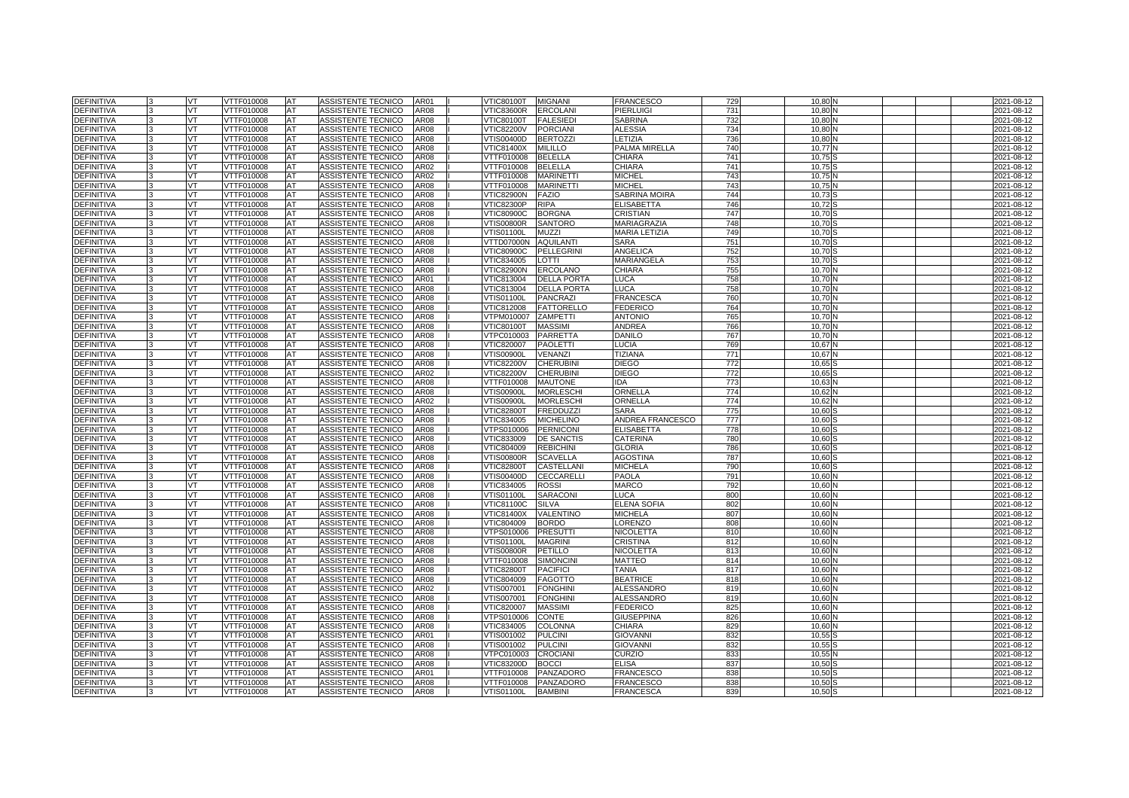| <b>DEFINITIVA</b>                      | VT        | VTTF010008               | <b>AT</b> | ASSISTENTE TECNICO                       | AR01             | <b>VTIC80100T</b>        | <b>MIGNANI</b>              | <b>FRANCESCO</b>                     | 729        | 10,80          |  | 2021-08-12               |
|----------------------------------------|-----------|--------------------------|-----------|------------------------------------------|------------------|--------------------------|-----------------------------|--------------------------------------|------------|----------------|--|--------------------------|
| <b>DEFINITIVA</b>                      | VT        | VTTF010008               | AT        | ASSISTENTE TECNICO                       | AR08             | /TIC83600R               | <b>ERCOLANI</b>             | PIERLUIGI                            | 731        | 10.80          |  | 2021-08-12               |
| <b>DEFINITIVA</b>                      | VT.       | VTTF010008               | AT        | ASSISTENTE TECNICO                       | AR08             | <b>VTIC80100T</b>        | <b>FALESIEDI</b>            | <b>SABRINA</b>                       | 732        | 10,80          |  | 2021-08-12               |
| DEFINITIVA                             | <b>VT</b> | VTTF010008               | AT        | ASSISTENTE TECNICO                       | AR08             | <b>VTIC82200V</b>        | <b>PORCIANI</b>             | <b>ALESSIA</b>                       | 734        | 10.80          |  | 2021-08-12               |
| <b>DEFINITIVA</b>                      | VT        | VTTF010008               | AT        | ASSISTENTE TECNICO                       | AR08             | /TIS00400D               | <b>BERTOZZI</b>             | LETIZIA                              | 736        | 10,80          |  | 2021-08-12               |
| <b>DEFINITIVA</b>                      | VT        | VTTF010008               | AT        | ASSISTENTE TECNICO                       | AR08             | VTIC81400X               | <b>MILILLO</b>              | PALMA MIRELLA                        | 740        | 10,77          |  | 2021-08-12               |
| <b>DEFINITIVA</b>                      | VT.       | VTTF010008               | AT        | ASSISTENTE TECNICO                       | <b>AR08</b>      | VTTF010008               | <b>BELELLA</b>              | CHIARA                               | 741        | 10,75          |  | 2021-08-12               |
| DEFINITIVA                             | VT        | VTTF010008               | AT        | <b>ASSISTENTE TECNICO</b>                | AR02             | VTTF010008               | <b>BELELLA</b>              | CHIARA                               | 741        | 10.75          |  | 2021-08-12               |
| DEFINITIVA                             | VT        | VTTF010008               | AT        | ASSISTENTE TECNICO                       | AR02             | VTTF010008               | <b>MARINETTI</b>            | <b>MICHEL</b>                        | 743        | 10,75          |  | 2021-08-12               |
| DEFINITIVA                             | VT        | VTTF010008               | AT        | ASSISTENTE TECNICO                       | <b>AR08</b>      | VTTF010008               | <b>MARINETTI</b>            | <b>MICHEL</b>                        | 743        | 10,75          |  | 2021-08-12               |
| <b>DEFINITIVA</b>                      | VT        | VTTF010008               | AT        | ASSISTENTE TECNICO                       | AR08             | <b>VTIC82900N</b>        | <b>FAZIO</b>                | SABRINA MOIRA                        | 744        | 10,73          |  | 2021-08-12               |
| <b>DEFINITIVA</b>                      | VT        | VTTF010008               | AT        | ASSISTENTE TECNICO                       | AR08             | /TIC82300P               | <b>RIPA</b>                 | <b>ELISABETTA</b>                    | 746        | 10,72          |  | 2021-08-12               |
| DEFINITIVA                             | <b>VT</b> | VTTF010008               | AT        | ASSISTENTE TECNICO                       | AR08             | <b>VTIC80900C</b>        | <b>BORGNA</b>               | <b>CRISTIAN</b>                      | 747        | 10,70          |  | 2021-08-12               |
| <b>DEFINITIVA</b>                      | VT        | VTTF010008               | AT        | ASSISTENTE TECNICO                       | AR08             | √TIS00800R               | <b>SANTORO</b>              | MARIAGRAZIA                          | 748        | 10,70          |  | 2021-08-12               |
| DEFINITIVA                             | VT        | VTTF010008               | AT        | ASSISTENTE TECNICO                       | AR08             | √TIS01100L               | <b>MUZZI</b>                | <b>MARIA LETIZIA</b>                 | 749        | 10,70          |  | 2021-08-12               |
| <b>DEFINITIVA</b>                      | VT        | VTTF010008               | AT        | ASSISTENTE TECNICO                       | AR08             | VTTD07000N               | <b>AQUILANT</b>             | <b>SARA</b>                          | 751        | 10.70          |  | 2021-08-12               |
| DEFINITIVA                             | VT        | VTTF010008               | AT        | ASSISTENTE TECNICO                       | AR08             | <b>VTIC80900C</b>        | <b>PELLEGRINI</b>           | <b>ANGELICA</b>                      | 752        | 10,70          |  | 2021-08-12               |
| <b>DEFINITIVA</b>                      | VT        | VTTF010008               | AT        | ASSISTENTE TECNICO                       | AR08             | VTIC834005               | LOTTI                       | MARIANGELA                           | 753        | 10,70          |  | 2021-08-12               |
| <b>DEFINITIVA</b>                      | VT        | VTTF010008               | AT        | ASSISTENTE TECNICO                       | AR08             | <b>VTIC82900N</b>        | <b>ERCOLANO</b>             | CHIARA                               | 755        | 10.70          |  | 2021-08-12               |
| <b>DEFINITIVA</b>                      | VT        | VTTF010008               | AT        | ASSISTENTE TECNICO                       | AR01             | VTIC813004               | <b>DELLA PORTA</b>          | LUCA                                 | 758        | 10,70          |  | 2021-08-12               |
| <b>DEFINITIVA</b>                      | VT        | VTTF010008               | AT        | ASSISTENTE TECNICO                       | AR08             | VTIC813004               | <b>DELLA PORTA</b>          | LUCA                                 | 758        | 10,70          |  | 2021-08-12               |
| <b>DEFINITIVA</b>                      | VT        | VTTF010008               | AT        | ASSISTENTE TECNICO                       | AR08             | VTIS01100L               | <b>PANCRAZI</b>             | FRANCESCA                            | 760        | 10,70          |  | 2021-08-12               |
| DEFINITIVA                             | VT        | VTTF010008               | AT        | ASSISTENTE TECNICO                       | AR08             | /TIC812008               | <b>FATTORELLO</b>           | <b>FEDERICO</b>                      | 764        | 10,70          |  | 2021-08-12               |
| <b>DEFINITIVA</b>                      | VT        | VTTF010008               | AT        | ASSISTENTE TECNICO                       | AR08             | /TPM010007               | <b>ZAMPETTI</b>             | <b>ANTONIO</b>                       | 765        | 10,70          |  | 2021-08-12               |
| <b>DEFINITIVA</b>                      | VT        | VTTF010008               | AT        | ASSISTENTE TECNICO                       | AR08             | √TIC80100T               | <b>MASSIMI</b>              | ANDREA                               | 766        | 10,70          |  | 2021-08-12               |
| DEFINITIVA                             | VT        | VTTF010008               | AT        | ASSISTENTE TECNICO                       | AR08             | VTPC010003               | PARRETTA                    | DANILO                               | 767        | 10,70          |  | 2021-08-12               |
| DEFINITIVA                             | VT        | VTTF010008               | AT        | ASSISTENTE TECNICO                       | AR08             | VTIC820007               | <b>PAOLETTI</b>             | LUCIA                                | 769        | 10,67          |  | 2021-08-12               |
| DEFINITIVA                             | VT        | VTTF010008               | AT        | ASSISTENTE TECNICO                       | AR08             | √TIS00900L               | <b>VENANZI</b>              | TIZIANA                              | 771        | 10,67          |  | 2021-08-12               |
| <b>DEFINITIVA</b>                      | VT        | VTTF010008               | AT        | ASSISTENTE TECNICO                       | AR08             | <b>VTIC82200V</b>        | <b>CHERUBINI</b>            | DIEGO                                | 772        | 10,65          |  | 2021-08-12               |
| <b>DEFINITIVA</b>                      | VT        | /TTF010008               | AT        | ASSISTENTE TECNICO                       | AR02             | <b>/TIC82200V</b>        | <b>CHERUBIN</b>             | <b>DIEGO</b>                         | 772        | 10,65          |  | 2021-08-12               |
| <b>DEFINITIVA</b>                      | VT        | VTTF010008               | AT        | ASSISTENTE TECNICO                       | AR08             | VTTF010008               | <b>MAUTONE</b>              | IDA                                  | 773        | 10,63          |  | 2021-08-12               |
| <b>DEFINITIVA</b>                      | VT        | VTTF010008               | AT        | ASSISTENTE TECNICO                       | AR08             | √TIS00900L               | <b>MORLESCHI</b>            | ORNELLA                              | 774        | 10,62          |  | 2021-08-12               |
| DEFINITIVA                             | VT        | /TTF010008               | AT        | <b>ASSISTENTE TECNICO</b>                | AR02             | /TIS00900L               | <b>MORLESCHI</b>            | ORNELLA                              | 774        | 10,62          |  | 2021-08-12               |
| DEFINITIVA                             | VT        | VTTF010008               | AT        | ASSISTENTE TECNICO                       | AR08             | √TIC82800T               | <b>FREDDUZZI</b>            | SARA                                 | 775        | 10,60          |  | 2021-08-12               |
| DEFINITIVA                             | VT        | VTTF010008               | AT        | ASSISTENTE TECNICO                       | AR08             | /TIC834005               | <b>MICHELINO</b>            | ANDREA FRANCESCO                     | 777        | 10,60          |  | 2021-08-12               |
| DEFINITIVA                             | VT        | /TTF010008               | AT        | <b>ASSISTENTE TECNICO</b>                | AR <sub>08</sub> | /TPS010006               | <b>PERNICONI</b>            | ELISABETTA                           | 778        | 10.60          |  | 2021-08-12               |
| DEFINITIVA                             | VT        | VTTF010008               | AT        | ASSISTENTE TECNICO                       | AR08             | VTIC833009               | <b>DE SANCTIS</b>           | CATERINA                             | <b>780</b> | 10,60          |  | 2021-08-12               |
| DEFINITIVA                             | VT        | VTTF010008               | AT        | ASSISTENTE TECNICO                       | AR08             | VTIC804009               | <b>REBICHINI</b>            | GLORIA                               | 786        | 10,60          |  | 2021-08-12               |
| <b>DEFINITIVA</b>                      | VT        | VTTF010008               | AT        | ASSISTENTE TECNICO                       | AR08             | √TIS00800R               | <b>SCAVELLA</b>             | <b>AGOSTINA</b>                      | 787        | 10.60          |  | 2021-08-12               |
| DEFINITIVA                             | VT        | VTTF010008               | AT        | ASSISTENTE TECNICO                       | AR08             | <b>VTIC82800T</b>        | CASTELLAN                   | <b>MICHELA</b>                       | 790        | 10,60          |  | 2021-08-12               |
| <b>DEFINITIVA</b>                      | VT        | VTTF010008               | AT        | ASSISTENTE TECNICO                       | AR08             | /TIS00400D               | CECCARELLI                  | PAOLA                                | 791        | 10,60          |  | 2021-08-12               |
| <b>DEFINITIVA</b>                      | VT        | /TTF010008               | AT        | <b>ASSISTENTE TECNICO</b>                | AR08             | /TIC834005               | <b>ROSSI</b>                | <b>MARCO</b>                         | 792        | 10.60          |  | 2021-08-12               |
| <b>DEFINITIVA</b>                      | VT        | VTTF010008               | AT        | ASSISTENTE TECNICO                       | AR08             | VTIS01100L               | <b>SARACONI</b>             | LUCA                                 | 800        | 10,60          |  | 2021-08-12               |
| DEFINITIVA                             | VT        | VTTF010008               | AT        | ASSISTENTE TECNICO                       | AR08             | <b>VTIC81100C</b>        | <b>SILVA</b>                | <b>ELENA SOFIA</b>                   | 802        | 10,60          |  | 2021-08-12               |
| DEFINITIVA                             | VT        | /TTF010008               | AT        | ASSISTENTE TECNICO                       | AR08             | /TIC81400X               | VALENTINO                   | <b>MICHELA</b>                       | 807        | 10.60          |  | 2021-08-12               |
| <b>DEFINITIVA</b>                      | VT        | VTTF010008               | AT        | ASSISTENTE TECNICO                       | AR08             | VTIC804009               | <b>BORDO</b>                | LORENZO                              | 808        | 10,60          |  | 2021-08-12               |
| DEFINITIVA                             | VT        | VTTF010008               | AT        | ASSISTENTE TECNICO                       | AR08             | VTPS010006               | <b>PRESUTTI</b>             | NICOLETTA                            | 81         | 10,60          |  | 2021-08-12               |
| <b>DEFINITIVA</b>                      | VT.       | VTTF010008               | AT        | ASSISTENTE TECNICO                       | AR08             | /TIS01100L               | <b>MAGRINI</b>              | CRISTINA                             | 812        | 10.60          |  | 2021-08-12               |
| <b>DEFINITIVA</b>                      | VT        | VTTF010008               | AT        | ASSISTENTE TECNICO                       | AR08             | VTIS00800R               | PETILLO                     | NICOLETTA                            | 813        | 10,60          |  | 2021-08-12               |
| DEFINITIVA                             | VT        | VTTF010008               | AT        | ASSISTENTE TECNICO                       | AR08             | VTTF010008               | <b>SIMONCIN</b>             | MATTEO                               | 814        | 10,60          |  | 2021-08-12               |
| <b>DEFINITIVA</b>                      | VT        | VTTF010008               | AT        | ASSISTENTE TECNICO                       | AR08             | <b>VTIC82800T</b>        | <b>PACIFICI</b>             | TANIA                                | 817        | 10.60          |  | 2021-08-12               |
| <b>DEFINITIVA</b>                      | VT        | VTTF010008               | AT        | ASSISTENTE TECNICO                       | AR08             | VTIC804009               | <b>FAGOTTO</b>              | <b>BEATRICE</b>                      | 818        | 10,60          |  | 2021-08-12               |
| DEFINITIVA                             | VT        | VTTF010008               | AT        | ASSISTENTE TECNICO                       | AR02             | VTIS007001               | <b>FONGHINI</b>             | ALESSANDRO                           | 819        | 10,60          |  | 2021-08-12               |
| DEFINITIVA                             | VT        | VTTF010008               | AT        | ASSISTENTE TECNICO                       | AR08             | /TIS007001               | <b>FONGHINI</b>             | ALESSANDRO                           | 819        | 10.60          |  | 2021-08-12               |
| <b>DEFINITIVA</b>                      | VT        | VTTF010008               | AT        | ASSISTENTE TECNICO                       | AR08             | VTIC820007               | <b>MASSIMI</b>              | <b>FEDERICO</b>                      | 825        | 10,60          |  | 2021-08-12               |
| DEFINITIVA                             |           |                          |           |                                          |                  |                          |                             |                                      |            |                |  |                          |
|                                        | VT        | VTTF010008               | AT        | ASSISTENTE TECNICO                       | AR08             | VTPS010006               | <b>CONTE</b>                | <b>GIUSEPPINA</b>                    | 826        | 10,60          |  | $2021 - 08 - 12$         |
| <b>DEFINITIVA</b>                      | VT        | VTTF010008               | AT        | ASSISTENTE TECNICO                       | <b>AR08</b>      | VTIC834005               | <b>COLONNA</b>              | CHIARA                               | 829        | 10.60          |  | 2021-08-12               |
| <b>DEFINITIVA</b>                      | VT        | VTTF010008               | AT        | <b>ASSISTENTE TECNICO</b>                | AR01             | VTIS001002               | <b>PULCINI</b>              | <b>GIOVANN</b>                       | 832        | 10.55          |  | 2021-08-12               |
| DEFINITIVA                             | VT        | VTTF010008               | AT        | ASSISTENTE TECNICO                       | AR08             | VTIS001002               | <b>PULCINI</b>              | <b>GIOVANNI</b>                      | 832        | 10,55          |  | 2021-08-12               |
| <b>DEFINITIVA</b>                      | VT        | VTTF010008               | AT        | ASSISTENTE TECNICO                       | AR08             | /TPC010003               | <b>CROCIANI</b>             | CURZIO                               | 833        | 10,55          |  | 2021-08-12               |
| DEFINITIVA                             | VT        | VTTF010008               | AT        | ASSISTENTE TECNICO                       | AR08             | VTIC83200D               | <b>BOCCI</b>                | ELISA                                | 837        | 10,50          |  | 2021-08-12               |
| DEFINITIVA                             | VT        | VTTF010008               | AT        | ASSISTENTE TECNICO                       | AR01             | VTTF010008               | PANZADORO                   | FRANCESCO                            | 838        | 10,50          |  | 2021-08-12               |
| <b>DEFINITIVA</b><br><b>DEFINITIVA</b> | VT<br>VT. | VTTF010008<br>VTTF010008 | AT<br>AT  | ASSISTENTE TECNICO<br>ASSISTENTE TECNICO | AR08<br>AR08     | /TTF010008<br>VTIS01100L | PANZADORO<br><b>BAMBINI</b> | <b>FRANCESCO</b><br><b>FRANCESCA</b> | 838<br>839 | 10.50<br>10,50 |  | 2021-08-12<br>2021-08-12 |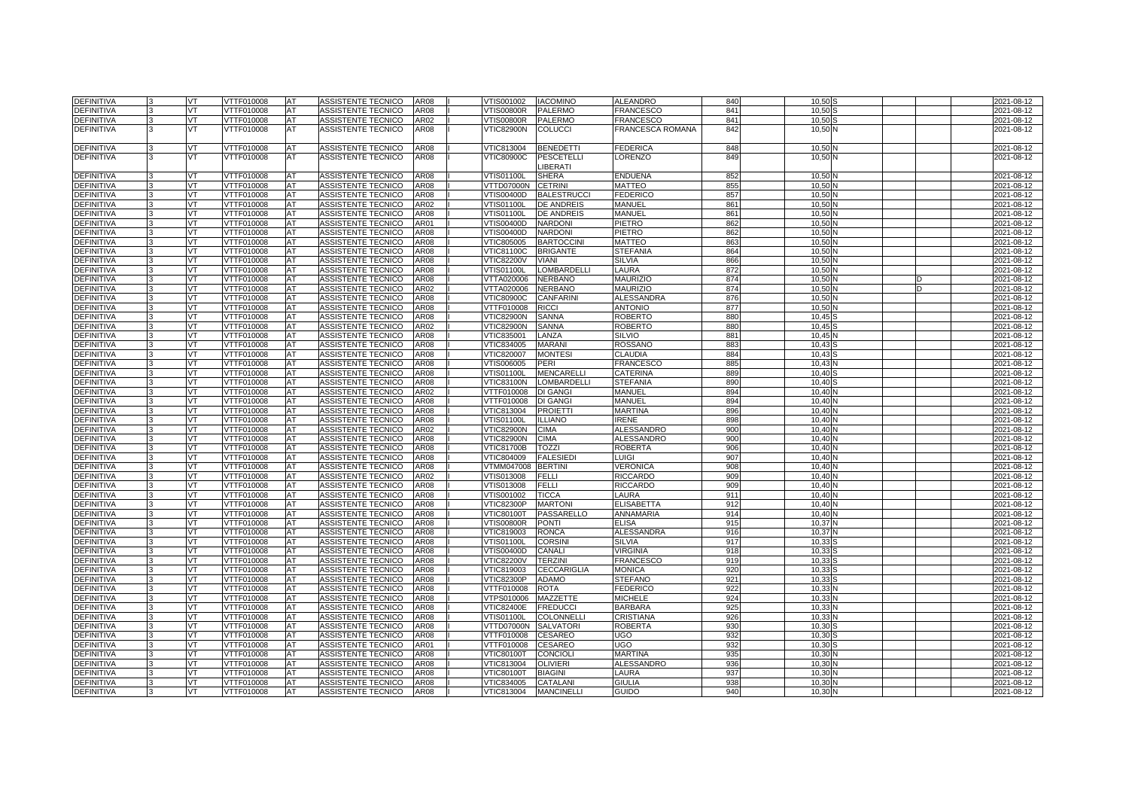| <b>DEFINITIVA</b>                      |    | <b>VT</b>       | VTTF010008               | AT       | ASSISTENTE TECNICO                              | <b>AR08</b>  | VTIS001002                      | <b>IACOMINO</b>                | ALEANDRO                 | 840        | 10,50          | 2021-08-12               |
|----------------------------------------|----|-----------------|--------------------------|----------|-------------------------------------------------|--------------|---------------------------------|--------------------------------|--------------------------|------------|----------------|--------------------------|
| DEFINITIVA                             |    | VT              | VTTF010008               | AT       | ASSISTENTE TECNICO                              | AR08         | /TIS00800R                      | PALERMO                        | FRANCESCO                | 841        | 10.50          | 2021-08-12               |
| <b>DEFINITIVA</b>                      |    | VT              | VTTF010008               | AT       | ASSISTENTE TECNICO                              | AR02         | <b>VTIS00800R</b>               | <b>PALERMO</b>                 | <b>FRANCESCO</b>         | 841        | 10,50          | 2021-08-12               |
| <b>DEFINITIVA</b>                      | 3  | <b>VT</b>       | VTTF010008               | AT       | ASSISTENTE TECNICO                              | AR08         | <b>VTIC82900N</b>               | <b>COLUCCI</b>                 | FRANCESCA ROMANA         | 842        | 10,50 N        | 2021-08-12               |
| <b>DEFINITIVA</b>                      |    | VT              | VTTF010008               | AT       | ASSISTENTE TECNICO                              | AR08         | VTIC813004                      | <b>BENEDETTI</b>               | <b>FEDERICA</b>          | 848        | 10,50          | 2021-08-12               |
| <b>DEFINITIVA</b>                      | ıз | <b>VT</b>       | VTTF010008               | AT       | ASSISTENTE TECNICO                              | AR08         | <b>VTIC80900C</b>               | <b>PESCETELLI</b><br>LIBERATI  | LORENZO                  | 849        | 10,50 N        | 2021-08-12               |
| <b>DEFINITIVA</b>                      |    | VT              | VTTF010008               | AT       | ASSISTENTE TECNICO                              | AR08         | <b>VTIS01100L</b>               | <b>SHERA</b>                   | ENDUENA                  | 852        | 10,50          | 2021-08-12               |
| DEFINITIVA                             |    | <b>VT</b>       | VTTF010008               | AT       | ASSISTENTE TECNICO                              | AR08         | VTTD07000N                      | <b>CETRINI</b>                 | MATTEO                   | 855        | 10.50N         | 2021-08-12               |
| <b>DEFINITIVA</b>                      |    | VT              | VTTF010008               | AT       | ASSISTENTE TECNICO                              | AR08         | VTIS00400D                      | <b>BALESTRUCCI</b>             | FEDERICO                 | 857        | 10,50          | 2021-08-12               |
| <b>DEFINITIVA</b>                      |    | VT              | VTTF010008               | AT       | ASSISTENTE TECNICO                              | AR02         | <b>VTIS01100L</b>               | <b>DE ANDREIS</b>              | MANUEL                   | 861        | 10,50          | 2021-08-12               |
| DEFINITIVA                             |    | <b>VT</b>       | VTTF010008               | AT       | ASSISTENTE TECNICO                              | AR08         | <b>VTIS01100L</b>               | <b>DE ANDREIS</b>              | MANUEL                   | 861        | 10,50 N        | 2021-08-12               |
| <b>DEFINITIVA</b>                      |    | VT              | VTTF010008               | AT       | ASSISTENTE TECNICO                              | AR01         | VTIS00400D                      | <b>NARDONI</b>                 | PIETRO                   | 862        | 10,50          | 2021-08-12               |
| DEFINITIVA                             |    | VT              | VTTF010008               | AT       | ASSISTENTE TECNICO                              | AR08         | VTIS00400D                      | <b>NARDON</b>                  | PIETRO                   | 862        | 10,50          | 2021-08-12               |
| DEFINITIVA                             |    | <b>VT</b>       | VTTF010008               | AT       | <b>ASSISTENTE TECNICO</b>                       | AR08         | VTIC805005                      | <b>BARTOCCINI</b>              | MATTEO                   | 863        | 10.50N         | 2021-08-12               |
| <b>DEFINITIVA</b>                      |    | VT              | VTTF010008               | AT       | ASSISTENTE TECNICO                              | AR08         | <b>VTIC81100C</b>               | <b>BRIGANTE</b>                | STEFANIA                 | 864        | 10,50          | 2021-08-12               |
| <b>DEFINITIVA</b>                      |    | VT              | VTTF010008               | AT       | ASSISTENTE TECNICO                              | AR08         | <b>VTIC82200V</b>               | <b>VIANI</b>                   | SILVIA                   | 866        | 10.50          | 2021-08-12               |
| <b>DEFINITIVA</b>                      |    | VT              | VTTF010008               | AT       | <b>ASSISTENTE TECNICO</b>                       | AR08         | <b>VTIS01100L</b>               | <b>LOMBARDELLI</b>             | LAURA                    | 872        | 10.50N         | 2021-08-12               |
| <b>DEFINITIVA</b>                      |    | VT              | VTTF010008               | AT       | ASSISTENTE TECNICO                              | AR08         | VTTA020006                      | <b>NERBANO</b>                 | <b>MAURIZIO</b>          | 874        | 10,50          | 2021-08-12               |
| DEFINITIVA                             |    | VT              | VTTF010008               | AT       | <b>ASSISTENTE TECNICO</b>                       | AR02         | VTTA020006                      | <b>NERBANO</b>                 | <b>MAURIZIO</b>          | 874        | 10,50          | 2021-08-12               |
| <b>DEFINITIVA</b>                      |    | IVT.            | VTTF010008               | AT       | ASSISTENTE TECNICO                              | AR08         | <b>VTIC80900C</b>               | <b>CANFARIN</b>                | ALESSANDRA               | 876        | 10,50 N        | 2021-08-12               |
| DEFINITIVA                             |    | VT              | VTTF010008               | AT       | ASSISTENTE TECNICO                              | AR08         | VTTF010008                      | <b>RICCI</b>                   | ANTONIO                  | 877        | 10,50          | 2021-08-12               |
| <b>DEFINITIVA</b>                      |    | VT.             | VTTF010008               | AT       | ASSISTENTE TECNICO                              | AR08         | <b>VTIC82900N</b>               | SANNA                          | ROBERTO                  | 880        | 10.45          | 2021-08-12               |
| <b>DEFINITIVA</b>                      |    | <b>VT</b>       | VTTF010008               | AT       | <b>ASSISTENTE TECNICO</b>                       | AR02         | <b>VTIC82900N</b>               | SANNA                          | ROBERTO                  | 880        | 10,45          | 2021-08-12               |
| <b>DEFINITIVA</b>                      |    | VT              | VTTF010008               | AT       | ASSISTENTE TECNICO                              | AR08<br>AR08 | VTIC835001                      | LANZA                          | <b>SILVIO</b><br>ROSSANO | 881        | 10,45<br>10.43 | 2021-08-12               |
| <b>DEFINITIVA</b><br><b>DEFINITIVA</b> |    | VT<br>IVT.      | VTTF010008<br>VTTF010008 | AT<br>AT | ASSISTENTE TECNICO<br>ASSISTENTE TECNICO        | AR08         | VTIC834005<br>VTIC820007        | <b>MARANI</b><br><b>MONTES</b> | CLAUDIA                  | 883<br>884 | 10,43          | 2021-08-12<br>2021-08-12 |
| DEFINITIVA                             |    | VT              | VTTF010008               | AT       | ASSISTENTE TECNICO                              | AR08         | VTIS006005                      | PERI                           | <b>FRANCESCO</b>         | 885        | 10,43          | 2021-08-12               |
| DEFINITIVA                             |    | VT              | VTTF010008               | AT       | ASSISTENTE TECNICO                              | AR08         | <b>VTIS01100L</b>               | MENCARELLI                     | CATERINA                 | 889        | 10.40          | 2021-08-12               |
| <b>DEFINITIVA</b>                      |    | <b>VT</b>       | VTTF010008               | AT       | ASSISTENTE TECNICO                              | AR08         | <b>VTIC83100N</b>               | <b>LOMBARDELLI</b>             | STEFANIA                 | 890        | 10,40          | 2021-08-12               |
| DEFINITIVA                             |    | VT              | VTTF010008               | AT       | ASSISTENTE TECNICO                              | AR02         | VTTF010008                      | DI GANGI                       | MANUEL                   | 894        | 10,40N         | 2021-08-12               |
| DEFINITIVA                             |    | VT              | VTTF010008               | AT       | ASSISTENTE TECNICO                              | AR08         | VTTF010008                      | <b>DI GANG</b>                 | MANUEL                   | 894        | 10.40          | 2021-08-12               |
| <b>DEFINITIVA</b>                      |    | <b>VT</b>       | VTTF010008               | AT       | <b>ASSISTENTE TECNICO</b>                       | AR08         | VTIC813004                      | <b>PROIETTI</b>                | MARTINA                  | 896        | 10,40N         | 2021-08-12               |
| <b>DEFINITIVA</b>                      |    | VT              | VTTF010008               | AT       | ASSISTENTE TECNICO                              | AR08         | <b>VTIS01100L</b>               | <b>ILLIANO</b>                 | IRENE                    | 898        | 10,40N         | 2021-08-12               |
| <b>DEFINITIVA</b>                      |    | VT              | /TTF010008               | AT       | ASSISTENTE TECNICO                              | AR02         | <b>VTIC82900N</b>               | <b>CIMA</b>                    | ALESSANDRO               | 900        | 10.40          | 2021-08-12               |
| <b>DEFINITIVA</b>                      |    | <b>VT</b>       | VTTF010008               | AT       | ASSISTENTE TECNICO                              | AR08         | <b>VTIC82900N</b>               | <b>CIMA</b>                    | ALESSANDRO               | 900        | 10,40          | 2021-08-12               |
| DEFINITIVA                             |    | VT              | VTTF010008               | AT       | ASSISTENTE TECNICO                              | AR08         | <b>VTIC81700B</b>               | <b>TOZZI</b>                   | ROBERTA                  | 906        | 10,40          | 2021-08-12               |
| DEFINITIVA                             |    | VT              | /TTF010008               | AT       | ASSISTENTE TECNICO                              | AR08         | /TIC804009                      | <b>FALESIEDI</b>               | LUIGI                    | 907        | 10.40          | 2021-08-12               |
| <b>DEFINITIVA</b>                      |    | VT              | VTTF010008               | AT       | ASSISTENTE TECNICO                              | AR08         | VTMM047008                      | <b>BERTINI</b>                 | VERONICA                 | 908        | 10,40          | 2021-08-12               |
| <b>DEFINITIVA</b>                      |    | VT              | VTTF010008               | AT       | ASSISTENTE TECNICO                              | AR02         | VTIS013008                      | FELLI                          | RICCARDO                 | 909        | 10,40N         | 2021-08-12               |
| <b>DEFINITIVA</b>                      |    | VT              | /TTF010008               | AT       | ASSISTENTE TECNICO                              | AR08         | VTIS013008                      | <b>FELLI</b>                   | RICCARDO                 | 909        | 10.40          | 2021-08-12               |
| <b>DEFINITIVA</b>                      |    | <b>VT</b>       | VTTF010008               | AT       | <b>ASSISTENTE TECNICO</b>                       | AR08         | VTIS001002                      | <b>TICCA</b>                   | LAURA                    | 911        | 10,40          | 2021-08-12               |
| DEFINITIVA                             |    | VT              | VTTF010008               | AT       | ASSISTENTE TECNICO                              | AR08         | <b>VTIC82300P</b>               | <b>MARTON</b>                  | <b>ELISABETTA</b>        | 912        | 10,40          | 2021-08-12               |
| <b>DEFINITIVA</b>                      |    | VT              | /TTF010008               | AT       | ASSISTENTE TECNICO                              | AR08         | <b>/TIC80100T</b>               | PASSARELLO                     | ANNAMARIA                | 914        | 10.40          | 2021-08-12               |
| DEFINITIVA                             |    | VT              | VTTF010008               | AT       | ASSISTENTE TECNICO                              | AR08         | VTIS00800R                      | <b>PONTI</b>                   | ELISA                    | 915        | 10,37          | 2021-08-12               |
| DEFINITIVA                             |    | VT              | VTTF010008               | AT       | ASSISTENTE TECNICO                              | AR08         | VTIC819003                      | <b>RONCA</b>                   | ALESSANDRA               | 916        | 10,37          | 2021-08-12               |
| <b>DEFINITIVA</b>                      |    | VT              | VTTF010008               | AT       | ASSISTENTE TECNICO                              | AR08         | <b>VTIS01100L</b>               | <b>CORSINI</b>                 | SILVIA                   | 917        | 10,33          | 2021-08-12               |
| <b>DEFINITIVA</b><br>DEFINITIVA        |    | <b>VT</b><br>VT | VTTF010008<br>VTTF010008 | AT<br>AT | <b>ASSISTENTE TECNICO</b><br>ASSISTENTE TECNICO | AR08<br>AR08 | VTIS00400D<br><b>VTIC82200V</b> | CANALI<br><b>TERZINI</b>       | VIRGINIA<br>FRANCESCO    | 918<br>919 | 10,33<br>10,33 | 2021-08-12<br>2021-08-12 |
| <b>DEFINITIVA</b>                      |    | VT              | VTTF010008               | AT       | ASSISTENTE TECNICO                              | AR08         | VTIC819003                      | CECCARIGLIA                    | MONICA                   | 920        | 10.33          | 2021-08-12               |
| <b>DEFINITIVA</b>                      |    | <b>VT</b>       | VTTF010008               | AT       | <b>ASSISTENTE TECNICO</b>                       | AR08         | <b>VTIC82300P</b>               | <b>ADAMO</b>                   | STEFANC                  | 921        | 10,33          | 2021-08-12               |
| DEFINITIVA                             |    | VT              | VTTF010008               | AT       | ASSISTENTE TECNICO                              | AR08         | VTTF010008                      | <b>ROTA</b>                    | FEDERICO                 | 922        | 10,33          | 2021-08-12               |
| <b>DEFINITIVA</b>                      |    | VT              | VTTF010008               | AT       | ASSISTENTE TECNICO                              | AR08         | /TPS010006                      | MAZZETTE                       | MICHELE                  | 924        | 10.33          | 2021-08-12               |
| <b>DEFINITIVA</b>                      |    | VT              | VTTF010008               | AT       | ASSISTENTE TECNICO                              | AR08         | <b>VTIC82400E</b>               | <b>FREDUCCI</b>                | BARBARA                  | 925        | 10,33          | 2021-08-12               |
| DEFINITIVA                             |    | VT              | VTTF010008               | AT       | ASSISTENTE TECNICO                              | AR08         | <b>VTIS01100L</b>               | COLONNELL                      | CRISTIANA                | 926        | 10,33          | 2021-08-12               |
| <b>DEFINITIVA</b>                      |    | VT              | VTTF010008               | AT       | ASSISTENTE TECNICO                              | AR08         | VTTD07000N                      | <b>SALVATORI</b>               | ROBERTA                  | 930        | 10.30          | 2021-08-12               |
| <b>DEFINITIVA</b>                      |    | <b>VT</b>       | VTTF010008               | AT       | <b>ASSISTENTE TECNICO</b>                       | AR08         | VTTF010008                      | <b>CESAREO</b>                 | UGO                      | 932        | 10.30          | 2021-08-12               |
| DEFINITIVA                             |    | VT              | VTTF010008               | AT       | ASSISTENTE TECNICO                              | AR01         | VTTF010008                      | CESAREO                        | UGO                      | 932        | 10,30          | 2021-08-12               |
| <b>DEFINITIVA</b>                      |    | VT              | VTTF010008               | AT       | ASSISTENTE TECNICO                              | AR08         | <b>VTIC80100T</b>               | <b>CONCIOLI</b>                | MARTINA                  | 935        | 10.30          | 2021-08-12               |
| <b>DEFINITIVA</b>                      |    | VT              | VTTF010008               | AT       | <b>ASSISTENTE TECNICO</b>                       | AR08         | VTIC813004                      | <b>OLIVIERI</b>                | ALESSANDRO               | 936        | 10,30          | 2021-08-12               |
| DEFINITIVA                             |    | VT              | VTTF010008               | AT       | ASSISTENTE TECNICO                              | AR08         | <b>VTIC80100T</b>               | <b>BIAGINI</b>                 | LAURA                    | 937        | 10,30          | 2021-08-12               |
| <b>DEFINITIVA</b>                      |    | VT              | VTTF010008               | AT       | ASSISTENTE TECNICO                              | AR08         | VTIC834005                      | <b>CATALANI</b>                | GIULIA                   | 938        | 10.30          | 2021-08-12               |
| <b>DEFINITIVA</b>                      |    | VT.             | VTTF010008               | AT       | ASSISTENTE TECNICO                              | AR08         | VTIC813004                      | <b>MANCINELLI</b>              | guido                    | 940        | 10,30          | 2021-08-12               |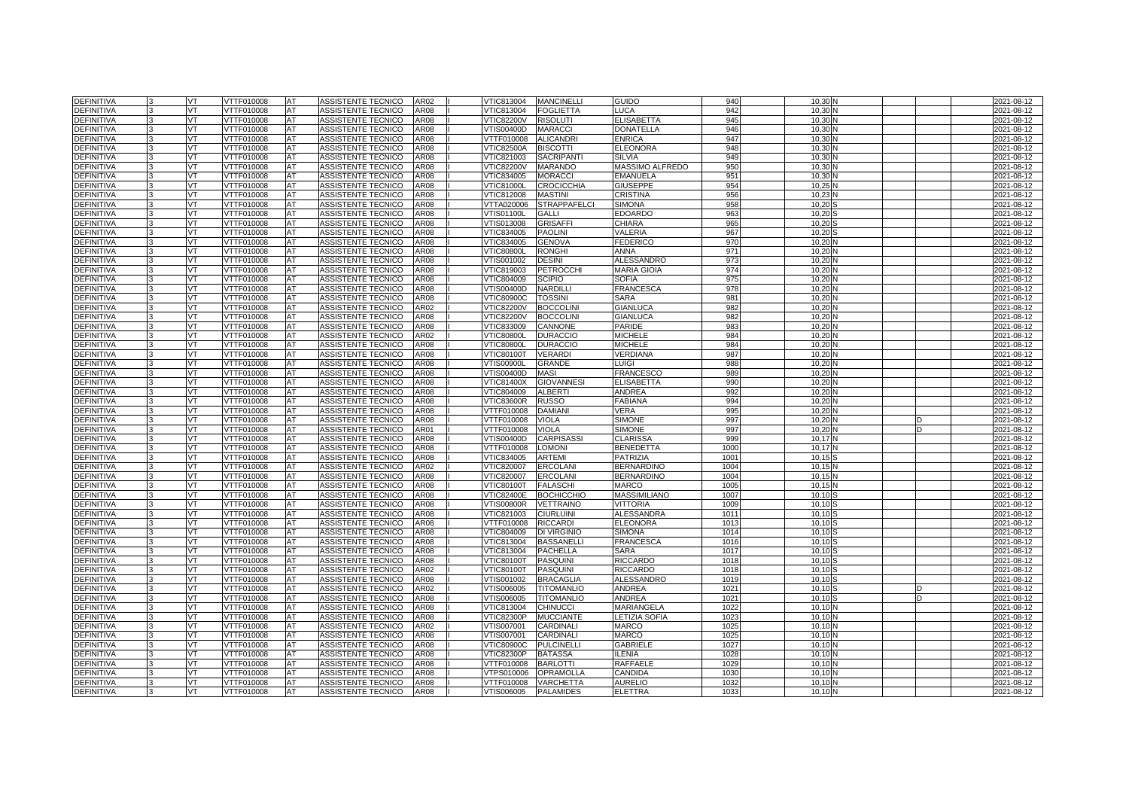| <b>DEFINITIVA</b>               |   | VT       | VTTF010008               | AT        | ASSISTENTE TECNICO                       | AR02         | VTIC813004               | <b>MANCINELLI</b>             | <b>GUIDO</b>                     | 940             | 10.30          |  | 2021-08-12               |
|---------------------------------|---|----------|--------------------------|-----------|------------------------------------------|--------------|--------------------------|-------------------------------|----------------------------------|-----------------|----------------|--|--------------------------|
| <b>DEFINITIVA</b>               |   | VT       | VTTF010008               | AT        | <b>ASSISTENTE TECNICO</b>                | AR08         | VTIC813004               | <b>FOGLIETTA</b>              | <b>UCA</b>                       | 942             | 10.30          |  | 2021-08-12               |
| <b>DEFINITIVA</b>               |   | VT       | VTTF010008               | AT        | <b>ASSISTENTE TECNICO</b>                | AR08         | <b>/TIC82200V</b>        | <b>RISOLUTI</b>               | <b>ELISABETTA</b>                | 945             | 10.30          |  | 2021-08-12               |
| <b>DEFINITIVA</b>               |   | VT       | VTTF010008               | AT        | <b>ASSISTENTE TECNICO</b>                | AR08         | VTIS00400D               | <b>MARACCI</b>                | <b>DONATELLA</b>                 | 946             | 10.30          |  | 2021-08-12               |
| <b>DEFINITIVA</b>               |   | VT       | VTTF010008               | AT        | ASSISTENTE TECNICO                       | AR08         | VTTF010008               | <b>ALICANDR</b>               | <b>ENRICA</b>                    | 947             | 10.30          |  | 2021-08-12               |
| DEFINITIVA                      |   | VT       | TTF010008                | AT        | ASSISTENTE TECNICO                       | AR08         | /TIC82500A               | <b>BISCOTTI</b>               | ELEONORA                         | 948             | 10.30          |  | 2021-08-12               |
| <b>DEFINITIVA</b>               |   | VT       | VTTF010008               | AT        | ASSISTENTE TECNICO                       | AR08         | VTIC821003               | <b>SACRIPANT</b>              | <b>SILVIA</b>                    | 94 <sup>c</sup> | 10.30          |  | 2021-08-12               |
| <b>DEFINITIVA</b>               |   | VT       | VTTF010008               | AT        | ASSISTENTE TECNICO                       | AR08         | <b>VTIC82200V</b>        | <b>MARANDO</b>                | MASSIMO ALFREDO                  | 950             | 10.30          |  | 2021-08-12               |
| <b>DEFINITIVA</b>               |   | VT       | VTTF010008               | AT        | ASSISTENTE TECNICO                       | AR08         | VTIC834005               | <b>MORACCI</b>                | <b>EMANUELA</b>                  | 951             | 10.30          |  | 2021-08-12               |
| <b>DEFINITIVA</b>               |   | VT       | VTTF010008               | AT        | <b>ASSISTENTE TECNICO</b>                | AR08         | <b>VTIC81000L</b>        | <b>CROCICCHIA</b>             | <b>GIUSEPPE</b>                  | 954             | 10.25          |  | 2021-08-12               |
| <b>DEFINITIVA</b>               |   | VT       | <b>VTTF010008</b>        | AT        | <b>ASSISTENTE TECNICO</b>                | AR08         | VTIC812008               | <b>MASTINI</b>                | <b>CRISTINA</b>                  | 956             | 10,2           |  | 2021-08-12               |
| <b>DEFINITIVA</b>               |   | VT       | VTTF010008               | AT        | ASSISTENTE TECNICO                       | <b>AR08</b>  | <b>/TTA020006</b>        | <b>STRAPPAFELCI</b>           | <b>SIMONA</b>                    | 958             | 10.20          |  | 2021-08-12               |
| <b>DEFINITIVA</b>               |   | VT       | VTTF010008               | AT        | <b>ASSISTENTE TECNICO</b>                | AR08         | VTIS01100L               | <b>GALL</b>                   | <b>EDOARDC</b>                   | 963             | 10.20          |  | 2021-08-12               |
| <b>DEFINITIVA</b>               |   | VT       | <b>VTTF010008</b>        | AT        | <b>ASSISTENTE TECNICO</b>                | AR08         | VTIS013008               | <b>GRISAFFI</b>               | CHIARA                           | 965             | 10,20          |  | 2021-08-12               |
| <b>DEFINITIVA</b>               |   | VT       | VTTF010008               | AT        | ASSISTENTE TECNICO                       | AR08         | VTIC834005               | <b>PAOLINI</b>                | VALERIA                          | 967             | 10.20          |  | 2021-08-12               |
| <b>DEFINITIVA</b>               |   | VT       | VTTF010008               | AT        | ASSISTENTE TECNICO                       | AR08         | VTIC834005               | <b>GENOVA</b>                 | <b>FEDERICO</b>                  | 97              | 10.20          |  | 2021-08-12               |
| <b>DEFINITIVA</b>               |   | VT       | <b>VTTF010008</b>        | AT        | ASSISTENTE TECNICO                       | <b>AR08</b>  | <b>VTIC80800L</b>        | <b>RONGHI</b>                 | ANNA                             | 971             | 10,20          |  | 2021-08-12               |
| <b>DEFINITIVA</b>               |   | VT       | VTTF010008               | AT        | ASSISTENTE TECNICO                       | AR08         | /TIS001002               | <b>DESINI</b>                 | <b>ALESSANDRO</b>                | 973             | 10,20          |  | 2021-08-12               |
| <b>DEFINITIVA</b>               |   | VT       | VTTF010008               | AT        | <b>ASSISTENTE TECNICO</b>                | AR08         | VTIC819003               | <b>PETROCCHI</b>              | <b>MARIA GIOIA</b>               | 974             | 10.20          |  | 2021-08-12               |
| DEFINITIVA                      |   | VT       | VTTF010008               | AT        | ASSISTENTE TECNICO                       | AR08         | VTIC804009               | <b>SCIPIO</b>                 | <b>SOFIA</b>                     | 975             | 10,20          |  | 2021-08-12               |
| DEFINITIVA                      |   | VT       | VTTF010008               | AT        | ASSISTENTE TECNICO                       | AR08         | /TIS00400D               | <b>NARDILL</b>                | FRANCESCA                        | 978             | 10.20          |  | 2021-08-12               |
| <b>DEFINITIVA</b>               |   | VT       | VTTF010008               | AT        | ASSISTENTE TECNICO                       | AR08         | <b>VTIC80900C</b>        | <b>TOSSIN</b>                 | SARA                             | 981             | 10.20          |  | 2021-08-12               |
| <b>DEFINITIVA</b>               |   | VT       | VTTF010008               | AT        | ASSISTENTE TECNICO                       | AR02         | <b>VTIC82200V</b>        | <b>BOCCOLINI</b>              | <b>GIANLUCA</b>                  | 982             | 10,20          |  | 2021-08-12               |
| <b>DEFINITIVA</b>               |   | VT       | VTTF010008               | AT        | <b>ASSISTENTE TECNICO</b>                | AR08         | /TIC82200V               | <b>BOCCOLINI</b>              | <b>GIANLUCA</b>                  | 982             | 10,20          |  | 2021-08-12               |
| <b>DEFINITIVA</b>               |   | VT       | VTTF010008               | AT        | ASSISTENTE TECNICO                       | AR08         | VTIC833009               | <b>CANNONE</b>                | <b>PARIDE</b>                    | 983             | 10,20          |  | 2021-08-12               |
| DEFINITIVA                      |   | VT.      | VTTF010008               | AT        | ASSISTENTE TECNICO                       | AR02         | <b>VTIC80800L</b>        | <b>DURACCIC</b>               | <b>MICHELE</b>                   | 984             | 10,20          |  | 2021-08-12               |
| DEFINITIVA                      |   | VT       | VTTF010008               | AT        | ASSISTENTE TECNICO                       | AR08         | <b>VTIC80800L</b>        | <b>DURACCIO</b>               | <b>MICHELE</b>                   | 984             | 10,20          |  | 2021-08-12               |
| DEFINITIVA                      |   | VT       | VTTF010008               | AT        | ASSISTENTE TECNICO                       | AR08         | <b>VTIC80100T</b>        | <b>VERARDI</b>                | VERDIANA                         | 987             | 10,20          |  | 2021-08-12               |
| <b>DEFINITIVA</b>               |   | VT       | VTTF010008               | AT        | ASSISTENTE TECNICO                       | AR08         | √TIS00900L               | <b>GRANDE</b>                 | LUIGI                            | 988             | 10,20          |  | 2021-08-12               |
| <b>DEFINITIVA</b>               |   | VT       | VTTF010008               | AT        | ASSISTENTE TECNICO                       | AR08         | /TIS00400D               | <b>MASI</b>                   | FRANCESCO                        | 989             | 10,20          |  | 2021-08-12               |
| <b>DEFINITIVA</b>               |   | VT       | VTTF010008               | AT        | ASSISTENTE TECNICO                       | AR08         | VTIC81400X               | <b>GIOVANNESI</b>             | <b>ELISABETTA</b>                | 990             | 10,20          |  | 2021-08-12               |
| DEFINITIVA                      |   | VT       | VTTF010008               | AT        | ASSISTENTE TECNICO                       | AR08         | VTIC804009               | <b>ALBERTI</b>                | ANDREA                           | 992             | 10,20          |  | 2021-08-12               |
| <b>DEFINITIVA</b>               |   | VT       | /TTF010008               | AT        | ASSISTENTE TECNICO                       | AR08         | /TIC83600R               | <b>RUSSO</b>                  | <b>FABIANA</b>                   | 994             | 10.20          |  | 2021-08-12               |
| <b>DEFINITIVA</b>               |   | VT       | VTTF010008               | AT        | <b>ASSISTENTE TECNICO</b>                | AR08         | VTTF010008               | <b>DAMIANI</b>                | VERA                             | 995             | 10.20          |  | 2021-08-12               |
| <b>DEFINITIVA</b>               |   | VT       | VTTF010008               | AT        | ASSISTENTE TECNICO                       | AR08         | VTTF010008               | <b>VIOLA</b>                  | <b>SIMONE</b>                    | 997             | 10.20          |  | 2021-08-12               |
| <b>DEFINITIVA</b>               |   | VT       | <b>/TTF010008</b>        | AT        | <b>ASSISTENTE TECNICO</b>                | AR01         | <b>/TTF010008</b>        | <b>VIOLA</b>                  | <b>SIMONE</b>                    | 997             | 10.20          |  | 2021-08-12               |
| <b>DEFINITIVA</b>               |   | VT       | VTTF010008               | AT        | ASSISTENTE TECNICO                       | AR08         | VTIS00400D               | <b>CARPISASSI</b>             | <b>CLARISSA</b>                  | 999             | 10.17          |  | 2021-08-12               |
| <b>DEFINITIVA</b>               |   | VT       | VTTF010008               | AT        | ASSISTENTE TECNICO                       | AR08         | VTTF010008               | <b>LOMONI</b>                 | <b>BENEDETTA</b>                 | 1000            | 10.17          |  | 2021-08-12               |
| <b>DEFINITIVA</b>               |   | vт       | VTTF010008               | AT        | <b>ASSISTENTE TECNICO</b>                | AR08         | /TIC834005               | <b>ARTEMI</b>                 | <b>PATRIZIA</b>                  | 1001            | 10.15          |  | 2021-08-12               |
| <b>DEFINITIVA</b>               |   | VT       | VTTF010008               | AT        | <b>ASSISTENTE TECNICO</b>                | AR02         | VTIC820007               | <b>ERCOLANI</b>               | <b>BERNARDINO</b>                | 1004            | 10.15          |  |                          |
| DEFINITIVA                      |   | VT       | VTTF010008               |           |                                          |              |                          |                               |                                  |                 |                |  | 2021-08-12               |
| <b>DEFINITIVA</b>               |   |          |                          | AT        | ASSISTENTE TECNICO                       | AR08         | /TIC820007               | <b>ERCOLANI</b>               | <b>BERNARDINO</b>                | 1004            | 10.15          |  | 2021-08-12               |
| <b>DEFINITIVA</b>               |   | VT       | TTF010008                | AT        | ASSISTENTE TECNICO                       | AR08         | /TIC80100T               | <b>FALASCHI</b>               | MARCO                            | 1005            | 10.15          |  | 2021-08-12               |
|                                 |   | VT       | VTTF010008               | AT        | ASSISTENTE TECNICO                       | AR08         | <b>VTIC82400E</b>        | <b>BOCHICCHIO</b>             | <b>MASSIMILIANO</b>              | 1007            | 10.10          |  | 2021-08-12               |
| <b>DEFINITIVA</b>               |   | VT.      | VTTF010008               | AT        | ASSISTENTE TECNICO                       | AR08         | <b>VTIS00800R</b>        | <b>VETTRAINO</b>              | VITTORIA                         | 1009            | 10.10          |  | 2021-08-12               |
| <b>DEFINITIVA</b>               |   | VT       | VTTF010008               | AT        | ASSISTENTE TECNICO                       | AR08         | VTIC821003               | <b>CIURLUINI</b>              | ALESSANDRA                       | 101             | 10.10          |  | 2021-08-12               |
| <b>DEFINITIVA</b>               |   | VT       | VTTF010008               | AT        | <b>ASSISTENTE TECNICO</b>                | AR08         | VTTF010008               | <b>RICCARDI</b>               | <b>ELEONORA</b>                  | 1013            | 10.10          |  | 2021-08-12               |
| <b>DEFINITIVA</b>               |   | VT       | <b>VTTF010008</b>        | AT        | <b>ASSISTENTE TECNICO</b>                | <b>AR08</b>  | VTIC804009               | <b>DI VIRGINIO</b>            | <b>SIMONA</b>                    | 1014            | 10,10          |  | 2021-08-12               |
| <b>DEFINITIVA</b>               |   | VT       | VTTF010008               | AT        | ASSISTENTE TECNICO                       | <b>AR08</b>  | /TIC813004               | <b>BASSANELLI</b>             | <b>FRANCESCA</b>                 | 1016            | 10.10          |  | 2021-08-12               |
| <b>DEFINITIVA</b>               |   | VT       | VTTF010008               | AT        | ASSISTENTE TECNICO                       | <b>AR08</b>  | VTIC813004               | <b>PACHELLA</b>               | <b>SARA</b>                      | 1017            | 10.10          |  | 2021-08-12               |
| <b>DEFINITIVA</b>               |   | VT       | VTTF010008               | AT        | ASSISTENTE TECNICO                       | AR08         | <b>VTIC80100T</b>        | <b>PASQUINI</b>               | <b>RICCARDO</b>                  | 1018            | 10, 10         |  | 2021-08-12               |
| <b>DEFINITIVA</b>               |   | VT       | VTTF010008               | AT        | ASSISTENTE TECNICO                       | AR02         | <b>VTIC80100T</b>        | <b>PASQUINI</b>               | <b>RICCARDO</b>                  | 1018            | 10.10          |  | 2021-08-12               |
| <b>DEFINITIVA</b>               |   | VT       | VTTF010008               | AT        | ASSISTENTE TECNICO                       | AR08         | VTIS001002               | <b>BRACAGLIA</b>              | <b>ALESSANDRO</b>                | 1019            | 10.10          |  | 2021-08-12               |
| DEFINITIVA                      |   | VT       | VTTF010008               | AT        | ASSISTENTE TECNICO                       | AR02         | VTIS006005               | <b>TITOMANLIO</b>             | ANDREA                           | $102 -$         | 10,10          |  | 2021-08-12               |
| <b>DEFINITIVA</b>               |   | VT       | VTTF010008               | AT        | ASSISTENTE TECNICO                       | AR08         | /TIS006005               | <b>TITOMANLIO</b>             | ANDREA                           | $102 -$         | 10,10          |  | 2021-08-12               |
| <b>DEFINITIVA</b>               |   | VT       | VTTF010008               | <b>AT</b> | ASSISTENTE TECNICO                       | <b>AR08</b>  | VTIC813004               | <b>CHINUCCI</b>               | MARIANGELA                       | 1022            | 10.10          |  | 2021-08-12               |
| <b>DEFINITIVA</b>               |   | VT       | VTTF010008               | <b>AT</b> | ASSISTENTE TECNICO                       | AR08         | <b>VTIC82300P</b>        | <b>MUCCIANTE</b>              | <b>LETIZIA SOFIA</b>             | 1023            | 10, 10         |  | 2021-08-12               |
| <b>DEFINITIVA</b>               |   | VT       | VTTF010008               | AT        | ASSISTENTE TECNICO                       | AR02         | VTIS007001               | CARDINALI                     | <b>MARCO</b>                     | 1025            | 10,10          |  | 2021-08-12               |
| <b>DEFINITIVA</b>               |   | VT       | VTTF010008               | AT        | <b>ASSISTENTE TECNICO</b>                | AR08         | VTIS007001               | <b>CARDINAL</b>               | <b>MARCO</b>                     | 102             | 10.10          |  | 2021-08-12               |
| <b>DEFINITIVA</b>               |   | VT       | VTTF010008               | AT        | ASSISTENTE TECNICO                       | AR08         | <b>VTIC80900C</b>        | <b>PULCINELLI</b>             | GABRIELE                         | 1027            | 10,10          |  | 2021-08-12               |
| <b>DEFINITIVA</b>               |   | VT       | VTTF010008               | AT        | ASSISTENTE TECNICO                       | AR08         | VTIC82300P               | <b>BATASSA</b>                | LENIA                            | 1028            | 10,10          |  | 2021-08-12               |
| <b>DEFINITIVA</b>               |   | VT       | VTTF010008               | AT        | ASSISTENTE TECNICO                       | AR08         | VTTF010008               | <b>BARLOTTI</b>               | RAFFAELE                         | 1029            | 10,10          |  | 2021-08-12               |
| DEFINITIVA                      |   | VT.      | VTTF010008               | AT        | <b>ASSISTENTE TECNICO</b>                | AR08         | /TPS010006               | <b>OPRAMOLLA</b>              | CANDIDA                          | 103             | 10, 10         |  | 2021-08-12               |
| DEFINITIVA<br><b>DEFINITIVA</b> | 3 | VT<br>VT | VTTF010008<br>VTTF010008 | AT<br>AT  | ASSISTENTE TECNICO<br>ASSISTENTE TECNICO | AR08<br>AR08 | VTTF010008<br>VTIS006005 | <b>VARCHETTA</b><br>PALAMIDES | <b>AURELIO</b><br><b>ELETTRA</b> | 1032<br>1033    | 10.10<br>10.10 |  | 2021-08-12<br>2021-08-12 |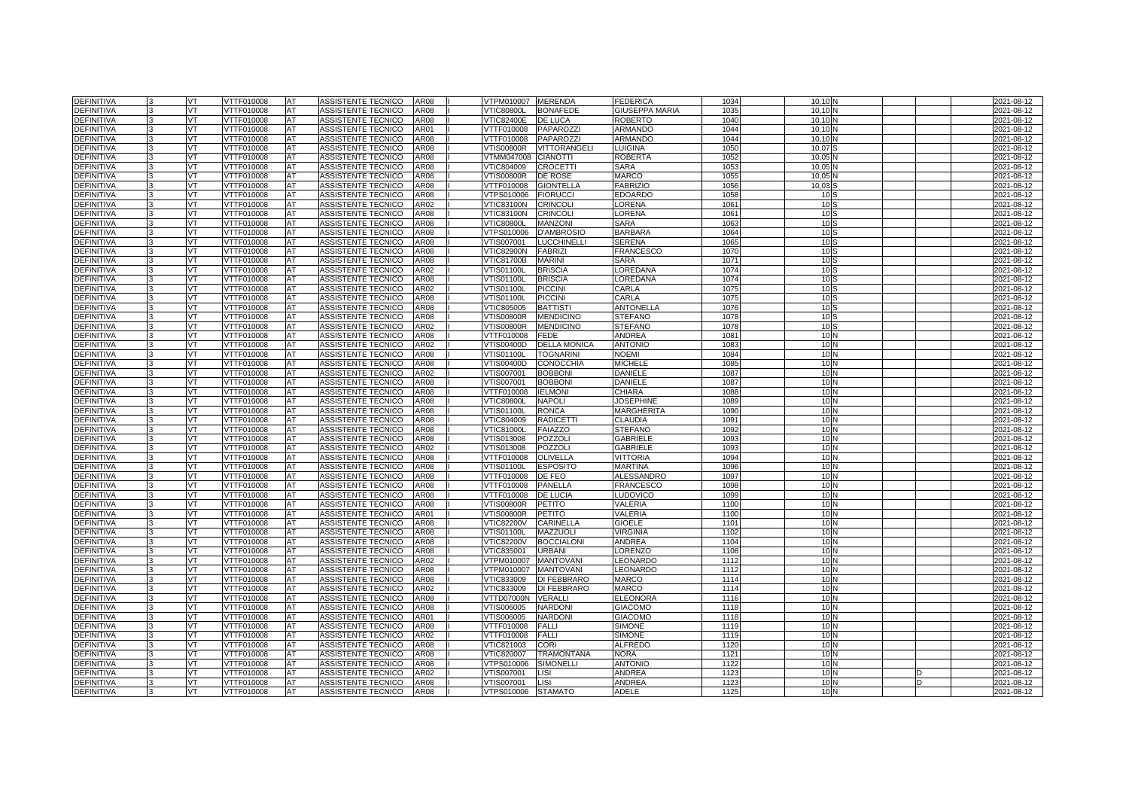| <b>DEFINITIVA</b>                      |              | VT               | VTTF010008               | <b>AT</b> | ASSISTENTE TECNICO                       | <b>AR08</b>                |                                 | VTPM010007 MERENDA               | <b>FEDERICA</b>                       | 1034         | 10.10                              |  | 2021-08-12               |
|----------------------------------------|--------------|------------------|--------------------------|-----------|------------------------------------------|----------------------------|---------------------------------|----------------------------------|---------------------------------------|--------------|------------------------------------|--|--------------------------|
| <b>DEFINITIVA</b>                      |              | VT               | VTTF010008               | AT        | ASSISTENTE TECNICO                       | AR08                       | <b>VTIC80800L</b>               | <b>BONAFEDE</b>                  | <b>GIUSEPPA MARIA</b>                 | 1035         | 10.10                              |  | 2021-08-12               |
| <b>DEFINITIVA</b>                      |              | VT               | <b>VTTF010008</b>        | AT        | <b>ASSISTENTE TECNICO</b>                | <b>AR08</b>                | <b>VTIC82400E</b>               | <b>DE LUCA</b>                   | <b>ROBERTO</b>                        | 1040         | 10.10                              |  | 2021-08-12               |
| DEFINITIVA                             |              | <b>VT</b>        | VTTF010008               | AT        | ASSISTENTE TECNICO                       | AR01                       | VTTF010008                      | <b>PAPAROZZI</b>                 | <b>ARMANDO</b>                        | 1044         | 10.10                              |  | 2021-08-12               |
| <b>DEFINITIVA</b>                      |              | VT.              | VTTF010008               | AT        | ASSISTENTE TECNICO                       | <b>AR08</b>                | VTTF010008                      | <b>PAPAROZZI</b>                 | <b>ARMANDO</b>                        | 1044         | 10.10                              |  | 2021-08-12               |
| <b>DEFINITIVA</b>                      |              | VT               | VTTF010008               | AT        | ASSISTENTE TECNICO                       | <b>AR08</b>                | <b>VTIS00800R</b>               | VITTORANGELI                     | <b>LUIGINA</b>                        | 1050         | 10.07                              |  | 2021-08-12               |
| <b>DEFINITIVA</b>                      |              | VT.              | VTTF010008               | <b>AT</b> | ASSISTENTE TECNICO                       | <b>AR08</b>                | VTMM047008                      | <b>CIANOTTI</b>                  | <b>ROBERTA</b>                        | 1052         | 10.05                              |  | 2021-08-12               |
| <b>DEFINITIVA</b>                      |              | VT.              | VTTF010008               | AT        | ASSISTENTE TECNICO                       | AR08                       | VTIC804009                      | <b>CROCETTI</b>                  | <b>SARA</b>                           | 105          | 10.05                              |  | 2021-08-12               |
| <b>DEFINITIVA</b>                      |              | VT               | VTTF010008               | AT        | ASSISTENTE TECNICO                       | AR08                       | <b>VTIS00800R</b>               | <b>DE ROSE</b>                   | <b>MARCO</b>                          | 1055         | 10,05                              |  | 2021-08-12               |
| <b>DEFINITIVA</b>                      |              | VT               | VTTF010008               | AT        | ASSISTENTE TECNICO                       | <b>AR08</b>                | VTTF010008                      | <b>GIONTELLA</b>                 | <b>FABRIZIO</b>                       | 1056         | 10.03                              |  | 2021-08-12               |
| <b>DEFINITIVA</b>                      |              | VT               | VTTF010008               | <b>AT</b> | ASSISTENTE TECNICO                       | <b>AR08</b>                | VTPS010006                      | <b>FIORUCCI</b>                  | <b>EDOARDO</b>                        | 1058         | 10                                 |  | 2021-08-12               |
| <b>DEFINITIVA</b>                      |              | VT               | VTTF010008               | AT        | ASSISTENTE TECNICO                       | AR02                       | <b>VTIC83100N</b>               | <b>CRINCOLI</b>                  | LORENA                                | 1061         | 10 <sub>5</sub>                    |  | 2021-08-12               |
| DEFINITIVA                             |              | VT.              | VTTF010008               | AT        | ASSISTENTE TECNICO                       | AR08                       | VTIC83100N                      | <b>CRINCOLI</b>                  | LORENA                                | 106'         | 10S                                |  | 2021-08-12               |
| <b>DEFINITIVA</b>                      |              | VT               | VTTF010008               | AT        | ASSISTENTE TECNICO                       | AR08                       | <b>VTIC80800L</b>               | <b>MANZONI</b>                   | <b>SARA</b>                           | 1063         | 10S                                |  | 2021-08-12               |
| <b>DEFINITIVA</b>                      |              | VT               | VTTF010008               | AT        | ASSISTENTE TECNICO                       | AR08                       | VTPS010006                      | <b>D'AMBROSIO</b>                | <b>BARBARA</b>                        | 1064         | 10 <sub>5</sub>                    |  | 2021-08-12               |
| DEFINITIVA                             |              | VT               | VTTF010008               | AT        | ASSISTENTE TECNICO                       | <b>AR08</b>                | VTIS007001                      | <b>LUCCHINELLI</b>               | <b>SERENA</b>                         | 1065         | 10S                                |  | 2021-08-12               |
| <b>DEFINITIVA</b>                      |              | VT               | VTTF010008               | AT        | ASSISTENTE TECNICO                       | AR08                       | VTIC82900N                      | <b>FABRIZI</b>                   | <b>FRANCESCO</b>                      | 1070         | 10 <sup>5</sup>                    |  | 2021-08-12               |
| <b>DEFINITIVA</b>                      |              | VT               | VTTF010008               | AT        | ASSISTENTE TECNICO                       | <b>AR08</b>                | VTIC81700B                      | <b>MARINI</b>                    | <b>SARA</b>                           | 1071         | 10 <sub>S</sub>                    |  | 2021-08-12               |
| <b>DEFINITIVA</b>                      |              | <b>VT</b>        | VTTF010008               | <b>AT</b> | ASSISTENTE TECNICO                       | AR02                       | √TIS01100L                      | <b>BRISCIA</b>                   | LOREDANA                              | 1074         | 10S                                |  | 2021-08-12               |
| <b>DEFINITIVA</b>                      |              | VT.              | VTTF010008               | AT        | ASSISTENTE TECNICO                       | AR08                       | √TIS01100L                      | <b>BRISCIA</b>                   | LOREDANA                              | 1074         | 10 <sup>5</sup>                    |  | 2021-08-12               |
| DEFINITIVA                             |              | VT               | VTTF010008               | AT        | ASSISTENTE TECNICO                       | AR02                       | <b>VTIS01100L</b>               | <b>PICCINI</b>                   | CARLA                                 | 107          | 10 <sup>5</sup>                    |  | 2021-08-12               |
| <b>DEFINITIVA</b>                      |              | VT               | VTTF010008               | AT        | ASSISTENTE TECNICO                       | AR08                       | √TIS01100L                      | <b>PICCINI</b>                   | CARLA                                 | 107          | 10S                                |  | 2021-08-12               |
| <b>DEFINITIVA</b>                      |              | VT               | VTTF010008               | AT        | ASSISTENTE TECNICO                       | AR08                       | VTIC805005                      | <b>BATTIST</b>                   | ANTONELLA                             | 1076         | 10 <sup>5</sup>                    |  | 2021-08-12               |
| DEFINITIVA                             |              | VT               | VTTF010008               | AT        | ASSISTENTE TECNICO                       | AR08                       | √TIS00800R                      | <b>MENDICINO</b>                 | <b>STEFANO</b>                        | 1078         | 10S                                |  | 2021-08-12               |
| DEFINITIVA                             |              | VT.              | VTTF010008               | AT        | ASSISTENTE TECNICO                       | AR02                       | √TIS00800R                      | <b>MENDICINO</b>                 | <b>STEFANO</b>                        | 1078         | 10S                                |  | 2021-08-12               |
| <b>DEFINITIVA</b>                      |              | VT.              | VTTF010008               | AT        | ASSISTENTE TECNICO                       | AR08                       | VTTF010008                      | <b>FEDE</b>                      | ANDREA                                | 108          | 10 <sub>h</sub>                    |  | 2021-08-12               |
| DEFINITIVA                             |              | VT               | VTTF010008               | AT        | ASSISTENTE TECNICO                       | AR02                       | VTIS00400D                      | <b>DELLA MONICA</b>              | <b>ANTONIO</b>                        | 1083         | 10 <sub>h</sub>                    |  | 2021-08-12               |
| DEFINITIVA                             |              | VT               | VTTF010008               | AT        | ASSISTENTE TECNICO                       | AR08                       | √TIS01100L                      | <b>TOGNARINI</b>                 | NOEMI                                 | 1084         | 10 <sub>h</sub>                    |  | 2021-08-12               |
| <b>DEFINITIVA</b>                      |              | VT               | VTTF010008               | AT        | ASSISTENTE TECNICO                       | AR08                       | VTIS00400D                      | <b>CONOCCHIA</b>                 | <b>MICHELE</b>                        | 1085         | 10 <sub>h</sub>                    |  | 2021-08-12               |
| DEFINITIVA                             |              | VT               | VTTF010008               | AT        | ASSISTENTE TECNICO                       | AR02                       | VTIS007001                      | <b>BOBBONI</b>                   | DANIELE                               | 1087         | 10 <sub>N</sub>                    |  | 2021-08-12               |
| DEFINITIVA                             |              | VT               | VTTF010008               | AT        | ASSISTENTE TECNICO                       | AR08                       | √TIS007001                      | <b>BOBBONI</b>                   | DANIELE                               | 1087         | 10 <sub>N</sub>                    |  | 2021-08-12               |
| <b>DEFINITIVA</b>                      |              | VT               | VTTF010008               | AT        | ASSISTENTE TECNICO                       | AR08                       | VTTF010008                      | <b>IELMONI</b>                   | <b>CHIARA</b>                         | 1088         | 10 <sub>h</sub>                    |  | 2021-08-12               |
| <b>DEFINITIVA</b>                      | $\mathbf{B}$ | VT.<br><b>VT</b> | VTTF010008               | AT        | ASSISTENTE TECNICO                       | AR08<br><b>AR08</b>        | <b>VTIC80800L</b><br>VTIS01100L | <b>NAPOLI</b>                    | <b>JOSEPHINE</b><br><b>MARGHERITA</b> | 1089<br>1090 | 10 <sub>N</sub><br>10 <sub>N</sub> |  | 2021-08-12               |
| <b>DEFINITIVA</b>                      |              | VT               | VTTF010008<br>VTTF010008 | AT<br>AT  | ASSISTENTE TECNICO<br>ASSISTENTE TECNICO |                            | VTIC804009                      | <b>RONCA</b><br><b>RADICETTI</b> | <b>CLAUDIA</b>                        | 1091         | 10 <sub>h</sub>                    |  | 2021-08-12               |
| <b>DEFINITIVA</b><br><b>DEFINITIVA</b> |              | VT.              | <b>VTTF010008</b>        |           | <b>ASSISTENTE TECNICO</b>                | <b>AR08</b><br><b>AR08</b> | <b>VTIC81000L</b>               | <b>FAIAZZO</b>                   | <b>STEFANO</b>                        | 1092         | 10 <sub>N</sub>                    |  | 2021-08-12               |
| <b>DEFINITIVA</b>                      |              | VT.              | VTTF010008               | AT<br>AT  | ASSISTENTE TECNICO                       | <b>AR08</b>                | VTIS013008                      | POZZOLI                          | <b>GABRIELE</b>                       | 1093         | 10 <sub>N</sub>                    |  | 2021-08-12<br>2021-08-12 |
| <b>DEFINITIVA</b>                      |              | VT               | VTTF010008               | AT        | ASSISTENTE TECNICO                       | AR02                       | VTIS013008                      | POZZOLI                          | <b>GABRIELE</b>                       | 1093         | 10 <sub>h</sub>                    |  | 2021-08-12               |
| <b>DEFINITIVA</b>                      |              | VT               | <b>VTTF010008</b>        | AT        | <b>ASSISTENTE TECNICO</b>                | AR08                       | VTTF010008                      | <b>OLIVELLA</b>                  | <b>VITTORIA</b>                       | 1094         | 10 <sub>N</sub>                    |  | 2021-08-12               |
| DEFINITIVA                             |              | VT               | VTTF010008               | AT        | ASSISTENTE TECNICO                       | AR08                       | VTIS01100L                      | <b>ESPOSITO</b>                  | <b>MARTINA</b>                        | 1096         | 10 <sub>h</sub>                    |  | 2021-08-12               |
| <b>DEFINITIVA</b>                      |              | VT.              | VTTF010008               | AT        | ASSISTENTE TECNICO                       | <b>AR08</b>                | VTTF010008                      | DE FEO                           | <b>ALESSANDRO</b>                     | 1097         | 10 <sub>h</sub>                    |  | 2021-08-12               |
| <b>DEFINITIVA</b>                      | 3            | VT               | VTTF010008               | AT        | ASSISTENTE TECNICO                       | <b>AR08</b>                | VTTF010008                      | PANELLA                          | FRANCESCO                             | 1098         | 10 <sub>N</sub>                    |  | 2021-08-12               |
| <b>DEFINITIVA</b>                      | l3           | VT.              | VTTF010008               | AT        | ASSISTENTE TECNICO                       | <b>AR08</b>                | VTTF010008                      | <b>DE LUCIA</b>                  | LUDOVICO                              | 1099         | 10 <sub>N</sub>                    |  | 2021-08-12               |
| <b>DEFINITIVA</b>                      |              | VT               | VTTF010008               | AT        | ASSISTENTE TECNICO                       | AR08                       | <b>VTIS00800R</b>               | PETITO                           | VALERIA                               | 1100         | 10 <sub>N</sub>                    |  | 2021-08-12               |
| <b>DEFINITIVA</b>                      |              | VT               | <b>VTTF010008</b>        | AT        | <b>ASSISTENTE TECNICO</b>                | AR01                       | <b>VTIS00800R</b>               | <b>PETITO</b>                    | VALERIA                               | 1100         | 10 <sub>N</sub>                    |  | 2021-08-12               |
| <b>DEFINITIVA</b>                      |              | VT               | VTTF010008               | AT        | ASSISTENTE TECNICO                       | AR08                       | <b>VTIC82200V</b>               | CARINELLA                        | <b>GIOELE</b>                         | 1101         | 10 <sub>h</sub>                    |  | 2021-08-12               |
| <b>DEFINITIVA</b>                      |              | VT               | VTTF010008               | AT        | ASSISTENTE TECNICO                       | <b>AR08</b>                | √TIS01100L                      | MAZZUOLI                         | <b>VIRGINIA</b>                       | 1102         | 10 <sub>N</sub>                    |  | 2021-08-12               |
| <b>DEFINITIVA</b>                      |              | VT               | VTTF010008               | AT        | ASSISTENTE TECNICO                       | AR08                       | <b>VTIC82200V</b>               | <b>BOCCIALONI</b>                | <b>ANDREA</b>                         | 1104         | 10 <sub>h</sub>                    |  | 2021-08-12               |
| DEFINITIVA                             |              | <b>VT</b>        | VTTF010008               | AT        | ASSISTENTE TECNICO                       | AR08                       | VTIC835001                      | <b>URBANI</b>                    | LORENZO                               | 1108         | 10 <sub>N</sub>                    |  | 2021-08-12               |
| <b>DEFINITIVA</b>                      |              | VT               | VTTF010008               | AT        | ASSISTENTE TECNICO                       | AR02                       | VTPM010007                      | <b>MANTOVANI</b>                 | LEONARDO                              | 1112         | 10 <sub>N</sub>                    |  | 2021-08-12               |
| DEFINITIVA                             |              | VT               | VTTF010008               | AT        | ASSISTENTE TECNICO                       | AR08                       | VTPM010007                      | <b>MANTOVANI</b>                 | EONARDO                               | 1112         | 10 <sub>h</sub>                    |  | 2021-08-12               |
| DEFINITIVA                             |              | VT               | VTTF010008               | AT        | <b>ASSISTENTE TECNICO</b>                | AR08                       | VTIC833009                      | <b>DI FEBBRARO</b>               | <b>MARCO</b>                          | 1114         | 10 <sub>N</sub>                    |  | 2021-08-12               |
| DEFINITIVA                             |              | VT               | VTTF010008               | AT        | ASSISTENTE TECNICO                       | AR02                       | VTIC833009                      | DI FEBBRARO                      | <b>MARCO</b>                          | 1114         | 10 <sub>h</sub>                    |  | 2021-08-12               |
| <b>DEFINITIVA</b>                      |              | VT               | VTTF010008               | AT        | ASSISTENTE TECNICO                       | AR08                       | VTTD07000N                      | <b>VERALL</b>                    | <b>ELEONORA</b>                       | 1116         | 10 <sub>N</sub>                    |  | 2021-08-12               |
| DEFINITIVA                             |              | VT               | VTTF010008               | AT        | ASSISTENTE TECNICO                       | AR08                       | VTIS006005                      | <b>NARDON</b>                    | <b>GIACOMO</b>                        | 1118         | 10 <sub>N</sub>                    |  | 2021-08-12               |
| <b>DEFINITIVA</b>                      |              | VT               | VTTF010008               | AT        | ASSISTENTE TECNICO                       | AR01                       | VTIS006005                      | <b>NARDONI</b>                   | <b>GIACOMO</b>                        | 1118         | 10 <sub>h</sub>                    |  | 2021-08-12               |
| DEFINITIVA                             |              | VT               | VTTF010008               | AT        | ASSISTENTE TECNICO                       | AR08                       | VTTF010008                      | <b>FALLI</b>                     | <b>SIMONE</b>                         | 1119         | 10 <sub>h</sub>                    |  | 2021-08-12               |
| DEFINITIVA                             |              | VT               | VTTF010008               | AT        | ASSISTENTE TECNICO                       | AR02                       | VTTF010008                      | <b>FALLI</b>                     | <b>SIMONE</b>                         | 1119         | 10 <sub>h</sub>                    |  | 2021-08-12               |
| <b>DEFINITIVA</b>                      |              | VT.              | VTTF010008               | AT        | ASSISTENTE TECNICO                       | AR08                       | VTIC821003                      | <b>CORI</b>                      | <b>ALFREDO</b>                        | 1120         | 10 <sub>N</sub>                    |  | 2021-08-12               |
| DEFINITIVA                             |              | VT               | VTTF010008               | AT        | ASSISTENTE TECNICO                       | AR08                       | VTIC820007                      | <b>TRAMONTANA</b>                | NORA                                  | 1121         | 10 <sub>N</sub>                    |  | 2021-08-12               |
| DEFINITIVA                             |              | VT.              | VTTF010008               | AT        | ASSISTENTE TECNICO                       | AR08                       | √TPS010006                      | <b>SIMONELLI</b>                 | <b>ANTONIO</b>                        | 1122         | 10 <sub>N</sub>                    |  | 2021-08-12               |
| DEFINITIVA                             |              | VT               | VTTF010008               | AT        | ASSISTENTE TECNICO                       | AR02                       | √TIS007001                      | LISI                             | ANDREA                                | 1123         | 10 <sub>N</sub>                    |  | 2021-08-12               |
| <b>DEFINITIVA</b>                      |              | VT               | VTTF010008               | AT        | ASSISTENTE TECNICO                       | <b>AR08</b>                | VTIS007001                      | <b>LISI</b>                      | ANDREA                                | 1123         | 10 <sub>N</sub>                    |  | 2021-08-12               |
| <b>DEFINITIVA</b>                      | 3            | VT               | VTTF010008               | <b>AT</b> | ASSISTENTE TECNICO                       | AR08                       | VTPS010006                      | <b>STAMATO</b>                   | ADELE                                 | 1125         | 10 <sub>N</sub>                    |  | 2021-08-12               |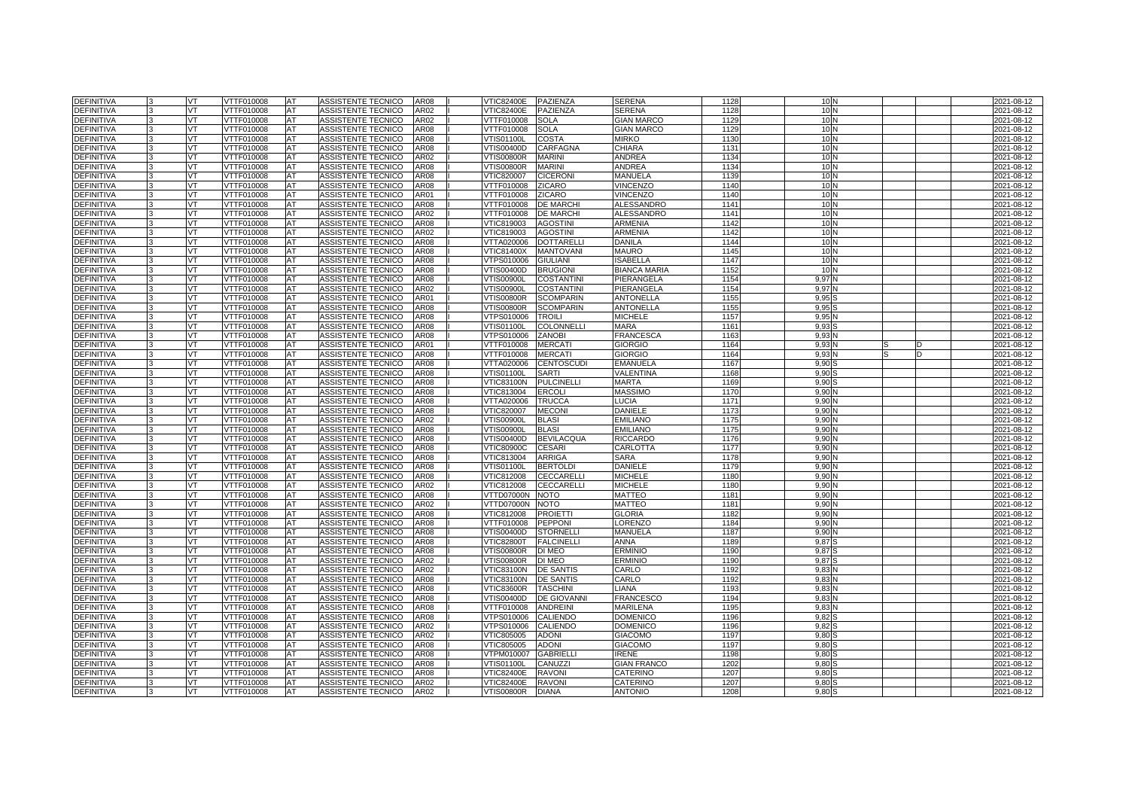| <b>DEFINITIVA</b>               | <b>VT</b>       | VTTF010008               | AT              | ASSISTENTE TECNICO                              | <b>AR08</b>      | <b>VTIC82400E</b>        | PAZIENZA                         | <b>SERENA</b>                  | 1128         | 10 <sub>N</sub>   | 2021-08-12               |
|---------------------------------|-----------------|--------------------------|-----------------|-------------------------------------------------|------------------|--------------------------|----------------------------------|--------------------------------|--------------|-------------------|--------------------------|
| DEFINITIVA                      | VT              | VTTF010008               | AT              | ASSISTENTE TECNICO                              | AR02             | √TIC82400E               | PAZIENZA                         | <b>SERENA</b>                  | 1128         | 10 <sub>N</sub>   | 2021-08-12               |
| <b>DEFINITIVA</b>               | VT              | VTTF010008               | AT              | ASSISTENTE TECNICO                              | AR02             | VTTF010008               | <b>SOLA</b>                      | <b>GIAN MARCO</b>              | 1129         | 10 <sub>N</sub>   | 2021-08-12               |
| DEFINITIVA                      | <b>VT</b>       | VTTF010008               | AT              | ASSISTENTE TECNICO                              | AR08             | VTTF010008               | <b>SOLA</b>                      | <b>GIAN MARCO</b>              | 1129         | 10 <sub>N</sub>   | 2021-08-12               |
| DEFINITIVA                      | VT              | VTTF010008               | AT              | ASSISTENTE TECNICO                              | AR08             | √TIS01100L               | <b>COSTA</b>                     | <b>MIRKO</b>                   | 1130         | 10 <sub>N</sub>   | 2021-08-12               |
| <b>DEFINITIVA</b>               | VT              | VTTF010008               | AT              | ASSISTENTE TECNICO                              | AR08             | VTIS00400D               | <b>CARFAGNA</b>                  | CHIARA                         | 1131         | 10 <sub>N</sub>   | 2021-08-12               |
| DEFINITIVA                      | VT              | VTTF010008               | AT              | ASSISTENTE TECNICO                              | AR02             | <b>VTIS00800R</b>        | <b>MARINI</b>                    | ANDREA                         | 1134         | 10 <sub>N</sub>   | 2021-08-12               |
| DEFINITIVA                      | VT              | VTTF010008               | AT              | ASSISTENTE TECNICO                              | AR08             | √TIS00800R               | <b>MARINI</b>                    | ANDREA                         | 1134         | 10 <sub>N</sub>   | 2021-08-12               |
| <b>DEFINITIVA</b>               | VT              | VTTF010008               | AT              | ASSISTENTE TECNICO                              | AR08             | VTIC820007               | <b>CICERON</b>                   | MANUELA                        | 1139         | 10 <sub>N</sub>   | 2021-08-12               |
| DEFINITIVA                      | <b>VT</b>       | VTTF010008               | AT              | ASSISTENTE TECNICO                              | AR08             | VTTF010008               | <b>ZICARO</b>                    | VINCENZO                       | 1140         | 10 <sub>N</sub>   | 2021-08-12               |
| <b>DEFINITIVA</b>               | VT              | VTTF010008               | AT              | ASSISTENTE TECNICO                              | AR01             | VTTF010008               | <b>ZICARO</b>                    | VINCENZO                       | 1140         | 10 <sub>N</sub>   | 2021-08-12               |
| <b>DEFINITIVA</b>               | VT              | /TTF010008               | AT              | ASSISTENTE TECNICO                              | AR <sub>08</sub> | VTTF010008               | <b>DE MARCHI</b>                 | <b>ALESSANDRO</b>              | 1141         | 10 <sub>N</sub>   | 2021-08-12               |
| DEFINITIVA                      | VT              | VTTF010008               | AT              | ASSISTENTE TECNICO                              | AR02             | VTTF010008               | <b>DE MARCHI</b>                 | ALESSANDRO                     | 1141         | 10 <sub>N</sub>   | 2021-08-12               |
| DEFINITIVA                      | VT              | VTTF010008               | AT              | ASSISTENTE TECNICO                              | AR08             | VTIC819003               | <b>AGOSTINI</b>                  | <b>ARMENIA</b>                 | 1142         | 10 <sub>N</sub>   | 2021-08-12               |
| DEFINITIVA                      | VT              | VTTF010008               | AT              | ASSISTENTE TECNICO                              | AR02             | VTIC819003               | <b>AGOSTINI</b>                  | <b>ARMENIA</b>                 | 1142         | 10 <sub>N</sub>   | 2021-08-12               |
| <b>DEFINITIVA</b>               | <b>VT</b>       | VTTF010008               | AT              | ASSISTENTE TECNICO                              | AR08             | VTTA020006               | <b>DOTTARELLI</b>                | <b>DANILA</b>                  | 1144         | 10 <sub>N</sub>   | 2021-08-12               |
| <b>DEFINITIVA</b>               | VT              | VTTF010008               | AT              | ASSISTENTE TECNICO                              | AR08             | <b>VTIC81400X</b>        | <b>MANTOVANI</b>                 | <b>MAURO</b>                   | 1145         | 10 <sub>N</sub>   | 2021-08-12               |
| <b>DEFINITIVA</b>               | VT              | /TTF010008               | AT              | ASSISTENTE TECNICO                              | AR08             | VTPS010006               | <b>GIULIANI</b>                  | SABELLA                        | 1147         | 10 <sub>N</sub>   | 2021-08-12               |
| <b>DEFINITIVA</b>               | VT              | VTTF010008               | AT              | ASSISTENTE TECNICO                              | AR08             | <b>VTIS00400D</b>        | <b>BRUGIONI</b>                  | <b>BIANCA MARIA</b>            | 1152         | 10 <sub>N</sub>   | 2021-08-12               |
| <b>DEFINITIVA</b>               | VT              | VTTF010008               | AT              | ASSISTENTE TECNICO                              | AR08             | √TIS00900L               | <b>COSTANTINI</b>                | PIERANGELA                     | 1154         | 9,97 <sup>N</sup> | 2021-08-12               |
| DEFINITIVA                      | VT              | VTTF010008               | AT              | ASSISTENTE TECNICO                              | AR02             | √TIS00900L               | <b>COSTANTINI</b>                | PIERANGELA                     | 1154         | 9,97 N            | 2021-08-12               |
| <b>DEFINITIVA</b>               | <b>VT</b>       | VTTF010008               | AT              | ASSISTENTE TECNICO                              | AR01             | VTIS00800R               | <b>SCOMPARIN</b>                 | ANTONELLA                      | 1155         | 9,95S             | 2021-08-12               |
| <b>DEFINITIVA</b>               | VT              | VTTF010008               | AT              | ASSISTENTE TECNICO                              | <b>AR08</b>      | √TIS00800R               | <b>SCOMPARIN</b>                 | <b>ANTONELLA</b>               | 1155         | 9,95              | 2021-08-12               |
| <b>DEFINITIVA</b>               | VT.             | VTTF010008               | AT              | ASSISTENTE TECNICO                              | AR08             | VTPS010006               | <b>TROILI</b>                    | <b>MICHELE</b>                 | 1157         | 9,95N             | 2021-08-12               |
| <b>DEFINITIVA</b>               | VT              | VTTF010008               | AT              | ASSISTENTE TECNICO                              | AR08             | VTIS01100L               | <b>COLONNELLI</b>                | MARA                           | 1161         | 9,935             | 2021-08-12               |
| <b>DEFINITIVA</b>               | VT              | VTTF010008               | AT              | ASSISTENTE TECNICO                              | AR08             | VTPS010006               | <b>ZANOBI</b>                    | <b>FRANCESCA</b>               | 1163         | 9,93N             | 2021-08-12               |
| <b>DEFINITIVA</b>               | VT              | VTTF010008               | AT              | ASSISTENTE TECNICO                              | AR01             | VTTF010008               | <b>MERCATI</b>                   | <b>GIORGIO</b>                 | 1164         | 9,93N             | 2021-08-12               |
| <b>DEFINITIVA</b>               | <b>VT</b>       | VTTF010008               | AT              | ASSISTENTE TECNICO                              | AR08             | VTTF010008               | <b>MERCAT</b>                    | <b>GIORGIO</b>                 | 1164         | 9,93N             | 2021-08-12               |
| DEFINITIVA                      | VT              | VTTF010008               | AT              | ASSISTENTE TECNICO                              | AR08             | VTTA020006               | <b>CENTOSCUDI</b>                | <b>EMANUELA</b>                | 1167         | 9,90              | 2021-08-12               |
| <b>DEFINITIVA</b>               | VT.             | VTTF010008               | AT              | ASSISTENTE TECNICO                              | AR08             | √TIS01100L               | <b>SARTI</b>                     | VALENTINA                      | 1168         | 9,90              | 2021-08-12               |
| <b>DEFINITIVA</b>               | <b>VT</b>       | VTTF010008               | AT              | ASSISTENTE TECNICO                              | AR08             | <b>VTIC83100N</b>        | <b>PULCINELLI</b>                | MARTA                          | 1169         | $9,90$ :          | 2021-08-12               |
| DEFINITIVA                      | VT              | VTTF010008               | AT              | ASSISTENTE TECNICO                              | <b>AR08</b>      | VTIC813004               | <b>ERCOL</b>                     | <b>MASSIMO</b>                 | 1170         | 9,90N             | 2021-08-12               |
| <b>DEFINITIVA</b>               | VT              | VTTF010008               | AT              | ASSISTENTE TECNICO                              | AR <sub>08</sub> | VTTA020006               | <b>TRUCCA</b>                    | LUCIA.                         | 1171         | 9.901             | 2021-08-12               |
| <b>DEFINITIVA</b>               | <b>VT</b>       | VTTF010008               | AT              | ASSISTENTE TECNICO                              | AR08             | <b>VTIC820007</b>        | <b>MECONI</b>                    | DANIELE                        | 1173         | 9,90N             | 2021-08-12               |
| <b>DEFINITIVA</b>               | VT              | VTTF010008               | AT              | ASSISTENTE TECNICO                              | AR <sub>02</sub> | √TIS00900L               | <b>BLASI</b>                     | <b>EMILIANO</b>                | 1175         | 9,90N             | 2021-08-12               |
| <b>DEFINITIVA</b>               | VT              | /TTF010008               | AT              | ASSISTENTE TECNICO                              | AR08             | √TIS00900L               | <b>BLASI</b>                     | <b>EMILIANO</b>                | 1175         | 9,90N             | 2021-08-12               |
| <b>DEFINITIVA</b>               | <b>VT</b>       | VTTF010008               | AT              | ASSISTENTE TECNICO                              | AR08             | VTIS00400D               | <b>BEVILACQUA</b>                | <b>RICCARDO</b>                | 1176         | 9,90N             | 2021-08-12               |
| DEFINITIVA                      | VT              | VTTF010008               | AT              | <b>ASSISTENTE TECNICO</b>                       | AR08             | <b>VTIC80900C</b>        | <b>CESARI</b>                    | CARLOTTA                       | 1177         | 9,90N             | 2021-08-12               |
| <b>DEFINITIVA</b>               | VT              | <b>TTF010008</b>         | AT              | <b>ASSISTENTE TECNICO</b>                       | AR08             | VTIC813004               | <b>ARRIGA</b>                    | SARA                           | 1178         | 9.90              | $2021 - 08 - 12$         |
| <b>DEFINITIVA</b>               | VT              | VTTF010008               | AT              | <b>ASSISTENTE TECNICO</b>                       | AR08             | VTIS01100L               | <b>BERTOLD</b>                   | DANIELE                        | 1179         | 9,90N             | 2021-08-12               |
| DEFINITIVA                      | VT              | VTTF010008               | AT              | <b>ASSISTENTE TECNICO</b>                       | <b>AR08</b>      | VTIC812008               | CECCARELLI                       | <b>MICHELE</b>                 | 1180         | 9,90N             | 2021-08-12               |
| <b>DEFINITIVA</b>               | VT              | /TTF010008               | AT              | ASSISTENTE TECNICO                              | AR02             | VTIC812008               | <b>CECCARELLI</b>                | <b>MICHELE</b>                 | 1180         | 9,90N             | 2021-08-12               |
| <b>DEFINITIVA</b>               | <b>VT</b>       | VTTF010008               | AT              | ASSISTENTE TECNICO                              | AR08             | VTTD07000N               | <b>NOTO</b>                      | <b>MATTEO</b>                  | 1181         | 9,90N             | 2021-08-12               |
| DEFINITIVA                      | VT              | VTTF010008               | AT              | ASSISTENTE TECNICO                              | AR02             | VTTD07000N               | <b>NOTO</b>                      | MATTEO                         | 1181         | 9,90              | 2021-08-12               |
| <b>DEFINITIVA</b>               | VT              | /TTF010008               | AT              | ASSISTENTE TECNICO                              | AR08             | /TIC812008               | <b>PROIETTI</b>                  | GLORIA                         | 1182         | 9.90              | 2021-08-12               |
| DEFINITIVA                      | VT              | VTTF010008               | AT              | ASSISTENTE TECNICO                              | AR08             | VTTF010008               | <b>PEPPON</b>                    | LORENZO                        | 1184         | 9,90N             | 2021-08-12               |
| DEFINITIVA                      | VT              | VTTF010008               | AT              | ASSISTENTE TECNICO                              | AR08             | √TIS00400D               | <b>STORNELLI</b>                 | MANUELA                        | 1187         | 9,90N             | 2021-08-12               |
| <b>DEFINITIVA</b>               | VT              | VTTF010008               | <b>AT</b>       | ASSISTENTE TECNICO                              | AR08             | VTIC82800T               | <b>FALCINELLI</b>                | <b>ANNA</b>                    | 1189         | 9,87 S            | 2021-08-12               |
| <b>DEFINITIVA</b>               | <b>VT</b>       | VTTF010008               | AT              | ASSISTENTE TECNICO                              | AR08             | VTIS00800R               | DI MEO                           | <b>ERMINIO</b>                 | 1190         | 9,87              | 2021-08-12               |
| DEFINITIVA                      | VT              | VTTF010008               | AT              | ASSISTENTE TECNICO                              | AR02             | √TIS00800R               | DI MEO                           | ERMINIO                        | 1190         | 9,87S             | 2021-08-12               |
| <b>DEFINITIVA</b>               | VT              | VTTF010008               | AT              | ASSISTENTE TECNICO                              | AR02             | VTIC83100N               | <b>DE SANTIS</b>                 | CARLO                          | 1192         | 9.83N             | 2021-08-12               |
| <b>DEFINITIVA</b>               | VT              | VTTF010008               | AT              | ASSISTENTE TECNICO                              | AR08             | <b>VTIC83100N</b>        | <b>DE SANTIS</b>                 | CARLO                          | 1192         | 9,83N             | 2021-08-12               |
| DEFINITIVA                      | VT              | VTTF010008               | AT              | ASSISTENTE TECNICO                              | <b>AR08</b>      | VTIC83600R               | <b>TASCHINI</b>                  | <b>IANA</b>                    | 1193         | 9,83N             | 2021-08-12               |
| <b>DEFINITIVA</b>               | VT              | /TTF010008               | AT              | ASSISTENTE TECNICO                              | AR08             | VTIS00400D               | <b>DE GIOVANNI</b>               | <b>FRANCESCO</b>               | 1194         | 9.83N             | 2021-08-12               |
| <b>DEFINITIVA</b>               | VT              | VTTF010008               | AT              | ASSISTENTE TECNICO                              | AR08             | VTTF010008               | <b>ANDREINI</b>                  | <b>MARILENA</b>                | 1195         | 9,83N             | 2021-08-12               |
| <b>DEFINITIVA</b>               | VT              | VTTF010008               | AT              | <b>ASSISTENTE TECNICO</b>                       | AR08             | VTPS010006               | <b>CALIENDO</b>                  | DOMENICC                       | 1196         | 9,82              | 2021-08-12               |
| <b>DEFINITIVA</b>               | VT              | VTTF010008               | AT              | ASSISTENTE TECNICO                              | AR02             | VTPS010006               | <b>CALIENDO</b>                  | <b>DOMENICO</b>                | 1196         | 9,82              | 2021-08-12               |
| <b>DEFINITIVA</b>               | <b>VT</b><br>VT | VTTF010008               | AT              | <b>ASSISTENTE TECNICO</b><br>ASSISTENTE TECNICO | AR02<br>AR08     | VTIC805005               | <b>ADONI</b>                     | <b>GIACOMO</b>                 | 1197<br>1197 | 9,80              | 2021-08-12               |
| DEFINITIVA<br><b>DEFINITIVA</b> | VT              | VTTF010008<br>VTTF010008 | AT<br><b>AT</b> |                                                 | AR08             | VTIC805005<br>VTPM010007 | <b>ADONI</b><br><b>GABRIELLI</b> | <b>GIACOMO</b><br><b>IRENE</b> | 1198         | 9,80<br>9,80      | 2021-08-12<br>2021-08-12 |
| <b>DEFINITIVA</b>               | VT              | VTTF010008               | AT              | ASSISTENTE TECNICO<br>ASSISTENTE TECNICO        | AR08             | VTIS01100L               | CANUZZI                          | <b>GIAN FRANCO</b>             | 1202         | 9,80              | 2021-08-12               |
| DEFINITIVA                      | VT              | VTTF010008               | AT              | ASSISTENTE TECNICO                              | AR08             | <b>VTIC82400E</b>        | <b>RAVONI</b>                    | CATERINO                       | 1207         | 9,80              | 2021-08-12               |
| <b>DEFINITIVA</b>               | VT              | /TTF010008               | AT              | ASSISTENTE TECNICO                              | AR02             | <b>VTIC82400E</b>        | <b>RAVONI</b>                    | CATERINO                       | 1207         | 9,80              | 2021-08-12               |
| <b>DEFINITIVA</b>               | VT.             | VTTF010008               | AT              |                                                 | AR02             | VTIS00800R               | <b>DIANA</b>                     | <b>ANTONIO</b>                 | 1208         | 9,80              | 2021-08-12               |
|                                 |                 |                          |                 | ASSISTENTE TECNICO                              |                  |                          |                                  |                                |              |                   |                          |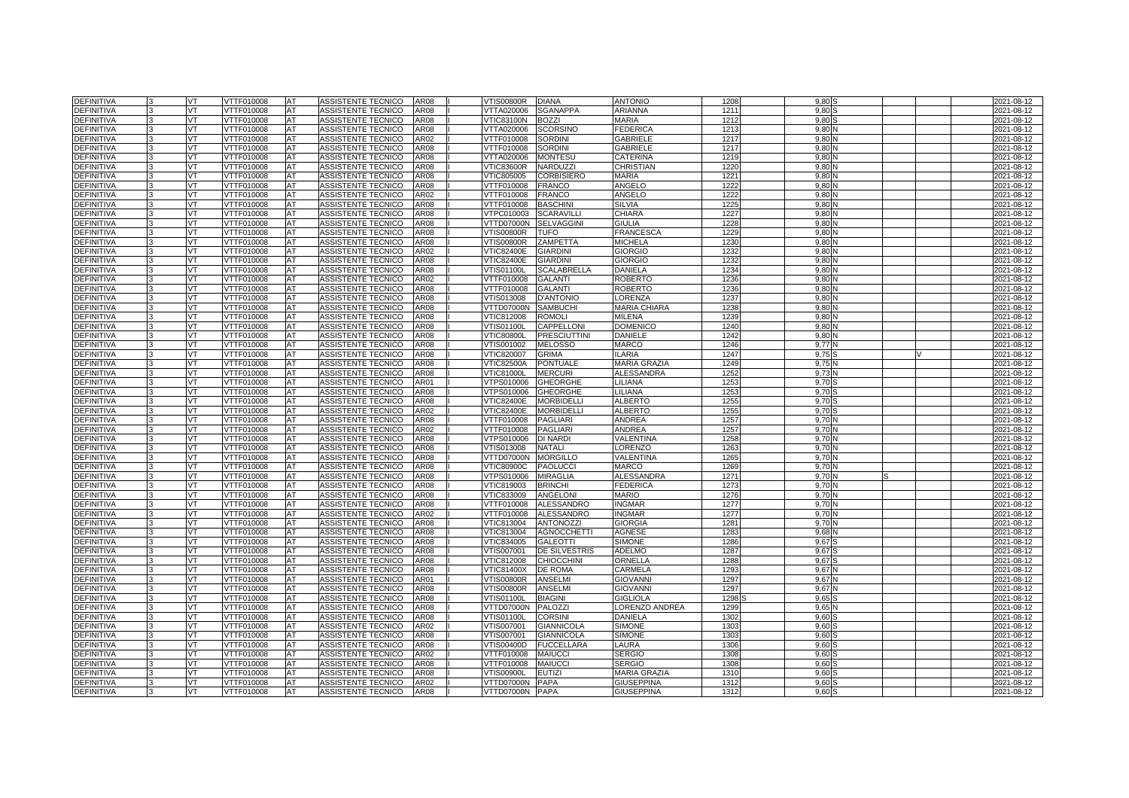| <b>DEFINITIVA</b> |    | VT        | VTTF010008        | <b>AT</b>  | ASSISTENTE TECNICO        | <b>AR08</b> | <b>VTIS00800R</b> | <b>DIANA</b>         | <b>ANTONIO</b>      | 1208 | 9.80  |  | 2021-08-12 |
|-------------------|----|-----------|-------------------|------------|---------------------------|-------------|-------------------|----------------------|---------------------|------|-------|--|------------|
| <b>DEFINITIVA</b> |    | VT        | VTTF010008        | AT         | ASSISTENTE TECNICO        | AR08        | VTTA020006        | <b>SGANAPPA</b>      | ARIANNA             | 121  | 9.80  |  | 2021-08-12 |
| <b>DEFINITIVA</b> |    | VT        | <b>VTTF010008</b> | AT         | <b>ASSISTENTE TECNICO</b> | <b>AR08</b> | <b>VTIC83100N</b> | <b>BOZZI</b>         | <b>MARIA</b>        | 1212 | 9.80  |  | 2021-08-12 |
| <b>DEFINITIVA</b> |    | <b>VT</b> | VTTF010008        | AT         | ASSISTENTE TECNICO        | <b>AR08</b> | VTTA020006        | <b>SCORSINO</b>      | <b>FEDERICA</b>     | 1213 | 9.801 |  | 2021-08-12 |
| <b>DEFINITIVA</b> |    | VT.       | VTTF010008        | AT         | ASSISTENTE TECNICO        | AR02        | VTTF010008        | <b>SORDINI</b>       | <b>GABRIELE</b>     | 1217 | 9.80  |  | 2021-08-12 |
| <b>DEFINITIVA</b> |    | VT        | VTTF010008        | AT         | ASSISTENTE TECNICO        | <b>AR08</b> | VTTF010008        | <b>SORDINI</b>       | <b>GABRIELE</b>     | 1217 | 9,80  |  | 2021-08-12 |
| <b>DEFINITIVA</b> |    | VT.       | VTTF010008        | <b>AT</b>  | ASSISTENTE TECNICO        | <b>AR08</b> | VTTA020006        | <b>MONTESU</b>       | CATERINA            | 1219 | 9.80  |  | 2021-08-12 |
| <b>DEFINITIVA</b> |    | VT.       | VTTF010008        | AT         | ASSISTENTE TECNICO        | AR08        | <b>VTIC83600R</b> | <b>NARDUZZI</b>      | CHRISTIAN           | 1220 | 9.80  |  | 2021-08-12 |
| <b>DEFINITIVA</b> |    | VT        | VTTF010008        | AT         | ASSISTENTE TECNICO        | AR08        | VTIC805005        | <b>CORBISIERO</b>    | <b>MARIA</b>        | 1221 | 9.80  |  | 2021-08-12 |
| <b>DEFINITIVA</b> |    | VT        | VTTF010008        | AT         | ASSISTENTE TECNICO        | <b>AR08</b> | VTTF010008        | <b>FRANCO</b>        | ANGELO              | 1222 | 9.80  |  | 2021-08-12 |
| <b>DEFINITIVA</b> |    | VT        | VTTF010008        | <b>IAT</b> | <b>ASSISTENTE TECNICO</b> | AR02        | VTTF010008        | <b>FRANCO</b>        | <b>ANGELO</b>       | 1222 | 9.80  |  | 2021-08-12 |
| <b>DEFINITIVA</b> |    | VT        | VTTF010008        | AT         | ASSISTENTE TECNICO        | <b>AR08</b> | VTTF010008        | <b>BASCHINI</b>      | SILVIA              | 1225 | 9,80  |  | 2021-08-12 |
| <b>DEFINITIVA</b> |    | VT.       | VTTF010008        | <b>AT</b>  | ASSISTENTE TECNICO        | <b>AR08</b> | VTPC010003        | <b>SCARAVILLI</b>    | CHIARA              | 122  | 9.80  |  | 2021-08-12 |
| <b>DEFINITIVA</b> |    | VT        | VTTF010008        | AT         | ASSISTENTE TECNICO        | <b>AR08</b> | VTTD07000N        | <b>SELVAGGINI</b>    | <b>GIULIA</b>       | 1228 | 9.80  |  | 2021-08-12 |
| <b>DEFINITIVA</b> |    | VT        | VTTF010008        | AT         | ASSISTENTE TECNICO        | AR08        | <b>VTIS00800R</b> | <b>TUFO</b>          | <b>FRANCESCA</b>    | 1229 | 9,80  |  | 2021-08-12 |
| <b>DEFINITIVA</b> |    | <b>VT</b> | VTTF010008        | <b>AT</b>  | ASSISTENTE TECNICO        | <b>AR08</b> | <b>VTIS00800R</b> | ZAMPETTA             | <b>MICHELA</b>      | 123  | 9.80  |  | 2021-08-12 |
| DEFINITIVA        |    | VT        | VTTF010008        | <b>AT</b>  | ASSISTENTE TECNICO        | AR02        | <b>VTIC82400E</b> | <b>GIARDINI</b>      | <b>GIORGIO</b>      | 1232 | 9.80  |  | 2021-08-12 |
| <b>DEFINITIVA</b> |    | VT.       | VTTF010008        | AT         | ASSISTENTE TECNICO        | AR08        | <b>VTIC82400E</b> | <b>GIARDINI</b>      | <b>GIORGIO</b>      | 1232 | 9,80  |  | 2021-08-12 |
| <b>DEFINITIVA</b> |    | VT.       | VTTF010008        | <b>AT</b>  | ASSISTENTE TECNICO        | AR08        | VTIS01100L        | <b>SCALABRELLA</b>   | <b>DANIELA</b>      | 1234 | 9.80  |  | 2021-08-12 |
| <b>DEFINITIVA</b> |    | VT.       | VTTF010008        | AT         | ASSISTENTE TECNICO        | AR02        | VTTF010008        | <b>GALANTI</b>       | <b>ROBERTO</b>      | 1236 | 9.80  |  | 2021-08-12 |
| <b>DEFINITIVA</b> |    | VT        | VTTF010008        | AT         | ASSISTENTE TECNICO        | AR08        | VTTF010008        | <b>GALANTI</b>       | <b>ROBERTO</b>      | 1236 | 9.80  |  | 2021-08-12 |
| <b>DEFINITIVA</b> |    | <b>VT</b> | VTTF010008        | AT         | ASSISTENTE TECNICO        | AR08        | VTIS013008        | <b>D'ANTONIO</b>     | LORENZA             | 1237 | 9.80  |  | 2021-08-12 |
| DEFINITIVA        |    | VT        | VTTF010008        | AT         | ASSISTENTE TECNICO        | AR08        | VTTD07000N        | <b>SAMBUCHI</b>      | <b>MARIA CHIARA</b> | 1238 | 9.80  |  | 2021-08-12 |
| <b>DEFINITIVA</b> |    | VT        | VTTF010008        | AT         | ASSISTENTE TECNICO        | AR08        | VTIC812008        | <b>ROMOL</b>         | <b>MILENA</b>       | 1239 | 9,80  |  | 2021-08-12 |
| <b>DEFINITIVA</b> |    | VT.       | VTTF010008        | AT         | ASSISTENTE TECNICO        | AR08        | <b>VTIS01100L</b> | CAPPELLONI           | <b>DOMENICO</b>     | 1240 | 9.80  |  | 2021-08-12 |
| <b>DEFINITIVA</b> |    | VT.       | VTTF010008        | AT         | ASSISTENTE TECNICO        | AR08        | <b>VTIC80800L</b> | <b>PRESCIUTTINI</b>  | DANIELE             | 1242 | 9.80  |  | 2021-08-12 |
| <b>DEFINITIVA</b> |    | VT        | VTTF010008        | AT         | ASSISTENTE TECNICO        | AR08        | VTIS001002        | <b>MELOSSO</b>       | <b>MARCO</b>        | 1246 | 9.77  |  | 2021-08-12 |
| <b>DEFINITIVA</b> | l3 | VT        | VTTF010008        | AT         | ASSISTENTE TECNICO        | AR08        | VTIC820007        | <b>GRIMA</b>         | <b>ILARIA</b>       | 1247 | 9.75  |  | 2021-08-12 |
| DEFINITIVA        |    | VT        | VTTF010008        | AT         | ASSISTENTE TECNICO        | AR08        | VTIC82500A        | <b>PONTUALE</b>      | <b>MARIA GRAZIA</b> | 1249 | 9.75  |  | 2021-08-12 |
| <b>DEFINITIVA</b> |    | VT        | VTTF010008        | AT         | ASSISTENTE TECNICO        | AR08        | <b>VTIC81000L</b> | <b>MERCURI</b>       | <b>ALESSANDRA</b>   | 1252 | 9,73  |  | 2021-08-12 |
| <b>DEFINITIVA</b> |    | <b>VT</b> | VTTF010008        | AT         | ASSISTENTE TECNICO        | AR01        | VTPS010006        | <b>GHEORGHE</b>      | LILIANA             | 1253 | 9.70  |  | 2021-08-12 |
| <b>DEFINITIVA</b> |    | VT.       | VTTF010008        | AT         | ASSISTENTE TECNICO        | AR08        | VTPS010006        | <b>GHEORGHE</b>      | LILIANA             | 1253 | 9.70  |  | 2021-08-12 |
| DEFINITIVA        |    | VT        | VTTF010008        | AT         | ASSISTENTE TECNICO        | AR08        | /TIC82400E        | <b>MORBIDELL</b>     | <b>ALBERTO</b>      | 125  | 9.70  |  | 2021-08-12 |
| DEFINITIVA        |    | VT        | VTTF010008        | AT         | ASSISTENTE TECNICO        | AR02        | <b>VTIC82400E</b> | <b>MORBIDELLI</b>    | <b>ALBERTO</b>      | 1255 | 9.70  |  | 2021-08-12 |
| DEFINITIVA        |    | VT        | VTTF010008        | AT         | ASSISTENTE TECNICO        | AR08        | VTTF010008        | <b>PAGLIARI</b>      | ANDREA              | 1257 | 9.70  |  | 2021-08-12 |
| <b>DEFINITIVA</b> |    | VT        | VTTF010008        | AT         | ASSISTENTE TECNICO        | AR02        | <b>/TTF010008</b> | <b>PAGLIARI</b>      | ANDREA              | 1257 | 9,70  |  | 2021-08-12 |
| <b>DEFINITIVA</b> |    | VT.       | VTTF010008        | AT         | ASSISTENTE TECNICO        | <b>AR08</b> | VTPS010006        | <b>DI NARDI</b>      | VALENTINA           | 1258 | 9.70  |  | 2021-08-12 |
| <b>DEFINITIVA</b> |    | VT.       | VTTF010008        | AT         | ASSISTENTE TECNICO        | AR08        | /TIS013008        | <b>NATALI</b>        | <b>ORENZO</b>       | 1263 | 9.70  |  | 2021-08-12 |
| <b>DEFINITIVA</b> |    | VT        | <b>/TTF010008</b> | AT         | ASSISTENTE TECNICO        | AR08        | /TTD07000N        | <b>MORGILLO</b>      | VALENTINA           | 1265 | 9,70  |  | 2021-08-12 |
| <b>DEFINITIVA</b> |    | VT        | VTTF010008        | AT         | ASSISTENTE TECNICO        | AR08        | <b>VTIC80900C</b> | <b>PAOLUCCI</b>      | <b>MARCO</b>        | 1269 | 9.70  |  | 2021-08-12 |
| <b>DEFINITIVA</b> |    | VT        | VTTF010008        | AT         | ASSISTENTE TECNICO        | AR08        | /TPS010006        | <b>MIRAGLIA</b>      | <b>ALESSANDRA</b>   | 1271 | 9,70  |  | 2021-08-12 |
| <b>DEFINITIVA</b> |    | VT        | /TTF010008        | AT         | ASSISTENTE TECNICO        | AR08        | /TIC819003        | <b>BRINCHI</b>       | <b>FEDERICA</b>     | 1273 | 9.70  |  | 2021-08-12 |
| DEFINITIVA        |    | VT.       | VTTF010008        | AT         | ASSISTENTE TECNICO        | <b>AR08</b> | VTIC833009        | <b>ANGELONI</b>      | <b>MARIO</b>        | 1276 | 9,70  |  | 2021-08-12 |
| DEFINITIVA        |    | VT        | VTTF010008        | AT         | ASSISTENTE TECNICO        | AR08        | VTTF010008        | <b>ALESSANDRO</b>    | <b>INGMAR</b>       | 1277 | 9.70  |  | 2021-08-12 |
| <b>DEFINITIVA</b> |    | VT        | VTTF010008        | AT         | ASSISTENTE TECNICO        | AR02        | VTTF010008        | <b>ALESSANDRO</b>    | <b>INGMAR</b>       | 1277 | 9,70  |  | 2021-08-12 |
| <b>DEFINITIVA</b> |    | VT        | VTTF010008        | <b>AT</b>  | ASSISTENTE TECNICO        | <b>AR08</b> | VTIC813004        | <b>ANTONOZZI</b>     | <b>GIORGIA</b>      | 128  | 9.70  |  | 2021-08-12 |
| <b>DEFINITIVA</b> |    | VT        | VTTF010008        | <b>AT</b>  | ASSISTENTE TECNICO        | AR08        | VTIC813004        | <b>AGNOCCHETTI</b>   | <b>AGNESE</b>       | 128  | 9,68  |  | 2021-08-12 |
| <b>DEFINITIVA</b> |    | VT        | VTTF010008        | AT         | <b>ASSISTENTE TECNICO</b> | <b>AR08</b> | /TIC834005        | <b>GALEOTTI</b>      | <b>SIMONE</b>       | 1286 | 9,67  |  | 2021-08-12 |
| <b>DEFINITIVA</b> |    | VT.       | VTTF010008        | AT         | ASSISTENTE TECNICO        | <b>AR08</b> | VTIS007001        | <b>DE SILVESTRIS</b> | <b>ADELMO</b>       | 1287 | 9.67  |  | 2021-08-12 |
| <b>DEFINITIVA</b> |    | VT.       | VTTF010008        | AT         | ASSISTENTE TECNICO        | AR08        | VTIC812008        | <b>CHIOCCHINI</b>    | ORNELLA             | 1288 | 9,67  |  | 2021-08-12 |
| <b>DEFINITIVA</b> |    | VT        | VTTF010008        | AT         | ASSISTENTE TECNICO        | AR08        | VTIC81400X        | <b>DE ROMA</b>       | CARMELA             | 1293 | 9,67  |  | 2021-08-12 |
| <b>DEFINITIVA</b> |    | VT        | VTTF010008        | AT         | ASSISTENTE TECNICO        | AR01        | <b>VTIS00800R</b> | <b>ANSELMI</b>       | <b>GIOVANNI</b>     | 1297 | 9.67  |  | 2021-08-12 |
| DEFINITIVA        |    | VT        | VTTF010008        | AT         | ASSISTENTE TECNICO        | AR08        | √TIS00800R        | <b>ANSELMI</b>       | <b>GIOVANNI</b>     | 1297 | 9,67  |  | 2021-08-12 |
| <b>DEFINITIVA</b> |    | VT        | VTTF010008        | AT         | ASSISTENTE TECNICO        | AR08        | /TIS01100L        | <b>BIAGINI</b>       | <b>GIGLIOLA</b>     | 1298 | 9,65  |  | 2021-08-12 |
| <b>DEFINITIVA</b> |    | VT        | VTTF010008        | AT         | ASSISTENTE TECNICO        | <b>AR08</b> | VTTD07000N        | <b>PALOZZI</b>       | LORENZO ANDREA      | 1299 | 9.65  |  | 2021-08-12 |
| <b>DEFINITIVA</b> |    | VT        | VTTF010008        | AT         | ASSISTENTE TECNICO        | AR08        | √TIS01100L        | <b>CORSINI</b>       | DANIELA             | 1302 | 9,60  |  | 2021-08-12 |
| <b>DEFINITIVA</b> |    | VT        | VTTF010008        | AT         | ASSISTENTE TECNICO        | AR02        | VTIS007001        | <b>GIANNICOLA</b>    | <b>SIMONE</b>       | 1303 | 9,60  |  | 2021-08-12 |
| <b>DEFINITIVA</b> |    | VT        | VTTF010008        | AT         | ASSISTENTE TECNICO        | AR08        | VTIS007001        | <b>GIANNICOLA</b>    | <b>SIMONE</b>       | 130  | 9.60  |  | 2021-08-12 |
| <b>DEFINITIVA</b> |    | VT        | VTTF010008        | AT         | ASSISTENTE TECNICO        | AR08        | VTIS00400D        | <b>FUCCELLARA</b>    | LAURA               | 1306 | 9,60  |  | 2021-08-12 |
| <b>DEFINITIVA</b> |    | VT        | VTTF010008        | AT         | ASSISTENTE TECNICO        | AR02        | <b>/TTF010008</b> | <b>MAIUCCI</b>       | <b>SERGIO</b>       | 1308 | 9,60  |  | 2021-08-12 |
| <b>DEFINITIVA</b> |    | VT        | VTTF010008        | AT         | ASSISTENTE TECNICO        | AR08        | VTTF010008        | <b>MAIUCCI</b>       | <b>SERGIO</b>       | 1308 | 9,60  |  | 2021-08-12 |
| DEFINITIVA        |    | VT        | VTTF010008        | AT         | ASSISTENTE TECNICO        | AR08        | √TIS00900L        | <b>EUTIZI</b>        | MARIA GRAZIA        | 131  | 9,60  |  | 2021-08-12 |
| DEFINITIVA        |    | VT        | VTTF010008        | AT         | ASSISTENTE TECNICO        | AR02        | VTTD07000N        | PAPA                 | <b>GIUSEPPINA</b>   | 1312 | 9,60  |  | 2021-08-12 |
| <b>DEFINITIVA</b> | 3  | VT        | VTTF010008        | AT         | ASSISTENTE TECNICO        | AR08        | VTTD07000N PAPA   |                      | <b>GIUSEPPINA</b>   | 1312 | 9,60S |  | 2021-08-12 |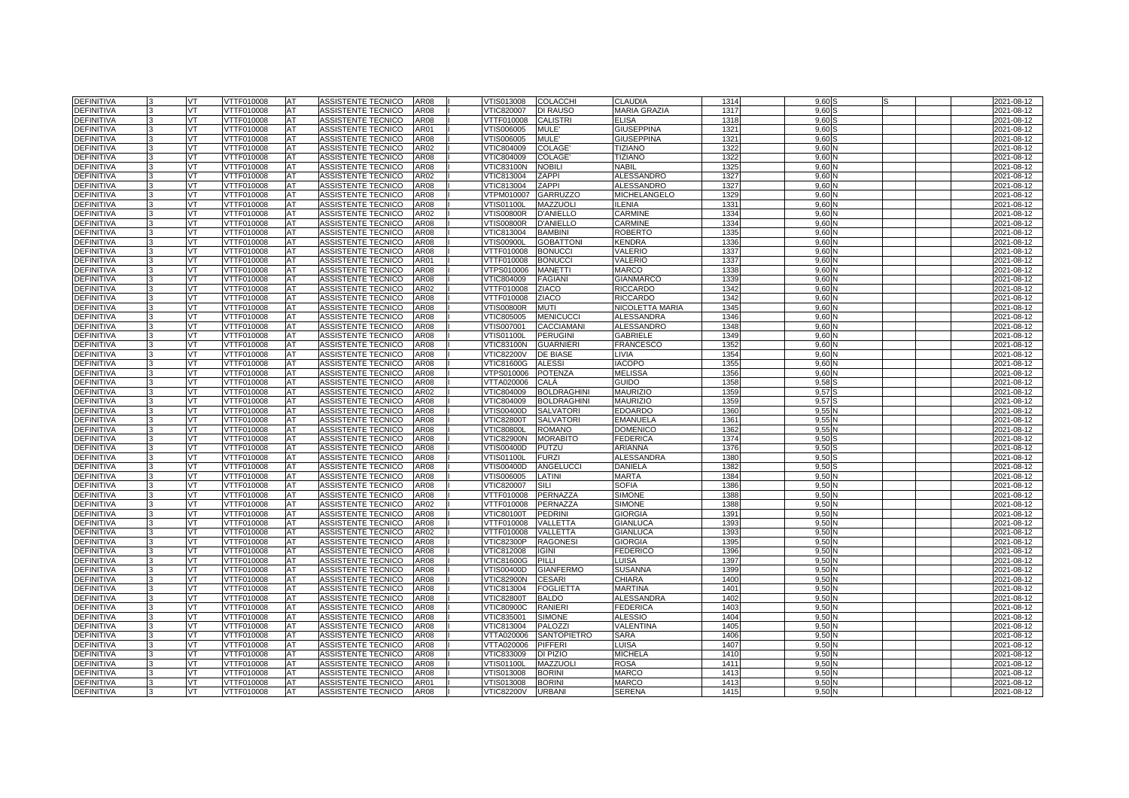| <b>DEFINITIVA</b>               |              | VT        | VTTF010008               | <b>AT</b>       | ASSISTENTE TECNICO                              | <b>AR08</b>  | VTIS013008                             | <b>COLACCHI</b>              | CLAUDIA                   | 1314         | 9.60         |  | 2021-08-12               |
|---------------------------------|--------------|-----------|--------------------------|-----------------|-------------------------------------------------|--------------|----------------------------------------|------------------------------|---------------------------|--------------|--------------|--|--------------------------|
| <b>DEFINITIVA</b>               |              | VT        | VTTF010008               | AT              | ASSISTENTE TECNICO                              | AR08         | VTIC820007                             | <b>DI RAUSO</b>              | <b>MARIA GRAZIA</b>       | 1317         | 9.60         |  | 2021-08-12               |
| <b>DEFINITIVA</b>               |              | VT        | VTTF010008               | AT              | <b>ASSISTENTE TECNICO</b>                       | <b>AR08</b>  | <b>VTTF010008</b>                      | <b>CALISTRI</b>              | ELISA                     | 1318         | 9.60         |  | 2021-08-12               |
| <b>DEFINITIVA</b>               |              | <b>VT</b> | VTTF010008               | AT              | ASSISTENTE TECNICO                              | AR01         | VTIS006005                             | MULE'                        | <b>GIUSEPPINA</b>         | 132          | 9.60         |  | 2021-08-12               |
| <b>DEFINITIVA</b>               |              | VT.       | VTTF010008               | AT              | ASSISTENTE TECNICO                              | <b>AR08</b>  | VTIS006005                             | MULE'                        | <b>GIUSEPPINA</b>         | 1321         | 9.60         |  | 2021-08-12               |
| <b>DEFINITIVA</b>               |              | VT        | VTTF010008               | AT              | ASSISTENTE TECNICO                              | AR02         | VTIC804009                             | <b>COLAGE</b>                | <b>TIZIANO</b>            | 1322         | 9,60         |  | 2021-08-12               |
| <b>DEFINITIVA</b>               |              | VT.       | VTTF010008               | <b>AT</b>       | ASSISTENTE TECNICO                              | <b>AR08</b>  | VTIC804009                             | COLAGE                       | <b>TIZIANO</b>            | 1322         | 9.60         |  | 2021-08-12               |
| <b>DEFINITIVA</b>               |              | VT.       | VTTF010008               | AT              | ASSISTENTE TECNICO                              | AR08         | <b>VTIC83100N</b>                      | <b>NOBILI</b>                | NABIL                     | 132          | 9.60         |  | 2021-08-12               |
| <b>DEFINITIVA</b>               |              | VT        | VTTF010008               | AT              | ASSISTENTE TECNICO                              | AR02         | VTIC813004                             | ZAPPI                        | <b>ALESSANDRO</b>         | 1327         | 9,60         |  | 2021-08-12               |
| <b>DEFINITIVA</b>               |              | VT        | VTTF010008               | AT              | ASSISTENTE TECNICO                              | <b>AR08</b>  | VTIC813004                             | ZAPPI                        | <b>ALESSANDRO</b>         | 1327         | 9,60         |  | 2021-08-12               |
| <b>DEFINITIVA</b>               |              | VT        | VTTF010008               | AT              | ASSISTENTE TECNICO                              | <b>AR08</b>  | VTPM010007                             | <b>GARRUZZO</b>              | MICHELANGELO              | 1329         | 9.60         |  | 2021-08-12               |
| <b>DEFINITIVA</b>               |              | VT        | VTTF010008               | AT              | ASSISTENTE TECNICO                              | AR08         | VTIS01100L                             | MAZZUOLI                     | LENIA                     | 1331         | 9,60         |  | 2021-08-12               |
| <b>DEFINITIVA</b>               |              | VT.       | VTTF010008               | AT              | ASSISTENTE TECNICO                              | AR02         | VTIS00800R                             | <b>D'ANIELLO</b>             | CARMINE                   | 1334         | 9,60         |  | 2021-08-12               |
| <b>DEFINITIVA</b>               |              | VT        | VTTF010008               | AT              | ASSISTENTE TECNICO                              | AR08         | <b>VTIS00800R</b>                      | <b>D'ANIELLO</b>             | CARMINE                   | 1334         | 9.60         |  | 2021-08-12               |
| <b>DEFINITIVA</b>               |              | VT        | VTTF010008               | AT              | ASSISTENTE TECNICO                              | AR08         | VTIC813004                             | <b>BAMBINI</b>               | <b>ROBERTC</b>            | 1335         | 9,60         |  | 2021-08-12               |
| DEFINITIVA                      |              | VT        | VTTF010008               | AT              | ASSISTENTE TECNICO                              | <b>AR08</b>  | √TIS00900L                             | <b>GOBATTONI</b>             | <b>KENDRA</b>             | 1336         | 9,60         |  | 2021-08-12               |
| <b>DEFINITIVA</b>               |              | VT        | VTTF010008               | AT              | ASSISTENTE TECNICO                              | <b>AR08</b>  | VTTF010008                             | <b>BONUCCI</b>               | VALERIO                   | 1337         | 9,60         |  | 2021-08-12               |
| <b>DEFINITIVA</b>               |              | VT        | VTTF010008               | AT              | ASSISTENTE TECNICO                              | AR01         | VTTF010008                             | <b>BONUCCI</b>               | VALERIO                   | 1337         | 9,60         |  | 2021-08-12               |
| <b>DEFINITIVA</b>               |              | <b>VT</b> | VTTF010008               | AT              | ASSISTENTE TECNICO                              | <b>AR08</b>  | VTPS010006                             | <b>MANETTI</b>               | <b>MARCO</b>              | 1338         | 9.60         |  | 2021-08-12               |
| <b>DEFINITIVA</b>               |              | VT.       | VTTF010008               | AT              | ASSISTENTE TECNICO                              | AR08         | VTIC804009                             | <b>FAGIAN</b>                | <b>GIANMARCO</b>          | 1339         | 9.60         |  | 2021-08-12               |
| DEFINITIVA                      |              | VT        | VTTF010008               | AT              | ASSISTENTE TECNICO                              | AR02         | VTTF010008                             | ZIACO                        | <b>RICCARDO</b>           | 1342         | 9,60         |  | 2021-08-12               |
| <b>DEFINITIVA</b>               |              | VT        | VTTF010008               | AT              | ASSISTENTE TECNICO                              | AR08         | VTTF010008                             | <b>ZIACO</b>                 | <b>RICCARDO</b>           | 1342         | 9.60         |  | 2021-08-12               |
| <b>DEFINITIVA</b>               |              | VT        | VTTF010008               | AT              | ASSISTENTE TECNICO                              | AR08         | √TIS00800R                             | <b>MUTI</b>                  | NICOLETTA MARIA           | 1345         | 9,60         |  | 2021-08-12               |
| DEFINITIVA                      |              | VT        | VTTF010008               | AT              | ASSISTENTE TECNICO                              | AR08         | VTIC805005                             | <b>MENICUCC</b>              | <b>ALESSANDRA</b>         | 1346         | 9,60         |  | 2021-08-12               |
| DEFINITIVA                      |              | VT.       | VTTF010008               | AT              | ASSISTENTE TECNICO                              | AR08         | VTIS007001                             | <b>CACCIAMANI</b>            | <b>ALESSANDRO</b>         | 1348         | 9,60         |  | 2021-08-12               |
| <b>DEFINITIVA</b>               |              | VT        | VTTF010008               | AT              | ASSISTENTE TECNICO                              | AR08<br>AR08 | √TIS01100L                             | <b>PERUGINI</b>              | GABRIELE                  | 1349         | 9,60         |  | 2021-08-12               |
| DEFINITIVA<br>DEFINITIVA        |              | VT<br>VT  | VTTF010008<br>VTTF010008 | AT<br>AT        | ASSISTENTE TECNICO                              | AR08         | <b>VTIC83100N</b><br><b>VTIC82200V</b> | <b>GUARNIERI</b><br>DE BIASE | <b>FRANCESCO</b><br>LIVIA | 1352<br>1354 | 9,60<br>9.60 |  | 2021-08-12<br>2021-08-12 |
|                                 |              | VT        | VTTF010008               | AT              | ASSISTENTE TECNICO<br>ASSISTENTE TECNICO        | AR08         |                                        | <b>ALESSI</b>                | <b>IACOPO</b>             | 1355         | 9,60         |  |                          |
| <b>DEFINITIVA</b><br>DEFINITIVA |              |           | VTTF010008               |                 | ASSISTENTE TECNICO                              | AR08         | √TIC81600G<br>VTPS010006               |                              | <b>MELISSA</b>            | 1356         | 9,60         |  | 2021-08-12<br>2021-08-12 |
| DEFINITIVA                      |              | VT<br>VT  | VTTF010008               | AT<br>AT        | ASSISTENTE TECNICO                              | AR08         | VTTA020006                             | <b>POTENZA</b><br>CALÀ       | Guido                     | 1358         | 9,58         |  | 2021-08-12               |
| <b>DEFINITIVA</b>               |              | VT        | VTTF010008               | AT              | ASSISTENTE TECNICO                              | AR02         | VTIC804009                             | <b>BOLDRAGHINI</b>           | <b>MAURIZIO</b>           | 1359         | 9,57         |  | 2021-08-12               |
| <b>DEFINITIVA</b>               |              | VT        | VTTF010008               | AT              | <b>ASSISTENTE TECNICO</b>                       | AR08         | VTIC804009                             | <b>BOLDRAGHINI</b>           | <b>MAURIZIO</b>           | 135          | 9.57         |  | 2021-08-12               |
| <b>DEFINITIVA</b>               | $\mathbf{R}$ | <b>VT</b> | VTTF010008               | AT              | ASSISTENTE TECNICO                              | <b>AR08</b>  | VTIS00400D                             | <b>SALVATORI</b>             | <b>EDOARDO</b>            | 1360         | 9.551        |  | 2021-08-12               |
| <b>DEFINITIVA</b>               |              | VT        | VTTF010008               | AT              | ASSISTENTE TECNICO                              | <b>AR08</b>  | <b>VTIC82800T</b>                      | <b>SALVATORI</b>             | <b>EMANUELA</b>           | 1361         | 9.55         |  | 2021-08-12               |
| <b>DEFINITIVA</b>               |              | VT.       | <b>VTTF010008</b>        | AT              | ASSISTENTE TECNICO                              | <b>AR08</b>  | <b>VTIC80800L</b>                      | <b>ROMANO</b>                | <b>DOMENICC</b>           | 1362         | 9,55         |  | 2021-08-12               |
| <b>DEFINITIVA</b>               |              | VT.       | VTTF010008               | AT              | ASSISTENTE TECNICO                              | <b>AR08</b>  | <b>VTIC82900N</b>                      | <b>MORABITO</b>              | <b>FEDERICA</b>           | 1374         | 9.50         |  | 2021-08-12               |
| <b>DEFINITIVA</b>               |              | VT        | VTTF010008               | AT              | <b>ASSISTENTE TECNICO</b>                       | AR08         | VTIS00400D                             | PUTZU                        | <b>ARIANNA</b>            | 1376         | 9.50         |  | 2021-08-12               |
| <b>DEFINITIVA</b>               |              | VT        | <b>VTTF010008</b>        | AT              | <b>ASSISTENTE TECNICO</b>                       | AR08         | VTIS01100L                             | <b>FURZI</b>                 | <b>ALESSANDRA</b>         | 1380         | 9.50         |  | 2021-08-12               |
| DEFINITIVA                      |              | VT        | VTTF010008               | AT              | ASSISTENTE TECNICO                              | AR08         | VTIS00400D                             | <b>ANGELUCCI</b>             | <b>DANIELA</b>            | 1382         | 9,50         |  | 2021-08-12               |
| <b>DEFINITIVA</b>               |              | VT.       | VTTF010008               | AT              | <b>ASSISTENTE TECNICO</b>                       | <b>AR08</b>  | VTIS006005                             | LATINI                       | <b>MARTA</b>              | 1384         | 9.50         |  | 2021-08-12               |
| <b>DEFINITIVA</b>               | 3            | VT        | VTTF010008               | AT              | ASSISTENTE TECNICO                              | AR08         | VTIC820007                             | SILI                         | <b>SOFIA</b>              | 1386         | 9,50         |  | 2021-08-12               |
| <b>DEFINITIVA</b>               |              | VT.       | VTTF010008               | <b>AT</b>       | ASSISTENTE TECNICO                              | <b>AR08</b>  | VTTF010008                             | PERNAZZA                     | <b>SIMONE</b>             | 1388         | 9.50         |  | 2021-08-12               |
| <b>DEFINITIVA</b>               |              | VT        | VTTF010008               | AT              | <b>ASSISTENTE TECNICO</b>                       | AR02         | VTTF010008                             | PERNAZZA                     | <b>SIMONE</b>             | 1388         | 9.50         |  | 2021-08-12               |
| <b>DEFINITIVA</b>               |              | VT        | <b>VTTF010008</b>        | AT              | ASSISTENTE TECNICO                              | <b>AR08</b>  | <b>VTIC80100T</b>                      | <b>PEDRINI</b>               | <b>GIORGIA</b>            | 1391         | 9,50         |  | 2021-08-12               |
| <b>DEFINITIVA</b>               |              | VT        | VTTF010008               | AT              | ASSISTENTE TECNICO                              | AR08         | VTTF010008                             | VALLETTA                     | <b>GIANLUCA</b>           | 1393         | 9,50         |  | 2021-08-12               |
| <b>DEFINITIVA</b>               |              | VT        | VTTF010008               | AT              | ASSISTENTE TECNICO                              | AR02         | VTTF010008                             | VALLETTA                     | <b>GIANLUCA</b>           | 1393         | 9.50         |  | 2021-08-12               |
| <b>DEFINITIVA</b>               |              | VT        | VTTF010008               | AT              | ASSISTENTE TECNICO                              | AR08         | VTIC82300P                             | <b>RAGONES</b>               | <b>GIORGIA</b>            | 1395         | 9,50         |  | 2021-08-12               |
| DEFINITIVA                      |              | <b>VT</b> | VTTF010008               | AT              | ASSISTENTE TECNICO                              | AR08         | VTIC812008                             | <b>IGINI</b>                 | <b>FEDERICO</b>           | 1396         | 9,50         |  | 2021-08-12               |
| <b>DEFINITIVA</b>               |              | VT        | VTTF010008               | AT              | ASSISTENTE TECNICO                              | AR08         | VTIC81600G                             | PILLI                        | LUISA                     | 1397         | 9.50         |  | 2021-08-12               |
| DEFINITIVA                      |              | VT        | VTTF010008               | AT              | ASSISTENTE TECNICO                              | AR08         | VTIS00400D                             | <b>GIANFERMO</b>             | <b>SUSANNA</b>            | 1399         | 9,50         |  | 2021-08-12               |
| DEFINITIVA                      |              | VT        | VTTF010008               | AT              | ASSISTENTE TECNICO                              | AR08         | VTIC82900N                             | <b>CESARI</b>                | <b>CHIARA</b>             | 1400         | 9,50         |  | 2021-08-12               |
| <b>DEFINITIVA</b>               |              | VT        | VTTF010008               | AT              | ASSISTENTE TECNICO                              | AR08         | VTIC813004                             | <b>FOGLIETTA</b>             | MARTINA                   | 1401         | 9,50         |  | 2021-08-12               |
| DEFINITIVA                      |              | VT        | VTTF010008               | AT              | ASSISTENTE TECNICO                              | AR08         | <b>VTIC82800T</b>                      | <b>BALDO</b>                 | <b>ALESSANDRA</b>         | 1402         | 9,50         |  | 2021-08-12               |
| DEFINITIVA                      |              | VT        | VTTF010008               | AT              | ASSISTENTE TECNICO                              | AR08         | <b>VTIC80900C</b>                      | <b>RANIERI</b>               | <b>FEDERICA</b>           | 1403         | 9,50         |  | 2021-08-12               |
| <b>DEFINITIVA</b>               |              | VT        | VTTF010008               | AT              | ASSISTENTE TECNICO                              | AR08         | VTIC835001                             | <b>SIMONE</b>                | <b>ALESSIO</b>            | 1404         | 9.50         |  | 2021-08-12               |
| DEFINITIVA                      |              | VT        | VTTF010008               | AT              | ASSISTENTE TECNICO                              | AR08         | VTIC813004                             | PALOZZI                      | VALENTINA                 | 1405         | 9,50         |  | 2021-08-12               |
| DEFINITIVA                      |              | VT        | VTTF010008               | AT              | ASSISTENTE TECNICO                              | AR08         | VTTA020006                             | SANTOPIETRO                  | <b>SARA</b>               | 1406         | 9,50         |  | 2021-08-12               |
| <b>DEFINITIVA</b>               |              | VT.       | VTTF010008               | AT              | ASSISTENTE TECNICO                              | AR08         | VTTA020006                             | <b>PIFFERI</b>               | LUISA                     | 1407         | 9,50         |  | 2021-08-12               |
| DEFINITIVA                      |              | VT        | VTTF010008               | AT              | ASSISTENTE TECNICO                              | AR08         | VTIC833009                             | DI PIZIO                     | <b>MICHELA</b>            | 1410         | 9,50         |  | 2021-08-12               |
| DEFINITIVA                      |              | VT<br>VT  | VTTF010008               | AT<br>AT        | <b>ASSISTENTE TECNICO</b><br>ASSISTENTE TECNICO | AR08<br>AR08 | √TIS01100L                             | MAZZUOL<br><b>BORINI</b>     | ROSA<br><b>MARCO</b>      | 1411<br>1413 | 9,50<br>9.50 |  | 2021-08-12<br>2021-08-12 |
| DEFINITIVA<br>DEFINITIVA        |              | VT        | VTTF010008<br>VTTF010008 |                 | ASSISTENTE TECNICO                              | AR01         | √TIS013008<br>VTIS013008               | <b>BORINI</b>                | <b>MARCO</b>              | 1413         | 9,50         |  |                          |
| <b>DEFINITIVA</b>               | 3            | VT        | VTTF010008               | AT<br><b>AT</b> | ASSISTENTE TECNICO                              | <b>AR08</b>  | <b>VTIC82200V</b>                      | <b>URBAN</b>                 | <b>SERENA</b>             | 1415         | 9.50N        |  | 2021-08-12<br>2021-08-12 |
|                                 |              |           |                          |                 |                                                 |              |                                        |                              |                           |              |              |  |                          |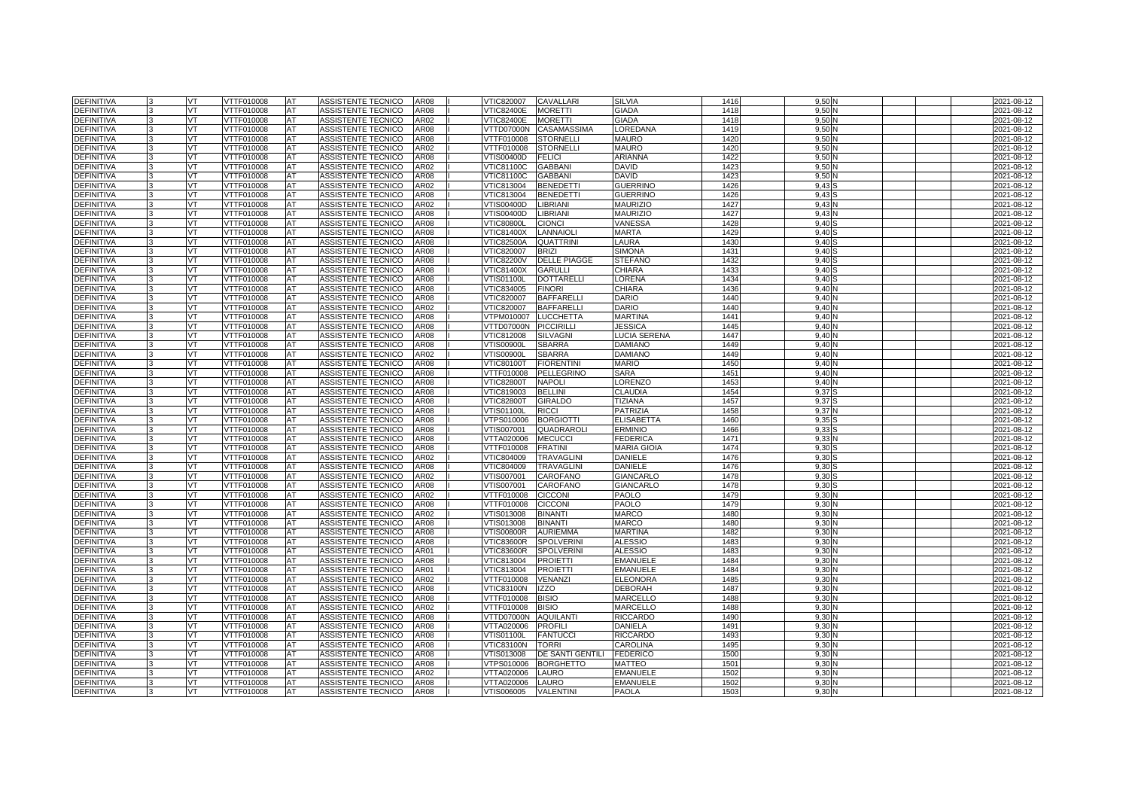| <b>DEFINITIVA</b>                      | <b>VT</b> | VTTF010008               | <b>AT</b> | ASSISTENTE TECNICO                       | AR08                | VTIC820007               | <b>CAVALLARI</b>                | <b>SILVIA</b>              | 1416         | 9,50         |  | 2021-08-12               |
|----------------------------------------|-----------|--------------------------|-----------|------------------------------------------|---------------------|--------------------------|---------------------------------|----------------------------|--------------|--------------|--|--------------------------|
| <b>DEFINITIVA</b>                      | VT        | VTTF010008               | AT        | ASSISTENTE TECNICO                       | AR08                | <b>VTIC82400E</b>        | <b>MORETTI</b>                  | GIADA                      | 1418         | 9.50         |  | 2021-08-12               |
| <b>DEFINITIVA</b>                      | VT.       | VTTF010008               | AT        | ASSISTENTE TECNICO                       | AR02                | <b>VTIC82400E</b>        | <b>MORETTI</b>                  | <b>GIADA</b>               | 1418         | 9,50         |  | 2021-08-12               |
| DEFINITIVA                             | VT        | VTTF010008               | AT        | ASSISTENTE TECNICO                       | AR08                | VTTD07000N               | CASAMASSIMA                     | LOREDANA                   | 1419         | 9,50         |  | 2021-08-12               |
| <b>DEFINITIVA</b>                      | VT        | VTTF010008               | AT        | ASSISTENTE TECNICO                       | AR08                | VTTF010008               | <b>STORNELLI</b>                | <b>MAURO</b>               | 1420         | 9,50         |  | 2021-08-12               |
| <b>DEFINITIVA</b>                      | VT        | VTTF010008               | AT        | ASSISTENTE TECNICO                       | AR02                | VTTF010008               | <b>STORNELLI</b>                | <b>MAURO</b>               | 1420         | 9,50         |  | 2021-08-12               |
| <b>DEFINITIVA</b>                      | VT.       | VTTF010008               | AT        | ASSISTENTE TECNICO                       | AR08                | VTIS00400D               | <b>FELICI</b>                   | <b>ARIANNA</b>             | 1422         | 9,50         |  | 2021-08-12               |
| <b>DEFINITIVA</b>                      | VT        | VTTF010008               | AT        | ASSISTENTE TECNICO                       | AR02                | VTIC81100C               | <b>GABBAN</b>                   | DAVID                      | 1423         | 9.50         |  | 2021-08-12               |
| <b>DEFINITIVA</b>                      | VT        | VTTF010008               | AT        | ASSISTENTE TECNICO                       | AR08                | VTIC81100C               | <b>GABBAN</b>                   | <b>DAVID</b>               | 1423         | 9,50         |  | 2021-08-12               |
| <b>DEFINITIVA</b>                      | VT        | VTTF010008               | AT        | ASSISTENTE TECNICO                       | AR02                | VTIC813004               | <b>BENEDETTI</b>                | <b>GUERRINO</b>            | 1426         | 9.43         |  | 2021-08-12               |
| <b>DEFINITIVA</b>                      | VT        | VTTF010008               | AT        | ASSISTENTE TECNICO                       | AR08                | VTIC813004               | <b>BENEDETTI</b>                | <b>GUERRINO</b>            | 1426         | 9,43         |  | 2021-08-12               |
| <b>DEFINITIVA</b>                      | VT        | VTTF010008               | AT        | ASSISTENTE TECNICO                       | AR02                | /TIS00400D               | <b>LIBRIANI</b>                 | <b>MAURIZIO</b>            | 1427         | 9,43         |  | 2021-08-12               |
| DEFINITIVA                             | VT.       | VTTF010008               | AT        | ASSISTENTE TECNICO                       | AR08                | VTIS00400D               | <b>LIBRIANI</b>                 | <b>MAURIZIO</b>            | 1427         | 9,43         |  | 2021-08-12               |
| <b>DEFINITIVA</b>                      | VT        | VTTF010008               | AT        | ASSISTENTE TECNICO                       | AR08                | √TIC80800L               | <b>CIONCI</b>                   | VANESSA                    | 1428         | 9,40         |  | 2021-08-12               |
| DEFINITIVA                             | VT        | VTTF010008               | AT        | ASSISTENTE TECNICO                       | AR08                | VTIC81400X               | <b>LANNAIOLI</b>                | MARTA                      | 1429         | 9,40         |  | 2021-08-12               |
| <b>DEFINITIVA</b>                      | <b>VT</b> | VTTF010008               | AT        | ASSISTENTE TECNICO                       | <b>AR08</b>         | <b>VTIC82500A</b>        | <b>QUATTRINI</b>                | LAURA                      | 143          | 9.40         |  | 2021-08-12               |
| DEFINITIVA                             | VT        | VTTF010008               | AT        | ASSISTENTE TECNICO                       | AR08                | VTIC820007               | <b>BRIZI</b>                    | <b>SIMONA</b>              | 143          | 9,40         |  | 2021-08-12               |
| <b>DEFINITIVA</b>                      | VT        | VTTF010008               | AT        | ASSISTENTE TECNICO                       | AR08                | <b>VTIC82200V</b>        | <b>DELLE PIAGGE</b>             | <b>STEFANO</b>             | 1432         | 9,40         |  | 2021-08-12               |
| <b>DEFINITIVA</b>                      | VT        | VTTF010008               | AT        | ASSISTENTE TECNICO                       | <b>AR08</b>         | VTIC81400X               | <b>GARULLI</b>                  | CHIARA                     | 1433         | 9.40         |  | 2021-08-12               |
| DEFINITIVA                             | VT        | VTTF010008               | AT        | ASSISTENTE TECNICO                       | AR08                | √TIS01100L               | <b>DOTTARELLI</b>               | LORENA                     | 1434         | 9,40         |  | 2021-08-12               |
| <b>DEFINITIVA</b>                      | VT        | VTTF010008               | AT        | ASSISTENTE TECNICO                       | AR08                | VTIC834005               | <b>FINORI</b>                   | CHIARA                     | 1436         | 9,40         |  | 2021-08-12               |
| DEFINITIVA                             | VT        | VTTF010008               | AT        | ASSISTENTE TECNICO                       | AR08                | VTIC820007               | <b>BAFFARELLI</b>               | DARIO                      | 1440         | 9,40         |  | 2021-08-12               |
| DEFINITIVA                             | VT        | VTTF010008               | AT        | ASSISTENTE TECNICO                       | AR02                | VTIC820007               | <b>BAFFARELLI</b>               | DARIO                      | 1440         | 9,40         |  | 2021-08-12               |
| <b>DEFINITIVA</b>                      | VT        | VTTF010008               | AT        | ASSISTENTE TECNICO                       | AR08                | /TPM010007               | <b>LUCCHETTA</b>                | <b>MARTINA</b>             | 1441         | 9,40         |  | 2021-08-12               |
| <b>DEFINITIVA</b>                      | VT        | VTTF010008               | AT        | ASSISTENTE TECNICO                       | AR08                | VTTD07000N               | <b>PICCIRILLI</b>               | JESSICA                    | 1445<br>144  | 9,40         |  | 2021-08-12               |
| DEFINITIVA                             | VT        | VTTF010008               | AT        | ASSISTENTE TECNICO                       | AR08                | VTIC812008               | <b>SILVAGNI</b>                 | LUCIA SERENA               |              | 9,40         |  | 2021-08-12               |
| <b>DEFINITIVA</b><br><b>DEFINITIVA</b> | VT<br>VT  | VTTF010008<br>VTTF010008 | AT<br>AT  | ASSISTENTE TECNICO<br>ASSISTENTE TECNICO | AR08<br>AR02        | √TIS00900L<br>√TIS00900L | <b>SBARRA</b><br><b>SBARRA</b>  | <b>DAMIANO</b><br>DAMIANO  | 1449<br>1449 | 9,40<br>9,40 |  | 2021-08-12<br>2021-08-12 |
| <b>DEFINITIVA</b>                      | VT        | VTTF010008               | AT        | ASSISTENTE TECNICO                       | AR08                | <b>VTIC80100T</b>        | <b>FIORENTINI</b>               | <b>MARIO</b>               | 1450         | 9,40         |  | 2021-08-12               |
| <b>DEFINITIVA</b>                      | VT        | VTTF010008               | AT        | ASSISTENTE TECNICO                       | AR08                | <b>/TTF010008</b>        | <b>PELLEGRINO</b>               | <b>SARA</b>                | 1451         | 9,40         |  | 2021-08-12               |
| <b>DEFINITIVA</b>                      | <b>VT</b> | VTTF010008               | AT        | <b>ASSISTENTE TECNICO</b>                | AR08                | <b>VTIC82800T</b>        | <b>NAPOLI</b>                   | LORENZO                    | 1453         | 9,40         |  | 2021-08-12               |
| <b>DEFINITIVA</b>                      | VT        | VTTF010008               | AT        | ASSISTENTE TECNICO                       | AR08                | VTIC819003               | <b>BELLINI</b>                  | CLAUDIA                    | 145          | 9,37         |  | 2021-08-12               |
| <b>DEFINITIVA</b>                      | VT        | /TTF010008               | AT        | <b>ASSISTENTE TECNICO</b>                | AR08                | /TIC82800T               | <b>GIRALDO</b>                  | TIZIANA                    | 1457         | 9,37         |  | 2021-08-12               |
| <b>DEFINITIVA</b>                      | VT        | VTTF010008               | AT        | ASSISTENTE TECNICO                       | AR08                | √TIS01100L               | <b>RICCI</b>                    | PATRIZIA                   | 1458         | 9,37         |  | 2021-08-12               |
| <b>DEFINITIVA</b>                      | VT        | VTTF010008               | AT        | ASSISTENTE TECNICO                       | AR08                | /TPS010006               | <b>BORGIOTTI</b>                | <b>ELISABETTA</b>          | 1460         | 9,35         |  | 2021-08-12               |
| DEFINITIVA                             | VT        | /TTF010008               | AT        | <b>ASSISTENTE TECNICO</b>                | AR08                | /TIS007001               | QUADRAROLI                      | ERMINIO                    | 1466         | 9,33         |  | 2021-08-12               |
| <b>DEFINITIVA</b>                      | VT        | VTTF010008               | AT        | ASSISTENTE TECNICO                       | AR08                | VTTA020006               | <b>MECUCCI</b>                  | <b>FEDERICA</b>            | 1471         | 9,33         |  | 2021-08-12               |
| DEFINITIVA                             | VT        | VTTF010008               | AT        | ASSISTENTE TECNICO                       | AR08                | VTTF010008               | <b>FRATINI</b>                  | <b>MARIA GIOIA</b>         | 1474         | 9,30         |  | 2021-08-12               |
| <b>DEFINITIVA</b>                      | VT        | VTTF010008               | AT        | ASSISTENTE TECNICO                       | AR02                | VTIC804009               | <b>TRAVAGLINI</b>               | DANIELE                    | 1476         | 9,30         |  | 2021-08-12               |
| <b>DEFINITIVA</b>                      | VT        | VTTF010008               | AT        | ASSISTENTE TECNICO                       | AR08                | VTIC804009               | <b>TRAVAGLINI</b>               | DANIELE                    | 1476         | 9,30         |  | 2021-08-12               |
| <b>DEFINITIVA</b>                      | VT        | VTTF010008               | AT        | ASSISTENTE TECNICO                       | AR02                | /TIS007001               | CAROFANO                        | GIANCARLO                  | 1478         | 9,30         |  | 2021-08-12               |
| <b>DEFINITIVA</b>                      | VT        | /TTF010008               | AT        | ASSISTENTE TECNICO                       | AR08                | /TIS007001               | <b>CAROFANO</b>                 | GIANCARLO                  | 1478         | 9,30         |  | 2021-08-12               |
| <b>DEFINITIVA</b>                      | VT        | VTTF010008               | AT        | ASSISTENTE TECNICO                       | AR02                | VTTF010008               | <b>CICCONI</b>                  | PAOLO                      | 1479         | 9,30         |  | 2021-08-12               |
| DEFINITIVA                             | VT        | VTTF010008               | AT        | ASSISTENTE TECNICO                       | AR08                | VTTF010008               | <b>CICCONI</b>                  | PAOLO                      | 1479         | 9,30         |  | 2021-08-12               |
| DEFINITIVA                             | VT        | /TTF010008               | AT        | ASSISTENTE TECNICO                       | AR02                | /TIS013008               | <b>BINANTI</b>                  | MARCO                      | 148          | 9,30         |  | 2021-08-12               |
| <b>DEFINITIVA</b>                      | VT        | VTTF010008               | AT        | ASSISTENTE TECNICO                       | AR08                | √TIS013008               | <b>BINANTI</b>                  | <b>MARCO</b>               | 148          | 9,30         |  | 2021-08-12               |
| DEFINITIVA                             | VT        | VTTF010008               | AT        | ASSISTENTE TECNICO                       | AR08                | √TIS00800R               | <b>AURIEMMA</b>                 | <b>MARTINA</b>             | 1482         | 9,30         |  | 2021-08-12               |
| <b>DEFINITIVA</b>                      | VT        | VTTF010008               | AT        | ASSISTENTE TECNICO                       | <b>AR08</b>         | VTIC83600R               | <b>SPOLVERINI</b>               | ALESSIO                    | 148          | 9,30         |  | 2021-08-12               |
| <b>DEFINITIVA</b>                      | VT        | VTTF010008               | AT        | ASSISTENTE TECNICO                       | AR01                | <b>VTIC83600R</b>        | <b>SPOLVERINI</b>               | <b>ALESSIO</b>             | 148          | 9,30         |  | 2021-08-12               |
| DEFINITIVA                             | VT        | VTTF010008               | AT        | ASSISTENTE TECNICO                       | AR08                | VTIC813004               | <b>PROIETTI</b>                 | <b>EMANUELE</b>            | 148          | 9,30         |  | 2021-08-12               |
| <b>DEFINITIVA</b>                      | VT        | VTTF010008               | AT        | ASSISTENTE TECNICO                       | AR01                | VTIC813004               | <b>PROIETTI</b>                 | <b>EMANUELE</b>            | 1484         | 9,30         |  | 2021-08-12               |
| <b>DEFINITIVA</b>                      | VT        | VTTF010008               | AT        | ASSISTENTE TECNICO                       | AR02                | VTTF010008               | VENANZI                         | <b>ELEONORA</b>            | 148          | 9,30         |  | 2021-08-12               |
| DEFINITIVA                             | VT        | VTTF010008               | AT        | ASSISTENTE TECNICO                       | AR08                | VTIC83100N               | <b>IZZO</b>                     | <b>DEBORAH</b>             | 148          | 9,30         |  | 2021-08-12               |
| <b>DEFINITIVA</b>                      | VT        | VTTF010008               | AT        | ASSISTENTE TECNICO                       | <b>AR08</b>         | /TTF010008               | <b>BISIO</b>                    | MARCELLO                   | 1488         | 9,30         |  | 2021-08-12               |
| <b>DEFINITIVA</b>                      | VT        | VTTF010008               | AT        | ASSISTENTE TECNICO                       | AR02                | VTTF010008               | <b>BISIO</b>                    | MARCELLO                   | 1488         | 9,30         |  | 2021-08-12               |
| DEFINITIVA<br><b>DEFINITIVA</b>        | VT        | VTTF010008               | AT        | ASSISTENTE TECNICO                       | AR08<br><b>AR08</b> | VTTD07000N               | <b>AQUILANTI</b>                | <b>RICCARDO</b>            | 149<br>1491  | 9,30         |  | 2021-08-12               |
| <b>DEFINITIVA</b>                      | VT        | VTTF010008<br>VTTF010008 | AT        | ASSISTENTE TECNICO                       | AR08                | VTTA020006               | <b>PROFILI</b>                  | DANIELA<br><b>RICCARDO</b> | 149          | 9,30         |  | 2021-08-12               |
| DEFINITIVA                             | VT<br>VT  | VTTF010008               | AT<br>AT  | ASSISTENTE TECNICO<br>ASSISTENTE TECNICO | AR08                | VTIS01100L<br>VTIC83100N | <b>FANTUCCI</b><br><b>TORRI</b> | CAROLINA                   | 1495         | 9.30<br>9,30 |  | 2021-08-12<br>2021-08-12 |
| <b>DEFINITIVA</b>                      | VT        | VTTF010008               | AT        | ASSISTENTE TECNICO                       | AR08                | /TIS013008               | DE SANTI GENTILI                | <b>FEDERICO</b>            | 1500         | 9,30         |  | 2021-08-12               |
| <b>DEFINITIVA</b>                      | VT        | VTTF010008               | AT        | ASSISTENTE TECNICO                       | AR08                | √TPS010006               | <b>BORGHETTO</b>                | MATTEO                     | 1501         | 9,30         |  | 2021-08-12               |
| DEFINITIVA                             | VT        | VTTF010008               | AT        | ASSISTENTE TECNICO                       | AR02                | VTTA020006               | LAURO                           | <b>EMANUELE</b>            | 1502         | 9,30         |  | 2021-08-12               |
| <b>DEFINITIVA</b>                      | VT        | VTTF010008               | AT        | <b>ASSISTENTE TECNICO</b>                | <b>AR08</b>         | <b>/TTA020006</b>        | LAURO                           | <b>EMANUELE</b>            | 1502         | 9,30         |  | 2021-08-12               |
| <b>DEFINITIVA</b>                      | VT        | VTTF010008               | AT        | ASSISTENTE TECNICO                       | AR08                | VTIS006005               | <b>VALENTINI</b>                | PAOLA                      | 1503         | 9,30         |  | 2021-08-12               |
|                                        |           |                          |           |                                          |                     |                          |                                 |                            |              |              |  |                          |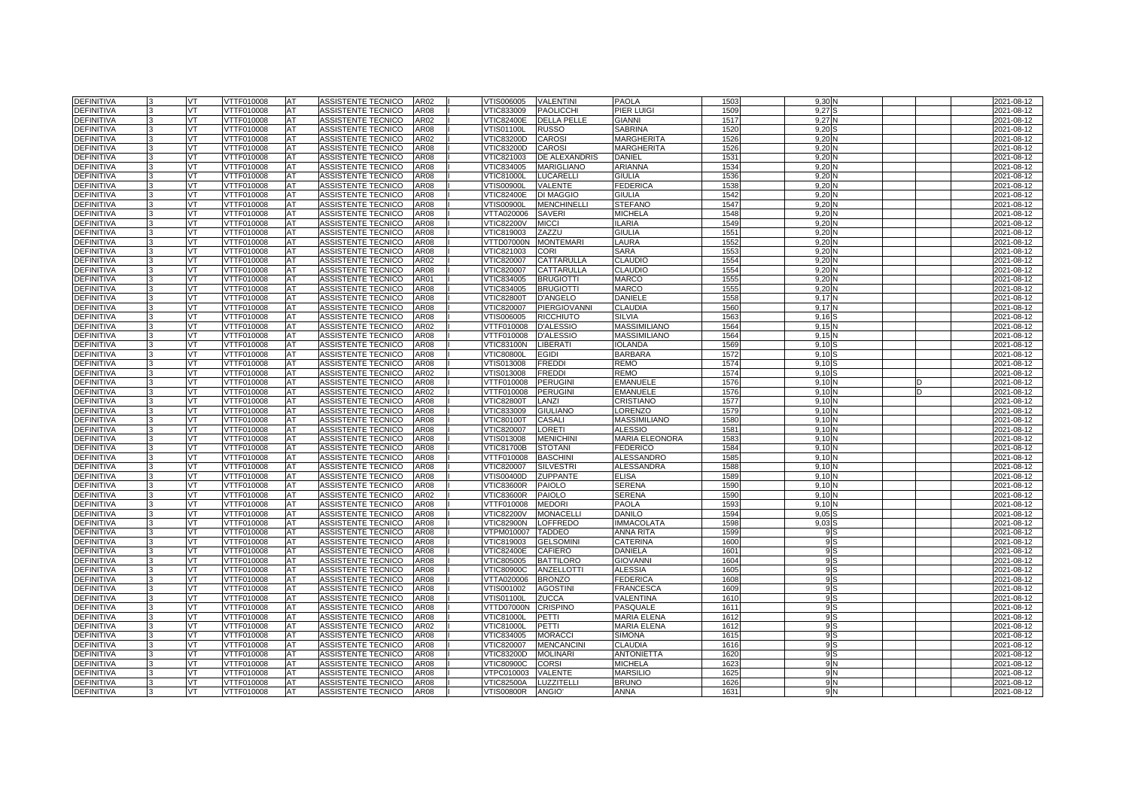| <b>DEFINITIVA</b> |              | VT        | VTTF010008        | <b>AT</b> | ASSISTENTE TECNICO        | AR02        | /TIS006005        | <b>VALENTINI</b>    | PAOLA                 | 1503             | 9.301             |  | 2021-08-12 |
|-------------------|--------------|-----------|-------------------|-----------|---------------------------|-------------|-------------------|---------------------|-----------------------|------------------|-------------------|--|------------|
| <b>DEFINITIVA</b> |              | VT        | VTTF010008        | AT        | ASSISTENTE TECNICO        | AR08        | VTIC833009        | <b>PAOLICCHI</b>    | PIER LUIGI            | 1509             | 9.27              |  | 2021-08-12 |
| <b>DEFINITIVA</b> |              | VT        | <b>VTTF010008</b> | AT        | <b>ASSISTENTE TECNICO</b> | AR02        | <b>VTIC82400E</b> | <b>DELLA PELLE</b>  | <b>GIANNI</b>         | 151              | 9.27              |  | 2021-08-12 |
| <b>DEFINITIVA</b> |              | <b>VT</b> | VTTF010008        | <b>AT</b> | ASSISTENTE TECNICO        | <b>AR08</b> | VTIS01100L        | <b>RUSSO</b>        | <b>SABRINA</b>        | 1520             | 9,20              |  | 2021-08-12 |
| <b>DEFINITIVA</b> |              | VT.       | VTTF010008        | AT        | ASSISTENTE TECNICO        | AR02        | VTIC83200D        | CAROSI              | <b>MARGHERITA</b>     | 1526             | 9.20              |  | 2021-08-12 |
| <b>DEFINITIVA</b> |              | VT        | VTTF010008        | AT        | ASSISTENTE TECNICO        | <b>AR08</b> | VTIC83200D        | <b>CAROSI</b>       | <b>MARGHERITA</b>     | 1526             | 9,20              |  | 2021-08-12 |
| <b>DEFINITIVA</b> |              | VT.       | VTTF010008        | <b>AT</b> | ASSISTENTE TECNICO        | <b>AR08</b> | VTIC821003        | DE ALEXANDRIS       | <b>DANIEL</b>         | 1531             | 9.20              |  | 2021-08-12 |
| <b>DEFINITIVA</b> |              | VT.       | VTTF010008        | AT        | ASSISTENTE TECNICO        | AR08        | VTIC834005        | <b>MARIGLIANO</b>   | <b>ARIANNA</b>        | 1534             | 9.20              |  | 2021-08-12 |
| <b>DEFINITIVA</b> |              | VT        | VTTF010008        | AT        | ASSISTENTE TECNICO        | AR08        | <b>VTIC81000L</b> | <b>LUCARELLI</b>    | <b>GIULIA</b>         | 1536             | 9,20              |  | 2021-08-12 |
| <b>DEFINITIVA</b> |              | VT        | VTTF010008        | AT        | ASSISTENTE TECNICO        | AR08        | VTIS00900L        | <b>VALENTE</b>      | <b>FEDERICA</b>       | 1538             | 9,20              |  | 2021-08-12 |
| <b>DEFINITIVA</b> |              | VT        | VTTF010008        | AT        | ASSISTENTE TECNICO        | <b>AR08</b> | <b>VTIC82400E</b> | <b>DI MAGGIO</b>    | <b>GIULIA</b>         | 1542             | 9.20              |  | 2021-08-12 |
| <b>DEFINITIVA</b> |              | VT        | VTTF010008        | AT        | ASSISTENTE TECNICO        | AR08        | VTIS00900L        | <b>MENCHINELLI</b>  | <b>STEFANO</b>        | 1547             | 9,20              |  | 2021-08-12 |
| DEFINITIVA        |              | VT.       | VTTF010008        | AT        | ASSISTENTE TECNICO        | AR08        | VTTA020006        | <b>SAVERI</b>       | <b>MICHELA</b>        | 1548             | 9,20              |  | 2021-08-12 |
| <b>DEFINITIVA</b> |              | VT        | VTTF010008        | AT        | ASSISTENTE TECNICO        | AR08        | <b>VTIC82200V</b> | <b>MICCI</b>        | <b>ILARIA</b>         | 1549             | 9.20              |  | 2021-08-12 |
| <b>DEFINITIVA</b> |              | VT        | VTTF010008        | AT        | ASSISTENTE TECNICO        | AR08        | VTIC819003        | ZAZZU               | <b>GIULIA</b>         | $155^{\circ}$    | 9,20              |  | 2021-08-12 |
| DEFINITIVA        |              | VT        | VTTF010008        | AT        | ASSISTENTE TECNICO        | <b>AR08</b> | VTTD07000N        | <b>MONTEMARI</b>    | LAURA                 | 1552             | 9,20              |  | 2021-08-12 |
| <b>DEFINITIVA</b> |              | VT        | VTTF010008        | AT        | ASSISTENTE TECNICO        | AR08        | VTIC821003        | <b>CORI</b>         | <b>SARA</b>           | 1553             | 9.20              |  | 2021-08-12 |
| <b>DEFINITIVA</b> |              | VT        | VTTF010008        | AT        | ASSISTENTE TECNICO        | AR02        | VTIC820007        | CATTARULLA          | <b>CLAUDIO</b>        | 1554             | 9,20              |  | 2021-08-12 |
| <b>DEFINITIVA</b> |              | <b>VT</b> | VTTF010008        | <b>AT</b> | ASSISTENTE TECNICO        | <b>AR08</b> | VTIC820007        | CATTARULLA          | <b>CLAUDIO</b>        | 1554             | 9.20              |  | 2021-08-12 |
| <b>DEFINITIVA</b> |              | VT.       | VTTF010008        | AT        | ASSISTENTE TECNICO        | AR01        | VTIC834005        | <b>BRUGIOTTI</b>    | <b>MARCO</b>          | 1555             | 9.20              |  | 2021-08-12 |
| DEFINITIVA        |              | VT        | VTTF010008        | AT        | ASSISTENTE TECNICO        | AR08        | VTIC834005        | <b>BRUGIOTTI</b>    | <b>MARCO</b>          | 155              | 9,20              |  | 2021-08-12 |
| <b>DEFINITIVA</b> |              | VT        | VTTF010008        | AT        | ASSISTENTE TECNICO        | AR08        | <b>VTIC82800T</b> | <b>D'ANGELO</b>     | DANIELE               | 1558             | 9.17              |  | 2021-08-12 |
| <b>DEFINITIVA</b> |              | VT        | VTTF010008        | AT        | ASSISTENTE TECNICO        | AR08        | VTIC820007        | <b>PIERGIOVANNI</b> | <b>CLAUDIA</b>        | 1560             | 9,17              |  | 2021-08-12 |
| DEFINITIVA        |              | VT        | VTTF010008        | AT        | ASSISTENTE TECNICO        | AR08        | VTIS006005        | <b>RICCHIUTO</b>    | <b>SILVIA</b>         | 1563             | 9,16              |  | 2021-08-12 |
| DEFINITIVA        |              | VT.       | VTTF010008        | AT        | ASSISTENTE TECNICO        | AR02        | VTTF010008        | <b>D'ALESSIO</b>    | <b>MASSIMILIANO</b>   | 1564             | 9,15              |  | 2021-08-12 |
| DEFINITIVA        |              | VT.       | VTTF010008        | AT        | ASSISTENTE TECNICO        | AR08        | VTTF010008        | <b>D'ALESSIO</b>    | <b>MASSIMILIANO</b>   | 1564             | 9.15              |  | 2021-08-12 |
| DEFINITIVA        |              | VT        | VTTF010008        | AT        | ASSISTENTE TECNICO        | AR08        | <b>VTIC83100N</b> | <b>LIBERATI</b>     | IOLANDA               | 1569             | 9,10              |  | 2021-08-12 |
| DEFINITIVA        |              | VT        | VTTF010008        | AT        | ASSISTENTE TECNICO        | AR08        | <b>VTIC80800L</b> | <b>EGIDI</b>        | <b>BARBARA</b>        | 1572             | 9.10              |  | 2021-08-12 |
| <b>DEFINITIVA</b> |              | VT        | VTTF010008        | AT        | ASSISTENTE TECNICO        | AR08        | /TIS013008        | <b>FREDDI</b>       | REMO                  | 1574             | 9,10              |  | 2021-08-12 |
| DEFINITIVA        |              | VT        | VTTF010008        | AT        | ASSISTENTE TECNICO        | AR02        | VTIS013008        | <b>FREDDI</b>       | REMO                  | 1574             | 9,10              |  | 2021-08-12 |
| DEFINITIVA        |              | VT        | VTTF010008        | AT        | ASSISTENTE TECNICO        | AR08        | VTTF010008        | <b>PERUGINI</b>     | <b>EMANUELE</b>       | 1576             | 9,10              |  | 2021-08-12 |
| DEFINITIVA        |              | VT        | VTTF010008        | AT        | ASSISTENTE TECNICO        | AR02        | VTTF010008        | <b>PERUGINI</b>     | <b>EMANUELE</b>       | 1576             | 9,10              |  | 2021-08-12 |
| <b>DEFINITIVA</b> |              | VT.       | VTTF010008        | AT        | ASSISTENTE TECNICO        | AR08        | <b>VTIC82800T</b> | LANZI               | CRISTIANO             | 1577             | 9.10              |  | 2021-08-12 |
| <b>DEFINITIVA</b> | $\mathbf{R}$ | <b>VT</b> | VTTF010008        | AT        | ASSISTENTE TECNICO        | <b>AR08</b> | VTIC833009        | <b>GIULIANO</b>     | LORENZO               | 1579             | 9.10 <sub>1</sub> |  | 2021-08-12 |
| <b>DEFINITIVA</b> |              | VT        | VTTF010008        | AT        | ASSISTENTE TECNICO        | <b>AR08</b> | <b>VTIC80100T</b> | <b>CASALI</b>       | <b>MASSIMILIANO</b>   | 1580             | 9.10              |  | 2021-08-12 |
| <b>DEFINITIVA</b> |              | VT.       | <b>VTTF010008</b> | AT        | <b>ASSISTENTE TECNICO</b> | <b>AR08</b> | <b>VTIC820007</b> | <b>LORETI</b>       | <b>ALESSIO</b>        | 1581             | 9.10              |  | 2021-08-12 |
| <b>DEFINITIVA</b> |              | VT.       | VTTF010008        | AT        | ASSISTENTE TECNICO        | <b>AR08</b> | VTIS013008        | <b>MENICHINI</b>    | <b>MARIA ELEONORA</b> | 1583             | 9.10 <sub>1</sub> |  | 2021-08-12 |
| <b>DEFINITIVA</b> |              | VT        | VTTF010008        | AT        | ASSISTENTE TECNICO        | AR08        | <b>VTIC81700B</b> | <b>STOTANI</b>      | <b>FEDERICO</b>       | 1584             | 9.10              |  | 2021-08-12 |
| <b>DEFINITIVA</b> |              | VT        | <b>VTTF010008</b> | AT        | <b>ASSISTENTE TECNICO</b> | AR08        | VTTF010008        | <b>BASCHINI</b>     | <b>ALESSANDRC</b>     | 1585             | 9.10              |  | 2021-08-12 |
| DEFINITIVA        |              | VT        | VTTF010008        | AT        | ASSISTENTE TECNICO        | AR08        | VTIC820007        | <b>SILVESTRI</b>    | <b>ALESSANDRA</b>     | 1588             | 9.101             |  | 2021-08-12 |
| <b>DEFINITIVA</b> |              | VT.       | VTTF010008        | AT        | <b>ASSISTENTE TECNICO</b> | <b>AR08</b> | VTIS00400D        | <b>ZUPPANTE</b>     | <b>ELISA</b>          | 1589             | 9.10              |  | 2021-08-12 |
| <b>DEFINITIVA</b> |              | VT        | VTTF010008        | AT        | ASSISTENTE TECNICO        | <b>AR08</b> | VTIC83600R        | <b>PAIOLO</b>       | <b>SERENA</b>         | 1590             | 9,10              |  | 2021-08-12 |
| <b>DEFINITIVA</b> |              | VT.       | VTTF010008        | <b>AT</b> | ASSISTENTE TECNICO        | AR02        | <b>VTIC83600R</b> | <b>PAIOLO</b>       | <b>SERENA</b>         | 1590             | 9.10              |  | 2021-08-12 |
| <b>DEFINITIVA</b> |              | VT        | VTTF010008        | AT        | ASSISTENTE TECNICO        | <b>AR08</b> | VTTF010008        | <b>MEDORI</b>       | <b>PAOLA</b>          | 1593             | 9.10              |  | 2021-08-12 |
| <b>DEFINITIVA</b> |              | VT        | <b>VTTF010008</b> | AT        | ASSISTENTE TECNICO        | <b>AR08</b> | <b>VTIC82200V</b> | <b>MONACELL</b>     | <b>DANILO</b>         | 1594             | 9,05              |  | 2021-08-12 |
| <b>DEFINITIVA</b> |              | VT        | VTTF010008        | AT        | ASSISTENTE TECNICO        | AR08        | <b>VTIC82900N</b> | <b>LOFFREDO</b>     | <b>IMMACOLATA</b>     | 1598             | 9.03              |  | 2021-08-12 |
| <b>DEFINITIVA</b> |              | VT        | VTTF010008        | AT        | ASSISTENTE TECNICO        | <b>AR08</b> | VTPM010007        | <b>TADDEO</b>       | <b>ANNA RITA</b>      | 1599             | 9 S               |  | 2021-08-12 |
| <b>DEFINITIVA</b> |              | VT        | VTTF010008        | AT        | ASSISTENTE TECNICO        | AR08        | VTIC819003        | <b>GELSOMIN</b>     | CATERINA              | 1600             | 9S                |  | 2021-08-12 |
| DEFINITIVA        |              | <b>VT</b> | VTTF010008        | AT        | ASSISTENTE TECNICO        | AR08        | <b>VTIC82400E</b> | <b>CAFIERO</b>      | DANIELA               | 160 <sup>°</sup> | 9S                |  | 2021-08-12 |
| <b>DEFINITIVA</b> |              | VT        | VTTF010008        | AT        | ASSISTENTE TECNICO        | AR08        | VTIC805005        | <b>BATTILORO</b>    | <b>GIOVANNI</b>       | 1604             | 9S                |  | 2021-08-12 |
| DEFINITIVA        |              | VT        | VTTF010008        | AT        | ASSISTENTE TECNICO        | AR08        | <b>VTIC80900C</b> | <b>ANZELLOTTI</b>   | <b>ALESSIA</b>        | 1605             | 9 S               |  | 2021-08-12 |
| DEFINITIVA        |              | VT        | VTTF010008        | AT        | ASSISTENTE TECNICO        | AR08        | VTTA020006        | <b>BRONZO</b>       | <b>FEDERICA</b>       | 1608             | 9S                |  | 2021-08-12 |
| <b>DEFINITIVA</b> |              | VT.       | VTTF010008        | AT        | ASSISTENTE TECNICO        | AR08        | √TIS001002        | <b>AGOSTINI</b>     | <b>FRANCESCA</b>      | 1609             | 9 S               |  | 2021-08-12 |
| <b>DEFINITIVA</b> |              | VT        | VTTF010008        | AT        | ASSISTENTE TECNICO        | AR08        | √TIS01100L        | <b>ZUCCA</b>        | VALENTINA             | 1610             | 9 S               |  | 2021-08-12 |
| DEFINITIVA        |              | VT        | VTTF010008        | AT        | ASSISTENTE TECNICO        | AR08        | VTTD07000N        | <b>CRISPINO</b>     | PASQUALE              | 161'             | 9 S               |  | 2021-08-12 |
| <b>DEFINITIVA</b> |              | VT        | VTTF010008        | AT        | ASSISTENTE TECNICO        | AR08        | √TIC81000L        | PETTI               | <b>MARIA ELENA</b>    | 1612             | 9S                |  | 2021-08-12 |
| DEFINITIVA        |              | VT        | VTTF010008        | AT        | ASSISTENTE TECNICO        | AR02        | <b>VTIC81000L</b> | PETTI               | MARIA ELENA           | 1612             | 9 S               |  | 2021-08-12 |
| DEFINITIVA        |              | VT        | VTTF010008        | AT        | ASSISTENTE TECNICO        | AR08        | VTIC834005        | <b>MORACCI</b>      | <b>SIMONA</b>         | 161              | 9 S               |  | 2021-08-12 |
| <b>DEFINITIVA</b> |              | VT.       | VTTF010008        | AT        | ASSISTENTE TECNICO        | AR08        | <b>VTIC820007</b> | <b>MENCANCINI</b>   | <b>CLAUDIA</b>        | 1616             | 9S                |  | 2021-08-12 |
| DEFINITIVA        |              | VT        | VTTF010008        | AT        | ASSISTENTE TECNICO        | AR08        | VTIC83200D        | <b>MOLINARI</b>     | <b>ANTONIETTA</b>     | 162              | 9S                |  | 2021-08-12 |
| DEFINITIVA        |              | VT        | VTTF010008        | AT        | ASSISTENTE TECNICO        | AR08        | <b>VTIC80900C</b> | <b>CORSI</b>        | <b>MICHELA</b>        | 162              | 9 N               |  | 2021-08-12 |
| DEFINITIVA        |              | VT        | VTTF010008        | AT        | ASSISTENTE TECNICO        | AR08        | VTPC010003        | VALENTE             | MARSILIO              | 162              | 9 N               |  | 2021-08-12 |
| DEFINITIVA        |              | VT        | VTTF010008        | AT        | ASSISTENTE TECNICO        | <b>AR08</b> | <b>VTIC82500A</b> | LUZZITELLI          | <b>BRUNO</b>          | 1626             | 9 N               |  | 2021-08-12 |
| <b>DEFINITIVA</b> | 3            | VT        | VTTF010008        | <b>AT</b> | ASSISTENTE TECNICO        | <b>AR08</b> | √TIS00800R        | ANGIO'              | <b>ANNA</b>           | 163'             | 9 N               |  | 2021-08-12 |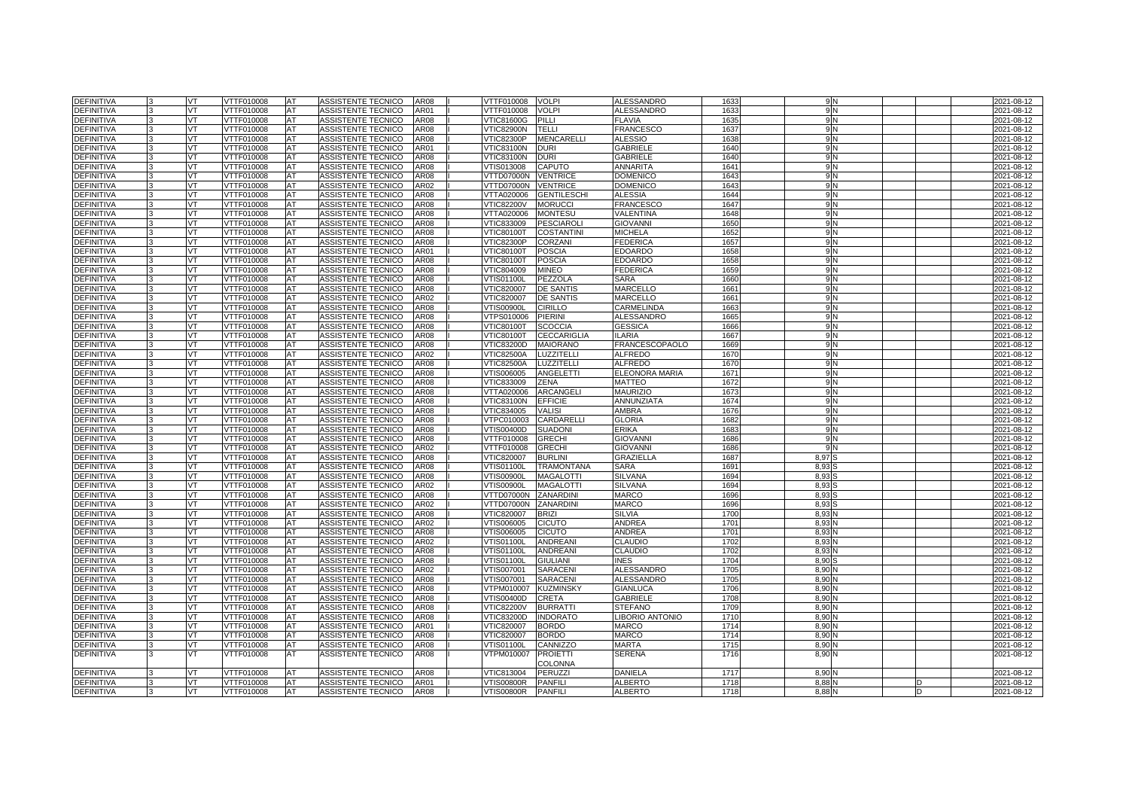| <b>DEFINITIVA</b>               | VT        | VTTF010008               | <b>AT</b> | ASSISTENTE TECNICO        | AR08         | VTTF010008               | <b>VOLPI</b>       | ALESSANDRO        | 163          | 9 N            |  | 2021-08-12       |
|---------------------------------|-----------|--------------------------|-----------|---------------------------|--------------|--------------------------|--------------------|-------------------|--------------|----------------|--|------------------|
| <b>DEFINITIVA</b>               | VT        | VTTF010008               | AT        | ASSISTENTE TECNICO        | AR01         | VTTF010008               | <b>VOLPI</b>       | ALESSANDRO        | 163          | 9 N            |  | 2021-08-12       |
| <b>DEFINITIVA</b>               | VT.       | VTTF010008               | AT        | ASSISTENTE TECNICO        | AR08         | <b>VTIC81600G</b>        | PILLI              | <b>FLAVIA</b>     | 1635         | 9 <sub>N</sub> |  | 2021-08-12       |
| DEFINITIVA                      | <b>VT</b> | VTTF010008               | AT        | ASSISTENTE TECNICO        | AR08         | VTIC82900N               | <b>TELLI</b>       | <b>FRANCESCO</b>  | 163          | 9 <sub>N</sub> |  | 2021-08-12       |
| <b>DEFINITIVA</b>               | VT        | VTTF010008               | AT        | ASSISTENTE TECNICO        | AR08         | √TIC82300P               | <b>MENCARELLI</b>  | ALESSIO           | 1638         | 9 N            |  | 2021-08-12       |
| <b>DEFINITIVA</b>               | VT        | VTTF010008               | AT        | ASSISTENTE TECNICO        | AR01         | √TIC83100N               | <b>DURI</b>        | <b>GABRIELE</b>   | 1640         | 9N             |  | 2021-08-12       |
| DEFINITIVA                      | VT.       | VTTF010008               | AT        | ASSISTENTE TECNICO        | <b>AR08</b>  | VTIC83100N               | <b>DURI</b>        | <b>GABRIELE</b>   | 1640         | 9 <sub>N</sub> |  | 2021-08-12       |
| DEFINITIVA                      | VT.       | VTTF010008               | AT        | ASSISTENTE TECNICO        | AR08         | VTIS013008               | CAPUTO             | ANNARITA          | 1641         | 9 N            |  | 2021-08-12       |
| DEFINITIVA                      | VT        | VTTF010008               | AT        | ASSISTENTE TECNICO        | AR08         | VTTD07000N               | <b>VENTRICE</b>    | <b>DOMENICC</b>   | 1643         | 9 N            |  | 2021-08-12       |
| DEFINITIVA                      | VT        | VTTF010008               | AT        | ASSISTENTE TECNICO        | AR02         | VTTD07000N               | <b>VENTRICE</b>    | <b>DOMENICO</b>   | 1643         | 9 <sub>N</sub> |  | 2021-08-12       |
| <b>DEFINITIVA</b>               | VT        | VTTF010008               | <b>AT</b> | ASSISTENTE TECNICO        | AR08         | VTTA020006               | <b>GENTILESCHI</b> | <b>ALESSIA</b>    | 1644         | 9 N            |  | 2021-08-12       |
| <b>DEFINITIVA</b>               | VT        | VTTF010008               | AT        | ASSISTENTE TECNICO        | AR08         | <b>/TIC82200V</b>        | <b>MORUCCI</b>     | FRANCESCO         | 1647         | 9N             |  | 2021-08-12       |
| DEFINITIVA                      | VT        | VTTF010008               | AT        | ASSISTENTE TECNICO        | AR08         | VTTA020006               | <b>MONTESU</b>     | VALENTINA         | 1648         | 9 <sub>N</sub> |  | 2021-08-12       |
| <b>DEFINITIVA</b>               | VT        | VTTF010008               | AT        | ASSISTENTE TECNICO        | AR08         | VTIC833009               | <b>PESCIAROL</b>   | <b>GIOVANNI</b>   | 165          | 9 N            |  | 2021-08-12       |
| DEFINITIVA                      | VT        | VTTF010008               | AT        | ASSISTENTE TECNICO        | AR08         | <b>VTIC80100T</b>        | <b>COSTANTINI</b>  | <b>MICHELA</b>    | 1652         | 9 N            |  | 2021-08-12       |
| DEFINITIVA                      | VT        | VTTF010008               | AT        | ASSISTENTE TECNICO        | AR08         | VTIC82300P               | <b>CORZANI</b>     | <b>FEDERICA</b>   | 165          | 9 <sub>N</sub> |  | 2021-08-12       |
| DEFINITIVA                      | VT        | VTTF010008               | AT        | ASSISTENTE TECNICO        | AR01         | √TIC80100T               | <b>POSCIA</b>      | EDOARDO           | 1658         | 9 N            |  | 2021-08-12       |
| DEFINITIVA                      | VT        | VTTF010008               | AT        | ASSISTENTE TECNICO        | AR08         | <b>VTIC80100T</b>        | <b>POSCIA</b>      | <b>EDOARDO</b>    | 1658         | 9N             |  | 2021-08-12       |
| <b>DEFINITIVA</b>               | VT        | VTTF010008               | AT        | ASSISTENTE TECNICO        | AR08         | VTIC804009               | <b>MINEO</b>       | <b>FEDERICA</b>   | 1659         | 9 <sub>N</sub> |  | 2021-08-12       |
| <b>DEFINITIVA</b>               | VT        | VTTF010008               | AT        | ASSISTENTE TECNICO        | AR08         | √TIS01100L               | PEZZOLA            | <b>SARA</b>       | 1660         | 9N             |  | 2021-08-12       |
| <b>DEFINITIVA</b>               | VT        | VTTF010008               | AT        | ASSISTENTE TECNICO        | AR08         | VTIC820007               | <b>DE SANTIS</b>   | MARCELLO          | 166'         | 9N             |  | 2021-08-12       |
| <b>DEFINITIVA</b>               | VT        | VTTF010008               | AT        | ASSISTENTE TECNICO        | AR02         | VTIC820007               | <b>DE SANTIS</b>   | MARCELLO          | 166'         | 9 N            |  | 2021-08-12       |
| <b>DEFINITIVA</b>               | VT        | VTTF010008               | AT        | ASSISTENTE TECNICO        | AR08         | /TIS00900L               | <b>CIRILLO</b>     | CARMELINDA        | 166          | 9 N            |  | 2021-08-12       |
| <b>DEFINITIVA</b>               | VT        | VTTF010008               | AT        | ASSISTENTE TECNICO        | AR08         | /TPS010006               | <b>PIERINI</b>     | ALESSANDRO        | 1665         | 9N             |  | 2021-08-12       |
| <b>DEFINITIVA</b>               | VT        | VTTF010008               | AT        | ASSISTENTE TECNICO        | AR08         | √TIC80100T               | <b>SCOCCIA</b>     | GESSICA           | 1666         | 9 N            |  | 2021-08-12       |
| DEFINITIVA                      | VT        | VTTF010008               | AT        | ASSISTENTE TECNICO        | AR08         | <b>VTIC80100T</b>        | <b>CECCARIGLIA</b> | LARIA             | 1667         | 9 N            |  | 2021-08-12       |
| DEFINITIVA                      | VT        | VTTF010008               | AT        | ASSISTENTE TECNICO        | AR08         | VTIC83200D               | <b>MAIORANO</b>    | FRANCESCOPAOLO    | 1669         | 9N             |  | 2021-08-12       |
| <b>DEFINITIVA</b>               | VT        | VTTF010008               | AT        | ASSISTENTE TECNICO        | AR02         | √TIC82500A               | <b>LUZZITELLI</b>  | ALFREDO           | 167          | 9 N            |  | 2021-08-12       |
| <b>DEFINITIVA</b>               | VT        | VTTF010008               | AT        | ASSISTENTE TECNICO        | AR08         | <b>VTIC82500A</b>        | LUZZITELLI         | <b>ALFREDO</b>    | 167          | 9 N            |  | 2021-08-12       |
| <b>DEFINITIVA</b>               | VT        | VTTF010008               | AT        | ASSISTENTE TECNICO        | AR08         | /TIS006005               | ANGELETTI          | ELEONORA MARIA    | 1671         | 9N             |  | 2021-08-12       |
| <b>DEFINITIVA</b>               | <b>VT</b> | VTTF010008               | AT        | ASSISTENTE TECNICO        | AR08         | VTIC833009               | ZENA               | <b>MATTEO</b>     | 1672         | 9 N            |  | 2021-08-12       |
| <b>DEFINITIVA</b>               | VT        | VTTF010008               | AT        | ASSISTENTE TECNICO        | AR08         | VTTA020006               | ARCANGELI          | <b>MAURIZIO</b>   | 167          | 9 N            |  | 2021-08-12       |
| DEFINITIVA                      | VT        | /TTF010008               | AT        | ASSISTENTE TECNICO        | AR08         | /TIC83100N               | <b>EFFICIE</b>     | ANNUNZIATA        | 1674         |                |  | 2021-08-12       |
| <b>DEFINITIVA</b>               | VT        | VTTF010008               | AT        | ASSISTENTE TECNICO        | AR08         | VTIC834005               | <b>VALISI</b>      | AMBRA             | 1676         | 9 N            |  | 2021-08-12       |
| <b>DEFINITIVA</b>               | VT        | VTTF010008               | AT        | ASSISTENTE TECNICO        | AR08         | /TPC010003               | CARDARELLI         | <b>GLORIA</b>     | 1682         | 9 N            |  | 2021-08-12       |
| DEFINITIVA                      | VT        | /TTF010008               | AT        | <b>ASSISTENTE TECNICO</b> | AR08         | /TIS00400D               | <b>SUADON</b>      | <b>ERIKA</b>      | 168          | 9 N            |  | 2021-08-12       |
| <b>DEFINITIVA</b>               | VT        | VTTF010008               | AT        | ASSISTENTE TECNICO        | AR08         | VTTF010008               | <b>GRECHI</b>      | <b>GIOVANN</b>    | 1686         | 9 N            |  | 2021-08-12       |
| DEFINITIVA                      | VT        | VTTF010008               | AT        | ASSISTENTE TECNICO        | AR02         | VTTF010008               | <b>GRECHI</b>      | GIOVANNI          | 1686         | 9 N            |  | 2021-08-12       |
| <b>DEFINITIVA</b>               | VT        | VTTF010008               | AT        | ASSISTENTE TECNICO        | AR08         | <b>VTIC820007</b>        | <b>BURLINI</b>     | <b>GRAZIELLA</b>  | 1687         | 8,97           |  | 2021-08-12       |
| <b>DEFINITIVA</b>               | VT        | VTTF010008               | AT        | <b>ASSISTENTE TECNICO</b> | AR08         | VTIS01100L               | <b>TRAMONTANA</b>  | SARA              | 169          | 8,93           |  | 2021-08-12       |
| <b>DEFINITIVA</b>               | VT        | VTTF010008               | AT        | ASSISTENTE TECNICO        | AR08         | /TIS00900L               | <b>MAGALOTTI</b>   | SILVANA           | 1694         | 8,93           |  | 2021-08-12       |
| <b>DEFINITIVA</b>               | VT        | /TTF010008               | AT        | <b>ASSISTENTE TECNICO</b> | AR02         | <b>TIS00900L</b>         | <b>MAGALOTTI</b>   | SILVANA           | 1694         | 8,93           |  | 2021-08-12       |
| <b>DEFINITIVA</b>               | VT        | VTTF010008               | AT        | ASSISTENTE TECNICO        | AR08         | VTTD07000N               | ZANARDINI          | <b>MARCO</b>      | 1696         | 8,93           |  | 2021-08-12       |
| DEFINITIVA                      | VT        | VTTF010008               | AT        | ASSISTENTE TECNICO        | AR02         | VTTD07000N               | ZANARDINI          | <b>MARCO</b>      | 1696         | 8,93           |  | 2021-08-12       |
| DEFINITIVA                      | VT        | <b>/TTF010008</b>        | AT        | ASSISTENTE TECNICO        | AR08         | /TIC820007               | <b>BRIZI</b>       | SILVIA            | 170          | 8,93           |  | 2021-08-12       |
| <b>DEFINITIVA</b>               | VT        | VTTF010008               | AT        | ASSISTENTE TECNICO        | AR02         | VTIS006005               | <b>CICUTO</b>      | <b>ANDREA</b>     | 170          | 8,93           |  | 2021-08-12       |
| DEFINITIVA                      | VT        | VTTF010008               | AT        | ASSISTENTE TECNICO        | AR08         | VTIS006005               | <b>CICUTO</b>      | ANDREA            | 170          | 8,93           |  | 2021-08-12       |
| <b>DEFINITIVA</b>               | VT.       | VTTF010008               | AT        | ASSISTENTE TECNICO        | AR02         | /TIS01100L               | <b>ANDREANI</b>    | CLAUDIO           | 1702         | 8,93           |  | 2021-08-12       |
| <b>DEFINITIVA</b>               | VT        | VTTF010008               | AT        | ASSISTENTE TECNICO        | AR08         | VTIS01100L               | <b>ANDREANI</b>    | <b>CLAUDIO</b>    | 1702         | 8,93           |  | 2021-08-12       |
| DEFINITIVA                      | VT        | VTTF010008               | AT        | ASSISTENTE TECNICO        | AR08         | √TIS01100L               | <b>GIULIANI</b>    | INES              | 1704         | 8,90           |  | 2021-08-12       |
| <b>DEFINITIVA</b>               | VT        | VTTF010008               | AT        | ASSISTENTE TECNICO        | AR02         | VTIS007001               | <b>SARACENI</b>    | ALESSANDRO        | 1705         | 8.90           |  | 2021-08-12       |
| <b>DEFINITIVA</b>               | VT        | VTTF010008               | AT        | ASSISTENTE TECNICO        | AR08         | VTIS007001               | <b>SARACENI</b>    | <b>ALESSANDRO</b> | 1705         | 8,90           |  | 2021-08-12       |
| DEFINITIVA                      | VT        | VTTF010008               | AT        | ASSISTENTE TECNICO        | AR08         | VTPM010007               | <b>KUZMINSKY</b>   | <b>GIANLUCA</b>   | 1706         | 8,90           |  | 2021-08-12       |
| DEFINITIVA                      | VT        | VTTF010008               | AT        | ASSISTENTE TECNICO        | AR08         | /TIS00400D               | CRETA              | <b>GABRIELE</b>   | 1708         | 8,90           |  | 2021-08-12       |
| <b>DEFINITIVA</b>               | VT        | VTTF010008               | AT        | ASSISTENTE TECNICO        | AR08         | <b>VTIC82200V</b>        | <b>BURRATTI</b>    | <b>STEFANO</b>    | 1709         | 8,90           |  | 2021-08-12       |
| DEFINITIVA                      | VT        | VTTF010008               | AT        | ASSISTENTE TECNICO        | AR08         | VTIC83200D               | <b>INDORATO</b>    | LIBORIO ANTONIO   | 171          | 8,90           |  | $2021 - 08 - 12$ |
| <b>DEFINITIVA</b>               | VT        | VTTF010008               | AT        | ASSISTENTE TECNICO        | AR01         | VTIC820007               | <b>BORDO</b>       | <b>MARCO</b>      | 1714         | 8,90           |  | 2021-08-12       |
| <b>DEFINITIVA</b>               | VT        | VTTF010008               | AT        | <b>ASSISTENTE TECNICO</b> | AR08         | VTIC820007               | <b>BORDO</b>       | <b>MARCO</b>      | 1714         | 8.90           |  | 2021-08-12       |
| DEFINITIVA                      | VT.       | VTTF010008               | AT        | ASSISTENTE TECNICO        | AR08         | √TIS01100L               | CANNIZZO           | MARTA             | 1715         | 8,90           |  | 2021-08-12       |
| <b>DEFINITIVA</b>               | VT        | VTTF010008               | AT        | ASSISTENTE TECNICO        | AR08         | /TPM010007               | <b>PROIETTI</b>    | <b>SERENA</b>     | 1716         | 8,90 N         |  | $2021 - 08 - 12$ |
|                                 | VT        |                          |           |                           |              |                          | COLONNA<br>PERUZZI | <b>DANIELA</b>    |              |                |  |                  |
| DEFINITIVA<br><b>DEFINITIVA</b> |           | VTTF010008<br>VTTF010008 | AT        | ASSISTENTE TECNICO        | AR08<br>AR01 | VTIC813004<br>/TIS00800R | <b>PANFILI</b>     | <b>ALBERTO</b>    | 1717<br>1718 | 8,90           |  | 2021-08-12       |
| <b>DEFINITIVA</b>               | VT        | VTTF010008               | AT        | ASSISTENTE TECNICO        |              |                          | <b>PANFILI</b>     | <b>ALBERTO</b>    | 1718         | 8,88           |  | 2021-08-12       |
|                                 | VT        |                          | AT        | ASSISTENTE TECNICO        | AR08         | VTIS00800R               |                    |                   |              | 8,88           |  | 2021-08-12       |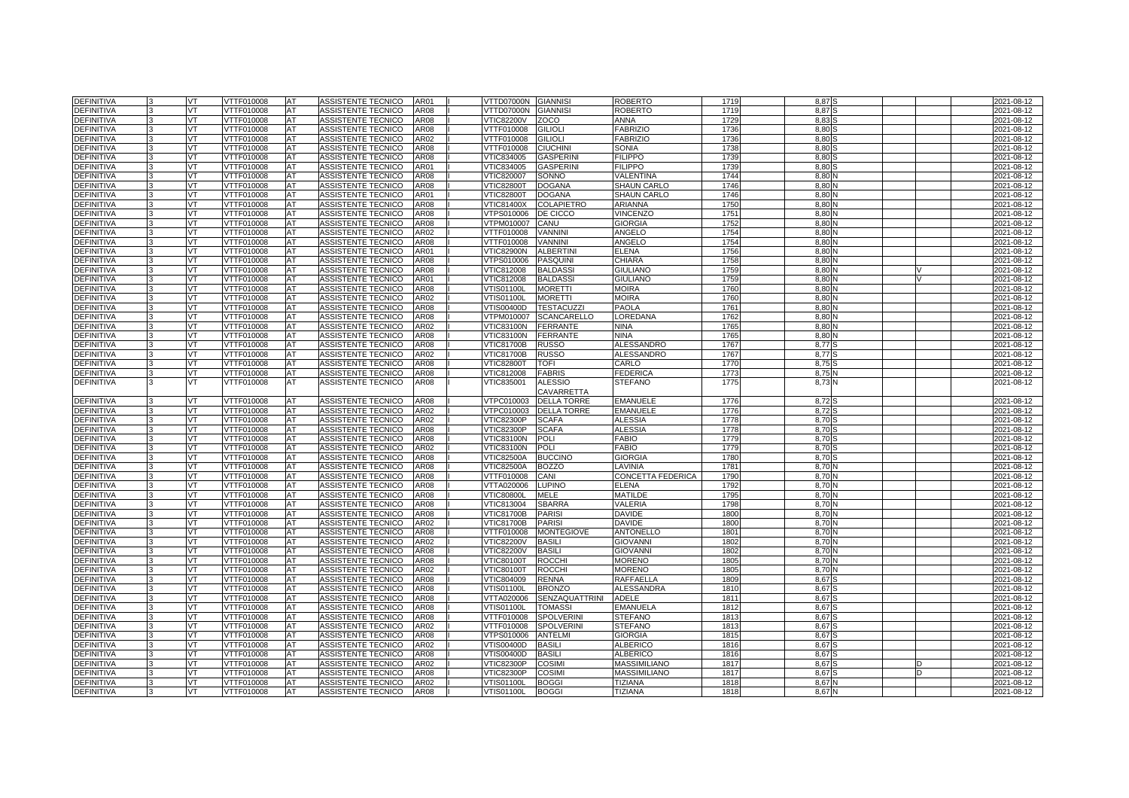| <b>DEFINITIVA</b> | VT        | VTTF010008 | <b>AT</b> | ASSISTENTE TECNICO        | AR01             | VTTD07000N        | <b>GIANNISI</b>       | <b>ROBERTO</b>     | 1719             | 8,87            |  | 2021-08-12 |
|-------------------|-----------|------------|-----------|---------------------------|------------------|-------------------|-----------------------|--------------------|------------------|-----------------|--|------------|
| <b>DEFINITIVA</b> | VT        | VTTF010008 | AT        | ASSISTENTE TECNICO        | AR08             | √TTD07000N        | <b>GIANNISI</b>       | ROBERTO            | 1719             | 8.87            |  | 2021-08-12 |
| <b>DEFINITIVA</b> | VT.       | VTTF010008 | AT        | ASSISTENTE TECNICO        | AR08             | <b>VTIC82200V</b> | <b>ZOCO</b>           | ANNA               | 1729             | 8,83            |  | 2021-08-12 |
| DEFINITIVA        | <b>VT</b> | VTTF010008 | AT        | ASSISTENTE TECNICO        | AR08             | VTTF010008        | <b>GILIOLI</b>        | <b>FABRIZIO</b>    | 1736             | 8,80            |  | 2021-08-12 |
| <b>DEFINITIVA</b> | VT        | VTTF010008 | AT        | ASSISTENTE TECNICO        | AR02             | VTTF010008        | <b>GILIOLI</b>        | <b>FABRIZIO</b>    | 1736             | 8,80            |  | 2021-08-12 |
| <b>DEFINITIVA</b> | VT        | VTTF010008 | AT        | ASSISTENTE TECNICO        | AR08             | VTTF010008        | <b>CIUCHINI</b>       | SONIA              | 1738             | 8,80            |  | 2021-08-12 |
| <b>DEFINITIVA</b> | VT.       | VTTF010008 | AT        | ASSISTENTE TECNICO        | AR08             | VTIC834005        | <b>GASPERINI</b>      | <b>FILIPPO</b>     | 1739             | 8,80            |  | 2021-08-12 |
| <b>DEFINITIVA</b> | VT        | VTTF010008 | AT        | ASSISTENTE TECNICO        | AR01             | VTIC834005        | <b>GASPERINI</b>      | <b>FILIPPO</b>     | 1739             | 8.80            |  | 2021-08-12 |
| DEFINITIVA        | VT        | VTTF010008 | AT        | ASSISTENTE TECNICO        | AR08             | VTIC820007        | SONNO                 | VALENTINA          | 1744             | 8,80            |  | 2021-08-12 |
| <b>DEFINITIVA</b> | VT        | VTTF010008 | AT        | ASSISTENTE TECNICO        | <b>AR08</b>      | VTIC82800T        | <b>DOGANA</b>         | <b>SHAUN CARLO</b> | 1746             | 8,80            |  | 2021-08-12 |
| <b>DEFINITIVA</b> | VT        | VTTF010008 | AT        | ASSISTENTE TECNICO        | AR01             | VTIC82800T        | <b>DOGANA</b>         | <b>SHAUN CARLO</b> | 1746             | 8,80            |  | 2021-08-12 |
| <b>DEFINITIVA</b> | VT        | VTTF010008 | AT        | ASSISTENTE TECNICO        | AR08             | VTIC81400X        | <b>COLAPIETRO</b>     | ARIANNA            | 1750             | 8,80            |  | 2021-08-12 |
| DEFINITIVA        | VT.       | VTTF010008 | AT        | ASSISTENTE TECNICO        | AR08             | VTPS010006        | DE CICCO              | <b>VINCENZO</b>    | 175'             | 8,80            |  | 2021-08-12 |
| <b>DEFINITIVA</b> | VT        | VTTF010008 | AT        | ASSISTENTE TECNICO        | AR08             | /TPM010007        | CANU                  | <b>GIORGIA</b>     | 1752             | 8,80            |  | 2021-08-12 |
| DEFINITIVA        | VT        | VTTF010008 | AT        | ASSISTENTE TECNICO        | AR02             | VTTF010008        | VANNINI               | ANGELO             | 1754             | 8,80            |  | 2021-08-12 |
| <b>DEFINITIVA</b> | VT        | VTTF010008 | AT        | ASSISTENTE TECNICO        | <b>AR08</b>      | VTTF010008        | <b>VANNINI</b>        | ANGELO             | 1754             | 8,80            |  | 2021-08-12 |
| <b>DEFINITIVA</b> | VT        | VTTF010008 | AT        | ASSISTENTE TECNICO        | AR01             | VTIC82900N        | <b>ALBERTINI</b>      | ELENA              | 1756             | 8,80            |  | 2021-08-12 |
| <b>DEFINITIVA</b> | VT        | VTTF010008 | AT        | ASSISTENTE TECNICO        | AR08             | /TPS010006        | <b>PASQUINI</b>       | CHIARA             | 1758             | 8,80            |  | 2021-08-12 |
| <b>DEFINITIVA</b> | VT        | VTTF010008 | AT        | ASSISTENTE TECNICO        | AR08             | VTIC812008        | <b>BALDASS</b>        | <b>GIULIANO</b>    | 1759             | 8.80            |  | 2021-08-12 |
| <b>DEFINITIVA</b> | VT        | VTTF010008 | AT        | ASSISTENTE TECNICO        | AR01             | VTIC812008        | <b>BALDASS</b>        | GIULIANO           | 1759             | 8,80            |  | 2021-08-12 |
| <b>DEFINITIVA</b> | VT        | VTTF010008 | AT        | ASSISTENTE TECNICO        | AR08             | √TIS01100L        | <b>MORETTI</b>        | <b>MOIRA</b>       | 1760             | 8,80            |  | 2021-08-12 |
| <b>DEFINITIVA</b> | VT        | VTTF010008 | AT        | ASSISTENTE TECNICO        | AR02             | VTIS01100L        | <b>MORETTI</b>        | MOIRA              | 1760             | 8,80            |  | 2021-08-12 |
| <b>DEFINITIVA</b> | VT        | VTTF010008 | AT        | ASSISTENTE TECNICO        | AR08             | /TIS00400D        | <b>TESTACUZZI</b>     | PAOLA              | 176'             | 8,80            |  | 2021-08-12 |
| <b>DEFINITIVA</b> | VT        | VTTF010008 | AT        | ASSISTENTE TECNICO        | AR08             | /TPM010007        | <b>SCANCARELLO</b>    | LOREDANA           | 1762             | 8,80            |  | 2021-08-12 |
| <b>DEFINITIVA</b> | VT        | VTTF010008 | AT        | ASSISTENTE TECNICO        | AR02             | √TIC83100N        | <b>FERRANTE</b>       | <b>NINA</b>        | 1765             | 8,80            |  | 2021-08-12 |
| <b>DEFINITIVA</b> | VT        | VTTF010008 | AT        | ASSISTENTE TECNICO        | AR08             | VTIC83100N        | <b>FERRANTE</b>       | NINA               | 1765             | 8,80            |  | 2021-08-12 |
| DEFINITIVA        | VT        | VTTF010008 | AT        | ASSISTENTE TECNICO        | AR08             | <b>VTIC81700B</b> | <b>RUSSO</b>          | ALESSANDRO         | 1767             | 8,77            |  | 2021-08-12 |
| <b>DEFINITIVA</b> | VT        | VTTF010008 | AT        | ASSISTENTE TECNICO        | AR02             | VTIC81700B        | <b>RUSSO</b>          | ALESSANDRO         | 1767             | $8,77$ S        |  | 2021-08-12 |
| DEFINITIVA        | VT        | VTTF010008 | AT        | ASSISTENTE TECNICO        | AR08             | VTIC82800T        | TOFI                  | CARLO              | 1770             | 8,75            |  | 2021-08-12 |
| <b>DEFINITIVA</b> | VT        | /TTF010008 | AT        | ASSISTENTE TECNICO        | AR08             | /TIC812008        | <b>FABRIS</b>         | <b>EDERICA</b>     | 1773             | 8,75            |  | 2021-08-12 |
| <b>DEFINITIVA</b> | IVТ       | VTTF010008 | AT        | ASSISTENTE TECNICO        | AR08             | VTIC835001        | <b>ALESSIO</b>        | STEFANO            | 1775             | $8,73$ $\Gamma$ |  | 2021-08-12 |
|                   |           |            |           |                           |                  |                   | CAVARRETTA            |                    |                  |                 |  |            |
| DEFINITIVA        | VT        | /TTF010008 | AT        | ASSISTENTE TECNICO        | AR08             | TPC010003         | <b>DELLA TORRE</b>    | <b>EMANUELE</b>    | 1776             | 8,72            |  | 2021-08-12 |
| <b>DEFINITIVA</b> | VT        | VTTF010008 | AT        | ASSISTENTE TECNICO        | AR02             | VTPC010003        | <b>DELLA TORRE</b>    | <b>EMANUELE</b>    | 1776             | 8,72            |  | 2021-08-12 |
| <b>DEFINITIVA</b> | VT        | VTTF010008 | AT        | ASSISTENTE TECNICO        | AR02             | VTIC82300P        | SCAFA                 | ALESSIA            | 1778             | 8,70            |  | 2021-08-12 |
| DEFINITIVA        | VT        | /TTF010008 | AT        | <b>ASSISTENTE TECNICO</b> | AR <sub>08</sub> | /TIC82300P        | <b>SCAFA</b>          | ALESSIA            | 1778             | 8,70            |  | 2021-08-12 |
| <b>DEFINITIVA</b> | VT        | VTTF010008 | AT        | ASSISTENTE TECNICO        | AR08             | <b>VTIC83100N</b> | POLI                  | FABIO              | 1779             | 8,70            |  | 2021-08-12 |
| DEFINITIVA        | VT        | VTTF010008 | AT        | ASSISTENTE TECNICO        | AR02             | VTIC83100N        | <b>POLI</b>           | FABIO              | 1779             | 8,70            |  | 2021-08-12 |
| <b>DEFINITIVA</b> | VT        | VTTF010008 | AT        | ASSISTENTE TECNICO        | AR08             | √TIC82500A        | <b>BUCCINO</b>        | <b>GIORGIA</b>     | 1780             | 8.70            |  | 2021-08-12 |
| <b>DEFINITIVA</b> | VT        | VTTF010008 | AT        | ASSISTENTE TECNICO        | AR08             | <b>VTIC82500A</b> | <b>BOZZO</b>          | LAVINIA            | 178              | 8,70            |  | 2021-08-12 |
| <b>DEFINITIVA</b> | VT        | VTTF010008 | AT        | ASSISTENTE TECNICO        | AR08             | VTTF010008        | CANI                  | CONCETTA FEDERICA  | 1790             | 8,70            |  | 2021-08-12 |
| <b>DEFINITIVA</b> | VT        | /TTF010008 | AT        | <b>ASSISTENTE TECNICO</b> | AR08             | /TTA020006        | <b>LUPINO</b>         | <b>ELENA</b>       | 1792             | 8.70            |  | 2021-08-12 |
| <b>DEFINITIVA</b> | VT        | VTTF010008 | AT        | ASSISTENTE TECNICO        | AR08             | <b>VTIC80800L</b> | MELE                  | <b>MATILDE</b>     | 1795             | 8,70            |  | 2021-08-12 |
| DEFINITIVA        | VT        | VTTF010008 | AT        | ASSISTENTE TECNICO        | AR08             | VTIC813004        | <b>SBARRA</b>         | VALERIA            | 1798             | 8,70            |  | 2021-08-12 |
| DEFINITIVA        | VT        | VTTF010008 | AT        | ASSISTENTE TECNICO        | AR08             | /TIC81700B        | <b>PARISI</b>         | <b>DAVIDE</b>      | 180              | 8.70            |  | 2021-08-12 |
| DEFINITIVA        | VT        | VTTF010008 | AT        | ASSISTENTE TECNICO        | AR02             | VTIC81700B        | <b>PARISI</b>         | DAVIDE             | 180              | 8,70            |  | 2021-08-12 |
| DEFINITIVA        | VT        | VTTF010008 | AT        | ASSISTENTE TECNICO        | AR08             | VTTF010008        | <b>MONTEGIOVE</b>     | ANTONELLO          | 180 <sup>°</sup> | 8,70            |  | 2021-08-12 |
| <b>DEFINITIVA</b> | VT        | VTTF010008 | AT        | ASSISTENTE TECNICO        | AR02             | <b>VTIC82200V</b> | <b>BASILI</b>         | <b>GIOVANNI</b>    | 1802             | 8,70            |  | 2021-08-12 |
| <b>DEFINITIVA</b> | VT        | VTTF010008 | AT        | ASSISTENTE TECNICO        | AR08             | <b>VTIC82200V</b> | <b>BASILI</b>         | <b>GIOVANN</b>     | 1802             | 8,70            |  | 2021-08-12 |
| DEFINITIVA        | VT        | VTTF010008 | AT        | ASSISTENTE TECNICO        | AR08             | <b>VTIC80100T</b> | <b>ROCCHI</b>         | <b>MORENO</b>      | 1805             | 8,70            |  | 2021-08-12 |
| <b>DEFINITIVA</b> | VT        | VTTF010008 | AT        | ASSISTENTE TECNICO        | AR02             | <b>VTIC80100T</b> | <b>ROCCHI</b>         | <b>MORENO</b>      | 1805             | 8,70            |  | 2021-08-12 |
| DEFINITIVA        | VT        | VTTF010008 | AT        | ASSISTENTE TECNICO        | AR08             | VTIC804009        | <b>RENNA</b>          | RAFFAELLA          | 180              | 8,67            |  | 2021-08-12 |
| DEFINITIVA        | VT        | VTTF010008 | AT        | ASSISTENTE TECNICO        | AR08             | √TIS01100L        | <b>BRONZO</b>         | <b>ALESSANDRA</b>  | 181              | 8,67            |  | 2021-08-12 |
| DEFINITIVA        | VT        | VTTF010008 | AT        | ASSISTENTE TECNICO        | AR08             | /TTA020006        | <b>SENZAQUATTRINI</b> | <b>ADELE</b>       | 1811             | 8,67            |  | 2021-08-12 |
| <b>DEFINITIVA</b> | VT        | VTTF010008 | AT        | ASSISTENTE TECNICO        | AR08             | VTIS01100L        | <b>TOMASS</b>         | <b>EMANUELA</b>    | 1812             | 8,67            |  | 2021-08-12 |
| DEFINITIVA        | VT        | VTTF010008 | AT        | ASSISTENTE TECNICO        | AR08             | VTTF010008        | <b>SPOLVERINI</b>     | <b>STEFANO</b>     | 181              | 8,67            |  | 2021-08-12 |
| <b>DEFINITIVA</b> | VT        | VTTF010008 | AT        | ASSISTENTE TECNICO        | AR02             | VTTF010008        | <b>SPOLVERINI</b>     | <b>STEFANO</b>     | 1813             | 8,67            |  | 2021-08-12 |
| <b>DEFINITIVA</b> | VT        | VTTF010008 | AT        | ASSISTENTE TECNICO        | AR08             | VTPS010006        | <b>ANTELMI</b>        | <b>GIORGIA</b>     | 181              | 8.67            |  | 2021-08-12 |
| DEFINITIVA        | VT        | VTTF010008 | AT        | ASSISTENTE TECNICO        | AR02             | VTIS00400D        | <b>BASILI</b>         | ALBERICO           | 1816             | 8,67            |  | 2021-08-12 |
| <b>DEFINITIVA</b> | VT        | VTTF010008 | AT        | ASSISTENTE TECNICO        | AR08             | /TIS00400D        | <b>BASILI</b>         | <b>ALBERICO</b>    | 1816             | 8,67            |  | 2021-08-12 |
| DEFINITIVA        | VT        | VTTF010008 | AT        | ASSISTENTE TECNICO        | AR02             | √TIC82300P        | <b>COSIMI</b>         | MASSIMILIANO       | 1817             | 8,67            |  | 2021-08-12 |
| DEFINITIVA        | VT        | VTTF010008 | AT        | ASSISTENTE TECNICO        | AR08             | VTIC82300P        | <b>COSIMI</b>         | MASSIMILIANO       | 181              | 8,67            |  | 2021-08-12 |
| <b>DEFINITIVA</b> | VT        | VTTF010008 | AT        | ASSISTENTE TECNICO        | AR02             | /TIS01100L        | <b>BOGGI</b>          | <b>TIZIANA</b>     | 1818             | 8,67            |  | 2021-08-12 |
| <b>DEFINITIVA</b> | VT.       | VTTF010008 | AT        | ASSISTENTE TECNICO        | AR08             | VTIS01100L        | <b>BOGGI</b>          | TIZIANA            | 1818             | 8,67            |  | 2021-08-12 |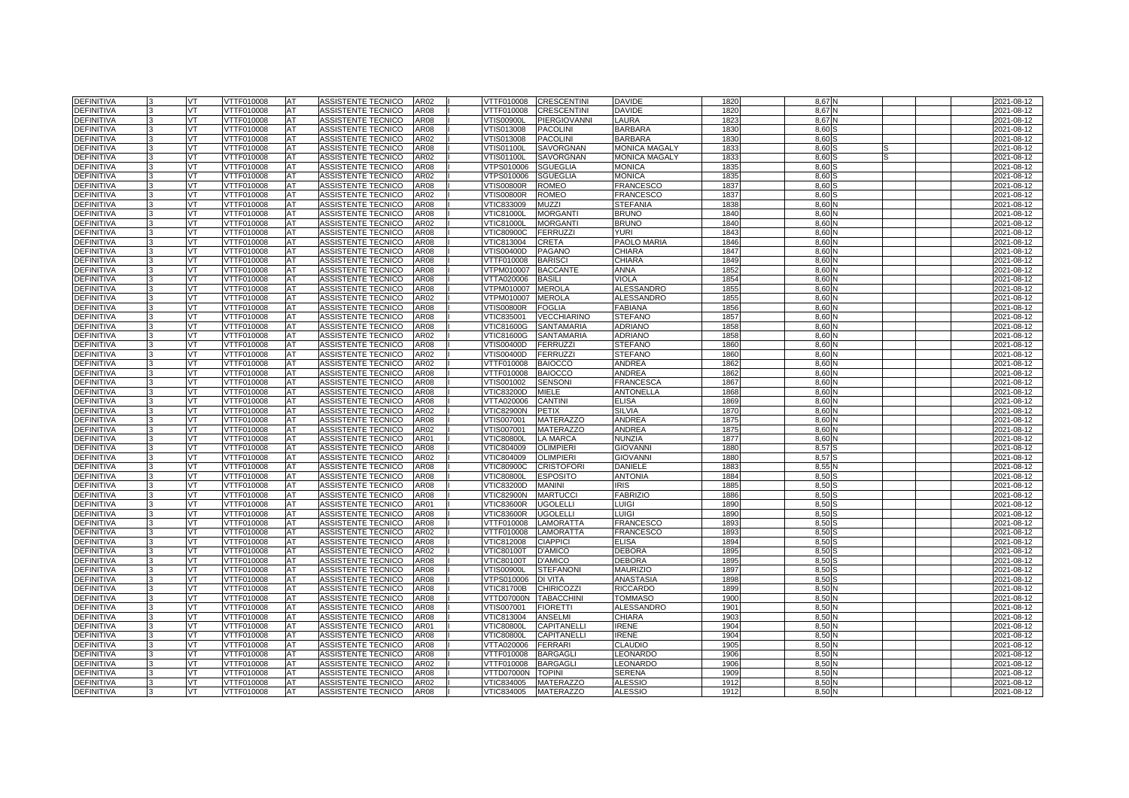| <b>DEFINITIVA</b> |              | VT        | VTTF010008        | <b>AT</b> | ASSISTENTE TECNICO        | AR02        | VTTF010008        | <b>CRESCENTINI</b>  | <b>DAVIDE</b>        | 1820             | 8.67N |  | 2021-08-12 |
|-------------------|--------------|-----------|-------------------|-----------|---------------------------|-------------|-------------------|---------------------|----------------------|------------------|-------|--|------------|
| <b>DEFINITIVA</b> |              | VT        | VTTF010008        | AT        | ASSISTENTE TECNICO        | AR08        | VTTF010008        | <b>CRESCENTINI</b>  | <b>DAVIDE</b>        | 182              | 8.67  |  | 2021-08-12 |
| <b>DEFINITIVA</b> |              | VT        | <b>VTTF010008</b> | AT        | <b>ASSISTENTE TECNICO</b> | <b>AR08</b> | <b>VTIS00900L</b> | <b>PIERGIOVANNI</b> | LAURA                | 1823             | 8,67  |  | 2021-08-12 |
| <b>DEFINITIVA</b> |              | <b>VT</b> | VTTF010008        | AT        | ASSISTENTE TECNICO        | <b>AR08</b> | VTIS013008        | <b>PACOLINI</b>     | <b>BARBARA</b>       | 183              | 8.60  |  | 2021-08-12 |
| <b>DEFINITIVA</b> |              | VT.       | VTTF010008        | AT        | ASSISTENTE TECNICO        | AR02        | VTIS013008        | <b>PACOLINI</b>     | <b>BARBARA</b>       | 183              | 8.60  |  | 2021-08-12 |
| <b>DEFINITIVA</b> |              | VT        | VTTF010008        | AT        | ASSISTENTE TECNICO        | <b>AR08</b> | <b>VTIS01100L</b> | <b>SAVORGNAN</b>    | <b>MONICA MAGALY</b> | 1833             | 8,60  |  | 2021-08-12 |
| <b>DEFINITIVA</b> |              | VT.       | VTTF010008        | <b>AT</b> | ASSISTENTE TECNICO        | AR02        | VTIS01100L        | <b>SAVORGNAN</b>    | <b>MONICA MAGALY</b> | 1833             | 8.60  |  | 2021-08-12 |
| <b>DEFINITIVA</b> |              | VT.       | VTTF010008        | AT        | ASSISTENTE TECNICO        | AR08        | VTPS010006        | <b>SGUEGLIA</b>     | <b>MONICA</b>        | 1835             | 8.60  |  | 2021-08-12 |
| <b>DEFINITIVA</b> |              | VT        | VTTF010008        | AT        | ASSISTENTE TECNICO        | AR02        | VTPS010006        | <b>SGUEGLIA</b>     | <b>MONICA</b>        | 1835             | 8,60  |  | 2021-08-12 |
| <b>DEFINITIVA</b> |              | VT        | VTTF010008        | AT        | ASSISTENTE TECNICO        | <b>AR08</b> | <b>VTIS00800R</b> | <b>ROMEO</b>        | <b>FRANCESCO</b>     | 1837             | 8,60  |  | 2021-08-12 |
| <b>DEFINITIVA</b> |              | VT        | VTTF010008        | <b>AT</b> | ASSISTENTE TECNICO        | AR02        | √TIS00800R        | <b>ROMEO</b>        | <b>FRANCESCO</b>     | 1837             | 8.60  |  | 2021-08-12 |
| <b>DEFINITIVA</b> |              | VT        | VTTF010008        | AT        | ASSISTENTE TECNICO        | <b>AR08</b> | VTIC833009        | <b>MUZZI</b>        | <b>STEFANIA</b>      | 1838             | 8,60  |  | 2021-08-12 |
| <b>DEFINITIVA</b> |              | VT.       | VTTF010008        | AT        | ASSISTENTE TECNICO        | AR08        | <b>VTIC81000L</b> | <b>MORGANTI</b>     | <b>BRUNO</b>         | 184              | 8,60  |  | 2021-08-12 |
| <b>DEFINITIVA</b> |              | VT        | VTTF010008        | AT        | ASSISTENTE TECNICO        | AR02        | <b>VTIC81000L</b> | <b>MORGANTI</b>     | <b>BRUNO</b>         | 1840             | 8.60  |  | 2021-08-12 |
| <b>DEFINITIVA</b> |              | VT        | VTTF010008        | AT        | ASSISTENTE TECNICO        | AR08        | <b>VTIC80900C</b> | <b>FERRUZZI</b>     | <b>YURI</b>          | 184              | 8,60  |  | 2021-08-12 |
| DEFINITIVA        |              | VT        | VTTF010008        | AT        | ASSISTENTE TECNICO        | <b>AR08</b> | VTIC813004        | <b>CRETA</b>        | PAOLO MARIA          | 1846             | 8,60  |  | 2021-08-12 |
| <b>DEFINITIVA</b> |              | VT        | VTTF010008        | AT        | ASSISTENTE TECNICO        | <b>AR08</b> | √TIS00400D        | <b>PAGANO</b>       | CHIARA               | 184              | 8,60  |  | 2021-08-12 |
| <b>DEFINITIVA</b> |              | VT        | VTTF010008        | AT        | ASSISTENTE TECNICO        | <b>AR08</b> | VTTF010008        | <b>BARISC</b>       | CHIARA               | 1849             | 8,60  |  | 2021-08-12 |
| <b>DEFINITIVA</b> |              | <b>VT</b> | VTTF010008        | <b>AT</b> | ASSISTENTE TECNICO        | <b>AR08</b> | VTPM010007        | <b>BACCANTE</b>     | <b>ANNA</b>          | 1852             | 8,60  |  | 2021-08-12 |
| <b>DEFINITIVA</b> |              | VT.       | VTTF010008        | AT        | ASSISTENTE TECNICO        | AR08        | VTTA020006        | <b>BASILI</b>       | VIOLA                | 185              | 8.60  |  | 2021-08-12 |
| DEFINITIVA        |              | VT        | VTTF010008        | AT        | ASSISTENTE TECNICO        | AR08        | VTPM010007        | <b>MEROLA</b>       | <b>ALESSANDRO</b>    | 185              | 8,60  |  | 2021-08-12 |
| <b>DEFINITIVA</b> |              | VT        | VTTF010008        | AT        | ASSISTENTE TECNICO        | AR02        | VTPM010007        | <b>MEROLA</b>       | <b>ALESSANDRO</b>    | 185              | 8.60  |  | 2021-08-12 |
| <b>DEFINITIVA</b> |              | VT        | VTTF010008        | AT        | ASSISTENTE TECNICO        | AR08        | √TIS00800R        | <b>FOGLIA</b>       | FABIANA              | 1856             | 8,60  |  | 2021-08-12 |
| DEFINITIVA        |              | VT        | VTTF010008        | AT        | ASSISTENTE TECNICO        | AR08        | VTIC835001        | <b>VECCHIARINO</b>  | <b>STEFANO</b>       | 1857             | 8,60  |  | 2021-08-12 |
| DEFINITIVA        |              | VT.       | VTTF010008        | AT        | ASSISTENTE TECNICO        | <b>AR08</b> | <b>VTIC81600G</b> | SANTAMARIA          | <b>ADRIANO</b>       | 1858             | 8,60  |  | 2021-08-12 |
| <b>DEFINITIVA</b> |              | VT.       | VTTF010008        | AT        | ASSISTENTE TECNICO        | AR02        | <b>VTIC81600G</b> | SANTAMARIA          | <b>ADRIANO</b>       | 1858             | 8,60  |  | 2021-08-12 |
| DEFINITIVA        |              | VT        | VTTF010008        | AT        | ASSISTENTE TECNICO        | AR08        | VTIS00400D        | <b>FERRUZZI</b>     | <b>STEFANO</b>       | 1860             | 8,60  |  | 2021-08-12 |
| DEFINITIVA        |              | VT        | VTTF010008        | AT        | ASSISTENTE TECNICO        | AR02        | VTIS00400D        | <b>FERRUZZI</b>     | <b>STEFANO</b>       | 1860             | 8,60  |  | 2021-08-12 |
| <b>DEFINITIVA</b> |              | VT        | VTTF010008        | AT        | ASSISTENTE TECNICO        | AR02        | VTTF010008        | <b>BAIOCCO</b>      | ANDREA               | 1862             | 8,60  |  | 2021-08-12 |
| DEFINITIVA        |              | VT        | VTTF010008        | AT        | ASSISTENTE TECNICO        | AR08        | VTTF010008        | <b>BAIOCCO</b>      | ANDREA               | 1862             | 8,60  |  | 2021-08-12 |
| DEFINITIVA        |              | VT        | VTTF010008        | AT        | ASSISTENTE TECNICO        | AR08        | VTIS001002        | <b>SENSONI</b>      | <b>FRANCESCA</b>     | 186              | 8,60  |  | 2021-08-12 |
| <b>DEFINITIVA</b> |              | VT        | VTTF010008        | AT        | ASSISTENTE TECNICO        | AR08        | VTIC83200D        | MIELE               | ANTONELLA            | 1868             | 8,60  |  | 2021-08-12 |
| <b>DEFINITIVA</b> |              | VT        | VTTF010008        | AT        | <b>ASSISTENTE TECNICO</b> | AR08        | VTTA020006        | CANTINI             | <b>ELISA</b>         | 1869             | 8.60  |  | 2021-08-12 |
| <b>DEFINITIVA</b> | $\mathbf{R}$ | <b>VT</b> | VTTF010008        | AT        | ASSISTENTE TECNICO        | AR02        | <b>VTIC82900N</b> | PETIX               | SILVIA               | 187              | 8.60  |  | 2021-08-12 |
| <b>DEFINITIVA</b> |              | VT        | VTTF010008        | AT        | ASSISTENTE TECNICO        | <b>AR08</b> | /TIS007001        | <b>MATERAZZO</b>    | <b>ANDREA</b>        | 1875             | 8.60  |  | 2021-08-12 |
| <b>DEFINITIVA</b> |              | VT.       | <b>VTTF010008</b> | AT        | ASSISTENTE TECNICO        | AR02        | VTIS007001        | <b>MATERAZZO</b>    | <b>ANDREA</b>        | 1875             | 8,60  |  | 2021-08-12 |
| <b>DEFINITIVA</b> |              | VT.       | VTTF010008        | AT        | ASSISTENTE TECNICO        | AR01        | <b>VTIC80800L</b> | <b>LA MARCA</b>     | <b>NUNZIA</b>        | 1877             | 8.60  |  | 2021-08-12 |
| <b>DEFINITIVA</b> |              | VT        | VTTF010008        | AT        | <b>ASSISTENTE TECNICO</b> | AR08        | VTIC804009        | <b>OLIMPIERI</b>    | <b>GIOVANNI</b>      | 1880             | 8.57  |  | 2021-08-12 |
| <b>DEFINITIVA</b> |              | VT        | <b>VTTF010008</b> | AT        | <b>ASSISTENTE TECNICO</b> | AR02        | VTIC804009        | <b>OLIMPIERI</b>    | <b>GIOVANNI</b>      | 1880             | 8,57  |  | 2021-08-12 |
| DEFINITIVA        |              | VT        | VTTF010008        | AT        | ASSISTENTE TECNICO        | AR08        | <b>VTIC80900C</b> | <b>CRISTOFORI</b>   | DANIELE              | 188              | 8,55  |  | 2021-08-12 |
| <b>DEFINITIVA</b> |              | VT.       | VTTF010008        | AT        | <b>ASSISTENTE TECNICO</b> | <b>AR08</b> | <b>VTIC80800L</b> | <b>ESPOSITO</b>     | <b>ANTONIA</b>       | 1884             | 8.50  |  | 2021-08-12 |
| <b>DEFINITIVA</b> | 3            | VT        | VTTF010008        | AT        | ASSISTENTE TECNICO        | AR08        | VTIC83200D        | <b>MANINI</b>       | IRIS                 | 1885             | 8,50  |  | 2021-08-12 |
| <b>DEFINITIVA</b> |              | VT.       | VTTF010008        | <b>AT</b> | ASSISTENTE TECNICO        | <b>AR08</b> | <b>VTIC82900N</b> | <b>MARTUCCI</b>     | <b>FABRIZIO</b>      | 1886             | 8.50  |  | 2021-08-12 |
| <b>DEFINITIVA</b> |              | VT        | VTTF010008        | AT        | <b>ASSISTENTE TECNICO</b> | AR01        | <b>VTIC83600R</b> | <b>UGOLELLI</b>     | LUIGI                | 1890             | 8.50  |  | 2021-08-12 |
| <b>DEFINITIVA</b> |              | VT        | <b>VTTF010008</b> | AT        | ASSISTENTE TECNICO        | <b>AR08</b> | VTIC83600R        | <b>UGOLELLI</b>     | LUIGI                | 1890             | 8,50  |  | 2021-08-12 |
| <b>DEFINITIVA</b> |              | VT        | VTTF010008        | AT        | ASSISTENTE TECNICO        | AR08        | VTTF010008        | LAMORATTA           | <b>FRANCESCO</b>     | 1893             | 8,50  |  | 2021-08-12 |
| <b>DEFINITIVA</b> |              | VT        | VTTF010008        | AT        | ASSISTENTE TECNICO        | AR02        | VTTF010008        | LAMORATTA           | <b>FRANCESCO</b>     | 1893             | 8.50  |  | 2021-08-12 |
| <b>DEFINITIVA</b> |              | VT        | VTTF010008        | AT        | ASSISTENTE TECNICO        | <b>AR08</b> | VTIC812008        | <b>CIAPPICI</b>     | <b>ELISA</b>         | 1894             | 8,50  |  | 2021-08-12 |
| DEFINITIVA        |              | <b>VT</b> | VTTF010008        | AT        | ASSISTENTE TECNICO        | AR02        | <b>VTIC80100T</b> | <b>D'AMICO</b>      | <b>DEBORA</b>        | 1895             | 8,50  |  | 2021-08-12 |
| <b>DEFINITIVA</b> |              | VT        | VTTF010008        | AT        | ASSISTENTE TECNICO        | AR08        | VTIC80100T        | <b>D'AMICO</b>      | <b>DEBORA</b>        | 1895             | 8.50  |  | 2021-08-12 |
| DEFINITIVA        |              | VT        | VTTF010008        | AT        | ASSISTENTE TECNICO        | AR08        | √TIS00900L        | <b>STEFANONI</b>    | <b>MAURIZIO</b>      | 1897             | 8,50  |  | 2021-08-12 |
| DEFINITIVA        |              | VT        | VTTF010008        | AT        | ASSISTENTE TECNICO        | AR08        | VTPS010006        | <b>DI VITA</b>      | <b>ANASTASIA</b>     | 1898             | 8,50  |  | 2021-08-12 |
| DEFINITIVA        |              | VT        | VTTF010008        | AT        | ASSISTENTE TECNICO        | AR08        | √TIC81700B        | <b>CHIRICOZZI</b>   | RICCARDO             | 1899             | 8,50  |  | 2021-08-12 |
| DEFINITIVA        |              | VT        | VTTF010008        | AT        | ASSISTENTE TECNICO        | AR08        | VTTD07000N        | <b>TABACCHINI</b>   | <b>TOMMASO</b>       | 1900             | 8,50  |  | 2021-08-12 |
| DEFINITIVA        |              | VT        | VTTF010008        | AT        | ASSISTENTE TECNICO        | AR08        | VTIS007001        | <b>FIORETTI</b>     | <b>ALESSANDRO</b>    | 190 <sup>°</sup> | 8,50  |  | 2021-08-12 |
| <b>DEFINITIVA</b> |              | VT        | VTTF010008        | AT        | ASSISTENTE TECNICO        | AR08        | VTIC813004        | <b>ANSELMI</b>      | CHIARA               | 1903             | 8.50  |  | 2021-08-12 |
| DEFINITIVA        |              | VT        | VTTF010008        | AT        | ASSISTENTE TECNICO        | AR01        | <b>VTIC80800L</b> | CAPITANELLI         | IRENE                | 1904             | 8,50  |  | 2021-08-12 |
| DEFINITIVA        |              | VT        | VTTF010008        | AT        | ASSISTENTE TECNICO        | AR08        | <b>VTIC80800L</b> | CAPITANELLI         | <b>IRENE</b>         | 1904             | 8,50  |  | 2021-08-12 |
| <b>DEFINITIVA</b> |              | VT.       | VTTF010008        | AT        | ASSISTENTE TECNICO        | AR08        | VTTA020006        | <b>FERRARI</b>      | <b>CLAUDIO</b>       | 1905             | 8,50  |  | 2021-08-12 |
| DEFINITIVA        |              | VT        | VTTF010008        | AT        | ASSISTENTE TECNICO        | AR08        | VTTF010008        | <b>BARGAGL</b>      | LEONARDC             | 1906             | 8,50  |  | 2021-08-12 |
| DEFINITIVA        |              | VT        | VTTF010008        | AT        | <b>ASSISTENTE TECNICO</b> | AR02        | VTTF010008        | <b>BARGAGLI</b>     | LEONARDO             | 1906             | 8,50  |  | 2021-08-12 |
| DEFINITIVA        |              | VT        | VTTF010008        | AT        | ASSISTENTE TECNICO        | AR08        | VTTD07000N        | <b>TOPINI</b>       | <b>SERENA</b>        | 190              | 8,50  |  | 2021-08-12 |
| DEFINITIVA        |              | VT        | VTTF010008        | AT        | ASSISTENTE TECNICO        | AR02        | VTIC834005        | <b>MATERAZZO</b>    | <b>ALESSIO</b>       | 191              | 8,50  |  | 2021-08-12 |
| <b>DEFINITIVA</b> | 3            | VT        | VTTF010008        | <b>AT</b> | ASSISTENTE TECNICO        | <b>AR08</b> | VTIC834005        | <b>MATERAZZO</b>    | <b>ALESSIO</b>       | 1912             | 8.50N |  | 2021-08-12 |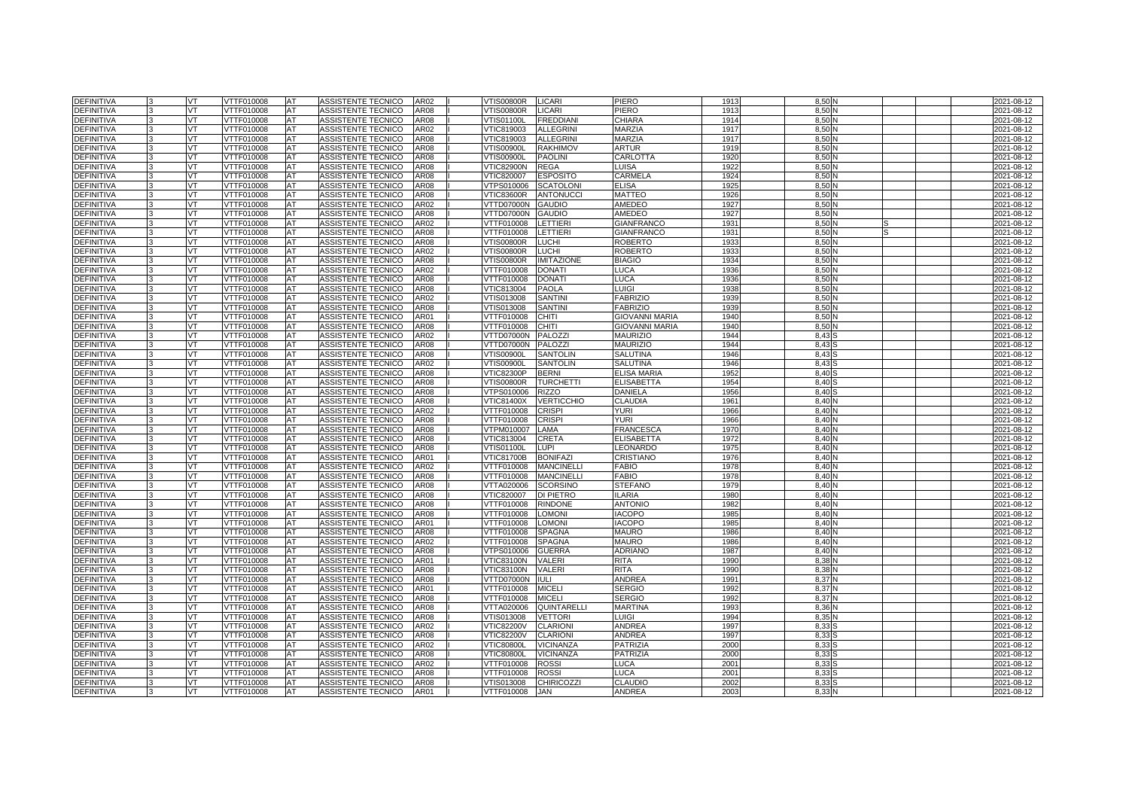| <b>DEFINITIVA</b>                      |              | VT        | VTTF010008               | <b>AT</b> | ASSISTENTE TECNICO                       | AR02         | <b>VTIS00800R</b>        | <b>LICARI</b>                     | PIERO                           | 1913         | 8.50 <sub>1</sub> |  | 2021-08-12               |
|----------------------------------------|--------------|-----------|--------------------------|-----------|------------------------------------------|--------------|--------------------------|-----------------------------------|---------------------------------|--------------|-------------------|--|--------------------------|
| <b>DEFINITIVA</b>                      |              | VT        | VTTF010008               | AT        | ASSISTENTE TECNICO                       | AR08         | /TIS00800R               | <b>LICARI</b>                     | PIERO                           | 1913         | 8.50              |  | 2021-08-12               |
| <b>DEFINITIVA</b>                      |              | VT        | <b>VTTF010008</b>        | AT        | <b>ASSISTENTE TECNICO</b>                | <b>AR08</b>  | <b>VTIS01100L</b>        | <b>FREDDIANI</b>                  | CHIARA                          | 1914         | 8,50              |  | 2021-08-12               |
| <b>DEFINITIVA</b>                      |              | <b>VT</b> | VTTF010008               | AT        | ASSISTENTE TECNICO                       | AR02         | VTIC819003               | <b>ALLEGRINI</b>                  | <b>MARZIA</b>                   | 1917         | 8.50 <sub>1</sub> |  | 2021-08-12               |
| <b>DEFINITIVA</b>                      |              | VT.       | VTTF010008               | AT        | ASSISTENTE TECNICO                       | <b>AR08</b>  | VTIC819003               | <b>ALLEGRINI</b>                  | <b>MARZIA</b>                   | 1917         | 8.50              |  | 2021-08-12               |
| <b>DEFINITIVA</b>                      |              | VT        | VTTF010008               | AT        | ASSISTENTE TECNICO                       | <b>AR08</b>  | <b>VTIS00900L</b>        | <b>RAKHIMOV</b>                   | <b>ARTUR</b>                    | 1919         | 8,50              |  | 2021-08-12               |
| <b>DEFINITIVA</b>                      |              | VT.       | VTTF010008               | <b>AT</b> | ASSISTENTE TECNICO                       | <b>AR08</b>  | VTIS00900L               | <b>PAOLINI</b>                    | CARLOTTA                        | 1920         | 8.50              |  | 2021-08-12               |
| <b>DEFINITIVA</b>                      |              | VT.       | VTTF010008               | AT        | ASSISTENTE TECNICO                       | AR08         | <b>VTIC82900N</b>        | <b>REGA</b>                       | LUISA                           | 1922         | 8.50              |  | 2021-08-12               |
| <b>DEFINITIVA</b>                      |              | VT        | VTTF010008               | AT        | ASSISTENTE TECNICO                       | AR08         | VTIC820007               | <b>ESPOSITO</b>                   | CARMELA                         | 1924         | 8,50              |  | 2021-08-12               |
| <b>DEFINITIVA</b>                      |              | VT        | VTTF010008               | AT        | ASSISTENTE TECNICO                       | AR08         | VTPS010006               | <b>SCATOLONI</b>                  | <b>ELISA</b>                    | 1925         | 8,50              |  | 2021-08-12               |
| <b>DEFINITIVA</b>                      |              | VT        | VTTF010008               | AT        | ASSISTENTE TECNICO                       | <b>AR08</b>  | <b>VTIC83600R</b>        | <b>ANTONUCCI</b>                  | <b>MATTEO</b>                   | 1926         | 8.50              |  | 2021-08-12               |
| <b>DEFINITIVA</b>                      |              | VT        | VTTF010008               | AT        | ASSISTENTE TECNICO                       | AR02         | VTTD07000N               | <b>GAUDIO</b>                     | AMEDEO                          | 1927         | 8,50              |  | 2021-08-12               |
| <b>DEFINITIVA</b>                      |              | VT.       | VTTF010008               | AT        | ASSISTENTE TECNICO                       | <b>AR08</b>  | VTTD07000N               | <b>GAUDIO</b>                     | AMEDEO                          | 1927         | 8,50              |  | 2021-08-12               |
| <b>DEFINITIVA</b>                      |              | VT        | VTTF010008               | AT        | ASSISTENTE TECNICO                       | AR02         | VTTF010008               | LETTIERI                          | <b>GIANFRANCO</b>               | 1931         | 8.50              |  | 2021-08-12               |
| <b>DEFINITIVA</b>                      |              | VT        | VTTF010008               | AT        | ASSISTENTE TECNICO                       | AR08         | VTTF010008               | <b>LETTIERI</b>                   | <b>GIANFRANCO</b>               | 193'         | 8,50              |  | 2021-08-12               |
| DEFINITIVA                             |              | VT        | VTTF010008               | AT        | ASSISTENTE TECNICO                       | <b>AR08</b>  | VTIS00800R               | <b>LUCHI</b>                      | <b>ROBERTO</b>                  | 1933         | 8,50              |  | 2021-08-12               |
| DEFINITIVA                             |              | VT        | VTTF010008               | AT        | ASSISTENTE TECNICO                       | AR02         | √TIS00800R               | <b>LUCHI</b>                      | <b>ROBERTO</b>                  | 193          | 8,50              |  | 2021-08-12               |
| <b>DEFINITIVA</b>                      |              | VT        | VTTF010008               | AT        | ASSISTENTE TECNICO                       | <b>AR08</b>  | <b>VTIS00800R</b>        | <b>IMITAZIONE</b>                 | <b>BIAGIO</b>                   | 1934         | 8,50              |  | 2021-08-12               |
| <b>DEFINITIVA</b>                      |              | <b>VT</b> | VTTF010008               | <b>AT</b> | ASSISTENTE TECNICO                       | AR02         | VTTF010008               | <b>DONATI</b>                     | <b>LUCA</b>                     | 1936         | 8.50              |  | 2021-08-12               |
| <b>DEFINITIVA</b>                      |              | VT.       | VTTF010008               | AT        | ASSISTENTE TECNICO                       | AR08         | VTTF010008               | <b>DONATI</b>                     | LUCA                            | 1936         | 8.50              |  | 2021-08-12               |
| DEFINITIVA                             |              | VT        | VTTF010008               | AT        | ASSISTENTE TECNICO                       | AR08         | VTIC813004               | <b>PAOLA</b>                      | LUIGI                           | 1938         | 8,50              |  | 2021-08-12               |
| <b>DEFINITIVA</b>                      |              | VT        | VTTF010008               | AT        | ASSISTENTE TECNICO                       | AR02         | VTIS013008               | <b>SANTINI</b>                    | <b>FABRIZIO</b>                 | 1939         | 8.50              |  | 2021-08-12               |
| <b>DEFINITIVA</b>                      |              | VT        | VTTF010008               | AT        | ASSISTENTE TECNICO                       | AR08         | VTIS013008               | <b>SANTINI</b>                    | <b>FABRIZIO</b>                 | 1939         | 8,50              |  | 2021-08-12               |
| DEFINITIVA                             |              | VT        | VTTF010008               | AT        | ASSISTENTE TECNICO                       | AR01         | VTTF010008               | <b>CHITI</b>                      | <b>GIOVANNI MARIA</b>           | 1940         | 8,50              |  | 2021-08-12               |
| DEFINITIVA                             |              | VT.       | VTTF010008               | AT        | ASSISTENTE TECNICO                       | AR08         | VTTF010008               | <b>CHITI</b>                      | <b>GIOVANNI MARIA</b>           | 194          | 8,50              |  | 2021-08-12               |
| <b>DEFINITIVA</b>                      |              | VT        | VTTF010008               | AT        | ASSISTENTE TECNICO                       | AR02         | VTTD07000N               | PALOZZI                           | <b>MAURIZIO</b>                 | 1944         | 8,43              |  | 2021-08-12               |
| DEFINITIVA                             |              | VT        | VTTF010008               | AT        | ASSISTENTE TECNICO                       | AR08         | VTTD07000N               | PALOZZI                           | <b>MAURIZIO</b>                 | 1944         | 8,43              |  | 2021-08-12               |
| DEFINITIVA                             |              | VT        | VTTF010008               | AT        | ASSISTENTE TECNICO                       | AR08         | √TIS00900L               | <b>SANTOLIN</b>                   | SALUTINA                        | 1946         | 8.43              |  | 2021-08-12               |
| <b>DEFINITIVA</b>                      |              | VT        | VTTF010008               | AT        | ASSISTENTE TECNICO                       | AR02         | √TIS00900L               | <b>SANTOLIN</b>                   | SALUTINA                        | 1946         | 8,43              |  | 2021-08-12               |
| DEFINITIVA                             |              | VT        | VTTF010008               | AT        | ASSISTENTE TECNICO                       | AR08         | <b>VTIC82300P</b>        | <b>BERNI</b>                      | <b>ELISA MARIA</b>              | 1952         | 8,40              |  | 2021-08-12               |
| DEFINITIVA                             |              | VT        | VTTF010008               | AT        | ASSISTENTE TECNICO                       | AR08         | √TIS00800R               | <b>TURCHETTI</b>                  | <b>ELISABETTA</b>               | 1954         | 8.40              |  | 2021-08-12               |
| <b>DEFINITIVA</b>                      |              | VT        | VTTF010008               | AT        | ASSISTENTE TECNICO                       | AR08         | √TPS010006               | <b>RIZZO</b>                      | DANIELA                         | 1956         | 8,40              |  | 2021-08-12               |
| <b>DEFINITIVA</b>                      |              | VT        | VTTF010008               | AT        | ASSISTENTE TECNICO                       | AR08         | VTIC81400X               | <b>VERTICCHIO</b>                 | CLAUDIA                         | 1961         | 8.40              |  | 2021-08-12               |
| <b>DEFINITIVA</b>                      | $\mathbf{B}$ | <b>VT</b> | VTTF010008               | AT        | ASSISTENTE TECNICO                       | AR02         | VTTF010008               | <b>CRISPI</b>                     | <b>YURI</b>                     | 1966         | 8.40              |  | 2021-08-12               |
| <b>DEFINITIVA</b>                      |              | VT        | VTTF010008               | AT        | ASSISTENTE TECNICO                       | <b>AR08</b>  | VTTF010008               | <b>CRISPI</b>                     | YURI                            | 1966         | 8.40              |  | 2021-08-12               |
| <b>DEFINITIVA</b>                      |              | VT.       | <b>VTTF010008</b>        | AT        | <b>ASSISTENTE TECNICO</b>                | <b>AR08</b>  | VTPM010007               | LAMA                              | <b>FRANCESCA</b>                | 1970         | 8.40              |  | 2021-08-12               |
| <b>DEFINITIVA</b>                      |              | VT.       | VTTF010008               | AT        | ASSISTENTE TECNICO                       | <b>AR08</b>  | VTIC813004               | <b>CRETA</b>                      | <b>ELISABETTA</b>               | 1972         | 8.40              |  | 2021-08-12               |
| <b>DEFINITIVA</b>                      |              | VT        | VTTF010008               | AT        | ASSISTENTE TECNICO                       | AR08         | VTIS01100L               | <b>LUPI</b>                       | LEONARDO                        | 1975         | 8.40              |  | 2021-08-12               |
| <b>DEFINITIVA</b>                      |              | VT        | <b>VTTF010008</b>        | AT        | <b>ASSISTENTE TECNICO</b>                | AR01         | <b>VTIC81700B</b>        | <b>BONIFAZI</b>                   | <b>CRISTIANO</b>                | 1976         | 8.40              |  | 2021-08-12               |
| DEFINITIVA                             |              | VT        | VTTF010008               | AT        | ASSISTENTE TECNICO                       | AR02         | VTTF010008               | <b>MANCINELLI</b>                 | <b>FABIO</b>                    | 1978         | 8.40              |  | 2021-08-12               |
| <b>DEFINITIVA</b>                      |              | VT.       | VTTF010008               | AT        | <b>ASSISTENTE TECNICO</b>                | <b>AR08</b>  | VTTF010008               | <b>MANCINELLI</b>                 | <b>FABIO</b>                    | 1978         | 8.40              |  | 2021-08-12               |
| <b>DEFINITIVA</b>                      | 3            | VT        | VTTF010008               | AT        | ASSISTENTE TECNICO                       | AR08         | VTTA020006               | <b>SCORSINO</b>                   | <b>STEFANO</b>                  | 1979         | 8,40              |  | 2021-08-12               |
| <b>DEFINITIVA</b>                      |              | VT.       | VTTF010008               | <b>AT</b> | ASSISTENTE TECNICO                       | <b>AR08</b>  | VTIC820007               | DI PIETRO                         | <b>ILARIA</b>                   | 1980         | 8.40              |  | 2021-08-12               |
| <b>DEFINITIVA</b>                      |              | VT        | VTTF010008               | AT        | ASSISTENTE TECNICO                       | <b>AR08</b>  | VTTF010008               | <b>RINDONE</b>                    | <b>ANTONIO</b>                  | 1982         | 8.40              |  | 2021-08-12               |
| <b>DEFINITIVA</b>                      |              | VT        | <b>VTTF010008</b>        | AT        | ASSISTENTE TECNICO                       | <b>AR08</b>  | VTTF010008               | <b>LOMONI</b>                     | <b>IACOPO</b>                   | 1985         | 8,40              |  | 2021-08-12               |
| <b>DEFINITIVA</b>                      |              | VT        | VTTF010008               | AT        | ASSISTENTE TECNICO                       | AR01         | VTTF010008               | <b>LOMONI</b>                     | <b>IACOPO</b>                   | 1985         | 8.40              |  | 2021-08-12               |
| <b>DEFINITIVA</b>                      |              | VT        | VTTF010008               | AT        | ASSISTENTE TECNICO                       | <b>AR08</b>  | VTTF010008               | <b>SPAGNA</b>                     | <b>MAURO</b>                    | 1986         | 8.40              |  | 2021-08-12               |
| <b>DEFINITIVA</b>                      |              | VT        | VTTF010008               | AT        | ASSISTENTE TECNICO                       | AR02         | VTTF010008               | <b>SPAGNA</b>                     | <b>MAURO</b>                    | 1986         | 8,40              |  | 2021-08-12               |
| DEFINITIVA                             |              | <b>VT</b> | VTTF010008               | AT        | ASSISTENTE TECNICO                       | AR08         | VTPS010006               | <b>GUERRA</b>                     | <b>ADRIANC</b>                  | 1987         | 8,40              |  | 2021-08-12               |
| <b>DEFINITIVA</b>                      |              | VT        | VTTF010008               | AT        | ASSISTENTE TECNICO                       | AR01         | <b>VTIC83100N</b>        | <b>VALERI</b>                     | RITA                            | 1990         | 8.38              |  | 2021-08-12               |
| DEFINITIVA                             |              | VT<br>VT  | VTTF010008               | AT        | ASSISTENTE TECNICO<br>ASSISTENTE TECNICO | AR08<br>AR08 | <b>VTIC83100N</b>        | VALERI<br><b>IULI</b>             | RITA<br><b>ANDREA</b>           | 199          | 8,38              |  | 2021-08-12               |
| DEFINITIVA                             |              |           | VTTF010008               | AT        |                                          |              | VTTD07000N               |                                   |                                 | $199 -$      | 8,37              |  | 2021-08-12               |
| <b>DEFINITIVA</b><br><b>DEFINITIVA</b> |              | VT        | VTTF010008<br>VTTF010008 | AT        | ASSISTENTE TECNICO<br>ASSISTENTE TECNICO | AR01<br>AR08 | VTTF010008<br>VTTF010008 | <b>MICELI</b><br><b>MICELI</b>    | <b>SERGIO</b><br><b>SERGIO</b>  | 1992<br>1992 | 8,37              |  | 2021-08-12<br>2021-08-12 |
|                                        |              | VT        |                          | AT        |                                          |              |                          |                                   |                                 |              | 8,37              |  |                          |
| DEFINITIVA                             |              | VT<br>VT  | VTTF010008               | AT<br>AT  | ASSISTENTE TECNICO<br>ASSISTENTE TECNICO | AR08         | VTTA020006<br>VTIS013008 | QUINTARELLI                       | <b>MARTINA</b><br>LUIGI         | 1993<br>1994 | 8,36<br>8.35      |  | 2021-08-12               |
| <b>DEFINITIVA</b>                      |              |           | VTTF010008               |           |                                          | AR08<br>AR02 |                          | <b>VETTORI</b><br><b>CLARIONI</b> | <b>ANDREA</b>                   |              |                   |  | 2021-08-12               |
| DEFINITIVA                             |              | VT<br>VT  | VTTF010008               | AT<br>AT  | ASSISTENTE TECNICO<br>ASSISTENTE TECNICO |              | <b>VTIC82200V</b>        | <b>CLARIONI</b>                   | ANDREA                          | 1997         | 8,33              |  | 2021-08-12               |
| DEFINITIVA                             |              | VT.       | VTTF010008               | AT        | ASSISTENTE TECNICO                       | AR08<br>AR02 | <b>VTIC82200V</b>        | <b>VICINANZA</b>                  | <b>PATRIZIA</b>                 | 1997<br>2000 | 8,33<br>8,33      |  | 2021-08-12<br>2021-08-12 |
| <b>DEFINITIVA</b><br>DEFINITIVA        |              |           | VTTF010008               |           | ASSISTENTE TECNICO                       | AR08         | √TIC80800L               | <b>VICINANZA</b>                  | <b>PATRIZIA</b>                 | 2000         | 8,33              |  | 2021-08-12               |
| DEFINITIVA                             |              | VT<br>VT  | VTTF010008<br>VTTF010008 | AT<br>AT  | ASSISTENTE TECNICO                       | AR02         | √TIC80800L<br>VTTF010008 | <b>ROSSI</b>                      | LUCA                            | $200 -$      | 8,33              |  | 2021-08-12               |
|                                        |              | VT        |                          | AT        | ASSISTENTE TECNICO                       | AR08         |                          | <b>ROSSI</b>                      | LUCA                            | $200 -$      | 8.33              |  | 2021-08-12               |
| DEFINITIVA                             |              |           | VTTF010008               |           |                                          | <b>AR08</b>  | VTTF010008               |                                   |                                 |              |                   |  |                          |
| DEFINITIVA<br><b>DEFINITIVA</b>        | 3            | VT<br>VT  | VTTF010008<br>VTTF010008 | AT        | ASSISTENTE TECNICO<br>ASSISTENTE TECNICO | AR01         | √TIS013008<br>VTTF010008 | <b>CHIRICOZZI</b><br>JAN          | <b>CLAUDIO</b><br><b>ANDREA</b> | 2002<br>2003 | 8,33<br>8.33      |  | 2021-08-12               |
|                                        |              |           |                          | <b>AT</b> |                                          |              |                          |                                   |                                 |              |                   |  | 2021-08-12               |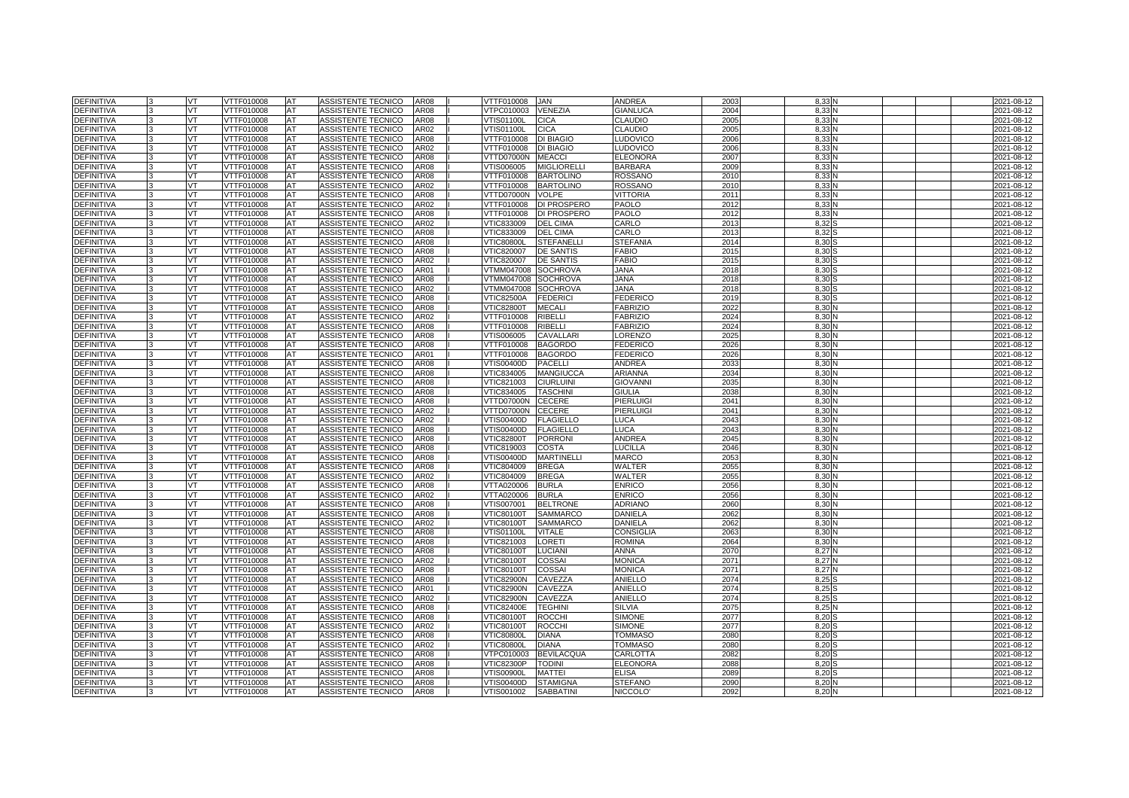| <b>DEFINITIVA</b> |    | <b>VT</b> | VTTF010008        | <b>AT</b>  | ASSISTENTE TECNICO        | <b>AR08</b> | VTTF010008<br><b>JAN</b>               | <b>ANDREA</b>        | 2003 | 8.33              | 2021-08-12 |
|-------------------|----|-----------|-------------------|------------|---------------------------|-------------|----------------------------------------|----------------------|------|-------------------|------------|
| <b>DEFINITIVA</b> |    | VT        | VTTF010008        | AT         | ASSISTENTE TECNICO        | AR08        | <b>VENEZIA</b><br>VTPC010003           | <b>GIANLUCA</b>      | 2004 | 8.33              | 2021-08-12 |
| <b>DEFINITIVA</b> |    | VT        | VTTF010008        | AT         | <b>ASSISTENTE TECNICO</b> | <b>AR08</b> | <b>CICA</b><br><b>VTIS01100L</b>       | <b>CLAUDIO</b>       | 2005 | 8.33              | 2021-08-12 |
| <b>DEFINITIVA</b> |    | <b>VT</b> | VTTF010008        | <b>AT</b>  | ASSISTENTE TECNICO        | AR02        | <b>VTIS01100L</b><br><b>CICA</b>       | <b>CLAUDIO</b>       | 2005 | 8.33              | 2021-08-12 |
| <b>DEFINITIVA</b> |    | VT.       | VTTF010008        | AT         | ASSISTENTE TECNICO        | <b>AR08</b> | <b>DI BIAGIO</b><br>VTTF010008         | <b>LUDOVICO</b>      | 2006 | 8.33              | 2021-08-12 |
| <b>DEFINITIVA</b> |    | VT        | VTTF010008        | AT         | ASSISTENTE TECNICO        | AR02        | <b>DI BIAGIO</b><br>VTTF010008         | <b>LUDOVICO</b>      | 2006 | 8,33              | 2021-08-12 |
| <b>DEFINITIVA</b> |    | VT.       | VTTF010008        | <b>AT</b>  | ASSISTENTE TECNICO        | <b>AR08</b> | VTTD07000N<br><b>MEACCI</b>            | <b>ELEONORA</b>      | 2007 | 8.33              | 2021-08-12 |
| <b>DEFINITIVA</b> |    | VT.       | VTTF010008        | AT         | <b>ASSISTENTE TECNICO</b> | AR08        | VTIS006005<br><b>MIGLIORELLI</b>       | <b>BARBARA</b>       | 2009 | 8.33              | 2021-08-12 |
| <b>DEFINITIVA</b> |    | VT        | VTTF010008        | AT         | ASSISTENTE TECNICO        | AR08        | VTTF010008<br><b>BARTOLINO</b>         | <b>ROSSANO</b>       | 2010 | 8,33              | 2021-08-12 |
| <b>DEFINITIVA</b> |    | VT        | VTTF010008        | <b>AT</b>  | ASSISTENTE TECNICO        | AR02        | VTTF010008<br><b>BARTOLINO</b>         | <b>ROSSANO</b>       | 2010 | 8.33              | 2021-08-12 |
| DEFINITIVA        |    | VT        | VTTF010008        | <b>IAT</b> | <b>ASSISTENTE TECNICO</b> | <b>AR08</b> | VTTD07000N<br><b>VOLPE</b>             | <b>VITTORIA</b>      | 2011 | 8.33              | 2021-08-12 |
| <b>DEFINITIVA</b> |    | VT        | VTTF010008        | AT         | ASSISTENTE TECNICO        | AR02        | VTTF010008<br><b>DI PROSPERO</b>       | PAOLO                | 2012 | 8,33              | 2021-08-12 |
| <b>DEFINITIVA</b> |    | VT.       | VTTF010008        | AT         | ASSISTENTE TECNICO        | <b>AR08</b> | VTTF010008<br>DI PROSPERO              | <b>PAOLO</b>         | 2012 | 8.33              | 2021-08-12 |
| <b>DEFINITIVA</b> |    | VT        | VTTF010008        | AT         | ASSISTENTE TECNICO        | AR02        | VTIC833009<br><b>DEL CIMA</b>          | CARLO                | 2013 | 8.32              | 2021-08-12 |
| <b>DEFINITIVA</b> |    | VT        | VTTF010008        | AT         | ASSISTENTE TECNICO        | AR08        | VTIC833009<br><b>DEL CIMA</b>          | CARLO                | 2013 | 8,32              | 2021-08-12 |
| <b>DEFINITIVA</b> | ı٩ | <b>VT</b> | VTTF010008        | <b>AT</b>  | ASSISTENTE TECNICO        | <b>AR08</b> | <b>VTIC80800L</b><br><b>STEFANELLI</b> | <b>STEFANIA</b>      | 2014 | 8,30              | 2021-08-12 |
| <b>DEFINITIVA</b> |    | VT        | VTTF010008        | <b>AT</b>  | ASSISTENTE TECNICO        | <b>AR08</b> | VTIC820007<br><b>DE SANTIS</b>         | <b>FABIO</b>         | 2015 | 8.30              | 2021-08-12 |
| <b>DEFINITIVA</b> |    | VT.       | VTTF010008        | AT         | ASSISTENTE TECNICO        | AR02        | VTIC820007<br><b>DE SANTIS</b>         | <b>FABIO</b>         | 2015 | 8,30              | 2021-08-12 |
| <b>DEFINITIVA</b> |    | VT.       | VTTF010008        | <b>AT</b>  | ASSISTENTE TECNICO        | AR01        | VTMM047008<br><b>SOCHROVA</b>          | <b>ANAL</b>          | 2018 | 8.30              | 2021-08-12 |
| <b>DEFINITIVA</b> |    | VT.       | VTTF010008        | AT         | ASSISTENTE TECNICO        | AR08        | VTMM047008<br><b>SOCHROVA</b>          | <b>ANAL</b>          | 2018 | 8.30              | 2021-08-12 |
| <b>DEFINITIVA</b> |    | VT        | VTTF010008        | AT         | ASSISTENTE TECNICO        | AR02        | VTMM047008<br><b>SOCHROVA</b>          | <b>ANAL</b>          | 2018 | 8,30              | 2021-08-12 |
| <b>DEFINITIVA</b> |    | <b>VT</b> | VTTF010008        | AT         | ASSISTENTE TECNICO        | AR08        | <b>VTIC82500A</b><br><b>FEDERICI</b>   | <b>FEDERICO</b>      | 2019 | 8.30              | 2021-08-12 |
| <b>DEFINITIVA</b> |    | VT        | VTTF010008        | AT         | ASSISTENTE TECNICO        | AR08        | /TIC82800T<br><b>MECALI</b>            | <b>FABRIZIO</b>      | 2022 | 8.30              | 2021-08-12 |
| <b>DEFINITIVA</b> |    | VT        | VTTF010008        | AT         | ASSISTENTE TECNICO        | AR02        | VTTF010008<br><b>RIBELLI</b>           | <b>FABRIZIO</b>      | 2024 | 8,30              | 2021-08-12 |
| <b>DEFINITIVA</b> |    | VT.       | VTTF010008        | AT         | ASSISTENTE TECNICO        | AR08        | VTTF010008<br><b>RIBELLI</b>           | <b>FABRIZIO</b>      | 2024 | 8.30              | 2021-08-12 |
| <b>DEFINITIVA</b> |    | VT.       | VTTF010008        | AT         | ASSISTENTE TECNICO        | AR08        | VTIS006005<br>CAVALLARI                | ORENZO               | 2025 | 8.30              | 2021-08-12 |
| <b>DEFINITIVA</b> |    | VT        | VTTF010008        | AT         | ASSISTENTE TECNICO        | AR08        | VTTF010008<br><b>BAGORDO</b>           | <b>FEDERICO</b>      | 2026 | 8,30              | 2021-08-12 |
| <b>DEFINITIVA</b> | l3 | VT        | VTTF010008        | AT         | ASSISTENTE TECNICO        | AR01        | VTTF010008<br><b>BAGORDO</b>           | <b>FEDERICO</b>      | 2026 | 8.30              | 2021-08-12 |
| <b>DEFINITIVA</b> |    | VT        | VTTF010008        | AT         | ASSISTENTE TECNICO        | AR08        | VTIS00400D<br><b>PACELLI</b>           | ANDREA               | 2033 | 8.30              | 2021-08-12 |
| <b>DEFINITIVA</b> |    | VT        | VTTF010008        | AT         | ASSISTENTE TECNICO        | AR08        | VTIC834005<br><b>MANGIUCCA</b>         | ARIANNA              | 2034 | 8,30              | 2021-08-12 |
| <b>DEFINITIVA</b> |    | <b>VT</b> | VTTF010008        | AT         | ASSISTENTE TECNICO        | AR08        | VTIC821003<br><b>CIURLUINI</b>         | <b>GIOVANNI</b>      | 2035 | 8.30              | 2021-08-12 |
| <b>DEFINITIVA</b> |    | VT.       | VTTF010008        | AT         | ASSISTENTE TECNICO        | AR08        | VTIC834005<br><b>TASCHINI</b>          | <b>GIULIA</b>        | 2038 | 8.30              | 2021-08-12 |
| <b>DEFINITIVA</b> |    | VT        | VTTF010008        | AT         | ASSISTENTE TECNICO        | AR08        | VTTD07000N<br><b>CECERE</b>            | PIERLUIG             | 2041 | 8,30              | 2021-08-12 |
| <b>DEFINITIVA</b> |    | VT        | VTTF010008        | AT         | ASSISTENTE TECNICO        | AR02        | VTTD07000N<br><b>CECERE</b>            | PIERLUIGI            | 2041 | 8.30              | 2021-08-12 |
| DEFINITIVA        |    | VT        | VTTF010008        | AT         | ASSISTENTE TECNICO        | AR02        | VTIS00400D<br><b>FLAGIELLO</b>         | LUCA                 | 2043 | 8,30              | 2021-08-12 |
| <b>DEFINITIVA</b> |    | VT        | VTTF010008        | AT         | ASSISTENTE TECNICO        | AR08        | /TIS00400D<br><b>FLAGIELLO</b>         | LUCA                 | 2043 | 8,30              | 2021-08-12 |
| <b>DEFINITIVA</b> |    | VT.       | VTTF010008        | AT         | ASSISTENTE TECNICO        | <b>AR08</b> | <b>VTIC82800T</b><br><b>PORRONI</b>    | <b>ANDREA</b>        | 2045 | 8.30              | 2021-08-12 |
| <b>DEFINITIVA</b> |    | VT.       | VTTF010008        | AT         | ASSISTENTE TECNICO        | AR08        | VTIC819003<br><b>COSTA</b>             | LUCILLA              | 2046 | 8.30              | 2021-08-12 |
| <b>DEFINITIVA</b> |    | VT        | <b>/TTF010008</b> | AT         | ASSISTENTE TECNICO        | AR08        | /TIS00400D<br><b>MARTINELLI</b>        | <b>MARCO</b>         | 2053 | 8,30              | 2021-08-12 |
| <b>DEFINITIVA</b> |    | VT        | VTTF010008        | AT         | ASSISTENTE TECNICO        | AR08        | VTIC804009<br><b>BREGA</b>             | WALTER               | 205  | 8,30              | 2021-08-12 |
| <b>DEFINITIVA</b> |    | VT        | VTTF010008        | AT         | ASSISTENTE TECNICO        | AR02        | VTIC804009<br><b>BREGA</b>             | WALTER               | 2055 | 8,30              | 2021-08-12 |
| <b>DEFINITIVA</b> |    | VT        | /TTF010008        | AT         | ASSISTENTE TECNICO        | AR08        | /TTA020006<br><b>BURLA</b>             | <b>ENRICO</b>        | 2056 | 8,30              | 2021-08-12 |
| DEFINITIVA        |    | VT.       | VTTF010008        | AT         | ASSISTENTE TECNICO        | AR02        | VTTA020006<br><b>BURLA</b>             | <b>ENRICO</b>        | 2056 | 8,30              | 2021-08-12 |
| <b>DEFINITIVA</b> |    | VT        | VTTF010008        | AT         | ASSISTENTE TECNICO        | AR08        | VTIS007001<br><b>BELTRONE</b>          | <b>ADRIANO</b>       | 2060 | 8.30              | 2021-08-12 |
| <b>DEFINITIVA</b> |    | VT        | VTTF010008        | AT         | ASSISTENTE TECNICO        | AR08        | VTIC80100T<br><b>SAMMARCO</b>          | <b>DANIELA</b>       | 2062 | 8,30              | 2021-08-12 |
| <b>DEFINITIVA</b> |    | VT        | VTTF010008        | <b>AT</b>  | ASSISTENTE TECNICO        | AR02        | <b>SAMMARCO</b><br><b>VTIC80100T</b>   | <b>DANIELA</b>       | 2062 | 8.30 <sub>1</sub> | 2021-08-12 |
| <b>DEFINITIVA</b> |    | VT        | VTTF010008        | <b>AT</b>  | ASSISTENTE TECNICO        | <b>AR08</b> | √TIS01100L<br><b>VITALE</b>            | <b>CONSIGLIA</b>     | 2063 | 8,30              | 2021-08-12 |
| <b>DEFINITIVA</b> |    | VT        | VTTF010008        | AT         | <b>ASSISTENTE TECNICO</b> | AR08        | VTIC821003<br><b>LORETI</b>            | <b>ROMINA</b>        | 2064 | 8,30              | 2021-08-12 |
| <b>DEFINITIVA</b> |    | VT.       | VTTF010008        | AT         | ASSISTENTE TECNICO        | <b>AR08</b> | <b>VTIC80100T</b><br><b>LUCIANI</b>    | <b>ANNA</b>          | 2070 | 8,27              | 2021-08-12 |
| <b>DEFINITIVA</b> |    | VT.       | VTTF010008        | AT         | ASSISTENTE TECNICO        | AR02        | <b>COSSAI</b><br>√TIC80100T            | MONICA               | 207  | 8,27              | 2021-08-12 |
| <b>DEFINITIVA</b> |    | VT        | VTTF010008        | AT         | ASSISTENTE TECNICO        | AR08        | <b>VTIC80100T</b><br><b>COSSAI</b>     | <b>MONICA</b>        | 2071 | 8,27              | 2021-08-12 |
| <b>DEFINITIVA</b> |    | VT        | VTTF010008        | AT         | ASSISTENTE TECNICO        | <b>AR08</b> | VTIC82900N<br>CAVEZZA                  | ANIELLO              | 2074 | 8,25              | 2021-08-12 |
| DEFINITIVA        |    | VT        | VTTF010008        | AT         | ASSISTENTE TECNICO        | AR01        | VTIC82900N<br>CAVEZZA                  | ANIELLO              | 2074 | 8,25              | 2021-08-12 |
| <b>DEFINITIVA</b> |    | VT        | VTTF010008        | AT         | ASSISTENTE TECNICO        | AR02        | /TIC82900N<br>CAVEZZA                  | ANIELLO              | 2074 | 8,25              | 2021-08-12 |
| <b>DEFINITIVA</b> |    | VT        | VTTF010008        | AT         | ASSISTENTE TECNICO        | AR08        | <b>VTIC82400E</b><br><b>TEGHINI</b>    | <b>SILVIA</b>        | 2075 | 8,25              | 2021-08-12 |
| DEFINITIVA        |    | VT        | VTTF010008        | AT         | ASSISTENTE TECNICO        | AR08        | <b>ROCCHI</b><br>√TIC80100T            | <b>SIMONE</b>        | 2077 | 8,20              | 2021-08-12 |
| <b>DEFINITIVA</b> |    | VT        | VTTF010008        | AT         | ASSISTENTE TECNICO        | AR02        | <b>VTIC80100T</b><br><b>ROCCH</b>      | <b>SIMONE</b>        | 2077 | 8,20              | 2021-08-12 |
| <b>DEFINITIVA</b> |    | VT        | VTTF010008        | AT         | ASSISTENTE TECNICO        | AR08        | <b>VTIC80800L</b><br><b>DIANA</b>      | <b>TOMMASO</b>       | 208  | 8.20              | 2021-08-12 |
| <b>DEFINITIVA</b> |    | VT        | VTTF010008        | AT         | ASSISTENTE TECNICO        | AR02        | <b>VTIC80800L</b><br><b>DIANA</b>      | TOMMASO              | 2080 | 8,20              | 2021-08-12 |
| <b>DEFINITIVA</b> |    | VT        | VTTF010008        | AT         | ASSISTENTE TECNICO        | AR08        | /TPC010003<br><b>BEVILACQUA</b>        | CARLOTTA             | 2082 | 8,20              | 2021-08-12 |
| <b>DEFINITIVA</b> |    | VT        | VTTF010008        | AT         | ASSISTENTE TECNICO        | AR08        | VTIC82300P<br><b>TODINI</b>            | ELEONORA             | 2088 | 8,20              | 2021-08-12 |
| DEFINITIVA        |    | VT.       | VTTF010008        | AT         | ASSISTENTE TECNICO        | AR08        | /TIS00900L<br><b>MATTEI</b>            | <b>ELISA</b>         | 2089 | 8,20              | 2021-08-12 |
| DEFINITIVA        |    | VT        | VTTF010008        | AT         | ASSISTENTE TECNICO        | AR08        | VTIS00400D<br><b>STAMIGNA</b>          | <b>STEFANO</b>       | 209  | 8,20              | 2021-08-12 |
| <b>DEFINITIVA</b> | 3  | VT        | VTTF010008        | <b>AT</b>  | ASSISTENTE TECNICO        | AR08        | VTIS001002<br><b>SABBATINI</b>         | NICCOLO <sup>®</sup> | 2092 | 8,20              | 2021-08-12 |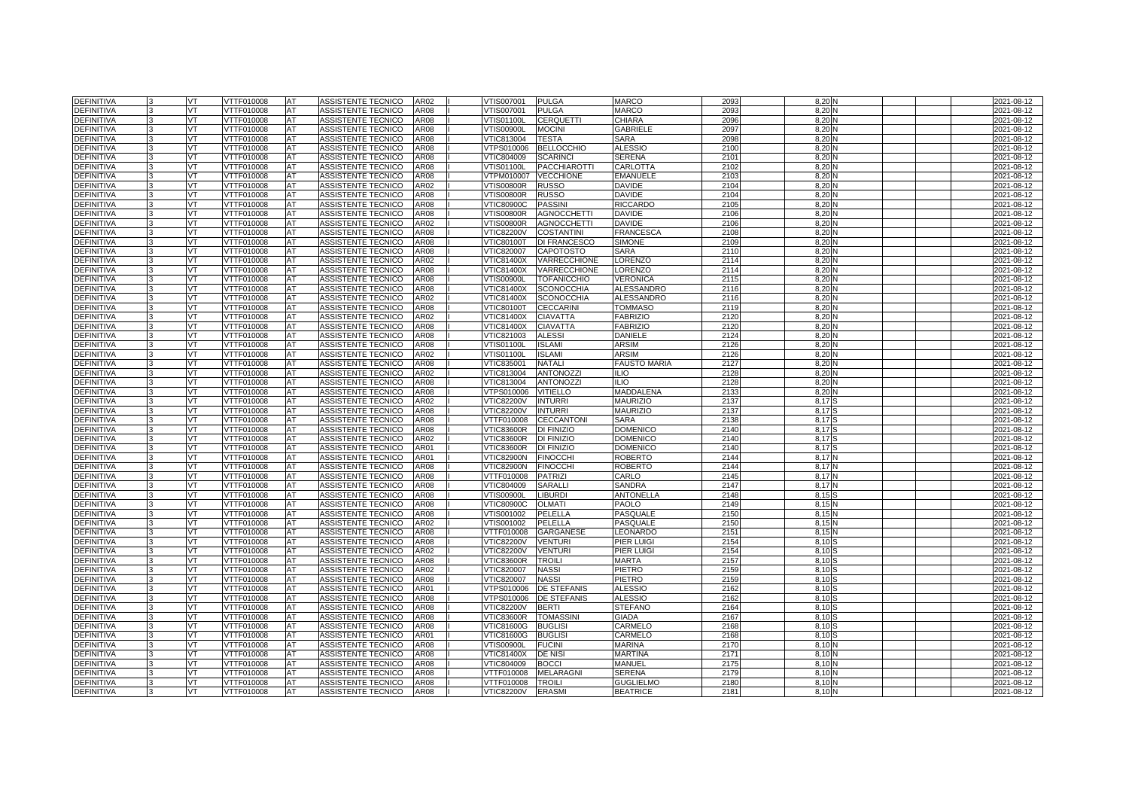| <b>DEFINITIVA</b>                      | VT        | VTTF010008               | <b>AT</b> | ASSISTENTE TECNICO                              | AR02                | VTIS007001                      | <b>PULGA</b>             | <b>MARCO</b>         | 2093         | 8,20         |  | 2021-08-12               |
|----------------------------------------|-----------|--------------------------|-----------|-------------------------------------------------|---------------------|---------------------------------|--------------------------|----------------------|--------------|--------------|--|--------------------------|
| <b>DEFINITIVA</b>                      | VT        | VTTF010008               | AT        | ASSISTENTE TECNICO                              | AR08                | /TIS007001                      | <b>PULGA</b>             | MARCO                | 2093         | 8,20         |  | 2021-08-12               |
| <b>DEFINITIVA</b>                      | VT.       | VTTF010008               | AT        | ASSISTENTE TECNICO                              | AR08                | VTIS01100L                      | <b>CERQUETTI</b>         | CHIARA               | 2096         | 8,20         |  | 2021-08-12               |
| DEFINITIVA                             | VT        | VTTF010008               | AT        | ASSISTENTE TECNICO                              | AR08                | √TIS00900L                      | <b>MOCINI</b>            | <b>GABRIELE</b>      | 2097         | 8,20         |  | 2021-08-12               |
| <b>DEFINITIVA</b>                      | VT        | VTTF010008               | AT        | ASSISTENTE TECNICO                              | AR08                | VTIC813004                      | <b>TESTA</b>             | <b>SARA</b>          | 2098         | 8,20         |  | 2021-08-12               |
| <b>DEFINITIVA</b>                      | VT        | VTTF010008               | AT        | ASSISTENTE TECNICO                              | AR08                | VTPS010006                      | <b>BELLOCCHIO</b>        | <b>ALESSIO</b>       | 2100         | 8,20         |  | 2021-08-12               |
| <b>DEFINITIVA</b>                      | VT.       | VTTF010008               | AT        | ASSISTENTE TECNICO                              | <b>AR08</b>         | VTIC804009                      | <b>SCARINCI</b>          | <b>SERENA</b>        | 2101         | 8,20         |  | 2021-08-12               |
| DEFINITIVA                             | VT        | VTTF010008               | AT        | ASSISTENTE TECNICO                              | AR08                | VTIS01100L                      | <b>PACCHIAROTTI</b>      | CARLOTTA             | 2102         | 8,20         |  | 2021-08-12               |
| DEFINITIVA                             | VT        | VTTF010008               | AT        | ASSISTENTE TECNICO                              | AR08                | /TPM010007                      | <b>VECCHIONE</b>         | <b>EMANUELE</b>      | 2103         | 8,20         |  | 2021-08-12               |
| <b>DEFINITIVA</b>                      | VT        | VTTF010008               | AT        | ASSISTENTE TECNICO                              | AR02                | <b>VTIS00800R</b>               | <b>RUSSO</b>             | <b>DAVIDE</b>        | 2104         | 8,20         |  | 2021-08-12               |
| <b>DEFINITIVA</b>                      | VT        | VTTF010008               | AT        | ASSISTENTE TECNICO                              | AR08                | <b>VTIS00800R</b>               | <b>RUSSO</b>             | DAVIDE               | 2104         | 8,20         |  | 2021-08-12               |
| <b>DEFINITIVA</b>                      | VT        | VTTF010008               | AT        | ASSISTENTE TECNICO                              | AR08                | <b>VTIC80900C</b>               | <b>PASSINI</b>           | <b>RICCARDO</b>      | 2105         | 8,20         |  | 2021-08-12               |
| DEFINITIVA                             | VT.       | VTTF010008               | AT        | ASSISTENTE TECNICO                              | AR08                | √TIS00800R                      | <b>AGNOCCHETTI</b>       | <b>DAVIDE</b>        | 2106         | 8,20         |  | 2021-08-12               |
| <b>DEFINITIVA</b>                      | VT        | VTTF010008               | AT        | ASSISTENTE TECNICO                              | AR02                | √TIS00800R                      | <b>AGNOCCHETTI</b>       | DAVIDE               | 2106         | 8,20         |  | 2021-08-12               |
| DEFINITIVA                             | VT        | VTTF010008               | AT        | ASSISTENTE TECNICO                              | AR08                | <b>VTIC82200V</b>               | <b>COSTANTINI</b>        | FRANCESCA            | 2108         | 8,20         |  | 2021-08-12               |
| <b>DEFINITIVA</b>                      | <b>VT</b> | VTTF010008               | AT        | ASSISTENTE TECNICO                              | <b>AR08</b>         | <b>VTIC80100T</b>               | <b>DI FRANCESCO</b>      | <b>SIMONE</b>        | 2109         | 8,20         |  | 2021-08-12               |
| <b>DEFINITIVA</b>                      | VT        | VTTF010008               | AT        | ASSISTENTE TECNICO                              | AR08                | VTIC820007                      | <b>CAPOTOSTO</b>         | SARA                 | 211          | 8,20         |  | 2021-08-12               |
| <b>DEFINITIVA</b>                      | VT        | VTTF010008               | AT        | ASSISTENTE TECNICO                              | AR02                | VTIC81400X                      | <b>VARRECCHIONE</b>      | ORENZO               | 2114         | 8,20         |  | 2021-08-12               |
| <b>DEFINITIVA</b>                      | VT        | VTTF010008               | AT        | ASSISTENTE TECNICO                              | <b>AR08</b>         | <b>VTIC81400X</b>               | VARRECCHIONE             | <b>LORENZO</b>       | 2114         | 8.20         |  | 2021-08-12               |
| <b>DEFINITIVA</b>                      | VT        | VTTF010008               | AT        | ASSISTENTE TECNICO                              | AR08                | √TIS00900L                      | <b>TOFANICCHIO</b>       | VERONICA             | 2115         | 8,20         |  | 2021-08-12               |
| <b>DEFINITIVA</b>                      | VT        | VTTF010008               | AT        | ASSISTENTE TECNICO                              | AR08                | VTIC81400X                      | <b>SCONOCCHIA</b>        | ALESSANDRO           | 2116         | 8,20         |  | 2021-08-12               |
| <b>DEFINITIVA</b>                      | VT        | VTTF010008               | AT        | ASSISTENTE TECNICO                              | AR02                | VTIC81400X                      | <b>SCONOCCHIA</b>        | <b>ALESSANDRO</b>    | 2116         | 8,20         |  | 2021-08-12               |
| <b>DEFINITIVA</b>                      | VT        | VTTF010008               | AT        | ASSISTENTE TECNICO                              | AR08                | <b>VTIC80100T</b>               | <b>CECCARINI</b>         | <b>TOMMASO</b>       | 2119         | 8,20         |  | 2021-08-12               |
| <b>DEFINITIVA</b>                      | VT        | VTTF010008               | AT        | ASSISTENTE TECNICO                              | AR02                | VTIC81400X                      | <b>CIAVATTA</b>          | <b>FABRIZIO</b>      | 2120         | 8,20         |  | 2021-08-12               |
| <b>DEFINITIVA</b>                      | VT        | VTTF010008               | AT        | ASSISTENTE TECNICO                              | AR08                | √TIC81400X                      | <b>CIAVATTA</b>          | <b>FABRIZIO</b>      | 2120         | 8,20         |  | 2021-08-12               |
| <b>DEFINITIVA</b>                      | VT        | VTTF010008               | AT        | ASSISTENTE TECNICO                              | AR08                | VTIC821003                      | <b>ALESSI</b>            | DANIELE              | 2124         | 8,20         |  | 2021-08-12               |
| DEFINITIVA                             | VT        | VTTF010008               | AT        | ASSISTENTE TECNICO                              | AR08                | √TIS01100L                      | <b>ISLAMI</b>            | ARSIM                | 2126         | 8,20         |  | 2021-08-12               |
| <b>DEFINITIVA</b>                      | VT        | VTTF010008               | AT        | ASSISTENTE TECNICO                              | AR02                | √TIS01100L                      | <b>ISLAMI</b>            | ARSIM                | 2126         | 8,20         |  | 2021-08-12               |
| <b>DEFINITIVA</b>                      | VT        | VTTF010008               | AT        | ASSISTENTE TECNICO                              | AR08                | VTIC835001                      | <b>NATALI</b>            | <b>FAUSTO MARIA</b>  | 212          | 8,20         |  | 2021-08-12               |
| <b>DEFINITIVA</b>                      | VT        | VTTF010008               | AT        | ASSISTENTE TECNICO                              | AR02                | VTIC813004                      | <b>ANTONOZZI</b>         | ILIO                 | 2128         | 8,20         |  | 2021-08-12               |
| <b>DEFINITIVA</b>                      | <b>VT</b> | VTTF010008               | AT        | ASSISTENTE TECNICO                              | AR08                | VTIC813004                      | <b>ANTONOZZ</b>          | <b>ILIO</b>          | 2128         | 8,20         |  | 2021-08-12               |
| <b>DEFINITIVA</b>                      | VT        | VTTF010008               | AT        | ASSISTENTE TECNICO                              | AR08                | VTPS010006                      | <b>VITIELLO</b>          | MADDALENA            | 213          | 8,20         |  | 2021-08-12               |
| DEFINITIVA                             | VT        | /TTF010008               | AT        | <b>ASSISTENTE TECNICO</b>                       | AR02                | /TIC82200V                      | <b>INTURRI</b>           | <b>MAURIZIO</b>      | 2137         | 8,17         |  | 2021-08-12               |
| <b>DEFINITIVA</b>                      | VT        | VTTF010008               | AT        | ASSISTENTE TECNICO                              | AR08                | <b>VTIC82200V</b>               | <b>INTURRI</b>           | <b>MAURIZIO</b>      | 2137         | 8,17         |  | 2021-08-12               |
| <b>DEFINITIVA</b>                      | VT        | VTTF010008               | AT        | ASSISTENTE TECNICO                              | AR08                | VTTF010008                      | <b>CECCANTONI</b>        | SARA                 | 2138         | 8,17         |  | 2021-08-12               |
| DEFINITIVA                             | VT        | /TTF010008               | AT        | <b>ASSISTENTE TECNICO</b>                       | AR <sub>08</sub>    | /TIC83600R                      | DI FINIZIO               | <b>DOMENICO</b>      | 2140         | 8,17         |  | 2021-08-12               |
| <b>DEFINITIVA</b>                      | VT        | VTTF010008               | AT        | ASSISTENTE TECNICO                              | AR02                | <b>VTIC83600R</b>               | DI FINIZIO               | DOMENICO             | 2140         | 8,17         |  | 2021-08-12               |
| DEFINITIVA                             | VT        | VTTF010008               | AT        | ASSISTENTE TECNICO                              | AR01                | VTIC83600R                      | DI FINIZIO               | DOMENICO             | 214          | 8,17         |  | 2021-08-12               |
| <b>DEFINITIVA</b>                      | VT        | VTTF010008               | AT        | ASSISTENTE TECNICO                              | AR01                | VTIC82900N                      | <b>FINOCCHI</b>          | ROBERTO              | 2144         | 8,17         |  | 2021-08-12               |
| <b>DEFINITIVA</b>                      | VT        | VTTF010008               | AT        | ASSISTENTE TECNICO                              | AR08                | <b>VTIC82900N</b>               | <b>FINOCCHI</b>          | ROBERTO              | 2144         | 8,17         |  | 2021-08-12               |
| <b>DEFINITIVA</b><br><b>DEFINITIVA</b> | VT<br>VT  | VTTF010008<br>/TTF010008 | AT<br>AT  | ASSISTENTE TECNICO<br><b>ASSISTENTE TECNICO</b> | <b>AR08</b><br>AR08 | VTTF010008                      | <b>PATRIZI</b><br>SARALL | CARLO<br>SANDRA      | 2145<br>2147 | 8,17         |  | 2021-08-12               |
|                                        |           |                          |           |                                                 |                     | /TIC804009<br><b>VTIS00900L</b> | <b>LIBURDI</b>           | <b>ANTONELLA</b>     | 2148         | 8,17<br>8,15 |  | 2021-08-12               |
| <b>DEFINITIVA</b>                      | VT        | VTTF010008               | AT        | ASSISTENTE TECNICO                              | AR08                |                                 |                          | PAOLO                |              |              |  | 2021-08-12               |
| DEFINITIVA<br>DEFINITIVA               | VT<br>VT  | VTTF010008<br>/TTF010008 | AT        | ASSISTENTE TECNICO                              | AR08<br>AR08        | <b>VTIC80900C</b><br>/TIS001002 | <b>OLMATI</b><br>PELELLA |                      | 2149<br>215  | 8,15         |  | 2021-08-12               |
| <b>DEFINITIVA</b>                      | VT        | VTTF010008               | AT<br>AT  | ASSISTENTE TECNICO<br>ASSISTENTE TECNICO        | AR02                | VTIS001002                      | PELELLA                  | PASQUALE<br>PASQUALE | 215          | 8,15<br>8,15 |  | 2021-08-12<br>2021-08-12 |
| DEFINITIVA                             | VT        | VTTF010008               | AT        | ASSISTENTE TECNICO                              | AR08                | VTTF010008                      | GARGANESE                | LEONARDO             | 215          | 8,15         |  | 2021-08-12               |
| <b>DEFINITIVA</b>                      | VT        | VTTF010008               | AT        | ASSISTENTE TECNICO                              | AR08                | <b>VTIC82200V</b>               | <b>VENTURI</b>           | PIER LUIGI           | 2154         | 8,10         |  | 2021-08-12               |
| <b>DEFINITIVA</b>                      | VT        | VTTF010008               | AT        | ASSISTENTE TECNICO                              | AR02                | <b>VTIC82200V</b>               | <b>VENTURI</b>           | PIER LUIGI           | 2154         | 8,10         |  | 2021-08-12               |
| DEFINITIVA                             | VT        | VTTF010008               | AT        | ASSISTENTE TECNICO                              | AR08                | VTIC83600R                      | <b>TROILI</b>            | MARTA                | 215          | 8,10         |  | 2021-08-12               |
| <b>DEFINITIVA</b>                      | VT        | VTTF010008               | AT        | ASSISTENTE TECNICO                              | AR02                | VTIC820007                      | <b>NASSI</b>             | PIETRO               | 2159         | 8,10         |  | 2021-08-12               |
| <b>DEFINITIVA</b>                      | VT        | VTTF010008               | AT        | ASSISTENTE TECNICO                              | AR08                | VTIC820007                      | <b>NASSI</b>             | <b>PIETRO</b>        | 215          | 8,10         |  | 2021-08-12               |
| DEFINITIVA                             | VT        | VTTF010008               | AT        | ASSISTENTE TECNICO                              | AR01                | /TPS010006                      | <b>DE STEFANIS</b>       | ALESSIO              | 216          | 8,10         |  | 2021-08-12               |
| DEFINITIVA                             | VT        | VTTF010008               | AT        | ASSISTENTE TECNICO                              | <b>AR08</b>         | /TPS010006                      | <b>DE STEFANIS</b>       | <b>ALESSIO</b>       | 2162         | 8,10         |  | 2021-08-12               |
| <b>DEFINITIVA</b>                      | VT        | VTTF010008               | AT        | ASSISTENTE TECNICO                              | AR08                | <b>VTIC82200V</b>               | <b>BERTI</b>             | <b>STEFANO</b>       | 2164         | 8,10         |  | 2021-08-12               |
| DEFINITIVA                             | VT        | VTTF010008               | AT        | ASSISTENTE TECNICO                              | AR08                | VTIC83600R                      | <b>TOMASSINI</b>         | <b>GIADA</b>         | 216          | 8,10         |  | 2021-08-12               |
| <b>DEFINITIVA</b>                      | VT        | VTTF010008               | AT        | ASSISTENTE TECNICO                              | <b>AR08</b>         | VTIC81600G                      | <b>BUGLISI</b>           | CARMELO              | 2168         | 8,10         |  | 2021-08-12               |
| <b>DEFINITIVA</b>                      | VT        | VTTF010008               | AT        | ASSISTENTE TECNICO                              | AR01                | VTIC81600G                      | <b>BUGLIS</b>            | CARMELO              | 2168         | 8.10         |  | 2021-08-12               |
| DEFINITIVA                             | VT        | VTTF010008               | AT        | ASSISTENTE TECNICO                              | AR08                | √TIS00900L                      | <b>FUCINI</b>            | MARINA               | 217          | 8,10         |  | 2021-08-12               |
| <b>DEFINITIVA</b>                      | VT        | VTTF010008               | AT        | ASSISTENTE TECNICO                              | AR08                | VTIC81400X                      | <b>DE NISI</b>           | <b>MARTINA</b>       | 2171         | 8,10         |  | 2021-08-12               |
| <b>DEFINITIVA</b>                      | VT        | VTTF010008               | AT        | ASSISTENTE TECNICO                              | AR08                | VTIC804009                      | <b>BOCCI</b>             | MANUEL               | 2175         | 8,10         |  | 2021-08-12               |
| DEFINITIVA                             | VT        | VTTF010008               | AT        | ASSISTENTE TECNICO                              | AR08                | VTTF010008                      | <b>MELARAGNI</b>         | <b>SERENA</b>        | 2179         | 8,10         |  | 2021-08-12               |
| <b>DEFINITIVA</b>                      | VT        | VTTF010008               | AT        | ASSISTENTE TECNICO                              | <b>AR08</b>         | <b>/TTF010008</b>               | <b>TROILI</b>            | <b>GUGLIELMO</b>     | 218          | 8,10         |  | 2021-08-12               |
| <b>DEFINITIVA</b>                      | VT        | VTTF010008               | AT        | ASSISTENTE TECNICO                              | AR08                | <b>VTIC82200V</b>               | <b>ERASMI</b>            | <b>BEATRICE</b>      | 218          | 8,10         |  | 2021-08-12               |
|                                        |           |                          |           |                                                 |                     |                                 |                          |                      |              |              |  |                          |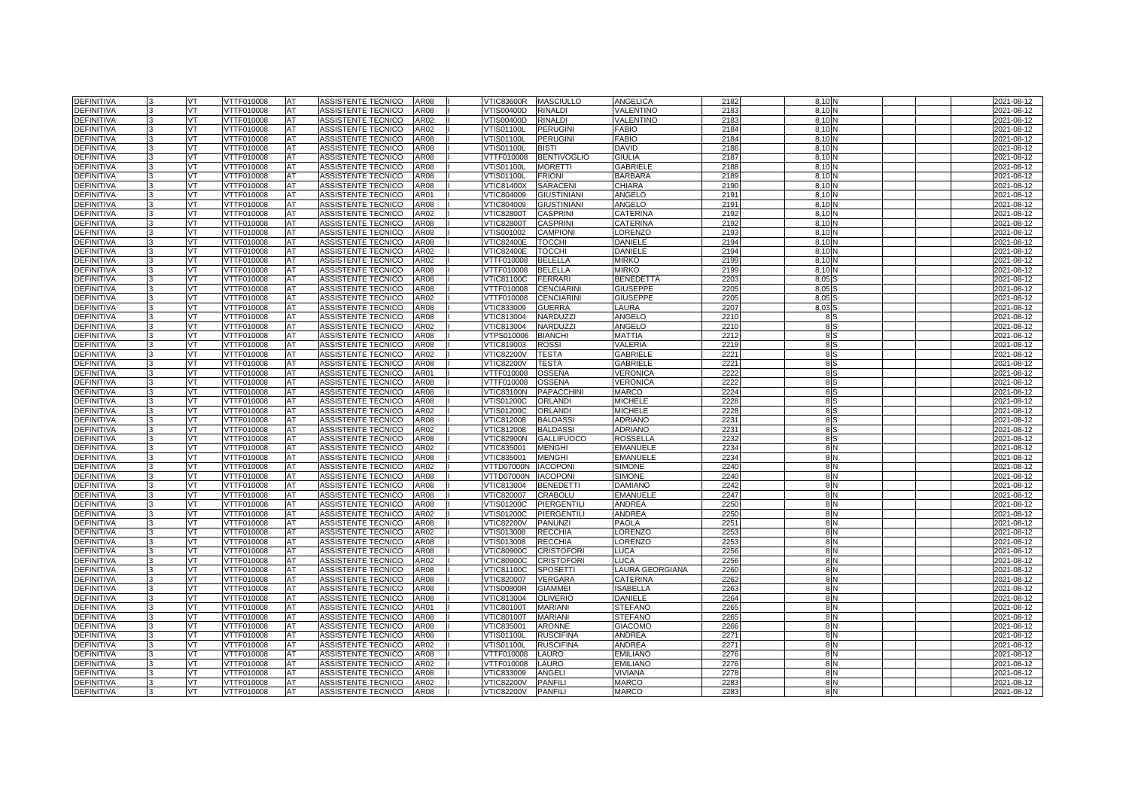| <b>DEFINITIVA</b> |              | VT        | VTTF010008        | <b>AT</b> | ASSISTENTE TECNICO        | <b>AR08</b> | <b>VTIC83600R</b> | <b>MASCIULLO</b>   | ANGELICA         | 2182    | 8.10N          |  | 2021-08-12 |
|-------------------|--------------|-----------|-------------------|-----------|---------------------------|-------------|-------------------|--------------------|------------------|---------|----------------|--|------------|
| <b>DEFINITIVA</b> |              | VT        | VTTF010008        | AT        | ASSISTENTE TECNICO        | AR08        | /TIS00400D        | <b>RINALDI</b>     | VALENTINO        | 218     | 8.10           |  | 2021-08-12 |
| <b>DEFINITIVA</b> |              | VT        | VTTF010008        | AT        | <b>ASSISTENTE TECNICO</b> | AR02        | <b>VTIS00400D</b> | <b>RINALDI</b>     | VALENTINO        | 2183    | 8.10           |  | 2021-08-12 |
| <b>DEFINITIVA</b> |              | <b>VT</b> | VTTF010008        | AT        | ASSISTENTE TECNICO        | AR02        | VTIS01100L        | <b>PERUGINI</b>    | <b>FABIO</b>     | 2184    | 8.10           |  | 2021-08-12 |
| <b>DEFINITIVA</b> |              | VT.       | VTTF010008        | AT        | ASSISTENTE TECNICO        | <b>AR08</b> | VTIS01100L        | <b>PERUGINI</b>    | <b>FABIO</b>     | 2184    | 8.10           |  | 2021-08-12 |
| <b>DEFINITIVA</b> |              | VT        | VTTF010008        | AT        | ASSISTENTE TECNICO        | <b>AR08</b> | VTIS01100L        | <b>BISTI</b>       | <b>DAVID</b>     | 2186    | 8,10           |  | 2021-08-12 |
| <b>DEFINITIVA</b> |              | VT.       | VTTF010008        | <b>AT</b> | ASSISTENTE TECNICO        | <b>AR08</b> | VTTF010008        | <b>BENTIVOGLIO</b> | <b>GIULIA</b>    | 2187    | 8.10           |  | 2021-08-12 |
| <b>DEFINITIVA</b> |              | VT.       | VTTF010008        | AT        | ASSISTENTE TECNICO        | AR08        | VTIS01100L        | <b>MORETTI</b>     | <b>GABRIELE</b>  | 2188    | 8.10           |  | 2021-08-12 |
| <b>DEFINITIVA</b> |              | VT        | VTTF010008        | AT        | ASSISTENTE TECNICO        | AR08        | VTIS01100L        | <b>FRIONI</b>      | <b>BARBARA</b>   | 2189    | 8,10           |  | 2021-08-12 |
| <b>DEFINITIVA</b> |              | VT        | VTTF010008        | AT        | ASSISTENTE TECNICO        | AR08        | VTIC81400X        | <b>SARACENI</b>    | CHIARA           | 2190    | 8.10           |  | 2021-08-12 |
| <b>DEFINITIVA</b> |              | VT        | VTTF010008        | AT        | ASSISTENTE TECNICO        | AR01        | VTIC804009        | <b>GIUSTINIANI</b> | ANGELO           | 2191    | 8.10           |  | 2021-08-12 |
| <b>DEFINITIVA</b> |              | VT        | VTTF010008        | AT        | ASSISTENTE TECNICO        | AR08        | VTIC804009        | <b>GIUSTINIANI</b> | ANGELO           | 2191    | 8,10           |  | 2021-08-12 |
| DEFINITIVA        |              | VT.       | VTTF010008        | AT        | ASSISTENTE TECNICO        | AR02        | <b>VTIC82800T</b> | <b>CASPRINI</b>    | CATERINA         | 2192    | 8,10           |  | 2021-08-12 |
| <b>DEFINITIVA</b> |              | VT        | VTTF010008        | AT        | ASSISTENTE TECNICO        | AR08        | <b>VTIC82800T</b> | <b>CASPRINI</b>    | CATERINA         | 2192    | 8.10           |  | 2021-08-12 |
| <b>DEFINITIVA</b> |              | VT        | VTTF010008        | AT        | ASSISTENTE TECNICO        | AR08        | VTIS001002        | <b>CAMPIONI</b>    | LORENZO          | 2193    | 8,10           |  | 2021-08-12 |
| DEFINITIVA        |              | VT        | VTTF010008        | AT        | ASSISTENTE TECNICO        | <b>AR08</b> | <b>VTIC82400E</b> | <b>TOCCHI</b>      | DANIELE          | 2194    | 8,10           |  | 2021-08-12 |
| <b>DEFINITIVA</b> |              | VT        | VTTF010008        | AT        | ASSISTENTE TECNICO        | AR02        | <b>VTIC82400E</b> | <b>TOCCHI</b>      | DANIELE          | 2194    | 8.10           |  | 2021-08-12 |
| <b>DEFINITIVA</b> |              | VT        | VTTF010008        | AT        | ASSISTENTE TECNICO        | AR02        | VTTF010008        | <b>BELELLA</b>     | <b>MIRKO</b>     | 2199    | 8,10           |  | 2021-08-12 |
| <b>DEFINITIVA</b> |              | <b>VT</b> | VTTF010008        | <b>AT</b> | ASSISTENTE TECNICO        | <b>AR08</b> | VTTF010008        | <b>BELELLA</b>     | <b>MIRKO</b>     | 2199    | 8.10           |  | 2021-08-12 |
| <b>DEFINITIVA</b> |              | VT.       | VTTF010008        | AT        | ASSISTENTE TECNICO        | AR08        | VTIC81100C        | <b>FERRARI</b>     | <b>BENEDETTA</b> | 2203    | 8.05           |  | 2021-08-12 |
| DEFINITIVA        |              | VT        | VTTF010008        | AT        | ASSISTENTE TECNICO        | AR08        | VTTF010008        | <b>CENCIARIN</b>   | <b>GIUSEPPE</b>  | 220     | 8,05           |  | 2021-08-12 |
| <b>DEFINITIVA</b> |              | VT        | VTTF010008        | AT        | ASSISTENTE TECNICO        | AR02        | VTTF010008        | <b>CENCIARINI</b>  | <b>GIUSEPPE</b>  | 2205    | 8.05           |  | 2021-08-12 |
| <b>DEFINITIVA</b> |              | VT        | VTTF010008        | AT        | ASSISTENTE TECNICO        | AR08        | VTIC833009        | <b>GUERRA</b>      | LAURA            | 2207    | 8,03           |  | 2021-08-12 |
| DEFINITIVA        |              | VT        | VTTF010008        | AT        | ASSISTENTE TECNICO        | AR08        | VTIC813004        | NARDUZZI           | ANGELO           | 2210    | 85             |  | 2021-08-12 |
| DEFINITIVA        |              | VT.       | VTTF010008        | AT        | ASSISTENTE TECNICO        | AR02        | VTIC813004        | NARDUZZI           | ANGELO           | 221     | 8 S            |  | 2021-08-12 |
| DEFINITIVA        |              | VT.       | VTTF010008        | AT        | ASSISTENTE TECNICO        | AR08        | VTPS010006        | <b>BIANCHI</b>     | MATTIA           | 2212    | 8 S            |  | 2021-08-12 |
| <b>DEFINITIVA</b> |              | VT        | VTTF010008        | AT        | ASSISTENTE TECNICO        | AR08        | VTIC819003        | <b>ROSSI</b>       | VALERIA          | 2219    | 8 S            |  | 2021-08-12 |
| DEFINITIVA        |              | VT        | VTTF010008        | AT        | ASSISTENTE TECNICO        | AR02        | <b>VTIC82200V</b> | <b>TESTA</b>       | <b>GABRIELE</b>  | 222     | 8 S            |  | 2021-08-12 |
| <b>DEFINITIVA</b> |              | VT        | VTTF010008        | AT        | ASSISTENTE TECNICO        | AR08        | <b>VTIC82200V</b> | <b>TESTA</b>       | <b>GABRIELE</b>  | 222     | 8 S            |  | 2021-08-12 |
| DEFINITIVA        |              | VT        | VTTF010008        | AT        | ASSISTENTE TECNICO        | AR01        | VTTF010008        | <b>OSSENA</b>      | VERONICA         | 2222    | 8 S            |  | 2021-08-12 |
| DEFINITIVA        |              | VT        | VTTF010008        | AT        | ASSISTENTE TECNICO        | AR08        | VTTF010008        | OSSENA             | VERONICA         | 222     | 8 S            |  | 2021-08-12 |
| <b>DEFINITIVA</b> |              | VT        | VTTF010008        | AT        | ASSISTENTE TECNICO        | AR08        | VTIC83100N        | <b>PAPACCHINI</b>  | MARCO            | 2224    | 8 S            |  | 2021-08-12 |
| <b>DEFINITIVA</b> |              | VT        | VTTF010008        | AT        | ASSISTENTE TECNICO        | AR08        | VTIS01200C        | <b>ORLAND</b>      | <b>MICHELE</b>   | 2228    | 85             |  | 2021-08-12 |
| <b>DEFINITIVA</b> | $\mathbf{B}$ | <b>VT</b> | VTTF010008        | AT        | ASSISTENTE TECNICO        | AR02        | VTIS01200C        | <b>ORLAND</b>      | <b>MICHELE</b>   | 2228    | 8S             |  | 2021-08-12 |
| <b>DEFINITIVA</b> |              | VT        | VTTF010008        | AT        | ASSISTENTE TECNICO        | <b>AR08</b> | VTIC812008        | <b>BALDASS</b>     | <b>ADRIANO</b>   | $223 -$ | 8S             |  | 2021-08-12 |
| <b>DEFINITIVA</b> |              | VT.       | <b>VTTF010008</b> | AT        | ASSISTENTE TECNICO        | AR02        | VTIC812008        | <b>BALDASS</b>     | <b>ADRIANO</b>   | $223 -$ | 8 S            |  | 2021-08-12 |
| <b>DEFINITIVA</b> |              | VT.       | VTTF010008        | AT        | ASSISTENTE TECNICO        | <b>AR08</b> | <b>VTIC82900N</b> | <b>GALLIFUOCO</b>  | <b>ROSSELLA</b>  | 2232    | 8 <sub>S</sub> |  | 2021-08-12 |
| <b>DEFINITIVA</b> |              | VT        | VTTF010008        | AT        | ASSISTENTE TECNICO        | AR02        | VTIC835001        | <b>MENGHI</b>      | <b>EMANUELE</b>  | 2234    | 8N             |  | 2021-08-12 |
| <b>DEFINITIVA</b> |              | VT        | <b>VTTF010008</b> | AT        | <b>ASSISTENTE TECNICO</b> | AR08        | VTIC835001        | <b>MENGHI</b>      | <b>EMANUELE</b>  | 2234    | 8N             |  | 2021-08-12 |
| DEFINITIVA        |              | VT        | VTTF010008        | AT        | ASSISTENTE TECNICO        | AR02        | VTTD07000N        | <b>IACOPONI</b>    | <b>SIMONE</b>    | 224     | 8N             |  | 2021-08-12 |
| <b>DEFINITIVA</b> |              | VT.       | VTTF010008        | AT        | <b>ASSISTENTE TECNICO</b> | <b>AR08</b> | VTTD07000N        | <b>IACOPONI</b>    | <b>SIMONE</b>    | 2240    | 8N             |  | 2021-08-12 |
| <b>DEFINITIVA</b> | 3            | VT        | VTTF010008        | AT        | ASSISTENTE TECNICO        | <b>AR08</b> | VTIC813004        | <b>BENEDETTI</b>   | <b>DAMIANO</b>   | 2242    | 8 <sub>N</sub> |  | 2021-08-12 |
| <b>DEFINITIVA</b> | l3           | VT.       | VTTF010008        | <b>AT</b> | ASSISTENTE TECNICO        | <b>AR08</b> | VTIC820007        | <b>CRABOLU</b>     | <b>EMANUELE</b>  | 2247    | 8N             |  | 2021-08-12 |
| <b>DEFINITIVA</b> |              | VT        | VTTF010008        | AT        | ASSISTENTE TECNICO        | AR08        | VTIS01200C        | PIERGENTILI        | <b>ANDREA</b>    | 2250    | 8N             |  | 2021-08-12 |
| <b>DEFINITIVA</b> |              | VT        | <b>VTTF010008</b> | AT        | ASSISTENTE TECNICO        | AR02        | VTIS01200C        | PIERGENTILI        | <b>ANDREA</b>    | 2250    | 8N             |  | 2021-08-12 |
| <b>DEFINITIVA</b> |              | VT        | VTTF010008        | AT        | ASSISTENTE TECNICO        | AR08        | <b>VTIC82200V</b> | <b>PANUNZI</b>     | PAOLA            | 225     | 8N             |  | 2021-08-12 |
| <b>DEFINITIVA</b> |              | VT        | VTTF010008        | AT        | ASSISTENTE TECNICO        | AR02        | √TIS013008        | <b>RECCHIA</b>     | LORENZO          | 2253    | 8 N            |  | 2021-08-12 |
| <b>DEFINITIVA</b> |              | VT        | VTTF010008        | AT        | ASSISTENTE TECNICO        | <b>AR08</b> | VTIS013008        | <b>RECCHIA</b>     | LORENZO          | 2253    | 8N             |  | 2021-08-12 |
| DEFINITIVA        |              | <b>VT</b> | VTTF010008        | AT        | ASSISTENTE TECNICO        | AR08        | <b>VTIC80900C</b> | <b>CRISTOFORI</b>  | LUCA             | 2256    | 8N             |  | 2021-08-12 |
| <b>DEFINITIVA</b> |              | VT        | VTTF010008        | AT        | ASSISTENTE TECNICO        | AR02        | <b>VTIC80900C</b> | <b>CRISTOFORI</b>  | <b>LUCA</b>      | 2256    | 8 N            |  | 2021-08-12 |
| DEFINITIVA        |              | VT        | VTTF010008        | AT        | ASSISTENTE TECNICO        | AR08        | <b>VTIC81100C</b> | <b>SPOSETTI</b>    | LAURA GEORGIANA  | 226     | 8N             |  | 2021-08-12 |
| DEFINITIVA        |              | VT        | VTTF010008        | AT        | ASSISTENTE TECNICO        | AR08        | VTIC820007        | <b>VERGARA</b>     | <b>CATERINA</b>  | 2262    | 8N             |  | 2021-08-12 |
| DEFINITIVA        |              | VT        | VTTF010008        | AT        | ASSISTENTE TECNICO        | AR08        | √TIS00800R        | <b>GIAMMEI</b>     | <b>ISABELLA</b>  | 2263    | 8 N            |  | 2021-08-12 |
| <b>DEFINITIVA</b> |              | VT        | VTTF010008        | AT        | ASSISTENTE TECNICO        | AR08        | VTIC813004        | <b>OLIVERIO</b>    | DANIELE          | 2264    | 8N             |  | 2021-08-12 |
| DEFINITIVA        |              | VT        | VTTF010008        | AT        | ASSISTENTE TECNICO        | AR01        | <b>VTIC80100T</b> | <b>MARIANI</b>     | <b>STEFANO</b>   | 2265    | 8N             |  | 2021-08-12 |
| <b>DEFINITIVA</b> |              | VT        | VTTF010008        | AT        | ASSISTENTE TECNICO        | AR08        | √TIC80100T        | <b>MARIANI</b>     | <b>STEFANO</b>   | 2265    | 8N             |  | 2021-08-12 |
| DEFINITIVA        |              | VT        | VTTF010008        | AT        | ASSISTENTE TECNICO        | AR08        | VTIC835001        | <b>ARONNE</b>      | <b>GIACOMO</b>   | 2266    | 8N             |  | 2021-08-12 |
| DEFINITIVA        |              | VT        | VTTF010008        | AT        | ASSISTENTE TECNICO        | AR08        | √TIS01100L        | <b>RUSCIFINA</b>   | ANDREA           | 227     | 8 N            |  | 2021-08-12 |
| <b>DEFINITIVA</b> |              | VT.       | VTTF010008        | AT        | ASSISTENTE TECNICO        | AR02        | √TIS01100L        | <b>RUSCIFINA</b>   | ANDREA           | 2271    | 8 N            |  | 2021-08-12 |
| DEFINITIVA        |              | VT        | VTTF010008        | AT        | ASSISTENTE TECNICO        | AR08        | VTTF010008        | LAURO              | <b>EMILIANO</b>  | 2276    | 8N             |  | 2021-08-12 |
| DEFINITIVA        |              | VT        | VTTF010008        | AT        | ASSISTENTE TECNICO        | AR02        | VTTF010008        | LAURO              | <b>EMILIANO</b>  | 2276    | 8N             |  | 2021-08-12 |
| DEFINITIVA        |              | VT        | VTTF010008        | AT        | ASSISTENTE TECNICO        | AR08        | VTIC833009        | <b>ANGELI</b>      | VIVIANA          | 2278    | 8N             |  | 2021-08-12 |
| DEFINITIVA        |              | VT        | VTTF010008        | AT        | ASSISTENTE TECNICO        | AR02        | <b>VTIC82200V</b> | <b>PANFILI</b>     | <b>MARCO</b>     | 228     | 8N             |  | 2021-08-12 |
| <b>DEFINITIVA</b> | 3            | VT        | VTTF010008        | <b>AT</b> | ASSISTENTE TECNICO        | <b>AR08</b> | <b>VTIC82200V</b> | <b>PANFILI</b>     | <b>MARCO</b>     | 2283    | 8N             |  | 2021-08-12 |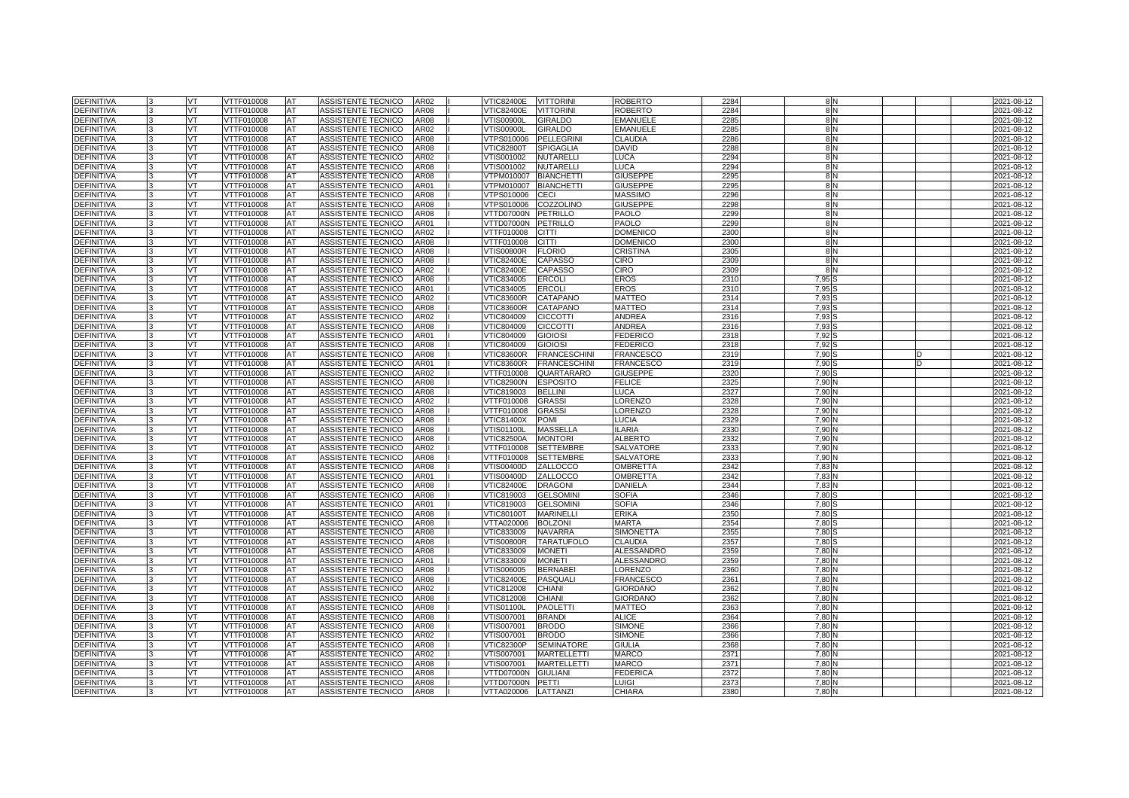| <b>DEFINITIVA</b>                      |    | <b>VT</b>       | VTTF010008               | AT         | ASSISTENTE TECNICO                       | AR02                | <b>VTIC82400E</b>               | <b>VITTORINI</b>              | <b>ROBERTO</b>                   | 2284         | 8N                | 2021-08-12               |
|----------------------------------------|----|-----------------|--------------------------|------------|------------------------------------------|---------------------|---------------------------------|-------------------------------|----------------------------------|--------------|-------------------|--------------------------|
| <b>DEFINITIVA</b>                      |    | VT              | VTTF010008               | AT         | <b>ASSISTENTE TECNICO</b>                | AR08                | <b>VTIC82400E</b>               | <b>VITTORINI</b>              | <b>ROBERTO</b>                   | 2284         | 8 <sub>N</sub>    | 2021-08-12               |
| <b>DEFINITIVA</b>                      |    | VT              | <b>VTTF010008</b>        | AT         | <b>ASSISTENTE TECNICO</b>                | <b>AR08</b>         | <b>VTIS00900L</b>               | <b>GIRALDO</b>                | <b>EMANUELE</b>                  | 2285         | 8N                | 2021-08-12               |
| <b>DEFINITIVA</b>                      |    | <b>VT</b>       | VTTF010008               | <b>AT</b>  | ASSISTENTE TECNICO                       | AR02                | <b>VTIS00900L</b>               | <b>GIRALDO</b>                | <b>EMANUELE</b>                  | 2285         | 8N                | 2021-08-12               |
| <b>DEFINITIVA</b>                      |    | VT              | VTTF010008               | AT         | <b>ASSISTENTE TECNICO</b>                | AR08                | VTPS010006                      | <b>PELLEGRINI</b>             | <b>CLAUDIA</b>                   | 2286         | 8N                | 2021-08-12               |
| <b>DEFINITIVA</b>                      |    | VT              | VTTF010008               | AT         | ASSISTENTE TECNICO                       | <b>AR08</b>         | <b>VTIC82800T</b>               | <b>SPIGAGLIA</b>              | <b>DAVID</b>                     | 2288         | 8 <sub>N</sub>    | 2021-08-12               |
| <b>DEFINITIVA</b>                      |    | VT.             | VTTF010008               | <b>AT</b>  | ASSISTENTE TECNICO                       | AR02                | VTIS001002                      | <b>NUTARELLI</b>              | LUCA                             | 2294         | 8 N               | 2021-08-12               |
| <b>DEFINITIVA</b>                      |    | VT              | VTTF010008               | AT         | <b>ASSISTENTE TECNICO</b>                | AR08                | VTIS001002                      | <b>NUTARELLI</b>              | LUCA                             | 2294         | 8N                | 2021-08-12               |
| <b>DEFINITIVA</b>                      |    | VT              | VTTF010008               | AT         | ASSISTENTE TECNICO                       | AR08                | VTPM010007                      | <b>BIANCHETTI</b>             | <b>GIUSEPPE</b>                  | 2295         | 8N                | 2021-08-12               |
| <b>DEFINITIVA</b>                      |    | VT              | VTTF010008               | <b>AT</b>  | ASSISTENTE TECNICO                       | AR01                | VTPM010007                      | <b>BIANCHETTI</b>             | <b>GIUSEPPE</b>                  | 2295         | 8N                | 2021-08-12               |
| <b>DEFINITIVA</b>                      |    | VT              | VTTF010008               | <b>IAT</b> | <b>ASSISTENTE TECNICO</b>                | AR08                | VTPS010006                      | <b>CECI</b>                   | <b>MASSIMO</b>                   | 2296         | 8 <sub>N</sub>    | 2021-08-12               |
| <b>DEFINITIVA</b>                      |    | VT              | VTTF010008               | AT         | ASSISTENTE TECNICO                       | AR08                | VTPS010006                      | COZZOLINO                     | <b>GIUSEPPE</b>                  | 2298         | 8N                | 2021-08-12               |
| <b>DEFINITIVA</b>                      |    | <b>VT</b>       | VTTF010008               | <b>AT</b>  | ASSISTENTE TECNICO                       | <b>AR08</b>         | VTTD07000N                      | <b>PETRILLO</b>               | PAOLO                            | 2299         | 8N                | 2021-08-12               |
| <b>DEFINITIVA</b>                      |    | VT              | VTTF010008               | AT         | ASSISTENTE TECNICO                       | AR01                | VTTD07000N                      | <b>PETRILLO</b>               | PAOLO                            | 2299         | 8N                | 2021-08-12               |
| <b>DEFINITIVA</b>                      |    | VT              | VTTF010008               | AT         | ASSISTENTE TECNICO                       | AR02                | VTTF010008                      | <b>CITTI</b>                  | <b>DOMENICC</b>                  | 2300         | 8N                | 2021-08-12               |
| <b>DEFINITIVA</b>                      | ı٩ | <b>VT</b>       | VTTF010008               | <b>AT</b>  | ASSISTENTE TECNICO                       | AR08                | VTTF010008                      | <b>CITTI</b>                  | <b>DOMENICO</b>                  | 2300         | 8 N               | 2021-08-12               |
| <b>DEFINITIVA</b>                      |    | VT              | VTTF010008               | <b>AT</b>  | ASSISTENTE TECNICO                       | AR08                | √TIS00800R                      | <b>FLORIO</b>                 | CRISTINA                         | 2305         | 8 <sub>N</sub>    | 2021-08-12               |
| <b>DEFINITIVA</b>                      |    | VT              | VTTF010008               | AT         | ASSISTENTE TECNICO                       | AR08                | <b>VTIC82400E</b>               | CAPASSC                       | CIRO                             | 2309         | 8N                | 2021-08-12               |
| <b>DEFINITIVA</b>                      |    | VT.             | VTTF010008               | <b>AT</b>  | ASSISTENTE TECNICO                       | AR02                | VTIC82400E                      | <b>CAPASSO</b>                | CIRO                             | 2309         | 8 N               | 2021-08-12               |
| <b>DEFINITIVA</b>                      |    | <b>VT</b>       | VTTF010008               | AT         | ASSISTENTE TECNICO                       | AR08                | VTIC834005                      | <b>ERCOLI</b>                 | <b>EROS</b>                      | 2310         | 7.95              | 2021-08-12               |
| <b>DEFINITIVA</b>                      |    | VT              | VTTF010008               | AT         | ASSISTENTE TECNICO                       | AR01                | VTIC834005                      | <b>ERCOL</b>                  | EROS                             | 2310         | 7,95 <sup>S</sup> | 2021-08-12               |
| <b>DEFINITIVA</b>                      |    | <b>VT</b>       | VTTF010008               | AT         | ASSISTENTE TECNICO                       | AR02                | <b>VTIC83600R</b>               | <b>CATAPANO</b>               | <b>MATTEO</b>                    | 2314         | 7.93 S            | 2021-08-12               |
| DEFINITIVA                             |    | VT              | VTTF010008               | AT         | ASSISTENTE TECNICO                       | AR08                | <b>VTIC83600R</b>               | CATAPANO                      | <b>MATTEO</b>                    | 2314         | 7.93:             | 2021-08-12               |
| <b>DEFINITIVA</b>                      |    | VT              | VTTF010008               | AT         | ASSISTENTE TECNICO                       | AR02                | VTIC804009                      | <b>CICCOTTI</b>               | <b>ANDREA</b>                    | 2316         | 7,93              | $2021 - 08 - 12$         |
| <b>DEFINITIVA</b>                      |    | VT.             | VTTF010008               | AT         | ASSISTENTE TECNICO                       | <b>AR08</b>         | VTIC804009                      | <b>CICCOTTI</b>               | ANDREA                           | 2316         | 7.93              | 2021-08-12               |
| <b>DEFINITIVA</b>                      |    | <b>VT</b>       | VTTF010008               | AT         | ASSISTENTE TECNICO                       | AR01                | VTIC804009                      | <b>GIOIOSI</b>                | <b>FEDERICO</b>                  | 2318         | 7.92              | 2021-08-12               |
| <b>DEFINITIVA</b>                      |    | VT              | VTTF010008               | AT         | ASSISTENTE TECNICO                       | AR08                | VTIC804009                      | GIOIOSI                       | <b>EDERICO</b>                   | 2318         | 7,92              | 2021-08-12               |
| <b>DEFINITIVA</b>                      | l3 | <b>VT</b>       | VTTF010008               | AT         | ASSISTENTE TECNICO                       | AR08                | <b>VTIC83600R</b>               | <b>FRANCESCHINI</b>           | FRANCESCO                        | 2319         | 7.90 S            | 2021-08-12               |
| DEFINITIVA                             |    | VT              | VTTF010008               | AT         | ASSISTENTE TECNICO                       | AR01                | <b>VTIC83600R</b>               | <b>FRANCESCHINI</b>           | <b>FRANCESCO</b>                 | 2319         | 7.90              | 2021-08-12               |
| <b>DEFINITIVA</b><br><b>DEFINITIVA</b> |    | VT<br><b>VT</b> | VTTF010008<br>VTTF010008 | AT<br>AT   | ASSISTENTE TECNICO<br>ASSISTENTE TECNICO | AR02<br><b>AR08</b> | VTTF010008<br><b>VTIC82900N</b> | QUARTARARO<br><b>ESPOSITO</b> | <b>GIUSEPPE</b><br><b>FELICE</b> | 2320<br>2325 | 7.90<br>7.90 N    | 2021-08-12<br>2021-08-12 |
| <b>DEFINITIVA</b>                      |    | VT              | VTTF010008               | AT         | ASSISTENTE TECNICO                       | AR08                | VTIC819003                      | <b>BELLINI</b>                | <b>UCA</b>                       | 2327         | 7.90              | 2021-08-12               |
| DEFINITIVA                             |    | VT              | VTTF010008               | AT         | ASSISTENTE TECNICO                       | AR02                | VTTF010008                      | <b>GRASSI</b>                 | <b>ORENZO</b>                    | 2328         | 7.90              | 2021-08-12               |
| DEFINITIVA                             |    | <b>VT</b>       | VTTF010008               | AT         | ASSISTENTE TECNICO                       | AR08                | VTTF010008                      | <b>GRASSI</b>                 | <b>ORENZO</b>                    | 2328         | 7.90 <sup>N</sup> | 2021-08-12               |
| DEFINITIVA                             |    | VT.             | VTTF010008               | AT         | ASSISTENTE TECNICO                       | AR08                | VTIC81400X                      | POMI                          | <b>UCIA</b>                      | 2329         | 7,90 N            | 2021-08-12               |
| <b>DEFINITIVA</b>                      |    | VT              | /TTF010008               | AT         | ASSISTENTE TECNICO                       | AR08                | √TIS01100L                      | <b>MASSELLA</b>               | LARIA                            | 2330         | 7,90              | 2021-08-12               |
| <b>DEFINITIVA</b>                      |    | VT              | VTTF010008               | AT         | ASSISTENTE TECNICO                       | <b>AR08</b>         | <b>VTIC82500A</b>               | <b>MONTORI</b>                | <b>ALBERTO</b>                   | 2332         | 7.90 N            | 2021-08-12               |
| <b>DEFINITIVA</b>                      |    | VT              | VTTF010008               | AT         | ASSISTENTE TECNICO                       | AR02                | VTTF010008                      | <b>SETTEMBRE</b>              | <b>SALVATORE</b>                 | 2333         | 7.90 N            | 2021-08-12               |
| <b>DEFINITIVA</b>                      |    | VT              | /TTF010008               | AT         | ASSISTENTE TECNICO                       | AR08                | /TTF010008                      | <b>SETTEMBRE</b>              | <b>SALVATORE</b>                 | 2333         | 7.90              | 2021-08-12               |
| <b>DEFINITIVA</b>                      |    | VT              | VTTF010008               | AT         | ASSISTENTE TECNICO                       | AR <sub>08</sub>    | VTIS00400D                      | ZALLOCCO                      | OMBRETTA                         | 2342         | 7.83N             | 2021-08-12               |
| <b>DEFINITIVA</b>                      |    | VT.             | VTTF010008               | AT         | ASSISTENTE TECNICO                       | AR01                | VTIS00400D                      | ZALLOCCO                      | OMBRETTA                         | 2342         | 7,83 M            | 2021-08-12               |
| <b>DEFINITIVA</b>                      |    | VT              | /TTF010008               | AT         | ASSISTENTE TECNICO                       | AR08                | <b>VTIC82400E</b>               | <b>DRAGONI</b>                | <b>DANIELA</b>                   | 2344         | 7,83              | 2021-08-12               |
| DEFINITIVA                             |    | <b>VT</b>       | VTTF010008               | AT         | ASSISTENTE TECNICO                       | AR08                | VTIC819003                      | <b>GELSOMINI</b>              | <b>SOFIA</b>                     | 2346         | 7.80              | 2021-08-12               |
| DEFINITIVA                             |    | VT.             | VTTF010008               | AT         | ASSISTENTE TECNICO                       | AR01                | VTIC819003                      | <b>GELSOMINI</b>              | <b>SOFIA</b>                     | 2346         | 7.80              | 2021-08-12               |
| <b>DEFINITIVA</b>                      |    | VT.             | VTTF010008               | AT         | ASSISTENTE TECNICO                       | AR08                | <b>VTIC80100T</b>               | <b>MARINELLI</b>              | <b>ERIKA</b>                     | 2350         | 7,80              | 2021-08-12               |
| <b>DEFINITIVA</b>                      |    | <b>VT</b>       | VTTF010008               | <b>AT</b>  | ASSISTENTE TECNICO                       | <b>AR08</b>         | VTTA020006                      | <b>BOLZONI</b>                | <b>MARTA</b>                     | 2354         | 7.80 \$           | 2021-08-12               |
| <b>DEFINITIVA</b>                      |    | VT              | VTTF010008               | <b>AT</b>  | ASSISTENTE TECNICO                       | AR08                | VTIC833009                      | <b>NAVARRA</b>                | <b>SIMONETTA</b>                 | 2355         | 7,80              | 2021-08-12               |
| <b>DEFINITIVA</b>                      |    | VT.             | /TTF010008               | AT         | ASSISTENTE TECNICO                       | AR08                | √TIS00800R                      | <b>TARATUFOLO</b>             | CLAUDIA                          | 2357         | 7,80              | 2021-08-12               |
| <b>DEFINITIVA</b>                      |    | VT              | VTTF010008               | AT         | ASSISTENTE TECNICO                       | AR08                | VTIC833009                      | <b>MONETI</b>                 | <b>ALESSANDRO</b>                | 2359         | 7.80 <sub>h</sub> | 2021-08-12               |
| <b>DEFINITIVA</b>                      |    | VT              | VTTF010008               | AT         | ASSISTENTE TECNICO                       | AR01                | VTIC833009                      | <b>MONETI</b>                 | <b>ALESSANDRO</b>                | 2359         | 7,80 N            | 2021-08-12               |
| <b>DEFINITIVA</b>                      |    | VT              | VTTF010008               | AT         | ASSISTENTE TECNICO                       | AR08                | VTIS006005                      | <b>BERNABE</b>                | <b>_ORENZO</b>                   | 2360         | 7,80              | 2021-08-12               |
| <b>DEFINITIVA</b>                      |    | VT              | VTTF010008               | AT         | ASSISTENTE TECNICO                       | AR08                | <b>VTIC82400E</b>               | <b>PASQUALI</b>               | <b>FRANCESCO</b>                 | 2361         | 7.80 N            | 2021-08-12               |
| DEFINITIVA                             |    | VT              | VTTF010008               | AT         | ASSISTENTE TECNICO                       | AR <sub>02</sub>    | √TIC812008                      | <b>CHIANI</b>                 | GIORDANO                         | 2362         | 7,80N             | 2021-08-12               |
| <b>DEFINITIVA</b>                      |    | VT              | /TTF010008               | AT         | ASSISTENTE TECNICO                       | AR08                | VTIC812008                      | <b>CHIANI</b>                 | <b>GIORDANO</b>                  | 2362         | 7,80              | 2021-08-12               |
| <b>DEFINITIVA</b>                      |    | VT              | VTTF010008               | AT         | ASSISTENTE TECNICO                       | <b>AR08</b>         | <b>VTIS01100L</b>               | <b>PAOLETTI</b>               | <b>MATTEO</b>                    | 2363         | 7.80 N            | 2021-08-12               |
| DEFINITIVA                             |    | VT              | VTTF010008               | AT         | ASSISTENTE TECNICO                       | AR08                | VTIS007001                      | <b>BRANDI</b>                 | <b>ALICE</b>                     | 2364         | 7,80 N            | 2021-08-12               |
| <b>DEFINITIVA</b>                      |    | VT              | VTTF010008               | AT         | ASSISTENTE TECNICO                       | AR08                | VTIS007001                      | <b>BRODO</b>                  | SIMONE                           | 2366         | 7,80              | 2021-08-12               |
| <b>DEFINITIVA</b>                      |    | <b>VT</b>       | VTTF010008               | AT         | ASSISTENTE TECNICO                       | AR02                | VTIS007001                      | <b>BRODO</b>                  | <b>SIMONE</b>                    | 2366         | 7.80 <sub>h</sub> | 2021-08-12               |
| <b>DEFINITIVA</b>                      |    | VT              | VTTF010008               | AT         | ASSISTENTE TECNICO                       | AR08                | <b>VTIC82300P</b>               | <b>SEMINATORE</b>             | GIULIA                           | 2368         | 7,80 N            | 2021-08-12               |
| <b>DEFINITIVA</b>                      |    | VT.             | /TTF010008               | AT         | ASSISTENTE TECNICO                       | AR02                | VTIS007001                      | MARTELLETTI                   | <b>MARCO</b>                     | 2371         | 7,80              | 2021-08-12               |
| <b>DEFINITIVA</b>                      |    | <b>VT</b>       | VTTF010008               | AT         | ASSISTENTE TECNICO                       | AR08                | VTIS007001                      | <b>MARTELLETTI</b>            | <b>MARCO</b>                     | 2371         | 7,80              | 2021-08-12               |
| DEFINITIVA                             |    | VT              | VTTF010008               | AT         | ASSISTENTE TECNICO                       | AR08                | VTTD07000N                      | <b>GIULIANI</b>               | FEDERICA                         | 2372         | 7,80 N            | 2021-08-12               |
| DEFINITIVA                             |    | VT              | VTTF010008               | AT         | ASSISTENTE TECNICO                       | AR08                | VTTD07000N                      | <b>PETTI</b>                  | UIGI.                            | 2373         | 7,80              | 2021-08-12               |
| <b>DEFINITIVA</b>                      | 3  | VT              | VTTF010008               | <b>AT</b>  | ASSISTENTE TECNICO                       | AR08                | VTTA020006                      | LATTANZI                      | CHIARA                           | 2380         | 7,80 N            | 2021-08-12               |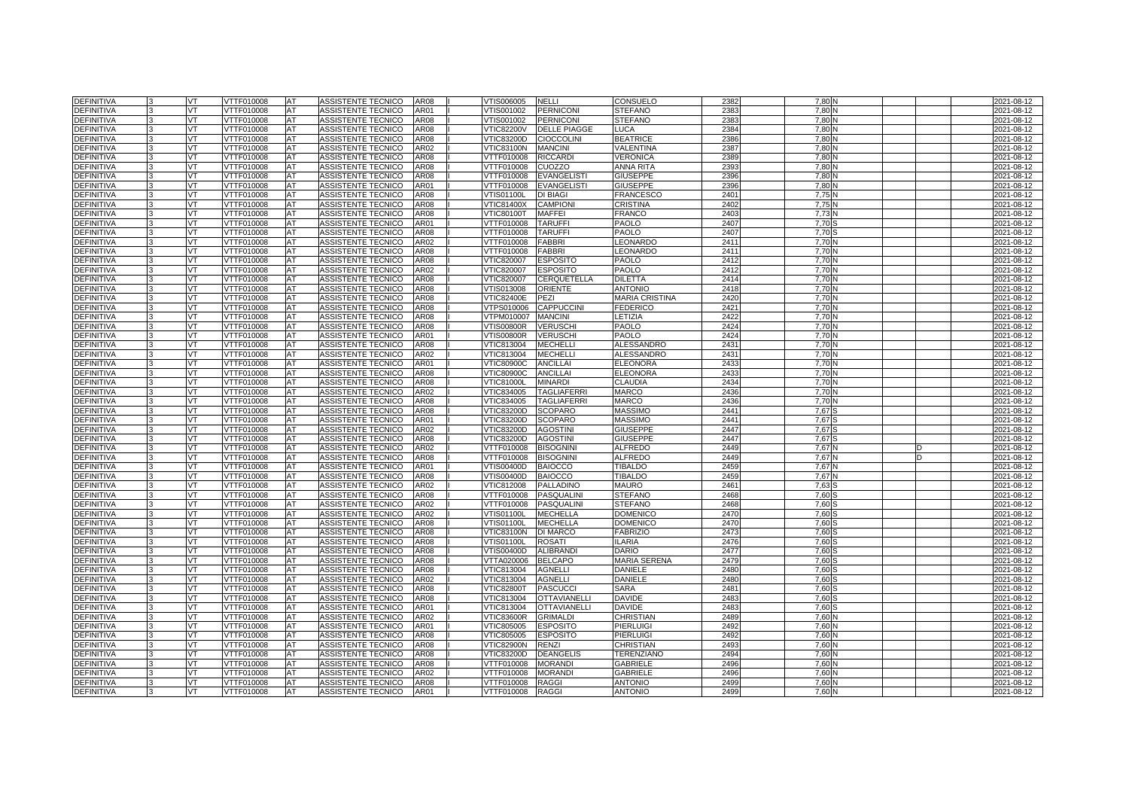| <b>DEFINITIVA</b> |              | VT        | VTTF010008        | <b>AT</b> | ASSISTENTE TECNICO        | <b>AR08</b> | VTIS006005        | <b>NELLI</b>        | CONSUELO              | 2382 | 7.80   | 2021-08-12 |
|-------------------|--------------|-----------|-------------------|-----------|---------------------------|-------------|-------------------|---------------------|-----------------------|------|--------|------------|
| <b>DEFINITIVA</b> |              | VT        | VTTF010008        | AT        | ASSISTENTE TECNICO        | AR01        | /TIS001002        | <b>PERNICONI</b>    | <b>STEFANO</b>        | 238  | 7.80   | 2021-08-12 |
| <b>DEFINITIVA</b> |              | VT        | VTTF010008        | AT        | <b>ASSISTENTE TECNICO</b> | <b>AR08</b> | VTIS001002        | <b>PERNICONI</b>    | <b>STEFANO</b>        | 238  | 7,80   | 2021-08-12 |
| <b>DEFINITIVA</b> |              | <b>VT</b> | VTTF010008        | <b>AT</b> | ASSISTENTE TECNICO        | <b>AR08</b> | <b>VTIC82200V</b> | <b>DELLE PIAGGE</b> | LUCA                  | 2384 | 7.80   | 2021-08-12 |
| <b>DEFINITIVA</b> |              | VT.       | VTTF010008        | AT        | ASSISTENTE TECNICO        | <b>AR08</b> | VTIC83200D        | <b>CIOCCOLINI</b>   | <b>BEATRICE</b>       | 2386 | 7.80   | 2021-08-12 |
| <b>DEFINITIVA</b> |              | VT        | VTTF010008        | AT        | ASSISTENTE TECNICO        | AR02        | <b>VTIC83100N</b> | <b>MANCINI</b>      | VALENTINA             | 2387 | 7.80   | 2021-08-12 |
| <b>DEFINITIVA</b> |              | VT.       | VTTF010008        | <b>AT</b> | ASSISTENTE TECNICO        | <b>AR08</b> | VTTF010008        | <b>RICCARDI</b>     | <b>VERONICA</b>       | 2389 | 7.80   | 2021-08-12 |
| <b>DEFINITIVA</b> |              | VT.       | VTTF010008        | AT        | ASSISTENTE TECNICO        | AR08        | VTTF010008        | CUOZZO              | <b>ANNA RITA</b>      | 2393 | 7.80   | 2021-08-12 |
| <b>DEFINITIVA</b> |              | VT        | VTTF010008        | AT        | ASSISTENTE TECNICO        | AR08        | VTTF010008        | <b>EVANGELISTI</b>  | <b>GIUSEPPE</b>       | 2396 | 7,80   | 2021-08-12 |
| <b>DEFINITIVA</b> |              | VT        | VTTF010008        | AT        | ASSISTENTE TECNICO        | AR01        | VTTF010008        | <b>EVANGELISTI</b>  | <b>GIUSEPPE</b>       | 2396 | 7.80   | 2021-08-12 |
| <b>DEFINITIVA</b> |              | VT        | VTTF010008        | <b>AT</b> | ASSISTENTE TECNICO        | <b>AR08</b> | VTIS01100L        | <b>DI BIAGI</b>     | <b>FRANCESCO</b>      | 2401 | 7.75   | 2021-08-12 |
| <b>DEFINITIVA</b> |              | VT        | VTTF010008        | AT        | ASSISTENTE TECNICO        | <b>AR08</b> | VTIC81400X        | <b>CAMPION</b>      | <b>CRISTINA</b>       | 2402 | 7,75   | 2021-08-12 |
| <b>DEFINITIVA</b> |              | VT.       | VTTF010008        | AT        | ASSISTENTE TECNICO        | AR08        | <b>VTIC80100T</b> | <b>MAFFEI</b>       | <b>FRANCO</b>         | 2403 | 7,73   | 2021-08-12 |
| <b>DEFINITIVA</b> |              | VT        | VTTF010008        | AT        | ASSISTENTE TECNICO        | AR01        | VTTF010008        | <b>TARUFFI</b>      | <b>PAOLO</b>          | 2407 | 7,70   | 2021-08-12 |
| <b>DEFINITIVA</b> |              | VT        | VTTF010008        | AT        | ASSISTENTE TECNICO        | AR08        | VTTF010008        | <b>TARUFFI</b>      | PAOLO                 | 2407 | 7,70   | 2021-08-12 |
| DEFINITIVA        |              | VT        | VTTF010008        | AT        | ASSISTENTE TECNICO        | AR02        | VTTF010008        | <b>FABBRI</b>       | LEONARDO              | 2411 | 7.70   | 2021-08-12 |
| DEFINITIVA        |              | VT        | VTTF010008        | AT        | ASSISTENTE TECNICO        | <b>AR08</b> | VTTF010008        | <b>FABBRI</b>       | LEONARDO              | 2411 | 7,70   | 2021-08-12 |
| <b>DEFINITIVA</b> |              | VT        | VTTF010008        | AT        | ASSISTENTE TECNICO        | <b>AR08</b> | VTIC820007        | <b>ESPOSITO</b>     | PAOLO                 | 2412 | 7,70   | 2021-08-12 |
| <b>DEFINITIVA</b> |              | <b>VT</b> | VTTF010008        | <b>AT</b> | ASSISTENTE TECNICO        | AR02        | VTIC820007        | <b>ESPOSITO</b>     | PAOLO                 | 2412 | 7.70   | 2021-08-12 |
| DEFINITIVA        |              | VT.       | VTTF010008        | AT        | ASSISTENTE TECNICO        | AR08        | VTIC820007        | CERQUETELLA         | <b>DILETTA</b>        | 2414 | 7.70   | 2021-08-12 |
| DEFINITIVA        |              | VT        | VTTF010008        | AT        | ASSISTENTE TECNICO        | AR08        | VTIS013008        | <b>ORIENTE</b>      | <b>ANTONIO</b>        | 2418 | 7,70   | 2021-08-12 |
| <b>DEFINITIVA</b> |              | VT        | VTTF010008        | AT        | ASSISTENTE TECNICO        | AR08        | <b>VTIC82400E</b> | PEZI                | <b>MARIA CRISTINA</b> | 2420 | 7,70   | 2021-08-12 |
| DEFINITIVA        |              | VT        | VTTF010008        | AT        | ASSISTENTE TECNICO        | AR08        | VTPS010006        | <b>CAPPUCCINI</b>   | <b>FEDERICO</b>       | 242  | 7,70   | 2021-08-12 |
| DEFINITIVA        |              | VT        | VTTF010008        | AT        | ASSISTENTE TECNICO        | AR08        | VTPM010007        | <b>MANCINI</b>      | ETIZIA.               | 2422 | 7,70   | 2021-08-12 |
| DEFINITIVA        |              | VT.       | VTTF010008        | AT        | ASSISTENTE TECNICO        | <b>AR08</b> | √TIS00800R        | <b>VERUSCHI</b>     | PAOLO                 | 2424 | 7,70   | 2021-08-12 |
| <b>DEFINITIVA</b> |              | VT.       | VTTF010008        | AT        | ASSISTENTE TECNICO        | AR01        | √TIS00800R        | <b>VERUSCHI</b>     | PAOLO                 | 2424 | 7,70   | 2021-08-12 |
| <b>DEFINITIVA</b> |              | VT        | VTTF010008        | AT        | ASSISTENTE TECNICO        | AR08        | VTIC813004        | <b>MECHELLI</b>     | <b>ALESSANDRO</b>     | 243' | 7,70   | 2021-08-12 |
| <b>DEFINITIVA</b> |              | VT        | VTTF010008        | AT        | ASSISTENTE TECNICO        | AR02        | VTIC813004        | <b>MECHELLI</b>     | ALESSANDRO            | 243' | 7,70   | 2021-08-12 |
| <b>DEFINITIVA</b> |              | VT        | VTTF010008        | AT        | ASSISTENTE TECNICO        | AR01        | <b>VTIC80900C</b> | <b>ANCILLAI</b>     | <b>ELEONORA</b>       | 2433 | 7,70   | 2021-08-12 |
| DEFINITIVA        |              | VT        | VTTF010008        | AT        | ASSISTENTE TECNICO        | AR08        | <b>VTIC80900C</b> | <b>ANCILLAI</b>     | <b>ELEONORA</b>       | 2433 | 7,70   | 2021-08-12 |
| DEFINITIVA        |              | VT        | VTTF010008        | AT        | ASSISTENTE TECNICO        | AR08        | <b>VTIC81000L</b> | <b>MINARDI</b>      | <b>CLAUDIA</b>        | 2434 | 7,70   | 2021-08-12 |
| <b>DEFINITIVA</b> |              | VT        | VTTF010008        | AT        | ASSISTENTE TECNICO        | AR02        | VTIC834005        | <b>TAGLIAFERRI</b>  | MARCO                 | 2436 | 7,70   | 2021-08-12 |
| <b>DEFINITIVA</b> |              | VT        | VTTF010008        | AT        | ASSISTENTE TECNICO        | AR08        | VTIC834005        | <b>TAGLIAFERRI</b>  | <b>MARCO</b>          | 2436 | 7.70   | 2021-08-12 |
| <b>DEFINITIVA</b> | $\mathbf{B}$ | <b>VT</b> | VTTF010008        | <b>AT</b> | ASSISTENTE TECNICO        | <b>AR08</b> | VTIC83200D        | <b>SCOPARO</b>      | <b>MASSIMO</b>        | 2441 | 7.67 S | 2021-08-12 |
| <b>DEFINITIVA</b> |              | VT        | VTTF010008        | AT        | ASSISTENTE TECNICO        | AR01        | VTIC83200D        | <b>SCOPARO</b>      | <b>MASSIMO</b>        | 2441 | 7.67   | 2021-08-12 |
| <b>DEFINITIVA</b> |              | VT.       | <b>VTTF010008</b> | AT        | <b>ASSISTENTE TECNICO</b> | <b>AR02</b> | <b>VTIC83200D</b> | <b>AGOSTINI</b>     | <b>GIUSEPPE</b>       | 2447 | 7.67   | 2021-08-12 |
| <b>DEFINITIVA</b> |              | VT.       | VTTF010008        | <b>AT</b> | ASSISTENTE TECNICO        | <b>AR08</b> | VTIC83200D        | <b>AGOSTINI</b>     | <b>GIUSEPPE</b>       | 2447 | 7.67 S | 2021-08-12 |
| <b>DEFINITIVA</b> |              | VT        | VTTF010008        | AT        | ASSISTENTE TECNICO        | AR02        | VTTF010008        | <b>BISOGNINI</b>    | <b>ALFREDO</b>        | 2449 | 7.67   | 2021-08-12 |
| <b>DEFINITIVA</b> |              | VT        | <b>VTTF010008</b> | AT        | <b>ASSISTENTE TECNICO</b> | <b>AR08</b> | VTTF010008        | <b>BISOGNINI</b>    | <b>ALFREDO</b>        | 2449 | 7.67   | 2021-08-12 |
| DEFINITIVA        |              | VT        | VTTF010008        | AT        | ASSISTENTE TECNICO        | AR01        | VTIS00400D        | <b>BAIOCCO</b>      | <b>TIBALDO</b>        | 245  | 7.67 N | 2021-08-12 |
| <b>DEFINITIVA</b> |              | VT.       | VTTF010008        | AT        | <b>ASSISTENTE TECNICO</b> | <b>AR08</b> | VTIS00400D        | <b>BAIOCCO</b>      | <b>TIBALDO</b>        | 2459 | 7.67   | 2021-08-12 |
| <b>DEFINITIVA</b> | 3            | VT        | VTTF010008        | AT        | ASSISTENTE TECNICO        | AR02        | VTIC812008        | <b>PALLADINO</b>    | <b>MAURO</b>          | 246' | 7,63   | 2021-08-12 |
| <b>DEFINITIVA</b> | l3           | VT.       | VTTF010008        | <b>AT</b> | ASSISTENTE TECNICO        | <b>AR08</b> | VTTF010008        | <b>PASQUALINI</b>   | <b>STEFANO</b>        | 2468 | 7.60:  | 2021-08-12 |
| <b>DEFINITIVA</b> |              | VT        | VTTF010008        | AT        | <b>ASSISTENTE TECNICO</b> | AR02        | VTTF010008        | <b>PASQUALINI</b>   | <b>STEFANO</b>        | 2468 | 7.60   | 2021-08-12 |
| <b>DEFINITIVA</b> |              | VT        | <b>VTTF010008</b> | AT        | ASSISTENTE TECNICO        | AR02        | <b>VTIS01100L</b> | <b>MECHELLA</b>     | <b>DOMENICC</b>       | 247  | 7,60   | 2021-08-12 |
| <b>DEFINITIVA</b> |              | VT        | VTTF010008        | AT        | ASSISTENTE TECNICO        | AR08        | VTIS01100L        | <b>MECHELLA</b>     | <b>DOMENICO</b>       | 2470 | 7,60   | 2021-08-12 |
| <b>DEFINITIVA</b> |              | VT        | VTTF010008        | AT        | ASSISTENTE TECNICO        | <b>AR08</b> | √TIC83100N        | <b>DI MARCO</b>     | <b>FABRIZIO</b>       | 2473 | 7.60   | 2021-08-12 |
| <b>DEFINITIVA</b> |              | VT        | VTTF010008        | AT        | ASSISTENTE TECNICO        | <b>AR08</b> | <b>VTIS01100L</b> | <b>ROSATI</b>       | <b>ILARIA</b>         | 2476 | 7,60   | 2021-08-12 |
| DEFINITIVA        |              | <b>VT</b> | VTTF010008        | AT        | ASSISTENTE TECNICO        | AR08        | VTIS00400D        | <b>ALIBRAND</b>     | <b>DARIO</b>          | 2477 | 7,60   | 2021-08-12 |
| <b>DEFINITIVA</b> |              | VT        | VTTF010008        | AT        | ASSISTENTE TECNICO        | AR08        | VTTA020006        | <b>BELCAPO</b>      | <b>MARIA SERENA</b>   | 2479 | 7,60   | 2021-08-12 |
| DEFINITIVA        |              | VT        | VTTF010008        | AT        | ASSISTENTE TECNICO        | AR08        | VTIC813004        | <b>AGNELLI</b>      | <b>DANIELE</b>        | 248  | 7,60   | 2021-08-12 |
| DEFINITIVA        |              | VT        | VTTF010008        | AT        | <b>ASSISTENTE TECNICO</b> | AR02        | VTIC813004        | <b>AGNELLI</b>      | <b>DANIELE</b>        | 248  | 7,60   | 2021-08-12 |
| <b>DEFINITIVA</b> |              | VT        | VTTF010008        | AT        | ASSISTENTE TECNICO        | AR08        | <b>VTIC82800T</b> | <b>PASCUCCI</b>     | <b>SARA</b>           | 248  | 7,60   | 2021-08-12 |
| <b>DEFINITIVA</b> |              | VT        | VTTF010008        | AT        | ASSISTENTE TECNICO        | <b>AR08</b> | VTIC813004        | <b>OTTAVIANELLI</b> | <b>DAVIDE</b>         | 2483 | 7,60   | 2021-08-12 |
| DEFINITIVA        |              | VT        | VTTF010008        | AT        | ASSISTENTE TECNICO        | AR01        | VTIC813004        | <b>OTTAVIANELLI</b> | <b>DAVIDE</b>         | 248  | 7,60   | 2021-08-12 |
| <b>DEFINITIVA</b> |              | VT        | VTTF010008        | AT        | ASSISTENTE TECNICO        | AR02        | VTIC83600R        | <b>GRIMALDI</b>     | CHRISTIAN             | 2489 | 7.60   | 2021-08-12 |
| DEFINITIVA        |              | VT        | VTTF010008        | AT        | ASSISTENTE TECNICO        | AR01        | VTIC805005        | <b>ESPOSITO</b>     | PIERLUIGI             | 2492 | 7,60   | 2021-08-12 |
| DEFINITIVA        |              | VT        | VTTF010008        | AT        | ASSISTENTE TECNICO        | AR08        | VTIC805005        | <b>ESPOSITO</b>     | PIERLUIGI             | 2492 | 7,60   | 2021-08-12 |
| <b>DEFINITIVA</b> |              | VT.       | VTTF010008        | AT        | ASSISTENTE TECNICO        | AR08        | VTIC82900N        | <b>RENZI</b>        | CHRISTIAN             | 2493 | 7,60   | 2021-08-12 |
| DEFINITIVA        |              | VT        | VTTF010008        | AT        | ASSISTENTE TECNICO        | AR08        | VTIC83200D        | <b>DEANGELIS</b>    | <b>TERENZIANO</b>     | 2494 | 7,60   | 2021-08-12 |
| DEFINITIVA        |              | VT.       | VTTF010008        | AT        | ASSISTENTE TECNICO        | AR08        | VTTF010008        | <b>MORANDI</b>      | <b>GABRIELE</b>       | 2496 | 7,60   | 2021-08-12 |
| DEFINITIVA        |              | VT        | VTTF010008        | AT        | ASSISTENTE TECNICO        | AR02        | VTTF010008        | <b>MORANDI</b>      | <b>GABRIELE</b>       | 2496 | 7,60   | 2021-08-12 |
| DEFINITIVA        |              | VT        | VTTF010008        | AT        | ASSISTENTE TECNICO        | <b>AR08</b> | VTTF010008        | <b>RAGGI</b>        | <b>ANTONIO</b>        | 2499 | 7,60   | 2021-08-12 |
| <b>DEFINITIVA</b> | 3            | VT        | VTTF010008        | <b>AT</b> | ASSISTENTE TECNICO        | AR01        | VTTF010008        | <b>RAGGI</b>        | <b>ANTONIO</b>        | 2499 | 7,60N  | 2021-08-12 |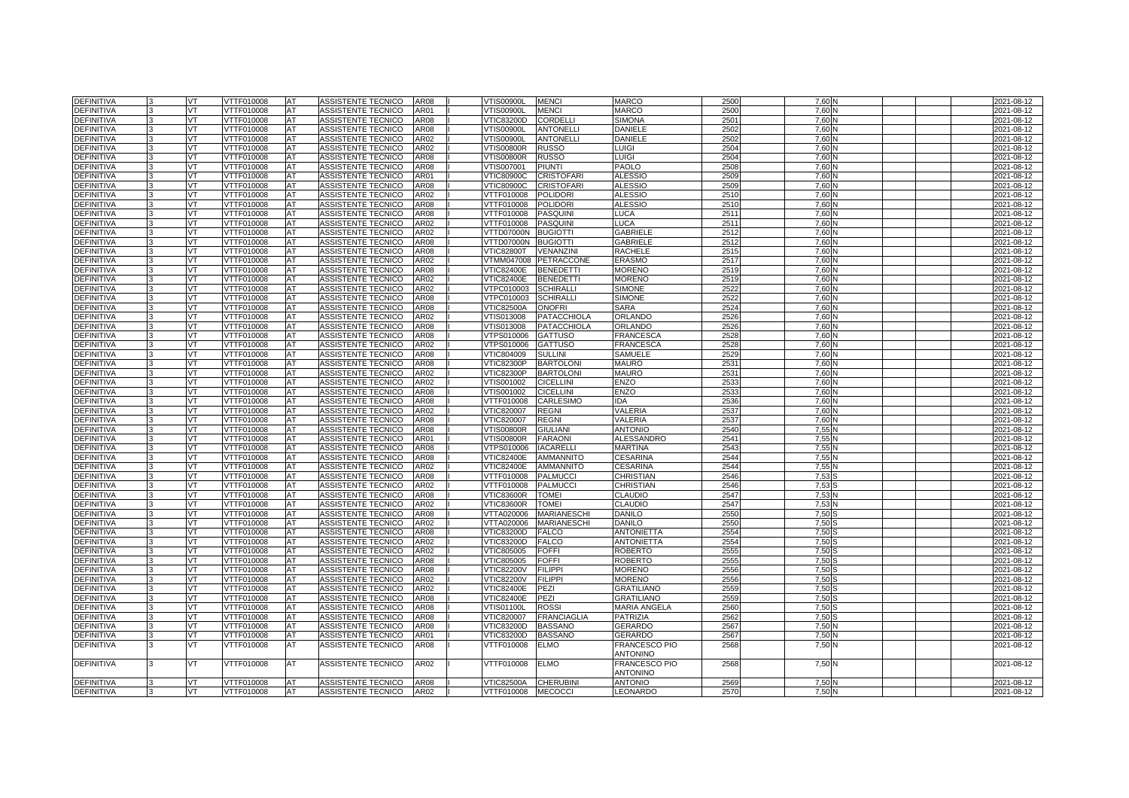| <b>DEFINITIVA</b>               |   | VT        | VTTF010008               | AT        | ASSISTENTE TECNICO                       | AR08         | <b>VTIS00900L</b>        | <b>MENCI</b>                     | <b>MARCO</b>              | 2500         | 7.60         |  | 2021-08-12               |
|---------------------------------|---|-----------|--------------------------|-----------|------------------------------------------|--------------|--------------------------|----------------------------------|---------------------------|--------------|--------------|--|--------------------------|
| <b>DEFINITIVA</b>               |   | <b>VT</b> | VTTF010008               | AT        | ASSISTENTE TECNICO                       | AR01         | VTIS00900L               | <b>MENCI</b>                     | <b>MARCO</b>              | 2500         | 7,60         |  | 2021-08-12               |
| <b>DEFINITIVA</b>               |   | VT.       | VTTF010008               | AT        | <b>ASSISTENTE TECNICO</b>                | AR08         | <b>VTIC83200D</b>        | <b>CORDELLI</b>                  | <b>SIMONA</b>             | 2501         | 7.60         |  | 2021-08-12               |
| <b>DEFINITIVA</b>               |   | VT        | VTTF010008               | AT        | ASSISTENTE TECNICO                       | AR08         | VTIS00900L               | <b>ANTONELLI</b>                 | <b>DANIELE</b>            | 2502         | 7.60         |  | 2021-08-12               |
| DEFINITIVA                      |   | <b>VT</b> | VTTF010008               | AT        | ASSISTENTE TECNICO                       | AR02         | VTIS00900L               | <b>ANTONELLI</b>                 | <b>DANIELE</b>            | 2502         | 7,60         |  | 2021-08-12               |
| <b>DEFINITIVA</b>               |   | VT.       | VTTF010008               | <b>AT</b> | ASSISTENTE TECNICO                       | AR02         | /TIS00800R               | <b>RUSSO</b>                     | LUIGI                     | 2504         | 7.60         |  | 2021-08-12               |
| <b>DEFINITIVA</b>               |   | VT        | VTTF010008               | AT        | ASSISTENTE TECNICO                       | <b>AR08</b>  | <b>VTIS00800R</b>        | <b>RUSSO</b>                     | LUIGI                     | 2504         | 7.60         |  | 2021-08-12               |
| DEFINITIVA                      |   | <b>VT</b> | VTTF010008               | AT        | ASSISTENTE TECNICO                       | AR08         | VTIS007001               | <b>PIUNTI</b>                    | PAOLO                     | 2508         | 7.60         |  | 2021-08-12               |
| <b>DEFINITIVA</b>               |   | VT        | VTTF010008               | AT        | ASSISTENTE TECNICO                       | AR01         | <b>VTIC80900C</b>        | <b>CRISTOFARI</b>                | <b>ALESSIO</b>            | 2509         | 7.60         |  | 2021-08-12               |
| <b>DEFINITIVA</b>               |   | VT        | VTTF010008               | AT        | ASSISTENTE TECNICO                       | AR08         | <b>VTIC80900C</b>        | <b>CRISTOFARI</b>                | <b>ALESSIO</b>            | 2509         | 7.60         |  | 2021-08-12               |
| DEFINITIVA                      |   | VT        | VTTF010008               | AT        | ASSISTENTE TECNICO                       | AR02         | VTTF010008               | <b>POLIDORI</b>                  | ALESSIO                   | 251          | 7,60         |  | 2021-08-12               |
| <b>DEFINITIVA</b>               |   | VT.       | VTTF010008               | AT        | ASSISTENTE TECNICO                       | AR08         | VTTF010008               | <b>POLIDORI</b>                  | ALESSIO                   | 2510         | 7.60         |  | 2021-08-12               |
| <b>DEFINITIVA</b>               |   | VT        | VTTF010008               | AT        | ASSISTENTE TECNICO                       | AR08         | VTTF010008               | <b>PASQUINI</b>                  | LUCA                      | 251          | 7,60         |  | 2021-08-12               |
| DEFINITIVA                      |   | VT        | VTTF010008               | AT        | ASSISTENTE TECNICO                       | AR02         | VTTF010008               | <b>PASQUINI</b>                  | LUCA                      | 251          | 7,60         |  | 2021-08-12               |
| <b>DEFINITIVA</b>               |   | VT        | VTTF010008               | <b>AT</b> | ASSISTENTE TECNICO                       | AR02         | VTTD07000N               | <b>BUGIOTTI</b>                  | <b>GABRIELE</b>           | 2512         | 7.60         |  | 2021-08-12               |
| <b>DEFINITIVA</b>               |   | VT        | VTTF010008               | AT        | ASSISTENTE TECNICO                       | AR08         | VTTD07000N               | <b>BUGIOTTI</b>                  | <b>GABRIELE</b>           | 2512         | 7,60         |  | 2021-08-12               |
| DEFINITIVA                      |   | VT        | VTTF010008               | AT        | ASSISTENTE TECNICO                       | AR08         | <b>VTIC82800T</b>        | VENANZIN                         | RACHELE                   | 251          | 7,60         |  | 2021-08-12               |
| <b>DEFINITIVA</b>               |   | VT        | VTTF010008               | AT        | ASSISTENTE TECNICO                       | AR02         | /TMM047008               | <b>PETRACCONE</b>                | <b>ERASMO</b>             | 2517         | 7.60         |  | 2021-08-12               |
| <b>DEFINITIVA</b>               |   | VT.       | VTTF010008               | AT        | ASSISTENTE TECNICO                       | AR08         | <b>VTIC82400E</b>        | <b>BENEDETTI</b>                 | <b>MORENO</b>             | 2519         | 7.60         |  | 2021-08-12               |
| DEFINITIVA                      |   | VT        | VTTF010008               | AT        | ASSISTENTE TECNICO                       | AR02         | <b>VTIC82400E</b>        | <b>BENEDETTI</b>                 | <b>MORENO</b>             | 2519         | 7,60         |  | 2021-08-12               |
| <b>DEFINITIVA</b>               |   | VT        | VTTF010008               | AT        | ASSISTENTE TECNICO                       | AR02         | /TPC010003               | <b>SCHIRALLI</b>                 | <b>SIMONE</b>             | 252          | 7.60         |  | 2021-08-12               |
| <b>DEFINITIVA</b>               |   | VT        | VTTF010008               | AT        | ASSISTENTE TECNICO                       | AR08         | VTPC010003               | <b>SCHIRALLI</b>                 | <b>SIMONE</b>             | 2522         | 7.60         |  | 2021-08-12               |
| DEFINITIVA                      |   | <b>VT</b> | VTTF010008               | AT        | ASSISTENTE TECNICO                       | AR08         | VTIC82500A               | <b>ONOFRI</b>                    | <b>SARA</b>               | 2524         | 7,60         |  | 2021-08-12               |
| <b>DEFINITIVA</b>               |   | VT        | VTTF010008               | <b>AT</b> | ASSISTENTE TECNICO                       | AR02         | VTIS013008               | <b>PATACCHIOLA</b>               | ORLANDO                   | 2526         | 7.60         |  | $2021 - 08 - 12$         |
| <b>DEFINITIVA</b>               |   | VT        | VTTF010008               | AT        | ASSISTENTE TECNICO                       | AR08         | VTIS013008               | <b>PATACCHIOLA</b>               | ORLANDO                   | 2526         | 7.60         |  | 2021-08-12               |
| DEFINITIVA                      |   | <b>VT</b> | VTTF010008               | AT        | ASSISTENTE TECNICO                       | AR08         | VTPS010006               | <b>GATTUSO</b>                   | <b>FRANCESCA</b>          | 2528         | 7,60         |  | 2021-08-12               |
| DEFINITIVA                      |   | VT        | VTTF010008               | AT        | ASSISTENTE TECNICO                       | AR02         | /TPS010006               | <b>GATTUSO</b>                   | <b>FRANCESCA</b>          | 2528         | 7.60         |  | 2021-08-12               |
| <b>DEFINITIVA</b>               |   | VT        | VTTF010008               | AT        | ASSISTENTE TECNICO                       | AR08         | VTIC804009               | <b>SULLINI</b>                   | <b>SAMUELE</b>            | 252          | 7.60         |  | 2021-08-12               |
| DEFINITIVA                      |   | VT        | VTTF010008               | AT        | ASSISTENTE TECNICO                       | AR08         | /TIC82300P               | <b>BARTOLONI</b>                 | <b>MAURO</b>              | 253'         | 7,60         |  | 2021-08-12               |
| <b>DEFINITIVA</b>               |   | VT        | <b>/TTF010008</b>        | AT        | ASSISTENTE TECNICO                       | AR02         | /TIC82300P               | <b>BARTOLONI</b>                 | <b>MAURO</b>              | 253'         | 7.60         |  | 2021-08-12               |
| <b>DEFINITIVA</b>               |   | VT        | VTTF010008               | AT        | ASSISTENTE TECNICO                       | AR02         | VTIS001002               | <b>CICELLINI</b>                 | ENZO                      | 2533         | 7.60         |  | 2021-08-12               |
| DEFINITIVA                      |   | <b>VT</b> | VTTF010008               | AT        | ASSISTENTE TECNICO                       | AR08         | VTIS001002               | <b>CICELLINI</b>                 | <b>ENZO</b>               | 253          | 7,60         |  | 2021-08-12               |
| <b>DEFINITIVA</b><br>DEFINITIVA |   | VT<br>VT  | VTTF010008<br>VTTF010008 | AT<br>AT  | ASSISTENTE TECNICO<br>ASSISTENTE TECNICO | AR08<br>AR02 | VTTF010008<br>VTIC820007 | <b>CARLESIMO</b><br><b>REGNI</b> | DA<br>VALERIA             | 2536<br>2537 | 7.60<br>7,60 |  | 2021-08-12<br>2021-08-12 |
| DEFINITIVA                      |   | <b>VT</b> | VTTF010008               | AT        | ASSISTENTE TECNICO                       | AR08         | VTIC820007               | <b>REGNI</b>                     | VALERIA                   | 2537         | 7,60         |  | 2021-08-12               |
| <b>DEFINITIVA</b>               |   | VT        | VTTF010008               | AT        | ASSISTENTE TECNICO                       | AR08         | /TIS00800R               | <b>GIULIANI</b>                  | <b>ANTONIO</b>            | 2540         | 7.55         |  | 2021-08-12               |
| DEFINITIVA                      |   | VT        | VTTF010008               | AT        | ASSISTENTE TECNICO                       | AR01         | <b>VTIS00800R</b>        | <b>FARAON</b>                    | ALESSANDRO                | 2541         | 7.55         |  | 2021-08-12               |
| <b>DEFINITIVA</b>               |   | VT        | VTTF010008               | AT        | ASSISTENTE TECNICO                       | AR08         | VTPS010006               | <b>IACARELLI</b>                 | <b>MARTINA</b>            | 2543         | 7,55         |  | 2021-08-12               |
| <b>DEFINITIVA</b>               |   | VT        | VTTF010008               | AT        | ASSISTENTE TECNICO                       | AR08         | /TIC82400E               | <b>AMMANNITO</b>                 | <b>CESARINA</b>           | 2544         | 7.55         |  | 2021-08-12               |
| DEFINITIVA                      |   | VT        | VTTF010008               | AT        | ASSISTENTE TECNICO                       | AR02         | <b>VTIC82400E</b>        | <b>AMMANNITO</b>                 | <b>CESARINA</b>           | 2544         | 7,55         |  | 2021-08-12               |
| DEFINITIVA                      |   | VT        | VTTF010008               | AT        | ASSISTENTE TECNICO                       | AR08         | VTTF010008               | <b>PALMUCCI</b>                  | CHRISTIAN                 | 2546         | 7,53         |  | 2021-08-12               |
| DEFINITIVA                      |   | VT        | /TTF010008               | AT        | ASSISTENTE TECNICO                       | AR02         | <b>TTF010008</b>         | <b>PALMUCCI</b>                  | CHRISTIAN                 | 2546         | 7,53         |  | 2021-08-12               |
| <b>DEFINITIVA</b>               |   | VT        | VTTF010008               | AT        | ASSISTENTE TECNICO                       | AR08         | <b>VTIC83600R</b>        | <b>TOMEI</b>                     | <b>CLAUDIO</b>            | 2547         | 7.53         |  | 2021-08-12               |
| <b>DEFINITIVA</b>               |   | <b>VT</b> | VTTF010008               | AT        | ASSISTENTE TECNICO                       | AR02         | <b>VTIC83600R</b>        | <b>TOMEI</b>                     | <b>CLAUDIO</b>            | 2547         | 7.53         |  | 2021-08-12               |
| <b>DEFINITIVA</b>               |   | VT        | <b>VTTF010008</b>        | AT        | <b>ASSISTENTE TECNICO</b>                | AR08         | VTTA020006               | <b>MARIANESCHI</b>               | <b>DANILO</b>             | 2550         | 7.50         |  | 2021-08-12               |
| <b>DEFINITIVA</b>               |   | VT        | VTTF010008               | AT        | <b>ASSISTENTE TECNICO</b>                | AR02         | VTTA020006               | <b>MARIANESCHI</b>               | <b>DANILO</b>             | 255          | 7.50         |  | 2021-08-12               |
| DEFINITIVA                      |   | VT        | <b>VTTF010008</b>        | AT        | <b>ASSISTENTE TECNICO</b>                | AR08         | <b>VTIC83200D</b>        | <b>FALCO</b>                     | <b>ANTONIETTA</b>         | 2554         | 7,50         |  | 2021-08-12               |
| <b>DEFINITIVA</b>               |   | VT        | VTTF010008               | AT        | ASSISTENTE TECNICO                       | AR02         | /TIC83200D               | <b>FALCO</b>                     | <b>ANTONIETTA</b>         | 2554         | 7.50         |  | 2021-08-12               |
| <b>DEFINITIVA</b>               |   | VT        | VTTF010008               | AT        | <b>ASSISTENTE TECNICO</b>                | AR02         | VTIC805005               | <b>FOFFI</b>                     | <b>ROBERTO</b>            | 2555         | 7.50         |  | 2021-08-12               |
| <b>DEFINITIVA</b>               |   | VT        | <b>VTTF010008</b>        | AT        | <b>ASSISTENTE TECNICO</b>                | AR08         | VTIC805005               | <b>FOFFI</b>                     | <b>ROBERTO</b>            | 255          | 7,50         |  | 2021-08-12               |
| <b>DEFINITIVA</b>               |   | VT        | VTTF010008               | AT        | ASSISTENTE TECNICO                       | AR08         | /TIC82200V               | <b>FILIPPI</b>                   | <b>MORENO</b>             | 2556         | 7.50         |  | 2021-08-12               |
| <b>DEFINITIVA</b>               |   | VT        | VTTF010008               | AT        | <b>ASSISTENTE TECNICO</b>                | AR02         | <b>VTIC82200V</b>        | <b>FILIPPI</b>                   | <b>MORENO</b>             | 2556         | 7.50         |  | 2021-08-12               |
| <b>DEFINITIVA</b>               |   | VT        | <b>VTTF010008</b>        | AT        | ASSISTENTE TECNICO                       | AR02         | <b>VTIC82400E</b>        | PEZI                             | GRATILIANO                | 2559         | 7,50         |  | 2021-08-12               |
| <b>DEFINITIVA</b>               |   | VT        | VTTF010008               | AT        | ASSISTENTE TECNICO                       | AR08         | <b>VTIC82400E</b>        | PEZI                             | <b>GRATILIANO</b>         | 2559         | 7.50         |  | 2021-08-12               |
| <b>DEFINITIVA</b>               |   | VT        | VTTF010008               | AT        | <b>ASSISTENTE TECNICO</b>                | <b>AR08</b>  | VTIS01100L               | <b>ROSSI</b>                     | <b>MARIA ANGELA</b>       | 2560         | 7.50         |  | 2021-08-12               |
| <b>DEFINITIVA</b>               |   | VT        | VTTF010008               | AT        | ASSISTENTE TECNICO                       | AR08         | <b>VTIC820007</b>        | <b>FRANCIAGLIA</b>               | <b>PATRIZIA</b>           | 256          | 7,50         |  | 2021-08-12               |
| <b>DEFINITIVA</b>               |   | VT        | VTTF010008               | AT        | ASSISTENTE TECNICO                       | AR08         | /TIC83200D               | <b>BASSANO</b>                   | <b>GERARDO</b>            | 256          | 7.50         |  | 2021-08-12               |
| <b>DEFINITIVA</b>               |   | VT        | VTTF010008               | AT        | ASSISTENTE TECNICO                       | AR01         | VTIC83200D               | <b>BASSANO</b>                   | GERARDC                   | 256          | 7.50         |  | 2021-08-12               |
| <b>DEFINITIVA</b>               |   | VT.       | VTTF010008               | AT        | ASSISTENTE TECNICO                       | AR08         | VTTF010008               | <b>ELMO</b>                      | FRANCESCO PIO             | 2568         | 7,50 N       |  | 2021-08-12               |
|                                 |   |           |                          |           |                                          |              |                          |                                  | <b>ANTONINO</b>           |              |              |  |                          |
| <b>DEFINITIVA</b>               |   | <b>VT</b> | VTTF010008               | AT        | ASSISTENTE TECNICO                       | AR02         | VTTF010008               | <b>ELMO</b>                      | FRANCESCO PIO<br>ANTONINO | 2568         | 7,50 N       |  | 2021-08-12               |
| DEFINITIVA                      |   | VT        | VTTF010008               | AT        | ASSISTENTE TECNICO                       | AR08         | VTIC82500A               | <b>CHERUBINI</b>                 | <b>ANTONIO</b>            | 2569         | 7,50         |  | 2021-08-12               |
| <b>DEFINITIVA</b>               | 3 | VT        | VTTF010008               | AT        | ASSISTENTE TECNICO                       | AR02         | VTTF010008               | <b>MECOCCI</b>                   | LEONARDO                  | 2570         | 7.50N        |  | 2021-08-12               |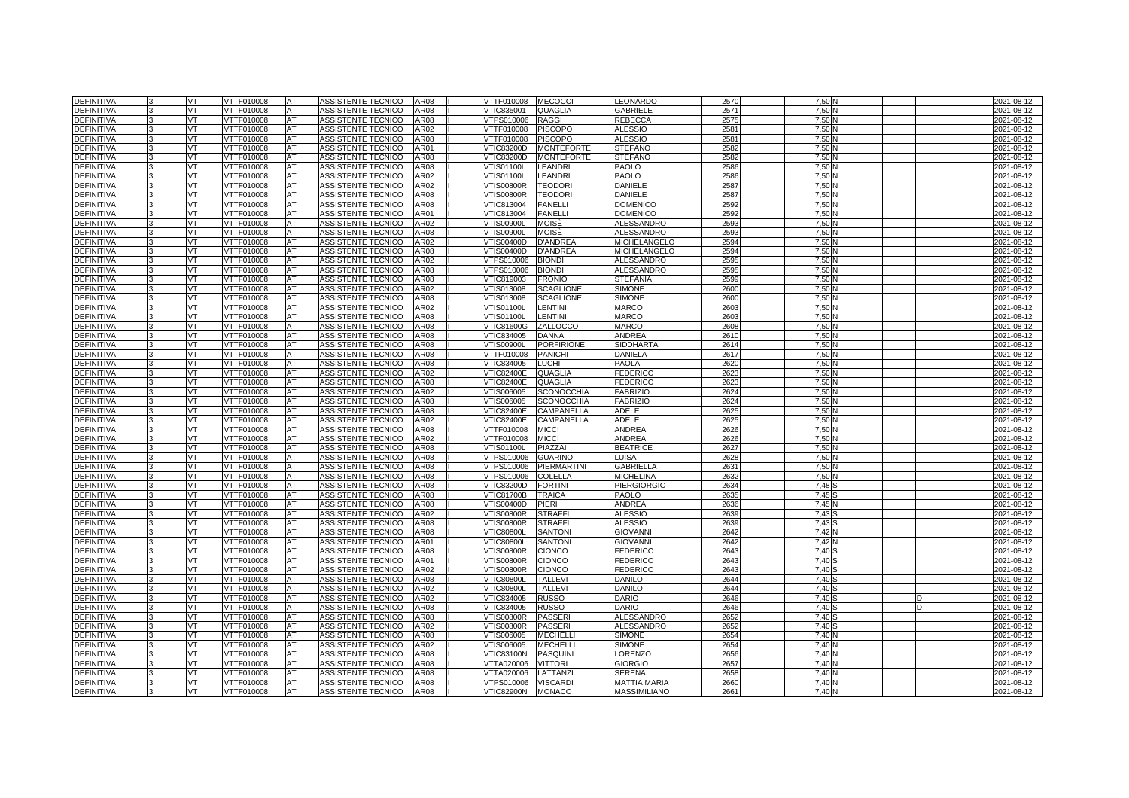| <b>DEFINITIVA</b>               |    | VT        | VTTF010008        | AT        | ASSISTENTE TECNICO        | <b>AR08</b> | VTTF010008        | <b>MECOCCI</b>     | EONARDO             | 257         | 7,50 |  | 2021-08-12 |
|---------------------------------|----|-----------|-------------------|-----------|---------------------------|-------------|-------------------|--------------------|---------------------|-------------|------|--|------------|
| <b>DEFINITIVA</b>               |    | VT        | VTTF010008        | AT        | ASSISTENTE TECNICO        | <b>AR08</b> | VTIC835001        | <b>QUAGLIA</b>     | GABRIELE            | 2571        | 7,50 |  | 2021-08-12 |
| DEFINITIVA                      |    | VT        | VTTF010008        | AT        | ASSISTENTE TECNICO        | AR08        | VTPS010006        | <b>RAGGI</b>       | REBECCA             | 257         | 7,50 |  | 2021-08-12 |
| DEFINITIVA                      |    | VT        | VTTF010008        | AT        | ASSISTENTE TECNICO        | AR02        | VTTF010008        | <b>PISCOPO</b>     | ALESSIO             | 258         | 7,50 |  | 2021-08-12 |
| <b>DEFINITIVA</b>               |    | VT        | VTTF010008        | AT        | ASSISTENTE TECNICO        | <b>AR08</b> | <b>/TTF010008</b> | <b>PISCOPO</b>     | <b>ALESSIO</b>      | 2581        | 7,50 |  | 2021-08-12 |
| <b>DEFINITIVA</b>               |    | VT        | VTTF010008        | AT        | <b>ASSISTENTE TECNICO</b> | AR01        | √TIC83200D        | <b>MONTEFORTE</b>  | <b>STEFANO</b>      | 2582        | 7,50 |  | 2021-08-12 |
| DEFINITIVA                      |    | VT        | VTTF010008        | AT        | ASSISTENTE TECNICO        | AR08        | VTIC83200D        | <b>MONTEFORTE</b>  | <b>STEFANO</b>      | 2582        | 7,50 |  | 2021-08-12 |
| <b>DEFINITIVA</b>               |    | VT        | VTTF010008        | AT        | ASSISTENTE TECNICO        | <b>AR08</b> | /TIS01100L        | <b>LEANDRI</b>     | <b>PAOLO</b>        | 2586        | 7.50 |  | 2021-08-12 |
| <b>DEFINITIVA</b>               |    |           | VTTF010008        | AT        | ASSISTENTE TECNICO        | AR02        | √TIS01100L        | <b>LEANDRI</b>     | PAOLO               | 2586        | 7,50 |  | 2021-08-12 |
|                                 |    | VT<br>VT  |                   |           |                           |             |                   | <b>TEODOR</b>      |                     |             |      |  |            |
| DEFINITIVA                      |    |           | VTTF010008        | AT        | ASSISTENTE TECNICO        | AR02        | √TIS00800R        |                    | DANIELE             | 258<br>2587 | 7,50 |  | 2021-08-12 |
| <b>DEFINITIVA</b>               |    | VT        | VTTF010008        | AT        | ASSISTENTE TECNICO        | AR08        | √TIS00800R        | <b>TEODORI</b>     | DANIELE             |             | 7,50 |  | 2021-08-12 |
| <b>DEFINITIVA</b>               |    | VT        | VTTF010008        | AT        | ASSISTENTE TECNICO        | AR08        | VTIC813004        | <b>FANELLI</b>     | <b>DOMENICO</b>     | 2592        | 7,50 |  | 2021-08-12 |
| DEFINITIVA                      |    | <b>VT</b> | VTTF010008        | AT        | ASSISTENTE TECNICO        | AR01        | VTIC813004        | <b>FANELLI</b>     | <b>DOMENICO</b>     | 2592        | 7,50 |  | 2021-08-12 |
| DEFINITIVA                      |    | VT        | VTTF010008        | AT        | ASSISTENTE TECNICO        | AR02        | √TIS00900L        | MOISÉ              | <b>ALESSANDRO</b>   | 2593        | 7,50 |  | 2021-08-12 |
| <b>DEFINITIVA</b>               |    | VT        | VTTF010008        | AT        | ASSISTENTE TECNICO        | AR08        | √TIS00900L        | MOISÈ              | <b>ALESSANDRO</b>   | 259         | 7,50 |  | 2021-08-12 |
| DEFINITIVA                      |    | VT        | VTTF010008        | AT        | ASSISTENTE TECNICO        | AR02        | VTIS00400D        | <b>D'ANDREA</b>    | <b>MICHELANGELO</b> | 2594        | 7,50 |  | 2021-08-12 |
| <b>DEFINITIVA</b>               |    | VT        | VTTF010008        | <b>AT</b> | ASSISTENTE TECNICO        | AR08        | VTIS00400D        | <b>D'ANDREA</b>    | MICHELANGELO        | 2594        | 7,50 |  | 2021-08-12 |
| <b>DEFINITIVA</b>               |    | VT        | VTTF010008        | AT        | ASSISTENTE TECNICO        | AR02        | VTPS010006        | <b>BIONDI</b>      | <b>ALESSANDRO</b>   | 2595        | 7,50 |  | 2021-08-12 |
| DEFINITIVA                      |    | VT        | VTTF010008        | AT        | ASSISTENTE TECNICO        | AR08        | VTPS010006        | <b>BIONDI</b>      | <b>ALESSANDRO</b>   | 259         | 7,50 |  | 2021-08-12 |
| <b>DEFINITIVA</b>               |    | VT        | VTTF010008        | AT        | ASSISTENTE TECNICO        | AR08        | VTIC819003        | <b>FRONIO</b>      | <b>STEFANIA</b>     | 2599        | 7,50 |  | 2021-08-12 |
| DEFINITIVA                      |    | VT        | VTTF010008        | AT        | ASSISTENTE TECNICO        | AR02        | VTIS013008        | <b>SCAGLIONE</b>   | <b>SIMONE</b>       | 260         | 7,50 |  | 2021-08-12 |
| <b>DEFINITIVA</b>               |    | VT        | VTTF010008        | AT        | ASSISTENTE TECNICO        | AR08        | VTIS013008        | <b>SCAGLIONE</b>   | <b>SIMONE</b>       | 260         | 7,50 |  | 2021-08-12 |
| DEFINITIVA                      |    | VT.       | VTTF010008        | AT        | ASSISTENTE TECNICO        | AR02        | √TIS01100L        | LENTINI            | MARCO               | 2603        | 7,50 |  | 2021-08-12 |
| <b>DEFINITIVA</b>               |    | VT        | VTTF010008        | AT        | ASSISTENTE TECNICO        | <b>AR08</b> | <b>VTIS01100L</b> | LENTINI            | <b>MARCO</b>        | 2603        | 7,50 |  | 2021-08-12 |
| <b>DEFINITIVA</b>               |    | <b>VT</b> | VTTF010008        | AT        | ASSISTENTE TECNICO        | <b>AR08</b> | <b>VTIC81600G</b> | ZALLOCCO           | <b>MARCO</b>        | 2608        | 7.50 |  | 2021-08-12 |
| <b>DEFINITIVA</b>               |    | VT.       | VTTF010008        | AT        | ASSISTENTE TECNICO        | AR08        | VTIC834005        | <b>DANNA</b>       | ANDREA              | 261         | 7.50 |  | 2021-08-12 |
| <b>DEFINITIVA</b>               |    | VT        | VTTF010008        | AT        | ASSISTENTE TECNICO        | AR08        | <b>VTIS00900L</b> | <b>PORFIRIONE</b>  | <b>SIDDHARTA</b>    | 2614        | 7,50 |  | 2021-08-12 |
| <b>DEFINITIVA</b>               |    | VT        | VTTF010008        | AT        | ASSISTENTE TECNICO        | AR08        | VTTF010008        | <b>PANICHI</b>     | <b>DANIELA</b>      | 2617        | 7.50 |  | 2021-08-12 |
| <b>DEFINITIVA</b>               |    | VT        | VTTF010008        | AT        | ASSISTENTE TECNICO        | AR08        | VTIC834005        | <b>LUCHI</b>       | PAOLA               | 262         | 7,50 |  | 2021-08-12 |
| <b>DEFINITIVA</b>               |    | VT        | VTTF010008        | AT        | ASSISTENTE TECNICO        | AR02        | <b>VTIC82400E</b> | <b>QUAGLIA</b>     | <b>EDERICO</b>      | 2623        | 7,50 |  | 2021-08-12 |
| <b>DEFINITIVA</b>               |    | VT.       | VTTF010008        | AT        | ASSISTENTE TECNICO        | AR08        | <b>VTIC82400E</b> | <b>QUAGLIA</b>     | <b>FEDERICO</b>     | 2623        | 7.50 |  | 2021-08-12 |
| DEFINITIVA                      |    | VT.       | VTTF010008        | AT        | ASSISTENTE TECNICO        | AR02        | VTIS006005        | <b>SCONOCCHIA</b>  | <b>FABRIZIO</b>     | 2624        | 7.50 |  | 2021-08-12 |
| <b>DEFINITIVA</b>               |    | VT        | VTTF010008        | AT        | ASSISTENTE TECNICO        | AR08        | /TIS006005        | <b>SCONOCCHIA</b>  | <b>FABRIZIO</b>     | 2624        | 7,50 |  | 2021-08-12 |
| <b>DEFINITIVA</b>               |    | VT        | VTTF010008        | AT        | ASSISTENTE TECNICO        | <b>AR08</b> | <b>VTIC82400E</b> | CAMPANELLA         | ADELE               | 2625        | 7.50 |  | 2021-08-12 |
| <b>DEFINITIVA</b>               |    | VT        | VTTF010008        | AT        | ASSISTENTE TECNICO        | AR02        | /TIC82400E        | CAMPANELLA         | ADELE               | 2625        | 7.50 |  | 2021-08-12 |
| <b>DEFINITIVA</b>               |    | VT        | <b>/TTF010008</b> | AT        | ASSISTENTE TECNICO        | AR08        | TTF010008         | <b>MICCI</b>       | <b>ANDREA</b>       | 2626        | 7,50 |  | 2021-08-12 |
| <b>DEFINITIVA</b>               |    | VT        | VTTF010008        | AT        | ASSISTENTE TECNICO        | AR02        | VTTF010008        | <b>MICCI</b>       | ANDREA              | 2626        | 7.50 |  | 2021-08-12 |
| <b>DEFINITIVA</b>               |    | VT.       | VTTF010008        | AT        | ASSISTENTE TECNICO        | AR08        | √TIS01100L        | PIAZZAI            | <b>BEATRICE</b>     | 2627        | 7.50 |  | 2021-08-12 |
| <b>DEFINITIVA</b>               |    | VT        | VTTF010008        | AT        | ASSISTENTE TECNICO        | AR08        | /TPS010006        | <b>GUARINO</b>     | LUISA               | 2628        | 7.50 |  | 2021-08-12 |
| <b>DEFINITIVA</b>               | l3 | VT        | VTTF010008        | AT        | ASSISTENTE TECNICO        | AR08        | VTPS010006        | <b>PIERMARTINI</b> | <b>GABRIELLA</b>    | 263'        | 7.50 |  | 2021-08-12 |
|                                 |    | VT        | VTTF010008        | AT        | ASSISTENTE TECNICO        | AR08        |                   | <b>COLELLA</b>     | <b>MICHELINA</b>    | 2632        | 7.50 |  |            |
| DEFINITIVA<br><b>DEFINITIVA</b> |    | VT        | TTF010008         | AT        | <b>ASSISTENTE TECNICO</b> | AR08        | /TPS010006        | <b>FORTINI</b>     |                     |             | 7.48 |  | 2021-08-12 |
|                                 |    |           |                   |           |                           |             | /TIC83200D        |                    | <b>PIERGIORGIO</b>  | 2634        |      |  | 2021-08-12 |
| <b>DEFINITIVA</b>               |    | VT        | VTTF010008        | AT        | ASSISTENTE TECNICO        | <b>AR08</b> | <b>VTIC81700B</b> | <b>TRAICA</b>      | <b>PAOLO</b>        | 2635        | 7.45 |  | 2021-08-12 |
| <b>DEFINITIVA</b>               |    | VT.       | VTTF010008        | AT        | ASSISTENTE TECNICO        | AR08        | /TIS00400D        | PIERI              | ANDREA              | 2636        | 7.45 |  | 2021-08-12 |
| <b>DEFINITIVA</b>               |    | VT        | <b>/TTF010008</b> | AT        | <b>ASSISTENTE TECNICO</b> | AR02        | /TIS00800R        | <b>STRAFFI</b>     | <b>ALESSIO</b>      | 263         | 7.43 |  | 2021-08-12 |
| <b>DEFINITIVA</b>               |    | VT        | VTTF010008        | AT        | <b>ASSISTENTE TECNICO</b> | AR08        | <b>VTIS00800R</b> | <b>STRAFFI</b>     | <b>ALESSIO</b>      | 2639        | 7.43 |  | 2021-08-12 |
| <b>DEFINITIVA</b>               |    | VT        | <b>VTTF010008</b> | AT        | <b>ASSISTENTE TECNICO</b> | AR08        | <b>VTIC80800L</b> | <b>SANTON</b>      | <b>GIOVANNI</b>     | 264         | 7,42 |  | 2021-08-12 |
| <b>DEFINITIVA</b>               |    | VT.       | VTTF010008        | AT        | ASSISTENTE TECNICO        | AR01        | <b>/TIC80800L</b> | <b>SANTONI</b>     | <b>GIOVANNI</b>     | 2642        | 7,42 |  | 2021-08-12 |
| <b>DEFINITIVA</b>               |    | VT        | VTTF010008        | AT        | <b>ASSISTENTE TECNICO</b> | AR08        | <b>VTIS00800R</b> | <b>CIONCO</b>      | <b>FEDERICO</b>     | 264         | 7.40 |  | 2021-08-12 |
| <b>DEFINITIVA</b>               |    | VT        | <b>VTTF010008</b> | AT        | <b>ASSISTENTE TECNICO</b> | AR01        | VTIS00800R        | <b>CIONCO</b>      | <b>FEDERICO</b>     | 264         | 7.40 |  | 2021-08-12 |
| <b>DEFINITIVA</b>               |    | VT        | VTTF010008        | AT        | ASSISTENTE TECNICO        | AR02        | <b>VTIS00800R</b> | <b>CIONCO</b>      | <b>FEDERICO</b>     | 2643        | 7.40 |  | 2021-08-12 |
| <b>DEFINITIVA</b>               |    | VT        | VTTF010008        | AT        | <b>ASSISTENTE TECNICO</b> | AR08        | <b>VTIC80800L</b> | <b>TALLEVI</b>     | <b>DANILO</b>       | 2644        | 7.40 |  | 2021-08-12 |
| <b>DEFINITIVA</b>               |    | VT        | <b>VTTF010008</b> | AT        | <b>ASSISTENTE TECNICO</b> | AR02        | <b>VTIC80800L</b> | <b>TALLEVI</b>     | <b>DANILO</b>       | 2644        | 7,40 |  | 2021-08-12 |
| <b>DEFINITIVA</b>               |    | VT        | VTTF010008        | AT        | ASSISTENTE TECNICO        | AR02        | /TIC834005        | <b>RUSSO</b>       | DARIO               | 2646        | 7.40 |  | 2021-08-12 |
| <b>DEFINITIVA</b>               |    | VT        | VTTF010008        | AT        | <b>ASSISTENTE TECNICO</b> | AR08        | VTIC834005        | <b>RUSSO</b>       | DARIO               | 2646        | 7.40 |  | 2021-08-12 |
| <b>DEFINITIVA</b>               |    | VT        | <b>VTTF010008</b> | AT        | <b>ASSISTENTE TECNICO</b> | <b>AR08</b> | VTIS00800R        | <b>PASSERI</b>     | <b>ALESSANDRO</b>   | 265         | 7.40 |  | 2021-08-12 |
| <b>DEFINITIVA</b>               |    | VT.       | VTTF010008        | AT        | ASSISTENTE TECNICO        | AR02        | /TIS00800R        | <b>PASSERI</b>     | <b>ALESSANDRO</b>   | 2652        | 7.40 |  | 2021-08-12 |
| <b>DEFINITIVA</b>               |    | VT        | VTTF010008        | AT        | <b>ASSISTENTE TECNICO</b> | AR08        | VTIS006005        | <b>MECHELL</b>     | <b>SIMONE</b>       | 265         | 7.40 |  | 2021-08-12 |
| DEFINITIVA                      |    | <b>VT</b> | VTTF010008        | AT        | ASSISTENTE TECNICO        | AR02        | VTIS006005        | <b>MECHELL</b>     | <b>SIMONE</b>       | 2654        | 7,40 |  | 2021-08-12 |
| <b>DEFINITIVA</b>               |    | VT        | VTTF010008        | AT        | ASSISTENTE TECNICO        | AR08        | /TIC83100N        | <b>PASQUINI</b>    | LORENZO             | 2656        | 7.40 |  | 2021-08-12 |
| <b>DEFINITIVA</b>               |    | VT        | VTTF010008        | AT        | ASSISTENTE TECNICO        | AR08        | VTTA020006        | <b>VITTORI</b>     | <b>GIORGIO</b>      | 265         | 7.40 |  | 2021-08-12 |
| DEFINITIVA                      |    | <b>VT</b> | VTTF010008        | AT        | ASSISTENTE TECNICO        | AR08        | VTTA020006        | LATTANZI           | <b>SERENA</b>       | 2658        | 7.40 |  | 2021-08-12 |
| <b>DEFINITIVA</b>               |    | VT        | VTTF010008        | AT        | ASSISTENTE TECNICO        | AR08        | TPS010006         | <b>VISCARDI</b>    | <b>MATTIA MARIA</b> | 266         | 7.40 |  | 2021-08-12 |
| <b>DEFINITIVA</b>               |    | VT        | <b>VTTF010008</b> | AT        | ASSISTENTE TECNICO        | <b>AR08</b> | <b>VTIC82900N</b> | <b>MONACO</b>      | <b>MASSIMILIANO</b> | 266'        | 7.40 |  | 2021-08-12 |
|                                 |    |           |                   |           |                           |             |                   |                    |                     |             |      |  |            |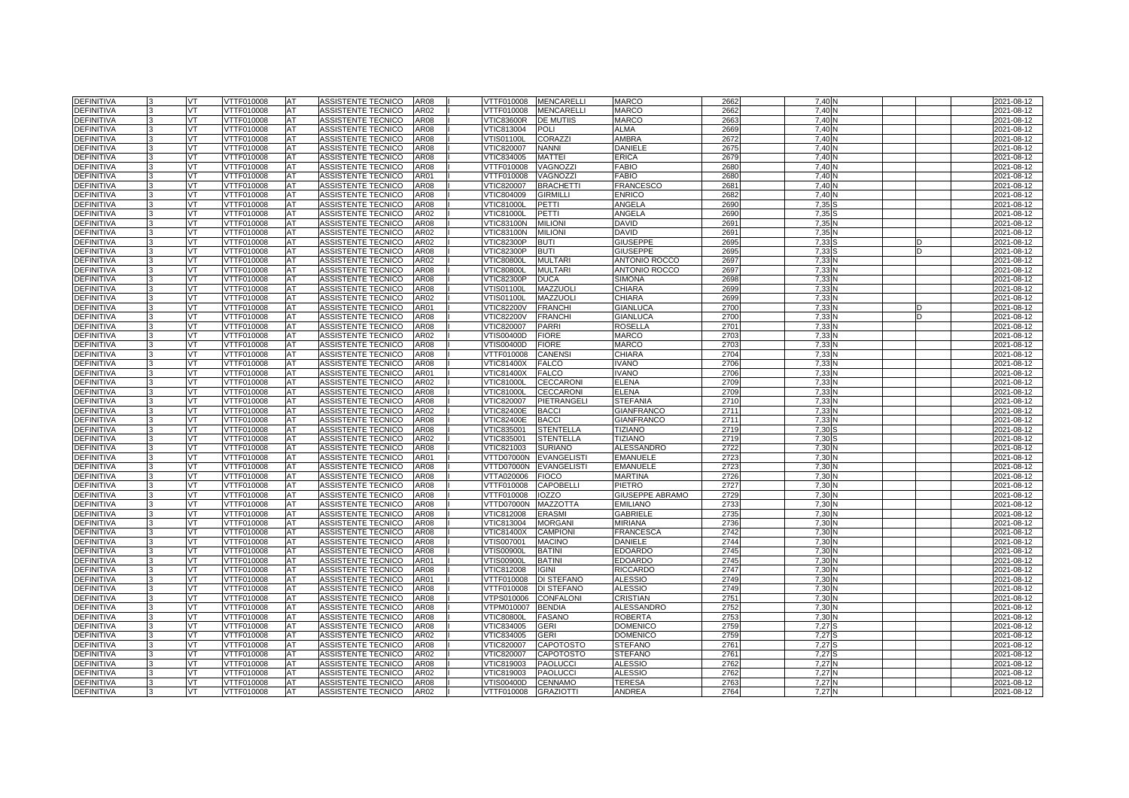| <b>DEFINITIVA</b>                      | VT        | VTTF010008               | <b>AT</b> | ASSISTENTE TECNICO                       | AR08             | VTTF010008                      | <b>MENCARELLI</b>                | <b>MARCO</b>                           | 2662         | 7,40         |  | 2021-08-12               |
|----------------------------------------|-----------|--------------------------|-----------|------------------------------------------|------------------|---------------------------------|----------------------------------|----------------------------------------|--------------|--------------|--|--------------------------|
| <b>DEFINITIVA</b>                      | VT        | VTTF010008               | AT        | ASSISTENTE TECNICO                       | AR02             | VTTF010008                      | <b>MENCARELLI</b>                | <b>MARCO</b>                           | 2662         | 7,40         |  | 2021-08-12               |
| <b>DEFINITIVA</b>                      | VT.       | VTTF010008               | AT        | ASSISTENTE TECNICO                       | AR08             | VTIC83600R                      | <b>DE MUTIIS</b>                 | <b>MARCO</b>                           | 2663         | 7,40         |  | 2021-08-12               |
| DEFINITIVA                             | <b>VT</b> | VTTF010008               | AT        | ASSISTENTE TECNICO                       | AR08             | VTIC813004                      | POLI                             | <b>ALMA</b>                            | 2669         | 7.40         |  | 2021-08-12               |
| <b>DEFINITIVA</b>                      | VT.       | VTTF010008               | AT        | ASSISTENTE TECNICO                       | AR08             | √TIS01100L                      | <b>CORAZZI</b>                   | AMBRA                                  | 2672         | 7,40         |  | 2021-08-12               |
| <b>DEFINITIVA</b>                      | VT        | VTTF010008               | AT        | ASSISTENTE TECNICO                       | AR08             | VTIC820007                      | <b>NANNI</b>                     | <b>DANIELE</b>                         | 2675         | 7,40         |  | 2021-08-12               |
| <b>DEFINITIVA</b>                      | VT.       | VTTF010008               | AT        | ASSISTENTE TECNICO                       | AR08             | VTIC834005                      | <b>MATTEI</b>                    | <b>ERICA</b>                           | 2679         | 7.40         |  | 2021-08-12               |
| <b>DEFINITIVA</b>                      | VT.       | VTTF010008               | AT        | ASSISTENTE TECNICO                       | AR08             | VTTF010008                      | VAGNOZZI                         | <b>FABIO</b>                           | 268          | 7,40         |  | 2021-08-12               |
| DEFINITIVA                             | VT        | VTTF010008               | AT        | ASSISTENTE TECNICO                       | AR01             | VTTF010008                      | <b>VAGNOZZI</b>                  | <b>FABIO</b>                           | 2680         | 7,40         |  | 2021-08-12               |
| DEFINITIVA                             | VT        | VTTF010008               | AT        | ASSISTENTE TECNICO                       | AR08             | VTIC820007                      | <b>BRACHETTI</b>                 | <b>FRANCESCO</b>                       | 268          | 7.40         |  | 2021-08-12               |
| <b>DEFINITIVA</b>                      | VT        | VTTF010008               | <b>AT</b> | ASSISTENTE TECNICO                       | AR08             | VTIC804009                      | <b>GIRMILLI</b>                  | <b>ENRICO</b>                          | 2682         | 7,40         |  | 2021-08-12               |
| <b>DEFINITIVA</b>                      | VT        | VTTF010008               | AT        | ASSISTENTE TECNICO                       | AR08             | <b>VTIC81000L</b>               | PETTI                            | ANGELA                                 | 2690         | 7,35         |  | 2021-08-12               |
| DEFINITIVA                             | VT        | VTTF010008               | AT        | ASSISTENTE TECNICO                       | AR02             | <b>VTIC81000L</b>               | PETTI                            | ANGELA                                 | 269          | 7,35         |  | 2021-08-12               |
| <b>DEFINITIVA</b>                      | VT        | VTTF010008               | AT        | ASSISTENTE TECNICO                       | AR08             | √TIC83100N                      | <b>MILION</b>                    | DAVID                                  | 269          | 7,35         |  | 2021-08-12               |
| DEFINITIVA                             | VT        | VTTF010008               | AT        | ASSISTENTE TECNICO                       | AR02             | VTIC83100N                      | <b>MILION</b>                    | DAVID                                  | 269          | 7,35         |  | 2021-08-12               |
| DEFINITIVA                             | VT        | VTTF010008               | AT        | ASSISTENTE TECNICO                       | AR02             | <b>VTIC82300P</b>               | <b>BUTI</b>                      | <b>GIUSEPPE</b>                        | 269          | 7,33         |  | 2021-08-12               |
| <b>DEFINITIVA</b>                      | VT        | VTTF010008               | AT        | ASSISTENTE TECNICO                       | AR08             | VTIC82300P                      | BUTI                             | GIUSEPPE                               | 269          | 7,33         |  | 2021-08-12               |
| <b>DEFINITIVA</b>                      | VT        | VTTF010008               | AT        | ASSISTENTE TECNICO                       | AR02             | <b>VTIC80800L</b>               | <b>MULTARI</b>                   | <b>ANTONIO ROCCO</b>                   | 2697         | 7,33         |  | 2021-08-12               |
| <b>DEFINITIVA</b>                      | VT        | VTTF010008               | AT        | ASSISTENTE TECNICO                       | AR08             | <b>VTIC80800L</b>               | <b>MULTARI</b>                   | <b>ANTONIO ROCCO</b>                   | 2697         | 7.33         |  | 2021-08-12               |
| <b>DEFINITIVA</b>                      | VT        | VTTF010008               | AT        | ASSISTENTE TECNICO                       | AR08             | VTIC82300P                      | <b>DUCA</b>                      | SIMONA                                 | 2698         | 7,33         |  | 2021-08-12               |
| <b>DEFINITIVA</b>                      | VT        | VTTF010008               | AT        | ASSISTENTE TECNICO                       | AR08             | √TIS01100L                      | MAZZUOLI                         | CHIARA                                 | 2699         | 7,33         |  | 2021-08-12               |
| <b>DEFINITIVA</b>                      | VT        | VTTF010008               | AT        | ASSISTENTE TECNICO                       | AR02             | VTIS01100L                      | <b>MAZZUOLI</b>                  | CHIARA                                 | 269          | 7,33         |  | 2021-08-12               |
| <b>DEFINITIVA</b>                      | VT        | VTTF010008               | AT        | ASSISTENTE TECNICO                       | AR01             | VTIC82200V                      | <b>FRANCHI</b>                   | <b>GIANLUCA</b>                        | 270          | 7,33         |  | 2021-08-12               |
| <b>DEFINITIVA</b>                      | VT        | VTTF010008               | AT        | ASSISTENTE TECNICO                       | AR08             | <b>VTIC82200V</b>               | <b>FRANCHI</b>                   | <b>GIANLUCA</b>                        | 2700         | 7,33         |  | 2021-08-12               |
| <b>DEFINITIVA</b>                      | VT        | VTTF010008               | AT        | ASSISTENTE TECNICO                       | AR08             | VTIC820007                      | <b>PARRI</b>                     | ROSELLA                                | 2701         | 7,33         |  | 2021-08-12               |
| DEFINITIVA                             | VT        | VTTF010008               | AT        | ASSISTENTE TECNICO                       | AR02             | VTIS00400D                      | <b>FIORE</b>                     | MARCO                                  | 270          | 7,33         |  | 2021-08-12               |
| DEFINITIVA                             | VT        | VTTF010008               | AT        | ASSISTENTE TECNICO                       | AR08             | VTIS00400D                      | <b>FIORE</b>                     | <b>MARCO</b>                           | 2703         | 7,33         |  | 2021-08-12               |
| <b>DEFINITIVA</b>                      | VT        | VTTF010008               | AT        | ASSISTENTE TECNICO                       | AR08             | VTTF010008                      | <b>CANENS</b>                    | CHIARA                                 | 2704         | 7,33         |  | 2021-08-12               |
| <b>DEFINITIVA</b>                      | VT        | VTTF010008               | AT        | ASSISTENTE TECNICO                       | AR08             | VTIC81400X                      | <b>FALCO</b>                     | VANO                                   | 2706         | 7,33         |  | 2021-08-12               |
| <b>DEFINITIVA</b>                      | VT        | VTTF010008               | AT        | ASSISTENTE TECNICO                       | AR01             | VTIC81400X                      | <b>FALCO</b>                     | VANO                                   | 2706         | 7,33         |  | 2021-08-12               |
| <b>DEFINITIVA</b>                      | VT        | VTTF010008               | AT        | ASSISTENTE TECNICO                       | AR02             | VTIC81000L                      | <b>CECCARONI</b>                 | ELENA                                  | 2709         | 7,33         |  | 2021-08-12               |
| <b>DEFINITIVA</b>                      | VT        | VTTF010008               | AT        | ASSISTENTE TECNICO                       | AR08             | <b>VTIC81000L</b>               | <b>CECCARONI</b>                 | <b>ELENA</b>                           | 270          | 7,33         |  | 2021-08-12               |
| DEFINITIVA                             | VT        | /TTF010008               | AT        | <b>ASSISTENTE TECNICO</b>                | AR08             | /TIC820007                      | PIETRANGELI                      | <b>STEFANIA</b>                        | 2710         | 7,33         |  | 2021-08-12               |
| <b>DEFINITIVA</b><br><b>DEFINITIVA</b> | VT        | VTTF010008               | AT        | ASSISTENTE TECNICO<br>ASSISTENTE TECNICO | AR02<br>AR08     | √TIC82400E                      | <b>BACCI</b>                     | <b>GIANFRANCO</b><br><b>GIANFRANCO</b> | 2711<br>2711 | 7,33<br>7,33 |  | 2021-08-12               |
| DEFINITIVA                             | VT<br>VT  | VTTF010008<br>/TTF010008 | AT<br>AT  | <b>ASSISTENTE TECNICO</b>                | AR <sub>08</sub> | <b>VTIC82400E</b><br>/TIC835001 | <b>BACCI</b><br><b>STENTELLA</b> | <b>TIZIANO</b>                         | 2719         | 7,30         |  | 2021-08-12<br>2021-08-12 |
| <b>DEFINITIVA</b>                      | VT        | VTTF010008               | AT        | ASSISTENTE TECNICO                       | AR02             | VTIC835001                      | <b>STENTELLA</b>                 | <b>TIZIANO</b>                         | 2719         | 7,30         |  | 2021-08-12               |
| DEFINITIVA                             | VT        | VTTF010008               | AT        | ASSISTENTE TECNICO                       | AR08             | VTIC821003                      | <b>SURIANO</b>                   | ALESSANDRO                             | 2722         | 7,30         |  | 2021-08-12               |
| <b>DEFINITIVA</b>                      | VT        | VTTF010008               | AT        | ASSISTENTE TECNICO                       | AR01             | VTTD07000N                      | <b>EVANGELISTI</b>               | <b>EMANUELE</b>                        | 2723         | 7,30         |  | 2021-08-12               |
| <b>DEFINITIVA</b>                      | VT        | VTTF010008               | AT        | <b>ASSISTENTE TECNICO</b>                | AR08             | VTTD07000N                      | <b>EVANGELISTI</b>               | <b>EMANUELE</b>                        | 2723         | 7,30         |  | 2021-08-12               |
| <b>DEFINITIVA</b>                      | VT        | VTTF010008               | AT        | ASSISTENTE TECNICO                       | AR08             | VTTA020006                      | <b>FIOCO</b>                     | MARTINA                                | 2726         | 7,30         |  | 2021-08-12               |
| <b>DEFINITIVA</b>                      | VT        | /TTF010008               | AT        | ASSISTENTE TECNICO                       | AR08             | /TTF010008                      | <b>CAPOBELLI</b>                 | PIETRO                                 | 2727         | 7,30         |  | 2021-08-12               |
| <b>DEFINITIVA</b>                      | VT        | VTTF010008               | AT        | ASSISTENTE TECNICO                       | AR08             | VTTF010008                      | <b>IOZZO</b>                     | GIUSEPPE ABRAMO                        | 2729         | 7,30         |  | 2021-08-12               |
| DEFINITIVA                             | VT        | VTTF010008               | AT        | ASSISTENTE TECNICO                       | AR08             | VTTD07000N                      | <b>MAZZOTTA</b>                  | <b>EMILIANO</b>                        | 273          | 7,30         |  | 2021-08-12               |
| DEFINITIVA                             | VT        | /TTF010008               | AT        | ASSISTENTE TECNICO                       | AR08             | /TIC812008                      | <b>ERASMI</b>                    | <b>GABRIELE</b>                        | 273          | 7,30         |  | 2021-08-12               |
| DEFINITIVA                             | VT        | VTTF010008               | AT        | ASSISTENTE TECNICO                       | AR08             | VTIC813004                      | <b>MORGAN</b>                    | <b>MIRIANA</b>                         | 2736         | 7,30         |  | 2021-08-12               |
| DEFINITIVA                             | VT        | VTTF010008               | AT        | ASSISTENTE TECNICO                       | AR08             | VTIC81400X                      | <b>CAMPIONI</b>                  | FRANCESCA                              | 2742         | 7,30         |  | 2021-08-12               |
| <b>DEFINITIVA</b>                      | VT.       | VTTF010008               | AT        | ASSISTENTE TECNICO                       | AR08             | VTIS007001                      | <b>MACINO</b>                    | DANIELE                                | 2744         | 7,30         |  | 2021-08-12               |
| <b>DEFINITIVA</b>                      | VT        | VTTF010008               | AT        | ASSISTENTE TECNICO                       | AR08             | VTIS00900L                      | <b>BATINI</b>                    | <b>EDOARDC</b>                         | 2745         | 7,30         |  | 2021-08-12               |
| DEFINITIVA                             | VT        | VTTF010008               | AT        | ASSISTENTE TECNICO                       | AR01             | √TIS00900L                      | <b>BATINI</b>                    | <b>EDOARDO</b>                         | 2745         | 7,30         |  | 2021-08-12               |
| <b>DEFINITIVA</b>                      | VT        | VTTF010008               | AT        | ASSISTENTE TECNICO                       | AR08             | VTIC812008                      | <b>IGINI</b>                     | <b>RICCARDO</b>                        | 2747         | 7,30         |  | 2021-08-12               |
| DEFINITIVA                             | VT        | VTTF010008               | AT        | ASSISTENTE TECNICO                       | AR01             | VTTF010008                      | <b>DI STEFANO</b>                | ALESSIO                                | 2749         | 7,30         |  | 2021-08-12               |
| DEFINITIVA                             | VT        | VTTF010008               | AT        | ASSISTENTE TECNICO                       | AR08             | VTTF010008                      | <b>DI STEFANO</b>                | ALESSIO                                | 2749         | 7,30         |  | 2021-08-12               |
| <b>DEFINITIVA</b>                      | VT        | VTTF010008               | AT        | ASSISTENTE TECNICO                       | AR08             | /TPS010006                      | <b>CONFALONI</b>                 | CRISTIAN                               | 275'         | 7,30         |  | 2021-08-12               |
| <b>DEFINITIVA</b>                      | VT        | VTTF010008               | AT        | ASSISTENTE TECNICO                       | AR08             | VTPM010007                      | <b>BENDIA</b>                    | ALESSANDRO                             | 2752         | 7,30         |  | 2021-08-12               |
| DEFINITIVA                             | VT        | VTTF010008               | AT        | ASSISTENTE TECNICO                       | AR08             | <b>VTIC80800L</b>               | <b>FASANO</b>                    | <b>ROBERTA</b>                         | 275          | 7,30         |  | 2021-08-12               |
| <b>DEFINITIVA</b>                      | VT        | VTTF010008               | AT        | ASSISTENTE TECNICO                       | AR08             | VTIC834005                      | <b>GERI</b>                      | <b>DOMENICO</b>                        | 2759         | 7.27S        |  | 2021-08-12               |
| <b>DEFINITIVA</b>                      | VT        | VTTF010008               | AT        | ASSISTENTE TECNICO                       | AR02             | VTIC834005                      | <b>GERI</b>                      | <b>DOMENICC</b>                        | 2759         | 7.27         |  | 2021-08-12               |
| DEFINITIVA                             | VT        | VTTF010008               | AT        | ASSISTENTE TECNICO                       | AR08             | VTIC820007                      | <b>CAPOTOSTO</b>                 | <b>STEFANO</b>                         | 276'         | 7,27         |  | 2021-08-12               |
| <b>DEFINITIVA</b>                      | VT        | VTTF010008               | AT        | ASSISTENTE TECNICO                       | AR02             | /TIC820007                      | <b>CAPOTOSTO</b>                 | <b>STEFANO</b>                         | 2761         | 7,27         |  | 2021-08-12               |
| <b>DEFINITIVA</b>                      | VT        | VTTF010008               | AT        | ASSISTENTE TECNICO                       | AR08             | VTIC819003                      | <b>PAOLUCCI</b>                  | ALESSIO                                | 2762         | 7,27         |  | 2021-08-12               |
| DEFINITIVA                             | VT        | VTTF010008               | AT        | ASSISTENTE TECNICO                       | AR02             | VTIC819003                      | <b>PAOLUCCI</b>                  | ALESSIO                                | 2762         | 7,27         |  | 2021-08-12               |
| <b>DEFINITIVA</b>                      | VT        | VTTF010008               | AT        | ASSISTENTE TECNICO                       | AR08             | /TIS00400D                      | <b>CENNAMO</b>                   | TERESA                                 | 276          | 7,27N        |  | 2021-08-12               |
| <b>DEFINITIVA</b>                      | VT.       | VTTF010008               | AT        | ASSISTENTE TECNICO                       | AR02             | VTTF010008                      | <b>GRAZIOTTI</b>                 | ANDREA                                 | 2764         | 7,27         |  | 2021-08-12               |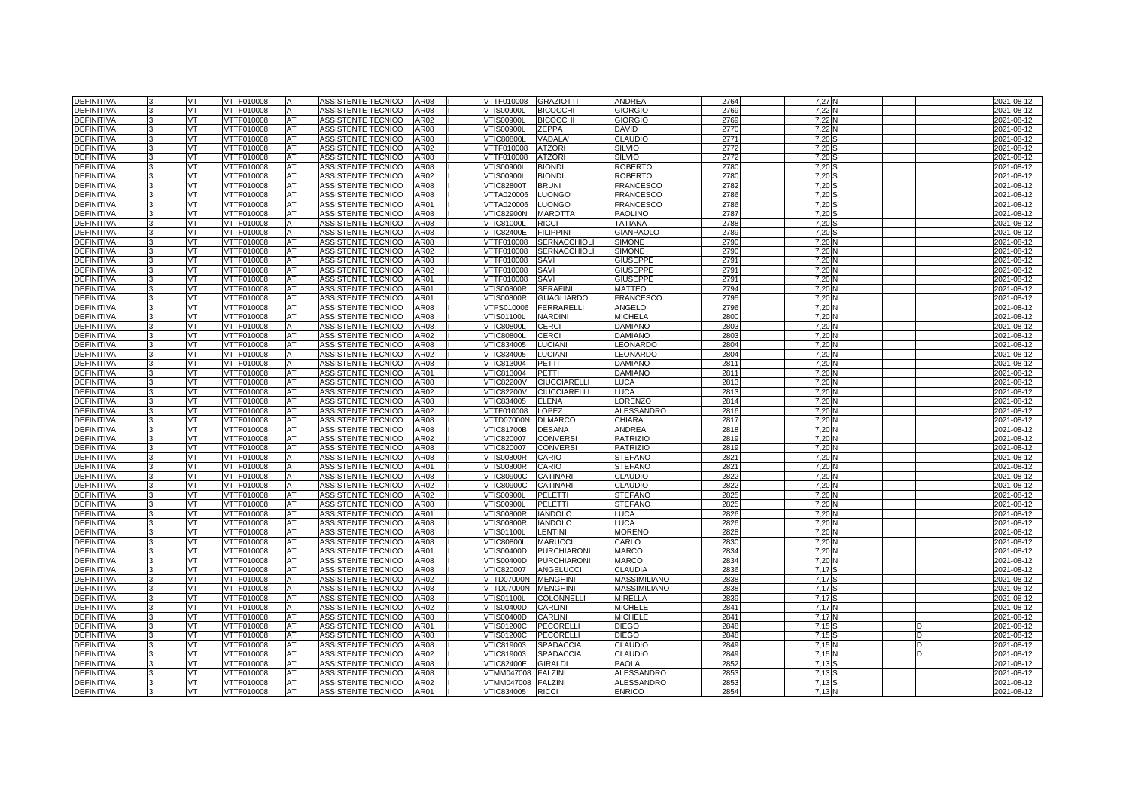| <b>DEFINITIVA</b> | VT  | VTTF010008 | <b>AT</b> | ASSISTENTE TECNICO        | AR08             | VTTF010008        | <b>GRAZIOTTI</b>    | ANDREA              | 2764    | 7,27N |   | 2021-08-12       |
|-------------------|-----|------------|-----------|---------------------------|------------------|-------------------|---------------------|---------------------|---------|-------|---|------------------|
| <b>DEFINITIVA</b> | VT  | VTTF010008 | AT        | ASSISTENTE TECNICO        | AR08             | /TIS00900L        | <b>BICOCCHI</b>     | <b>GIORGIO</b>      | 2769    | 7,22  |   | 2021-08-12       |
| <b>DEFINITIVA</b> | VT. | VTTF010008 | AT        | ASSISTENTE TECNICO        | AR02             | √TIS00900L        | <b>BICOCCHI</b>     | <b>GIORGIO</b>      | 2769    | 7,22  |   | 2021-08-12       |
| <b>DEFINITIVA</b> | VT  | VTTF010008 | AT        | ASSISTENTE TECNICO        | AR08             | √TIS00900L        | <b>ZEPPA</b>        | DAVID               | 2770    | 7,22N |   | 2021-08-12       |
| <b>DEFINITIVA</b> | VT  | VTTF010008 | AT        | ASSISTENTE TECNICO        | AR08             | √TIC80800L        | VADALA              | <b>CLAUDIO</b>      | 2771    | 7,20  |   | 2021-08-12       |
| <b>DEFINITIVA</b> | VT  | VTTF010008 | AT        | ASSISTENTE TECNICO        | AR02             | VTTF010008        | <b>ATZORI</b>       | <b>SILVIO</b>       | 2772    | 7,20  |   | 2021-08-12       |
| <b>DEFINITIVA</b> | VT. | VTTF010008 | AT        | ASSISTENTE TECNICO        | AR08             | VTTF010008        | <b>ATZORI</b>       | <b>SILVIO</b>       | 2772    | 7,20  |   | 2021-08-12       |
| <b>DEFINITIVA</b> | VT  | VTTF010008 | AT        | ASSISTENTE TECNICO        | AR08             | √TIS00900L        | <b>BIONDI</b>       | <b>ROBERTO</b>      | 2780    | 7,20  |   | 2021-08-12       |
| <b>DEFINITIVA</b> | VT  | VTTF010008 | AT        | ASSISTENTE TECNICO        | AR02             | √TIS00900L        | <b>BIONDI</b>       | ROBERTO             | 2780    | 7,20  |   | 2021-08-12       |
| <b>DEFINITIVA</b> | VT  | VTTF010008 | AT        | ASSISTENTE TECNICO        | <b>AR08</b>      | <b>VTIC82800T</b> | <b>BRUNI</b>        | <b>FRANCESCO</b>    | 2782    | 7,20  |   | 2021-08-12       |
| <b>DEFINITIVA</b> | VT  | VTTF010008 | AT        | ASSISTENTE TECNICO        | AR08             | VTTA020006        | <b>LUONGO</b>       | <b>FRANCESCO</b>    | 2786    | 7,20  |   | 2021-08-12       |
| <b>DEFINITIVA</b> | VT  | VTTF010008 | AT        | ASSISTENTE TECNICO        | AR01             | /TTA020006        | <b>LUONGO</b>       | FRANCESCO           | 2786    | 7,20  |   | 2021-08-12       |
| DEFINITIVA        | VT  | VTTF010008 | AT        | ASSISTENTE TECNICO        | AR08             | VTIC82900N        | <b>MAROTTA</b>      | <b>PAOLINO</b>      | 278     | 7,20  |   | 2021-08-12       |
| <b>DEFINITIVA</b> | VT  | VTTF010008 | AT        | ASSISTENTE TECNICO        | AR08             | √TIC81000L        | <b>RICCI</b>        | TATIANA             | 2788    | 7,20  |   | 2021-08-12       |
| <b>DEFINITIVA</b> | VT  | VTTF010008 | AT        | ASSISTENTE TECNICO        | AR08             | VTIC82400E        | <b>FILIPPINI</b>    | <b>GIANPAOLO</b>    | 2789    | 7,20  |   | 2021-08-12       |
| <b>DEFINITIVA</b> | VT  | VTTF010008 | AT        | ASSISTENTE TECNICO        | <b>AR08</b>      | VTTF010008        | <b>SERNACCHIOLI</b> | <b>SIMONE</b>       | 279     | 7,20  |   | 2021-08-12       |
| <b>DEFINITIVA</b> | VT  | VTTF010008 | AT        | ASSISTENTE TECNICO        | AR02             | VTTF010008        | <b>SERNACCHIOLI</b> | <b>SIMONE</b>       | 2790    | 7,20  |   | 2021-08-12       |
| <b>DEFINITIVA</b> | VT  | VTTF010008 | AT        | ASSISTENTE TECNICO        | AR08             | VTTF010008        | SAVI                | <b>GIUSEPPE</b>     | 2791    | 7,20  |   | 2021-08-12       |
| <b>DEFINITIVA</b> | VT  | VTTF010008 | AT        | ASSISTENTE TECNICO        | AR02             | VTTF010008        | SAVI                | <b>GIUSEPPE</b>     | 279'    | 7,20  |   | 2021-08-12       |
| <b>DEFINITIVA</b> | VT  | VTTF010008 | AT        | ASSISTENTE TECNICO        | AR01             | VTTF010008        | SAVI                | <b>GIUSEPPE</b>     | 2791    | 7,20  |   | 2021-08-12       |
| <b>DEFINITIVA</b> | VT  | VTTF010008 | AT        | ASSISTENTE TECNICO        | AR01             | √TIS00800R        | <b>SERAFINI</b>     | MATTEO              | 2794    | 7,20  |   | 2021-08-12       |
| <b>DEFINITIVA</b> | VT  | VTTF010008 | AT        | ASSISTENTE TECNICO        | AR01             | √TIS00800R        | <b>GUAGLIARDO</b>   | FRANCESCO           | 2795    | 7,20  |   | 2021-08-12       |
| <b>DEFINITIVA</b> | VT  | VTTF010008 | AT        | ASSISTENTE TECNICO        | AR08             | /TPS010006        | <b>FERRARELLI</b>   | ANGELO              | 2796    | 7,20  |   | 2021-08-12       |
| <b>DEFINITIVA</b> | VT  | VTTF010008 | AT        | ASSISTENTE TECNICO        | AR08             | /TIS01100L        | <b>NARDINI</b>      | <b>MICHELA</b>      | 2800    | 7,20  |   | 2021-08-12       |
| <b>DEFINITIVA</b> | VT  | VTTF010008 | AT        | ASSISTENTE TECNICO        | AR08             | <b>VTIC80800L</b> | <b>CERCI</b>        | DAMIANO             | 280     | 7,20  |   | 2021-08-12       |
| DEFINITIVA        | VT  | VTTF010008 | AT        | ASSISTENTE TECNICO        | AR02             | <b>VTIC80800L</b> | <b>CERCI</b>        | DAMIANO             | 280     | 7,20  |   | 2021-08-12       |
| <b>DEFINITIVA</b> | VT  | VTTF010008 | AT        | ASSISTENTE TECNICO        | AR08             | VTIC834005        | <b>LUCIAN</b>       | EONARDO             | 2804    | 7,20  |   | 2021-08-12       |
| DEFINITIVA        | VT  | VTTF010008 | AT        | ASSISTENTE TECNICO        | AR02             | VTIC834005        | <b>LUCIANI</b>      | LEONARDO            | 2804    | 7,20  |   | 2021-08-12       |
| DEFINITIVA        | VT  | VTTF010008 | AT        | ASSISTENTE TECNICO        | AR08             | VTIC813004        | PETTI               | <b>DAMIANO</b>      | 281     | 7,20  |   | 2021-08-12       |
| <b>DEFINITIVA</b> | VT  | VTTF010008 | AT        | ASSISTENTE TECNICO        | AR01             | VTIC813004        | PETTI               | <b>DAMIANO</b>      | 2811    | 7,20  |   | 2021-08-12       |
| <b>DEFINITIVA</b> | VT  | VTTF010008 | AT        | <b>ASSISTENTE TECNICO</b> | AR08             | <b>VTIC82200V</b> | <b>CIUCCIARELLI</b> | LUCA                | 281     | 7,20  |   | 2021-08-12       |
| <b>DEFINITIVA</b> | VT  | VTTF010008 | AT        | ASSISTENTE TECNICO        | AR02             | <b>VTIC82200V</b> | <b>CIUCCIARELLI</b> | LUCA                | 281     | 7,20  |   | 2021-08-12       |
| DEFINITIVA        | VT  | /TTF010008 | AT        | <b>ASSISTENTE TECNICO</b> | AR08             | /TIC834005        | <b>ELENA</b>        | <b>ORENZO</b>       | 2814    | 7,20  |   | 2021-08-12       |
| DEFINITIVA        | VT  | VTTF010008 | AT        | ASSISTENTE TECNICO        | AR02             | VTTF010008        | LOPEZ               | ALESSANDRO          | 2816    | 7,20  |   | 2021-08-12       |
| DEFINITIVA        | VT  | VTTF010008 | AT        | ASSISTENTE TECNICO        | AR08             | VTTD07000N        | DI MARCO            | CHIARA              | 281     | 7,20  |   | 2021-08-12       |
| DEFINITIVA        | VT  | /TTF010008 | AT        | ASSISTENTE TECNICO        | AR <sub>08</sub> | /TIC81700B        | <b>DESANA</b>       | ANDREA              | 2818    | 7,20  |   | 2021-08-12       |
| DEFINITIVA        | VT  | VTTF010008 | AT        | ASSISTENTE TECNICO        | AR02             | VTIC820007        | <b>CONVERS</b>      | PATRIZIC            | 2819    | 7,20  |   | 2021-08-12       |
| DEFINITIVA        | VT  | VTTF010008 | AT        | ASSISTENTE TECNICO        | AR08             | VTIC820007        | <b>CONVERSI</b>     | <b>PATRIZIO</b>     | 2819    | 7,20  |   | 2021-08-12       |
| <b>DEFINITIVA</b> | VT  | VTTF010008 | AT        | ASSISTENTE TECNICO        | AR08             | √TIS00800R        | CARIO               | <b>STEFANO</b>      | $282 -$ | 7,20  |   | 2021-08-12       |
| DEFINITIVA        | VT  | VTTF010008 | AT        | ASSISTENTE TECNICO        | AR01             | VTIS00800R        | CARIO               | <b>STEFANO</b>      | 282     | 7,20  |   | 2021-08-12       |
| <b>DEFINITIVA</b> | VT  | VTTF010008 | AT        | ASSISTENTE TECNICO        | <b>AR08</b>      | <b>VTIC80900C</b> | CATINARI            | CLAUDIO             | 282     | 7,20  |   | 2021-08-12       |
| <b>DEFINITIVA</b> | VT  | /TTF010008 | AT        | ASSISTENTE TECNICO        | AR02             | <b>/TIC80900C</b> | <b>CATINARI</b>     | CLAUDIO             | 2822    | 7,20  |   | 2021-08-12       |
| <b>DEFINITIVA</b> | VT  | VTTF010008 | AT        | ASSISTENTE TECNICO        | AR02             | VTIS00900L        | PELETTI             | <b>STEFANO</b>      | 2825    | 7,20  |   | 2021-08-12       |
| DEFINITIVA        | VT  | VTTF010008 | AT        | ASSISTENTE TECNICO        | AR08             | √TIS00900L        | PELETTI             | <b>STEFANO</b>      | 282     | 7,20  |   | 2021-08-12       |
| <b>DEFINITIVA</b> | VT  | /TTF010008 | AT        | ASSISTENTE TECNICO        | AR01             | /TIS00800R        | <b>IANDOLO</b>      | LUCA                | 2826    | 7,20  |   | 2021-08-12       |
| <b>DEFINITIVA</b> | VT  | VTTF010008 | AT        | ASSISTENTE TECNICO        | AR08             | VTIS00800R        | <b>IANDOLO</b>      | LUCA                | 2826    | 7,20  |   | 2021-08-12       |
| DEFINITIVA        | VT  | VTTF010008 | AT        | ASSISTENTE TECNICO        | AR08             | √TIS01100L        | <b>LENTINI</b>      | <b>MORENO</b>       | 2828    | 7,20  |   | 2021-08-12       |
| <b>DEFINITIVA</b> | VT. | VTTF010008 | AT        | ASSISTENTE TECNICO        | <b>AR08</b>      | <b>VTIC80800L</b> | <b>MARUCCI</b>      | CARLO               | 283     | 7,20  |   | 2021-08-12       |
| <b>DEFINITIVA</b> | VT  | VTTF010008 | AT        | ASSISTENTE TECNICO        | AR01             | VTIS00400D        | <b>PURCHIARONI</b>  | <b>MARCO</b>        | 2834    | 7,20  |   | 2021-08-12       |
| DEFINITIVA        | VT  | VTTF010008 | AT        | ASSISTENTE TECNICO        | AR08             | VTIS00400D        | <b>PURCHIARONI</b>  | <b>MARCO</b>        | 2834    | 7,20  |   | 2021-08-12       |
| <b>DEFINITIVA</b> | VT  | VTTF010008 | AT        | ASSISTENTE TECNICO        | AR08             | VTIC820007        | <b>ANGELUCCI</b>    | <b>CLAUDIA</b>      | 2836    | 7,17  |   | 2021-08-12       |
| <b>DEFINITIVA</b> | VT  | VTTF010008 | AT        | ASSISTENTE TECNICO        | AR02             | VTTD07000N        | <b>MENGHINI</b>     | <b>MASSIMILIANO</b> | 2838    | 7,17  |   | 2021-08-12       |
| DEFINITIVA        | VT  | VTTF010008 | AT        | ASSISTENTE TECNICO        | AR08             | VTTD07000N        | <b>MENGHINI</b>     | MASSIMILIANO        | 2838    | 7,17  |   | 2021-08-12       |
| <b>DEFINITIVA</b> | VT  | VTTF010008 | AT        | ASSISTENTE TECNICO        | AR08             | /TIS01100L        | <b>COLONNELLI</b>   | <b>MIRELLA</b>      | 2839    | 7,17  |   | 2021-08-12       |
| <b>DEFINITIVA</b> | VT  | VTTF010008 | AT        | ASSISTENTE TECNICO        | AR02             | VTIS00400D        | <b>CARLINI</b>      | MICHELE             | 2841    | 7,17  |   | 2021-08-12       |
| DEFINITIVA        | VT  | VTTF010008 | AT        | ASSISTENTE TECNICO        | AR08             | VTIS00400D        | <b>CARLINI</b>      | <b>MICHELE</b>      | 284     | 7,17  |   | $2021 - 08 - 12$ |
| <b>DEFINITIVA</b> | VT  | VTTF010008 | AT        | ASSISTENTE TECNICO        | AR01             | VTIS01200C        | <b>PECORELLI</b>    | <b>DIEGO</b>        | 2848    | 7.15  |   | 2021-08-12       |
| <b>DEFINITIVA</b> | VT  | VTTF010008 | AT        | ASSISTENTE TECNICO        | AR08             | VTIS01200C        | <b>PECORELL</b>     | <b>DIEGO</b>        | 2848    | 7,15  |   | 2021-08-12       |
| DEFINITIVA        | VT  | VTTF010008 | AT        | ASSISTENTE TECNICO        | AR08             | VTIC819003        | <b>SPADACCIA</b>    | CLAUDIO             | 2849    | 7,15  | D | 2021-08-12       |
| <b>DEFINITIVA</b> | VT  | VTTF010008 | AT        | ASSISTENTE TECNICO        | AR02             | /TIC819003        | <b>SPADACCIA</b>    | <b>CLAUDIO</b>      | 2849    | 7,15  |   | 2021-08-12       |
| <b>DEFINITIVA</b> | VT  | VTTF010008 | AT        | ASSISTENTE TECNICO        | AR08             | √TIC82400E        | <b>GIRALDI</b>      | PAOLA               | 2852    | 7,13  |   | 2021-08-12       |
| DEFINITIVA        | VT  | VTTF010008 | AT        | ASSISTENTE TECNICO        | AR08             | /TMM047008        | <b>FALZINI</b>      | ALESSANDRO          | 285     | 7,13  |   | 2021-08-12       |
| <b>DEFINITIVA</b> | VT  | VTTF010008 | AT        | <b>ASSISTENTE TECNICO</b> | AR02             | /TMM047008        | <b>FALZINI</b>      | ALESSANDRO          | 285     | 7,13  |   | 2021-08-12       |
| <b>DEFINITIVA</b> | VT  | VTTF010008 | AT        | ASSISTENTE TECNICO        | AR01             | VTIC834005        | <b>RICCI</b>        | <b>ENRICO</b>       | 2854    | 7,13  |   | 2021-08-12       |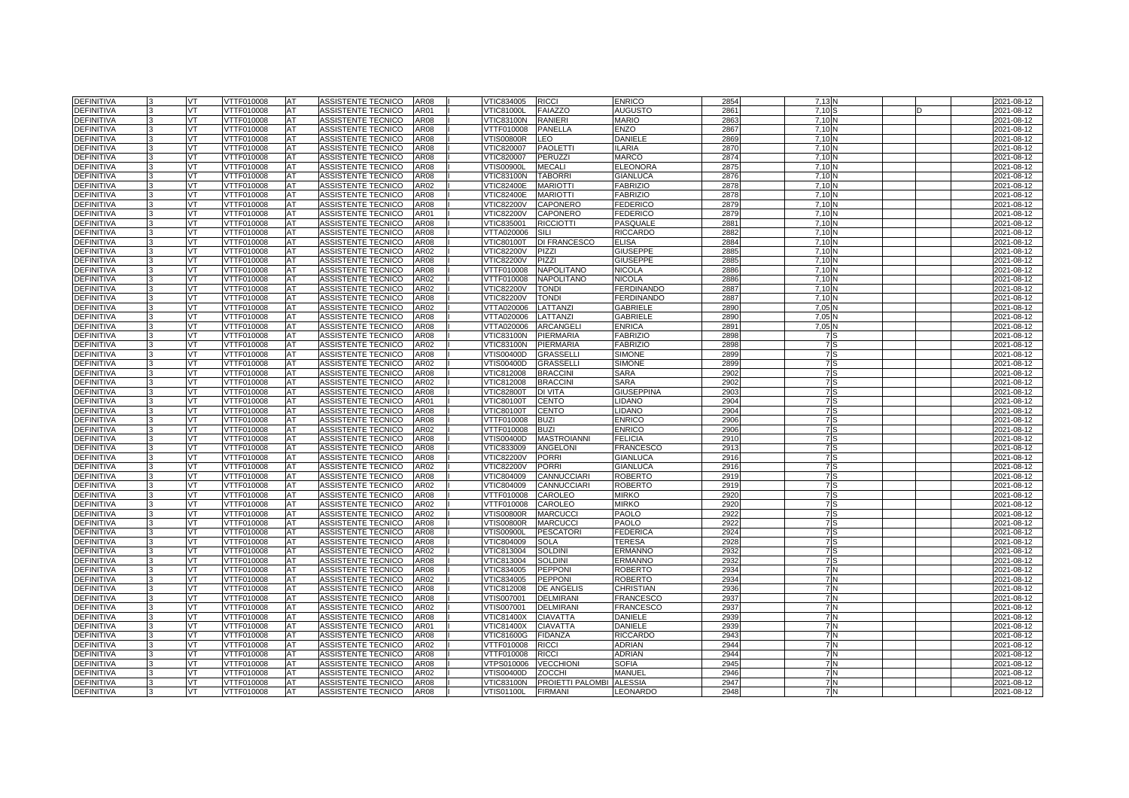| <b>DEFINITIVA</b> |    | VT        | VTTF010008        | <b>AT</b>  | ASSISTENTE TECNICO        | <b>AR08</b> | VTIC834005        | <b>RICCI</b>        | <b>ENRICO</b>     | 2854             | 7,13N             |  | 2021-08-12 |
|-------------------|----|-----------|-------------------|------------|---------------------------|-------------|-------------------|---------------------|-------------------|------------------|-------------------|--|------------|
| <b>DEFINITIVA</b> |    | VT        | VTTF010008        | AT         | ASSISTENTE TECNICO        | AR01        | <b>VTIC81000L</b> | <b>FAIAZZO</b>      | <b>AUGUSTO</b>    | 286'             | 7.10              |  | 2021-08-12 |
| <b>DEFINITIVA</b> |    | VT        | <b>VTTF010008</b> | AT         | <b>ASSISTENTE TECNICO</b> | <b>AR08</b> | <b>VTIC83100N</b> | <b>RANIERI</b>      | <b>MARIO</b>      | 286              | 7.10              |  | 2021-08-12 |
| <b>DEFINITIVA</b> |    | <b>VT</b> | VTTF010008        | <b>AT</b>  | ASSISTENTE TECNICO        | <b>AR08</b> | VTTF010008        | <b>PANELLA</b>      | ENZO              | 286              | 7.10 <sub>1</sub> |  | 2021-08-12 |
| <b>DEFINITIVA</b> |    | VT.       | VTTF010008        | AT         | <b>ASSISTENTE TECNICO</b> | <b>AR08</b> | <b>VTIS00800R</b> | <b>LEO</b>          | <b>DANIELE</b>    | 2869             | 7.10              |  | 2021-08-12 |
| <b>DEFINITIVA</b> |    | VT        | VTTF010008        | AT         | ASSISTENTE TECNICO        | <b>AR08</b> | VTIC820007        | <b>PAOLETTI</b>     | <b>ILARIA</b>     | 287              | 7.10              |  | 2021-08-12 |
| <b>DEFINITIVA</b> |    | VT.       | VTTF010008        | <b>AT</b>  | ASSISTENTE TECNICO        | <b>AR08</b> | VTIC820007        | PERUZZI             | MARCO             | 2874             | 7.10 <sub>1</sub> |  | 2021-08-12 |
| <b>DEFINITIVA</b> |    | VT.       | VTTF010008        | AT         | <b>ASSISTENTE TECNICO</b> | AR08        | VTIS00900L        | <b>MECALI</b>       | <b>ELEONORA</b>   | 2875             | 7.10              |  | 2021-08-12 |
| <b>DEFINITIVA</b> |    | VT        | VTTF010008        | AT         | ASSISTENTE TECNICO        | AR08        | <b>VTIC83100N</b> | <b>TABORR</b>       | <b>GIANLUCA</b>   | 2876             | 7.10              |  | 2021-08-12 |
| <b>DEFINITIVA</b> |    | VT        | VTTF010008        | AT         | ASSISTENTE TECNICO        | AR02        | <b>VTIC82400E</b> | <b>MARIOTTI</b>     | <b>FABRIZIO</b>   | 2878             | 7.10              |  | 2021-08-12 |
| DEFINITIVA        |    | VT        | <b>VTTF010008</b> | <b>IAT</b> | <b>ASSISTENTE TECNICO</b> | <b>AR08</b> | <b>VTIC82400E</b> | <b>MARIOTTI</b>     | <b>FABRIZIO</b>   | 2878             | 7.10              |  | 2021-08-12 |
| <b>DEFINITIVA</b> |    | VT        | VTTF010008        | AT         | ASSISTENTE TECNICO        | <b>AR08</b> | /TIC82200V        | CAPONERO            | <b>EDERICO</b>    | 2879             | 7,10              |  | 2021-08-12 |
| <b>DEFINITIVA</b> |    | VT.       | VTTF010008        | AT         | ASSISTENTE TECNICO        | AR01        | <b>VTIC82200V</b> | <b>CAPONERO</b>     | <b>FEDERICO</b>   | 2879             | 7.10              |  | 2021-08-12 |
| <b>DEFINITIVA</b> |    | VT        | VTTF010008        | AT         | ASSISTENTE TECNICO        | <b>AR08</b> | VTIC835001        | <b>RICCIOTTI</b>    | PASQUALE          | 288 <sup>°</sup> | 7.10              |  | 2021-08-12 |
| <b>DEFINITIVA</b> |    | VT        | VTTF010008        | AT         | ASSISTENTE TECNICO        | AR08        | VTTA020006        | SILI                | <b>RICCARDO</b>   | 2882             | 7,10              |  | 2021-08-12 |
| <b>DEFINITIVA</b> |    | <b>VT</b> | VTTF010008        | AT         | ASSISTENTE TECNICO        | <b>AR08</b> | <b>VTIC80100T</b> | <b>DI FRANCESCO</b> | <b>ELISA</b>      | 2884             | 7.10              |  | 2021-08-12 |
| DEFINITIVA        |    | VT        | VTTF010008        | <b>AT</b>  | ASSISTENTE TECNICO        | AR02        | <b>VTIC82200V</b> | <b>PIZZI</b>        | <b>GIUSEPPE</b>   | 2885             | 7.10              |  | 2021-08-12 |
| <b>DEFINITIVA</b> |    | VT.       | VTTF010008        | AT         | ASSISTENTE TECNICO        | AR08        | <b>VTIC82200V</b> | PIZZI               | <b>GIUSEPPE</b>   | 2885             | 7,10              |  | 2021-08-12 |
| <b>DEFINITIVA</b> |    | VT.       | VTTF010008        | <b>AT</b>  | ASSISTENTE TECNICO        | AR08        | VTTF010008        | <b>NAPOLITANO</b>   | <b>NICOLA</b>     | 2886             | 7.10              |  | 2021-08-12 |
| <b>DEFINITIVA</b> |    | VT        | VTTF010008        | AT         | ASSISTENTE TECNICO        | AR02        | VTTF010008        | NAPOLITANO          | <b>NICOLA</b>     | 2886             | 7.10              |  | 2021-08-12 |
| <b>DEFINITIVA</b> |    | VT        | VTTF010008        | AT         | ASSISTENTE TECNICO        | AR02        | <b>VTIC82200V</b> | <b>TONDI</b>        | <b>ERDINANDO</b>  | 2887             | 7,10              |  | 2021-08-12 |
| <b>DEFINITIVA</b> |    | VT        | VTTF010008        | AT         | ASSISTENTE TECNICO        | AR08        | <b>VTIC82200V</b> | <b>TONDI</b>        | <b>FERDINANDO</b> | 2887             | 7.10              |  | 2021-08-12 |
| DEFINITIVA        |    | VT        | VTTF010008        | AT         | ASSISTENTE TECNICO        | AR02        | VTTA020006        | LATTANZI            | GABRIELE          | 289              | 7.05              |  | 2021-08-12 |
| <b>DEFINITIVA</b> |    | VT        | VTTF010008        | AT         | ASSISTENTE TECNICO        | AR08        | VTTA020006        | LATTANZI            | GABRIELE          | 289              | 7,05              |  | 2021-08-12 |
| <b>DEFINITIVA</b> |    | VT.       | VTTF010008        | AT         | ASSISTENTE TECNICO        | AR08        | VTTA020006        | ARCANGEL            | <b>ENRICA</b>     | 289              | 7.05              |  | 2021-08-12 |
| <b>DEFINITIVA</b> |    | VT.       | VTTF010008        | AT         | ASSISTENTE TECNICO        | AR08        | <b>VTIC83100N</b> | PIERMARIA           | <b>FABRIZIO</b>   | 2898             | 7 S               |  | 2021-08-12 |
| <b>DEFINITIVA</b> |    | VT        | VTTF010008        | AT         | ASSISTENTE TECNICO        | AR02        | <b>VTIC83100N</b> | PIERMARIA           | <b>FABRIZIO</b>   | 2898             | 7S                |  | 2021-08-12 |
| <b>DEFINITIVA</b> | l3 | VT        | VTTF010008        | AT         | ASSISTENTE TECNICO        | AR08        | VTIS00400D        | <b>GRASSELLI</b>    | <b>SIMONE</b>     | 289              | 7S                |  | 2021-08-12 |
| DEFINITIVA        |    | VT        | VTTF010008        | AT         | ASSISTENTE TECNICO        | AR02        | /TIS00400D        | <b>GRASSELLI</b>    | <b>SIMONE</b>     | 2899             | 7S                |  | 2021-08-12 |
| <b>DEFINITIVA</b> |    | VT        | VTTF010008        | AT         | ASSISTENTE TECNICO        | AR08        | VTIC812008        | <b>BRACCINI</b>     | <b>SARA</b>       | 2902             | 7S                |  | 2021-08-12 |
| <b>DEFINITIVA</b> |    | <b>VT</b> | VTTF010008        | AT         | ASSISTENTE TECNICO        | AR02        | VTIC812008        | <b>BRACCINI</b>     | <b>SARA</b>       | 2902             | 7S                |  | 2021-08-12 |
| <b>DEFINITIVA</b> |    | VT.       | VTTF010008        | AT         | ASSISTENTE TECNICO        | AR08        | <b>VTIC82800T</b> | <b>DI VITA</b>      | <b>GIUSEPPINA</b> | 2903             | 7S                |  | 2021-08-12 |
| DEFINITIVA        |    | VT        | VTTF010008        | AT         | ASSISTENTE TECNICO        | AR01        | <b>VTIC80100T</b> | <b>CENTO</b>        | <b>IDANO</b>      | 2904             | 7 S               |  | 2021-08-12 |
| DEFINITIVA        |    | VT        | VTTF010008        | AT         | ASSISTENTE TECNICO        | AR08        | <b>VTIC80100T</b> | <b>CENTO</b>        | <b>LIDANO</b>     | 2904             | 7S                |  | 2021-08-12 |
| DEFINITIVA        |    | VT        | VTTF010008        | AT         | ASSISTENTE TECNICO        | AR08        | VTTF010008        | <b>BUZI</b>         | <b>ENRICO</b>     | 2906             | 7S                |  | 2021-08-12 |
| <b>DEFINITIVA</b> |    | VT        | VTTF010008        | AT         | ASSISTENTE TECNICO        | AR02        | <b>/TTF010008</b> | <b>BUZI</b>         | <b>ENRICO</b>     | 2906             | 7S                |  | 2021-08-12 |
| <b>DEFINITIVA</b> |    | VT        | VTTF010008        | AT         | ASSISTENTE TECNICO        | <b>AR08</b> | VTIS00400D        | <b>MASTROIANNI</b>  | <b>FELICIA</b>    | 2910             | 7S                |  | 2021-08-12 |
| <b>DEFINITIVA</b> |    | VT.       | VTTF010008        | AT         | ASSISTENTE TECNICO        | AR08        | VTIC833009        | <b>ANGELONI</b>     | <b>FRANCESCO</b>  | 2913             | 7S                |  | 2021-08-12 |
| <b>DEFINITIVA</b> |    | VT        | <b>/TTF010008</b> | AT         | ASSISTENTE TECNICO        | AR08        | <b>/TIC82200V</b> | <b>PORRI</b>        | <b>GIANLUCA</b>   | 2916             | 7S                |  | 2021-08-12 |
| <b>DEFINITIVA</b> |    | VT        | VTTF010008        | AT         | ASSISTENTE TECNICO        | AR02        | <b>VTIC82200V</b> | <b>PORRI</b>        | <b>GIANLUCA</b>   | 2916             | 7S                |  | 2021-08-12 |
| <b>DEFINITIVA</b> |    | VT        | VTTF010008        | AT         | ASSISTENTE TECNICO        | AR08        | VTIC804009        | CANNUCCIARI         | <b>ROBERTO</b>    | 2919             | 7S                |  | 2021-08-12 |
| <b>DEFINITIVA</b> |    | VT        | /TTF010008        | AT         | ASSISTENTE TECNICO        | AR02        | /TIC804009        | <b>CANNUCCIARI</b>  | ROBERTO           | 2919             | 7S                |  | 2021-08-12 |
| DEFINITIVA        |    | VT.       | VTTF010008        | AT         | ASSISTENTE TECNICO        | <b>AR08</b> | VTTF010008        | CAROLEO             | <b>MIRKO</b>      | 292              | 7S                |  | 2021-08-12 |
| DEFINITIVA        |    | VT        | VTTF010008        | AT         | ASSISTENTE TECNICO        | AR02        | VTTF010008        | CAROLEO             | <b>MIRKO</b>      | 292              | 7S                |  | 2021-08-12 |
| <b>DEFINITIVA</b> |    | VT        | VTTF010008        | AT         | ASSISTENTE TECNICO        | AR02        | √TIS00800R        | <b>MARCUCCI</b>     | PAOLO             | 2922             | 7S                |  | 2021-08-12 |
| <b>DEFINITIVA</b> |    | VT        | VTTF010008        | <b>AT</b>  | ASSISTENTE TECNICO        | <b>AR08</b> | <b>VTIS00800R</b> | <b>MARCUCCI</b>     | <b>PAOLO</b>      | 2922             | 7S                |  | 2021-08-12 |
| <b>DEFINITIVA</b> |    | VT        | VTTF010008        | <b>AT</b>  | ASSISTENTE TECNICO        | AR08        | √TIS00900L        | <b>PESCATORI</b>    | <b>FEDERICA</b>   | 2924             | 7 S               |  | 2021-08-12 |
| <b>DEFINITIVA</b> |    | VT        | VTTF010008        | AT         | <b>ASSISTENTE TECNICO</b> | AR08        | /TIC804009        | <b>SOLA</b>         | TERESA            | 2928             | 7S                |  | 2021-08-12 |
| <b>DEFINITIVA</b> |    | VT        | VTTF010008        | AT         | ASSISTENTE TECNICO        | AR02        | VTIC813004        | <b>SOLDINI</b>      | <b>ERMANNO</b>    | 2932             | 7S                |  | 2021-08-12 |
| <b>DEFINITIVA</b> |    | VT.       | VTTF010008        | AT         | ASSISTENTE TECNICO        | AR08        | VTIC813004        | <b>SOLDINI</b>      | <b>ERMANNO</b>    | 2932             | 7S                |  | 2021-08-12 |
| <b>DEFINITIVA</b> |    | VT        | VTTF010008        | AT         | ASSISTENTE TECNICO        | AR08        | VTIC834005        | <b>PEPPON</b>       | ROBERTO           | 2934             | 7N                |  | 2021-08-12 |
| DEFINITIVA        |    | VT        | VTTF010008        | AT         | ASSISTENTE TECNICO        | AR02        | VTIC834005        | <b>PEPPON</b>       | <b>ROBERTO</b>    | 2934             | <b>7N</b>         |  | 2021-08-12 |
| DEFINITIVA        |    | VT        | VTTF010008        | AT         | ASSISTENTE TECNICO        | AR08        | VTIC812008        | <b>DE ANGELIS</b>   | CHRISTIAN         | 2936             | 7 N               |  | 2021-08-12 |
| <b>DEFINITIVA</b> |    | VT        | VTTF010008        | AT         | ASSISTENTE TECNICO        | AR08        | /TIS007001        | <b>DELMIRAN</b>     | FRANCESCO         | 2937             | 7N                |  | 2021-08-12 |
| <b>DEFINITIVA</b> |    | VT        | VTTF010008        | AT         | ASSISTENTE TECNICO        | AR02        | VTIS007001        | <b>DELMIRANI</b>    | <b>FRANCESCO</b>  | 2937             | 7N                |  | 2021-08-12 |
| DEFINITIVA        |    | VT        | VTTF010008        | AT         | ASSISTENTE TECNICO        | AR08        | VTIC81400X        | <b>CIAVATTA</b>     | DANIELE           | 2939             | 7 N               |  | 2021-08-12 |
| <b>DEFINITIVA</b> |    | VT        | VTTF010008        | AT         | ASSISTENTE TECNICO        | AR01        | VTIC81400X        | <b>CIAVATTA</b>     | DANIELE           | 2939             | 7N                |  | 2021-08-12 |
| <b>DEFINITIVA</b> |    | VT        | VTTF010008        | AT         | ASSISTENTE TECNICO        | AR08        | VTIC81600G        | <b>FIDANZA</b>      | <b>RICCARDO</b>   | 294              | <b>7N</b>         |  | 2021-08-12 |
| DEFINITIVA        |    | VT        | VTTF010008        | AT         | ASSISTENTE TECNICO        | AR02        | VTTF010008        | <b>RICCI</b>        | ADRIAN            | 2944             | 7N                |  | 2021-08-12 |
| <b>DEFINITIVA</b> |    | VT        | VTTF010008        | AT         | ASSISTENTE TECNICO        | AR08        | <b>/TTF010008</b> | <b>RICCI</b>        | ADRIAN            | 2944             | 7N                |  | 2021-08-12 |
| <b>DEFINITIVA</b> |    | VT        | VTTF010008        | AT         | ASSISTENTE TECNICO        | AR08        | √TPS010006        | <b>VECCHIONI</b>    | SOFIA             | 2945             | 7 N               |  | 2021-08-12 |
| DEFINITIVA        |    | VT        | VTTF010008        | AT         | ASSISTENTE TECNICO        | AR02        | /TIS00400D        | <b>ZOCCHI</b>       | MANUEL            | 2946             | 7 N               |  | 2021-08-12 |
| DEFINITIVA        |    | VT        | VTTF010008        | AT         | ASSISTENTE TECNICO        | AR08        | <b>VTIC83100N</b> | PROIETTI PALOMBI    | <b>ALESSIA</b>    | 2947             | 7N                |  | 2021-08-12 |
| <b>DEFINITIVA</b> | 3  | VT        | VTTF010008        | <b>AT</b>  | ASSISTENTE TECNICO        | AR08        | VTIS01100L        | <b>FIRMANI</b>      | LEONARDO          | 2948             | 7 N               |  | 2021-08-12 |
|                   |    |           |                   |            |                           |             |                   |                     |                   |                  |                   |  |            |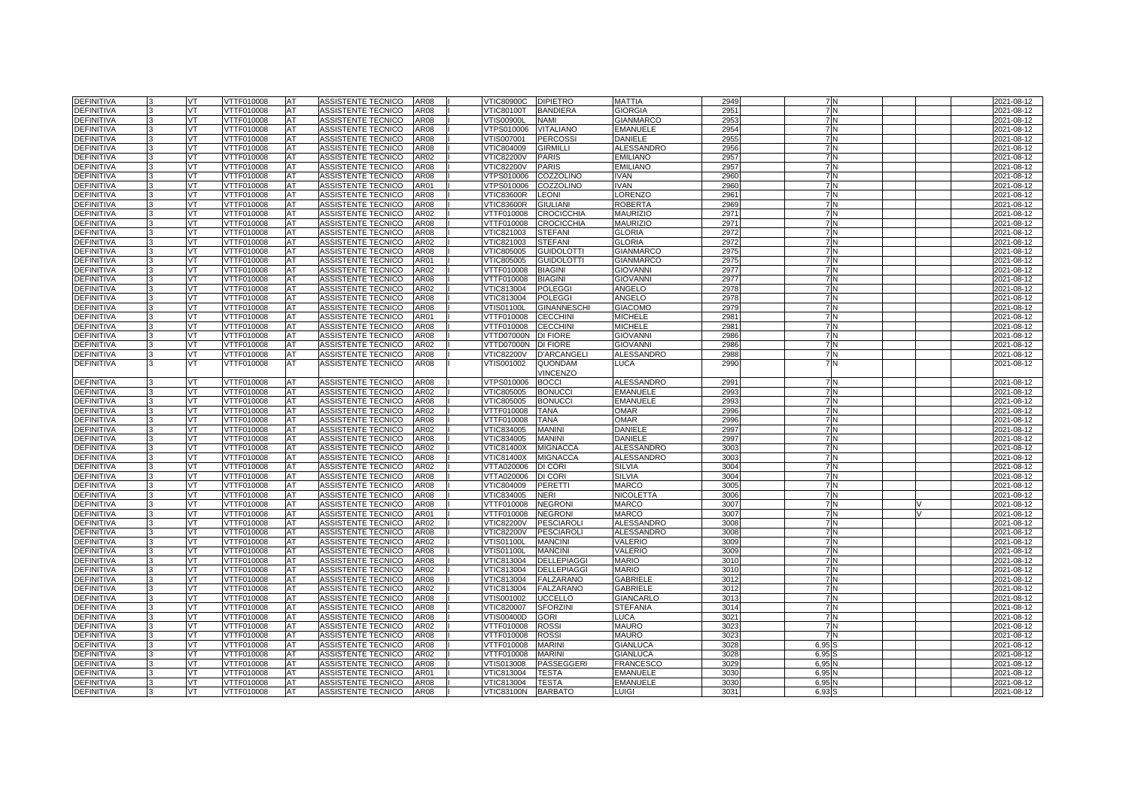| <b>DEFINITIVA</b> |    | VT        | VTTF010008               | <b>AT</b> | ASSISTENTE TECNICO        | AR08        | <b>VTIC80900C</b> | <b>DIPIETRO</b>    | MATTIA            | 2949    | 7N               |  | 2021-08-12 |
|-------------------|----|-----------|--------------------------|-----------|---------------------------|-------------|-------------------|--------------------|-------------------|---------|------------------|--|------------|
| DEFINITIVA        |    | VT        | VTTF010008               | AT        | ASSISTENTE TECNICO        | AR08        | √TIC80100T        | <b>BANDIERA</b>    | GIORGIA           | 295     | 7N               |  | 2021-08-12 |
| <b>DEFINITIVA</b> |    | VT.       | VTTF010008               | AT        | ASSISTENTE TECNICO        | AR08        | √TIS00900L        | <b>NAMI</b>        | <b>GIANMARCO</b>  | 295     | 7 N              |  | 2021-08-12 |
| DEFINITIVA        |    | <b>VT</b> | VTTF010008               | AT        | ASSISTENTE TECNICO        | AR08        | VTPS010006        | <b>VITALIANO</b>   | <b>EMANUELE</b>   | 2954    | <b>7N</b>        |  | 2021-08-12 |
| DEFINITIVA        |    | VT        | VTTF010008               | AT        | ASSISTENTE TECNICO        | AR08        | √TIS007001        | <b>PERCOSSI</b>    | DANIELE           | 2955    | 7N               |  | 2021-08-12 |
| <b>DEFINITIVA</b> |    | VT        | VTTF010008               | AT        | ASSISTENTE TECNICO        | AR08        | VTIC804009        | <b>GIRMILLI</b>    | ALESSANDRO        | 2956    | <b>7N</b>        |  | 2021-08-12 |
| <b>DEFINITIVA</b> |    | VT.       | VTTF010008               | AT        | ASSISTENTE TECNICO        | AR02        | <b>VTIC82200V</b> | <b>PARIS</b>       | <b>EMILIANO</b>   | 2957    | 7N               |  | 2021-08-12 |
| DEFINITIVA        |    | VT.       | VTTF010008               | AT        | ASSISTENTE TECNICO        | AR08        | <b>VTIC82200V</b> | <b>PARIS</b>       | <b>EMILIANO</b>   | 295     | $\overline{7}$ N |  | 2021-08-12 |
| <b>DEFINITIVA</b> |    | VT        | VTTF010008               | AT        | ASSISTENTE TECNICO        | AR08        | VTPS010006        | COZZOLINO          | IVAN              | 2960    | 7 N              |  | 2021-08-12 |
| <b>DEFINITIVA</b> |    | VT        | VTTF010008               | AT        | ASSISTENTE TECNICO        | AR01        | VTPS010006        | COZZOLINO          | <b>IVAN</b>       | 2960    | <b>7N</b>        |  | 2021-08-12 |
| DEFINITIVA        |    | VT        | VTTF010008               | <b>AT</b> | ASSISTENTE TECNICO        | <b>AR08</b> | VTIC83600R        | <b>LEONI</b>       | <b>ORENZO</b>     | 296'    | 7 N              |  | 2021-08-12 |
| <b>DEFINITIVA</b> |    | VT        | VTTF010008               | AT        | ASSISTENTE TECNICO        | AR08        | <b>/TIC83600R</b> | <b>GIULIANI</b>    | ROBERTA           | 2969    | 7N               |  | 2021-08-12 |
| DEFINITIVA        |    | VT        | VTTF010008               | AT        | ASSISTENTE TECNICO        | AR02        | VTTF010008        | <b>CROCICCHIA</b>  | <b>MAURIZIO</b>   | 297     | 7N               |  | 2021-08-12 |
| <b>DEFINITIVA</b> |    | VT        | VTTF010008               | AT        | ASSISTENTE TECNICO        | AR08        | VTTF010008        | <b>CROCICCHIA</b>  | <b>MAURIZIO</b>   | 297     | 7 N              |  | 2021-08-12 |
| <b>DEFINITIVA</b> |    | VT        | VTTF010008               | AT        | ASSISTENTE TECNICO        | AR08        | VTIC821003        | <b>STEFANI</b>     | <b>GLORIA</b>     | 2972    | 7N               |  | 2021-08-12 |
| <b>DEFINITIVA</b> |    | VT        | VTTF010008               | AT        | ASSISTENTE TECNICO        | AR02        | VTIC821003        | <b>STEFANI</b>     | <b>GLORIA</b>     | 2972    | <b>7N</b>        |  | 2021-08-12 |
| DEFINITIVA        |    | VT        | VTTF010008               | AT        | ASSISTENTE TECNICO        | AR08        | VTIC805005        | <b>GUIDOLOTTI</b>  | <b>GIANMARCO</b>  | 2975    | 7 N              |  | 2021-08-12 |
| <b>DEFINITIVA</b> |    | VT        | VTTF010008               | AT        | ASSISTENTE TECNICO        | AR01        | VTIC805005        | <b>GUIDOLOTTI</b>  | <b>GIANMARCO</b>  | 2975    | 7 N              |  | 2021-08-12 |
| <b>DEFINITIVA</b> |    | VT        | VTTF010008               | AT        | ASSISTENTE TECNICO        | AR02        | VTTF010008        | <b>BIAGINI</b>     | <b>GIOVANNI</b>   | 2977    | 7N               |  | 2021-08-12 |
| DEFINITIVA        |    | VT        | VTTF010008               | AT        | ASSISTENTE TECNICO        | AR08        | VTTF010008        | <b>BIAGINI</b>     | <b>GIOVANNI</b>   | 2977    | 7N               |  | 2021-08-12 |
| <b>DEFINITIVA</b> |    | VT        | VTTF010008               | AT        | ASSISTENTE TECNICO        | AR02        | VTIC813004        | <b>POLEGGI</b>     | ANGELO            | 2978    | 7N               |  | 2021-08-12 |
| DEFINITIVA        |    | VT        | VTTF010008               | AT        | ASSISTENTE TECNICO        | AR08        | VTIC813004        | <b>POLEGGI</b>     | ANGELO            | 2978    | 7 N              |  | 2021-08-12 |
| DEFINITIVA        |    | VT        | VTTF010008               | AT        | ASSISTENTE TECNICO        | AR08        | /TIS01100L        | <b>GINANNESCHI</b> | <b>GIACOMO</b>    | 2979    | 7 N              |  | 2021-08-12 |
| <b>DEFINITIVA</b> |    | VT        | VTTF010008               | AT        | ASSISTENTE TECNICO        | AR01        | VTTF010008        | <b>CECCHINI</b>    | <b>MICHELE</b>    | 298     | 7N               |  | 2021-08-12 |
| <b>DEFINITIVA</b> |    | VT        | VTTF010008               | AT        | ASSISTENTE TECNICO        | AR08        | VTTF010008        | <b>CECCHINI</b>    | MICHELE           | 298     | 7 N              |  | 2021-08-12 |
| DEFINITIVA        |    | VT        | VTTF010008               | AT        | ASSISTENTE TECNICO        | AR08        | VTTD07000N        | <b>DI FIORE</b>    | <b>GIOVANNI</b>   | 2986    | 7 N              |  | 2021-08-12 |
| DEFINITIVA        |    | VT        | VTTF010008               | AT        | ASSISTENTE TECNICO        | AR02        | VTTD07000N        | <b>DI FIORE</b>    | <b>GIOVANNI</b>   | 2986    | 7N               |  | 2021-08-12 |
| DEFINITIVA        | ıз | VT        | VTTF010008               | AT        | ASSISTENTE TECNICO        | AR08        | <b>VTIC82200V</b> | <b>D'ARCANGELI</b> | ALESSANDRO        | 298     | 7 N              |  | 2021-08-12 |
| <b>DEFINITIVA</b> |    | VT        | VTTF010008               | AT        | ASSISTENTE TECNICO        | <b>AR08</b> | /TIS001002        | QUONDAM            | LUCA              | 2990    | 7 N              |  | 2021-08-12 |
|                   |    |           |                          |           |                           |             |                   | <b>VINCENZO</b>    |                   |         |                  |  |            |
| DEFINITIVA        |    | VT        | VTTF010008               | ΙAΤ       | ASSISTENTE TECNICO        | AR08        | VTPS010006        | <b>BOCCI</b>       | <b>ALESSANDRO</b> | 2991    | 7 N              |  | 2021-08-12 |
| DEFINITIVA        |    | VT        | VTTF010008               | AT        | ASSISTENTE TECNICO        | AR02        | VTIC805005        | <b>BONUCCI</b>     | <b>EMANUELE</b>   | 2993    | 7 N              |  | 2021-08-12 |
| <b>DEFINITIVA</b> |    | VT        | /TTF010008               | AT        | <b>ASSISTENTE TECNICO</b> | AR08        | /TIC805005        | <b>BONUCCI</b>     | EMANUELE          | 2993    | 7 N              |  | 2021-08-12 |
| <b>DEFINITIVA</b> |    | VT        | VTTF010008               | AT        | ASSISTENTE TECNICO        | AR02        | VTTF010008        | <b>TANA</b>        | <b>OMAR</b>       | 2996    | 7 N              |  | 2021-08-12 |
| <b>DEFINITIVA</b> |    | VT        | VTTF010008               | AT        | ASSISTENTE TECNICO        | AR08        | VTTF010008        | <b>TANA</b>        | OMAR              | 2996    | 7 N              |  | 2021-08-12 |
| DEFINITIVA        |    | VT        | /TTF010008               | AT        | ASSISTENTE TECNICO        | AR02        | /TIC834005        | <b>MANINI</b>      | DANIELE           | 2997    | 7 N              |  | 2021-08-12 |
| <b>DEFINITIVA</b> |    | VT        | VTTF010008               | AT        | ASSISTENTE TECNICO        | AR08        | VTIC834005        | <b>MANINI</b>      | DANIELE           | 2997    | 7 N              |  | 2021-08-12 |
| DEFINITIVA        |    | VT        | VTTF010008               | AT        | ASSISTENTE TECNICO        | AR02        | VTIC81400X        | <b>MIGNACCA</b>    | ALESSANDRO        | 3003    | 7N               |  | 2021-08-12 |
| <b>DEFINITIVA</b> |    | VT        | VTTF010008               | AT        | ASSISTENTE TECNICO        | AR08        | VTIC81400X        | <b>MIGNACCA</b>    | <b>ALESSANDRO</b> | 3003    | 7 N              |  | 2021-08-12 |
| <b>DEFINITIVA</b> |    | VT        | VTTF010008               | AT        | ASSISTENTE TECNICO        | AR02        | VTTA020006        | DI CORI            | SILVIA            | 3004    | 7 N              |  | 2021-08-12 |
| <b>DEFINITIVA</b> |    | VT        | VTTF010008               | AT        | ASSISTENTE TECNICO        | <b>AR08</b> | VTTA020006        | DI CORI            | SILVIA            | 3004    | 7 N              |  | 2021-08-12 |
| <b>DEFINITIVA</b> |    | VT        | /TTF010008               | AT        | ASSISTENTE TECNICO        | AR08        | /TIC804009        | PERETTI            | MARCO             | 3005    | 7 N              |  | 2021-08-12 |
| <b>DEFINITIVA</b> |    | VT        | VTTF010008               | AT        | ASSISTENTE TECNICO        | AR08        | VTIC834005        | NERI               | NICOLETTA         | 3006    | 7 N              |  | 2021-08-12 |
| DEFINITIVA        |    | VT        | VTTF010008               | AT        | ASSISTENTE TECNICO        | AR08        | VTTF010008        | <b>NEGRONI</b>     | MARCO             | 3007    | 7 N              |  | 2021-08-12 |
| DEFINITIVA        |    | VT        | VTTF010008               | AT        | ASSISTENTE TECNICO        | AR01        | <b>/TTF010008</b> | <b>NEGRONI</b>     | MARCO             | 3007    | 7 N              |  | 2021-08-12 |
| <b>DEFINITIVA</b> |    | VT        | VTTF010008               | AT        | ASSISTENTE TECNICO        | AR02        | <b>VTIC82200V</b> | <b>PESCIAROL</b>   | <b>ALESSANDRO</b> | 300     | 7 N              |  | 2021-08-12 |
| DEFINITIVA        |    | VT        | VTTF010008               | AT        | ASSISTENTE TECNICO        | AR08        | <b>VTIC82200V</b> | <b>PESCIAROLI</b>  | <b>ALESSANDRO</b> | 300     | 7 N              |  | 2021-08-12 |
| <b>DEFINITIVA</b> |    | VT.       | VTTF010008               | AT        | ASSISTENTE TECNICO        | AR02        | √TIS01100L        | <b>MANCINI</b>     | VALERIO           | 3009    | <b>7N</b>        |  | 2021-08-12 |
| <b>DEFINITIVA</b> |    | VT        | VTTF010008               | AT        | ASSISTENTE TECNICO        | AR08        | VTIS01100L        | <b>MANCINI</b>     | VALERIO           | 3009    | 7 N              |  | 2021-08-12 |
| <b>DEFINITIVA</b> |    | VT        | VTTF010008               | AT        | ASSISTENTE TECNICO        | AR08        | VTIC813004        | <b>DELLEPIAGGI</b> | <b>MARIO</b>      | 301     | 7 N              |  | 2021-08-12 |
| <b>DEFINITIVA</b> |    | VT        | VTTF010008               | AT        | ASSISTENTE TECNICO        | AR02        | VTIC813004        | <b>DELLEPIAGGI</b> | <b>MARIO</b>      | 3010    | <b>7N</b>        |  | 2021-08-12 |
| <b>DEFINITIVA</b> |    | VT        | VTTF010008               | AT        | ASSISTENTE TECNICO        | AR08        | VTIC813004        | <b>FALZARANO</b>   | <b>GABRIELE</b>   | 3012    | 7 N              |  | 2021-08-12 |
| DEFINITIVA        |    | VT        | VTTF010008               | AT        | ASSISTENTE TECNICO        | AR02        | VTIC813004        | <b>FALZARANO</b>   | <b>GABRIELE</b>   | 301     | 7 N              |  | 2021-08-12 |
| <b>DEFINITIVA</b> |    | VT        | VTTF010008               | AT        | ASSISTENTE TECNICO        | AR08        | /TIS001002        | <b>UCCELLO</b>     | <b>GIANCARLO</b>  | 3013    | 7N               |  | 2021-08-12 |
| <b>DEFINITIVA</b> |    | VT        | VTTF010008               | AT        | ASSISTENTE TECNICO        | AR08        | VTIC820007        | <b>SFORZINI</b>    | <b>STEFANIA</b>   | 3014    | 7 N              |  | 2021-08-12 |
| DEFINITIVA        |    | VT        | VTTF010008               | AT        | ASSISTENTE TECNICO        | AR08        | VTIS00400D        | <b>GORI</b>        | LUCA              | $302 -$ | 7 N              |  | 2021-08-12 |
| <b>DEFINITIVA</b> |    | VT        | VTTF010008               | AT        | ASSISTENTE TECNICO        | AR02        | VTTF010008        | <b>ROSSI</b>       | <b>MAURO</b>      | 3023    | <b>7N</b>        |  | 2021-08-12 |
| <b>DEFINITIVA</b> |    | VT        | VTTF010008               | AT        | ASSISTENTE TECNICO        | AR08        | VTTF010008        | <b>ROSSI</b>       | <b>MAURO</b>      | 302     | 7 N              |  | 2021-08-12 |
| DEFINITIVA        |    | VT        | VTTF010008               | AT        | ASSISTENTE TECNICO        | AR08        | VTTF010008        | <b>MARINI</b>      | <b>GIANLUCA</b>   | 3028    | $6,95$ \$        |  | 2021-08-12 |
| <b>DEFINITIVA</b> |    | VT        | VTTF010008               | AT        | ASSISTENTE TECNICO        | AR02        | VTTF010008        | <b>MARINI</b>      | <b>GIANLUCA</b>   | 3028    | 6,95             |  | 2021-08-12 |
| <b>DEFINITIVA</b> |    | VT        | VTTF010008               | AT        | ASSISTENTE TECNICO        | AR08        | √TIS013008        | PASSEGGERI         | FRANCESCC         | 3029    | 6,95             |  | 2021-08-12 |
| DEFINITIVA        |    | VT        | VTTF010008<br>VTTF010008 | AT        | ASSISTENTE TECNICO        | AR01        | VTIC813004        | <b>TESTA</b>       | <b>EMANUELE</b>   | 303     | 6,95             |  | 2021-08-12 |
| <b>DEFINITIVA</b> |    | VT        |                          | AT        | ASSISTENTE TECNICO        | <b>AR08</b> | /TIC813004        | <b>TESTA</b>       | <b>EMANUELE</b>   | 303     | 6,95             |  | 2021-08-12 |
| <b>DEFINITIVA</b> |    | VT        | VTTF010008               | AT        | ASSISTENTE TECNICO        | AR08        | <b>VTIC83100N</b> | <b>BARBATO</b>     | LUIGI             | $303 -$ | 6,93             |  | 2021-08-12 |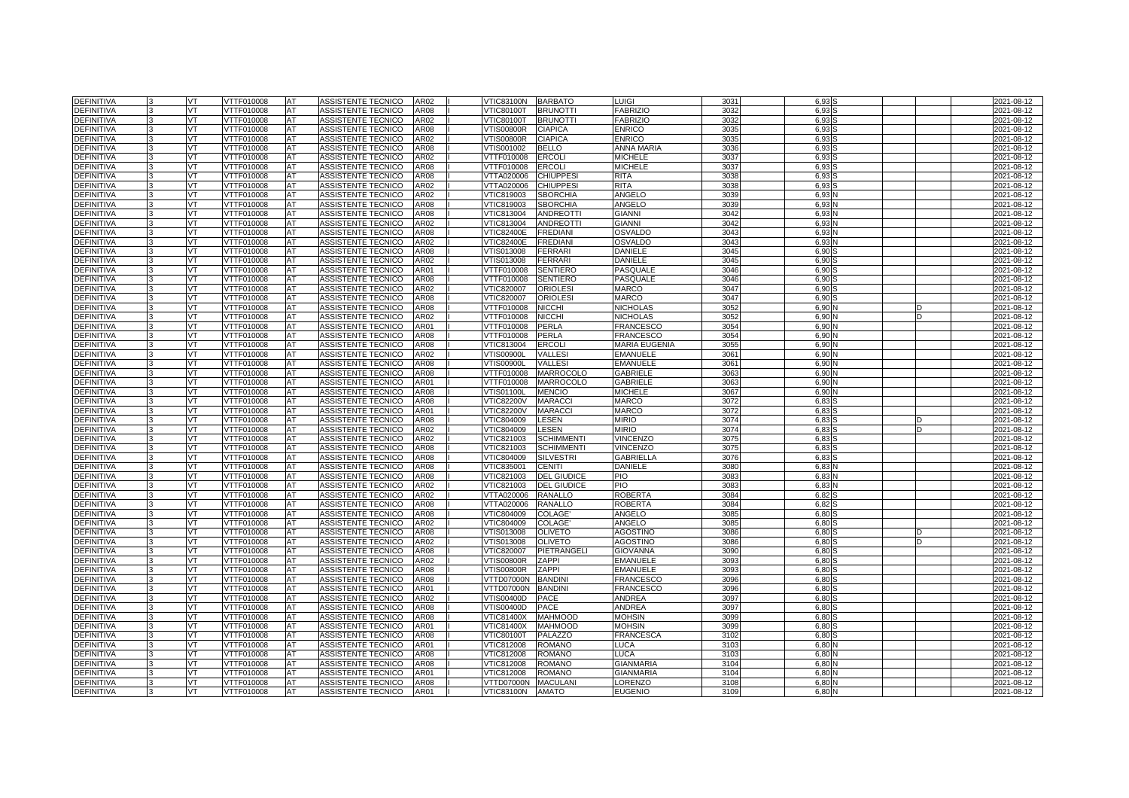| <b>DEFINITIVA</b> | VT        | VTTF010008 | <b>AT</b> | ASSISTENTE TECNICO        | AR02        | VTIC83100N        | <b>BARBATO</b>                 | LUIGI                | 303'         | 6,93 |  | 2021-08-12               |
|-------------------|-----------|------------|-----------|---------------------------|-------------|-------------------|--------------------------------|----------------------|--------------|------|--|--------------------------|
| <b>DEFINITIVA</b> | VT        | VTTF010008 | AT        | ASSISTENTE TECNICO        | AR08        | √TIC80100T        | <b>BRUNOTTI</b>                | <b>FABRIZIO</b>      | 3032         | 6.93 |  | 2021-08-12               |
| <b>DEFINITIVA</b> | VT.       | VTTF010008 | AT        | ASSISTENTE TECNICO        | AR02        | <b>VTIC80100T</b> | <b>BRUNOTTI</b>                | <b>FABRIZIO</b>      | 3032         | 6,93 |  | 2021-08-12               |
| DEFINITIVA        | <b>VT</b> | VTTF010008 | AT        | ASSISTENTE TECNICO        | AR08        | √TIS00800R        | <b>CIAPICA</b>                 | <b>ENRICO</b>        | 303          | 6,93 |  | 2021-08-12               |
| <b>DEFINITIVA</b> | VT        | VTTF010008 | AT        | ASSISTENTE TECNICO        | AR02        | √TIS00800R        | <b>CIAPICA</b>                 | <b>ENRICO</b>        | 3035         | 6,93 |  | 2021-08-12               |
| <b>DEFINITIVA</b> | VT        | VTTF010008 | AT        | ASSISTENTE TECNICO        | AR08        | √TIS001002        | <b>BELLO</b>                   | ANNA MARIA           | 3036         | 6,93 |  | 2021-08-12               |
| <b>DEFINITIVA</b> | VT.       | VTTF010008 | AT        | ASSISTENTE TECNICO        | AR02        | VTTF010008        | <b>ERCOL</b>                   | <b>MICHELE</b>       | 3037         | 6,93 |  | 2021-08-12               |
| DEFINITIVA        | VT        | VTTF010008 | AT        | ASSISTENTE TECNICO        | AR08        | VTTF010008        | <b>ERCOLI</b>                  | <b>MICHELE</b>       | 3037         | 6.93 |  | 2021-08-12               |
| <b>DEFINITIVA</b> | VT        | VTTF010008 | AT        | ASSISTENTE TECNICO        | AR08        | VTTA020006        | <b>CHIUPPES</b>                | <b>RITA</b>          | 3038         | 6,93 |  | 2021-08-12               |
| <b>DEFINITIVA</b> | VT        | VTTF010008 | AT        | ASSISTENTE TECNICO        | AR02        | VTTA020006        | <b>CHIUPPESI</b>               | <b>RITA</b>          | 3038         | 6,93 |  | 2021-08-12               |
| <b>DEFINITIVA</b> | VT        | VTTF010008 | AT        | ASSISTENTE TECNICO        | AR02        | VTIC819003        | <b>SBORCHIA</b>                | <b>ANGELO</b>        | 3039         | 6,93 |  | 2021-08-12               |
| <b>DEFINITIVA</b> | VT        | VTTF010008 | AT        | ASSISTENTE TECNICO        | AR08        | /TIC819003        | <b>SBORCHIA</b>                | ANGELO               | 3039         | 6,93 |  | 2021-08-12               |
| DEFINITIVA        | VT.       | VTTF010008 | AT        | ASSISTENTE TECNICO        | AR08        | VTIC813004        | <b>ANDREOTTI</b>               | <b>GIANNI</b>        | 3042         | 6,93 |  | 2021-08-12               |
| <b>DEFINITIVA</b> | VT        | VTTF010008 | AT        | <b>ASSISTENTE TECNICO</b> | AR02        | VTIC813004        | <b>ANDREOTTI</b>               | <b>GIANNI</b>        | 3042         | 6,93 |  | 2021-08-12               |
| DEFINITIVA        | VT        | VTTF010008 | AT        | ASSISTENTE TECNICO        | AR08        | <b>VTIC82400E</b> | <b>FREDIANI</b>                | <b>OSVALDO</b>       | 3043         | 6,93 |  | 2021-08-12               |
| <b>DEFINITIVA</b> | VT        | VTTF010008 | AT        | ASSISTENTE TECNICO        | AR02        | <b>VTIC82400E</b> | <b>FREDIANI</b>                | <b>OSVALDO</b>       | 3043         | 6,93 |  | 2021-08-12               |
| <b>DEFINITIVA</b> | VT        | VTTF010008 | AT        | <b>ASSISTENTE TECNICO</b> | AR08        | VTIS013008        | <b>FERRARI</b>                 | DANIELE              | 3045         | 6,90 |  | 2021-08-12               |
| <b>DEFINITIVA</b> | VT        | VTTF010008 | AT        | ASSISTENTE TECNICO        | AR02        | /TIS013008        | <b>FERRARI</b>                 | DANIELE              | 3045         | 6,90 |  | 2021-08-12               |
| <b>DEFINITIVA</b> | VT        | VTTF010008 | AT        | ASSISTENTE TECNICO        | AR01        | VTTF010008        | <b>SENTIERO</b>                | PASQUALE             | 3046         | 6.90 |  | 2021-08-12               |
| DEFINITIVA        | VT        | VTTF010008 | AT        | ASSISTENTE TECNICO        | AR08        | VTTF010008        | <b>SENTIERO</b>                | PASQUALE             | 3046         | 6,90 |  | 2021-08-12               |
| <b>DEFINITIVA</b> | VT        | VTTF010008 | AT        | ASSISTENTE TECNICO        | AR02        | VTIC820007        | <b>ORIOLESI</b>                | <b>MARCO</b>         | 3047         | 6,90 |  | 2021-08-12               |
| <b>DEFINITIVA</b> | VT        | VTTF010008 | AT        | ASSISTENTE TECNICO        | AR08        | VTIC820007        | <b>ORIOLESI</b>                | MARCO                | 3047         | 6,90 |  | 2021-08-12               |
| DEFINITIVA        | VT        | VTTF010008 | AT        | ASSISTENTE TECNICO        | AR08        | VTTF010008        | <b>NICCHI</b>                  | NICHOLAS             | 3052         | 6,90 |  | 2021-08-12               |
| <b>DEFINITIVA</b> | VT        | VTTF010008 | AT        | ASSISTENTE TECNICO        | AR02        | VTTF010008        | <b>NICCHI</b>                  | NICHOLAS             | 3052         | 6,90 |  | 2021-08-12               |
| <b>DEFINITIVA</b> | VT        | VTTF010008 | AT        | ASSISTENTE TECNICO        | AR01        | VTTF010008        | <b>PERLA</b>                   | <b>FRANCESCO</b>     | 3054         | 6,90 |  | 2021-08-12               |
| DEFINITIVA        | VT        | VTTF010008 | AT        | ASSISTENTE TECNICO        | AR08        | VTTF010008        | <b>PERLA</b>                   | <b>FRANCESCO</b>     | 305          | 6,90 |  | 2021-08-12               |
| DEFINITIVA        | VT        | VTTF010008 | AT        | ASSISTENTE TECNICO        | AR08        | VTIC813004        | <b>ERCOL</b>                   | <b>MARIA EUGENIA</b> | 3055         | 6,90 |  | 2021-08-12               |
| <b>DEFINITIVA</b> | VT        | VTTF010008 | AT        | ASSISTENTE TECNICO        | AR02        | √TIS00900L        | <b>VALLES</b>                  | EMANUELE             | 306'         | 6,90 |  | 2021-08-12               |
| DEFINITIVA        | VT        | VTTF010008 | AT        | ASSISTENTE TECNICO        | AR08        | √TIS00900L        | <b>VALLESI</b>                 | <b>EMANUELE</b>      | 306'         | 6,90 |  | 2021-08-12               |
| <b>DEFINITIVA</b> | VT        | VTTF010008 | AT        | ASSISTENTE TECNICO        | AR08        | <b>/TTF010008</b> | <b>MARROCOLO</b>               | <b>GABRIELE</b>      | 3063         | 6,90 |  | 2021-08-12               |
| <b>DEFINITIVA</b> | VT        | VTTF010008 | AT        | ASSISTENTE TECNICO        | AR01        | VTTF010008        | <b>MARROCOLO</b>               | GABRIELE             | 306          | 6,90 |  | 2021-08-12               |
| <b>DEFINITIVA</b> | VT        | VTTF010008 | AT        | ASSISTENTE TECNICO        | AR08        | √TIS01100L        | <b>MENCIO</b>                  | <b>MICHELE</b>       | 306          | 6,90 |  | 2021-08-12               |
| DEFINITIVA        | VT        | /TTF010008 | AT        | ASSISTENTE TECNICO        | AR08        | /TIC82200V        | <b>MARACC</b>                  | <b>MARCO</b>         | 3072         | 6,83 |  | 2021-08-12               |
| <b>DEFINITIVA</b> | VT        | VTTF010008 | AT        | ASSISTENTE TECNICO        | AR01        | <b>VTIC82200V</b> | <b>MARACCI</b>                 | MARCO                | 3072         | 6,83 |  | 2021-08-12               |
| DEFINITIVA        | VT        | VTTF010008 | AT        | ASSISTENTE TECNICO        | AR08        | VTIC804009        | LESEN                          | <b>MIRIO</b>         | 3074         | 6,83 |  | 2021-08-12               |
| <b>DEFINITIVA</b> | VT        | /TTF010008 | AT        | ASSISTENTE TECNICO        | AR02        | /TIC804009        | LESEN                          | MIRIO                | 3074         | 6,83 |  | 2021-08-12               |
| <b>DEFINITIVA</b> | VT        | VTTF010008 | AT        | ASSISTENTE TECNICO        | AR02        | VTIC821003        | <b>SCHIMMENTI</b>              | VINCENZO             | 3075         | 6,83 |  | 2021-08-12               |
| DEFINITIVA        | VT        | VTTF010008 | AT        | ASSISTENTE TECNICO        | AR08        | VTIC821003        | <b>SCHIMMENTI</b>              | <b>VINCENZO</b>      | 3075         | 6,83 |  | 2021-08-12               |
| <b>DEFINITIVA</b> | VT        | VTTF010008 | AT        | <b>ASSISTENTE TECNICO</b> | AR08        | VTIC804009        | <b>SILVESTRI</b>               | GABRIELLA            | 3076         | 6,83 |  | 2021-08-12               |
| <b>DEFINITIVA</b> | VT        | VTTF010008 | AT        | ASSISTENTE TECNICO        | AR08        | VTIC835001        | <b>CENITI</b>                  | DANIELE              | 308          | 6,83 |  | 2021-08-12               |
| <b>DEFINITIVA</b> | VT        | VTTF010008 | AT        | ASSISTENTE TECNICO        | <b>AR08</b> | VTIC821003        | <b>DEL GIUDICE</b>             | PIO                  | 308          | 6,83 |  | 2021-08-12               |
| <b>DEFINITIVA</b> | VT        | /TTF010008 | AT        | ASSISTENTE TECNICO        | AR02        | /TIC821003        | <b>DEL GIUDICE</b>             | PIO                  | 308          | 6,83 |  | 2021-08-12               |
| <b>DEFINITIVA</b> | VT        | VTTF010008 | AT        | ASSISTENTE TECNICO        | AR02        | VTTA020006        | <b>RANALLO</b>                 | <b>ROBERTA</b>       | 3084         | 6,82 |  | 2021-08-12               |
| DEFINITIVA        | VT        | VTTF010008 | AT        | ASSISTENTE TECNICO        | AR08        | VTTA020006        | <b>RANALLO</b>                 | <b>ROBERTA</b>       | 3084         | 6,82 |  | 2021-08-12               |
| <b>DEFINITIVA</b> | VT        | /TTF010008 | AT        | ASSISTENTE TECNICO        | AR08        | /TIC804009        | <b>COLAGE</b>                  | ANGELO               | 308          | 6,80 |  | 2021-08-12               |
| DEFINITIVA        | VT        | VTTF010008 | AT        | ASSISTENTE TECNICO        | AR02        | VTIC804009        | <b>COLAGE</b>                  | ANGELO               | 308          | 6,80 |  | 2021-08-12               |
| DEFINITIVA        | VT        | VTTF010008 | AT        | ASSISTENTE TECNICO        | AR08        | VTIS013008        | <b>OLIVETO</b>                 | AGOSTINO             | 3086         | 6,80 |  | 2021-08-12               |
| <b>DEFINITIVA</b> | VT.       | VTTF010008 | AT        | ASSISTENTE TECNICO        | AR02        | /TIS013008        | <b>OLIVETO</b>                 | AGOSTINO             | 3086         | 6,80 |  | 2021-08-12               |
| <b>DEFINITIVA</b> | VT        | VTTF010008 | AT        | ASSISTENTE TECNICO        | AR08        | VTIC820007        | PIETRANGELI                    | GIOVANNA             | 3090         | 6,80 |  | 2021-08-12               |
| DEFINITIVA        | VT        | VTTF010008 | AT        | ASSISTENTE TECNICO        | AR02        | √TIS00800R        | ZAPPI                          | <b>EMANUELE</b>      | 3093         | 6,80 |  | 2021-08-12               |
| <b>DEFINITIVA</b> | VT        | VTTF010008 | AT        | ASSISTENTE TECNICO        | AR08        | /TIS00800R        | ZAPPI                          | <b>EMANUELE</b>      | 3093         | 6,80 |  | 2021-08-12               |
| DEFINITIVA        | VT        | VTTF010008 | AT        | ASSISTENTE TECNICO        | AR08        | VTTD07000N        | <b>BANDIN</b>                  | <b>FRANCESCO</b>     | 3096         | 6,80 |  | 2021-08-12               |
| DEFINITIVA        | VT        | VTTF010008 | AT        | ASSISTENTE TECNICO        | AR01        | VTTD07000N        | <b>BANDIN</b>                  | FRANCESCO            | 3096         | 6,80 |  | 2021-08-12               |
| <b>DEFINITIVA</b> | VT        | VTTF010008 | AT        | ASSISTENTE TECNICO        | AR02        | /TIS00400D        | <b>PACE</b>                    | ANDREA               | 3097         | 6,80 |  | 2021-08-12               |
| <b>DEFINITIVA</b> | VT        | VTTF010008 | AT        | ASSISTENTE TECNICO        | AR08        | VTIS00400D        | <b>PACE</b>                    | ANDREA               | 3097         | 6,80 |  | 2021-08-12               |
| DEFINITIVA        | VT        | VTTF010008 | AT        | <b>ASSISTENTE TECNICO</b> | AR08        | VTIC81400X        | <b>MAHMOOD</b>                 | <b>MOHSIN</b>        | 3099         | 6,80 |  | 2021-08-12               |
| <b>DEFINITIVA</b> | VT        | VTTF010008 | AT        | ASSISTENTE TECNICO        | AR01        | VTIC81400X        | <b>MAHMOOD</b>                 | <b>MOHSIN</b>        | 3099         | 6,80 |  | 2021-08-12               |
| <b>DEFINITIVA</b> | VT        | VTTF010008 | AT        | ASSISTENTE TECNICO        | AR08        | <b>VTIC80100T</b> | PALAZZO                        | <b>FRANCESCA</b>     | 3102         | 6,80 |  | 2021-08-12               |
| DEFINITIVA        | VT        | VTTF010008 | AT        | ASSISTENTE TECNICO        | AR01        | VTIC812008        | <b>ROMANO</b>                  | LUCA                 | 310          | 6,80 |  | 2021-08-12               |
| <b>DEFINITIVA</b> | VT        | VTTF010008 | AT        | ASSISTENTE TECNICO        | AR08        | /TIC812008        | <b>ROMANO</b><br><b>ROMANO</b> | LUCA                 | 3103<br>3104 | 6,80 |  | 2021-08-12               |
| DEFINITIVA        | VT<br>VT  | VTTF010008 | AT        | ASSISTENTE TECNICO        | AR08        | VTIC812008        | <b>ROMANO</b>                  | GIANMARIA            |              | 6,80 |  | 2021-08-12               |
| DEFINITIVA        |           | VTTF010008 | AT        | ASSISTENTE TECNICO        | AR01        | VTIC812008        | <b>MACULANI</b>                | <b>GIANMARIA</b>     | 3104         | 6,80 |  | 2021-08-12               |
| <b>DEFINITIVA</b> | VT        | VTTF010008 | AT        | ASSISTENTE TECNICO        | <b>AR08</b> | /TTD07000N        |                                | LORENZO              | 3108         | 6,80 |  | 2021-08-12<br>2021-08-12 |
| <b>DEFINITIVA</b> | VT        | VTTF010008 | AT        | ASSISTENTE TECNICO        | AR01        | <b>VTIC83100N</b> | <b>AMATO</b>                   | <b>EUGENIO</b>       | 3109         | 6,80 |  |                          |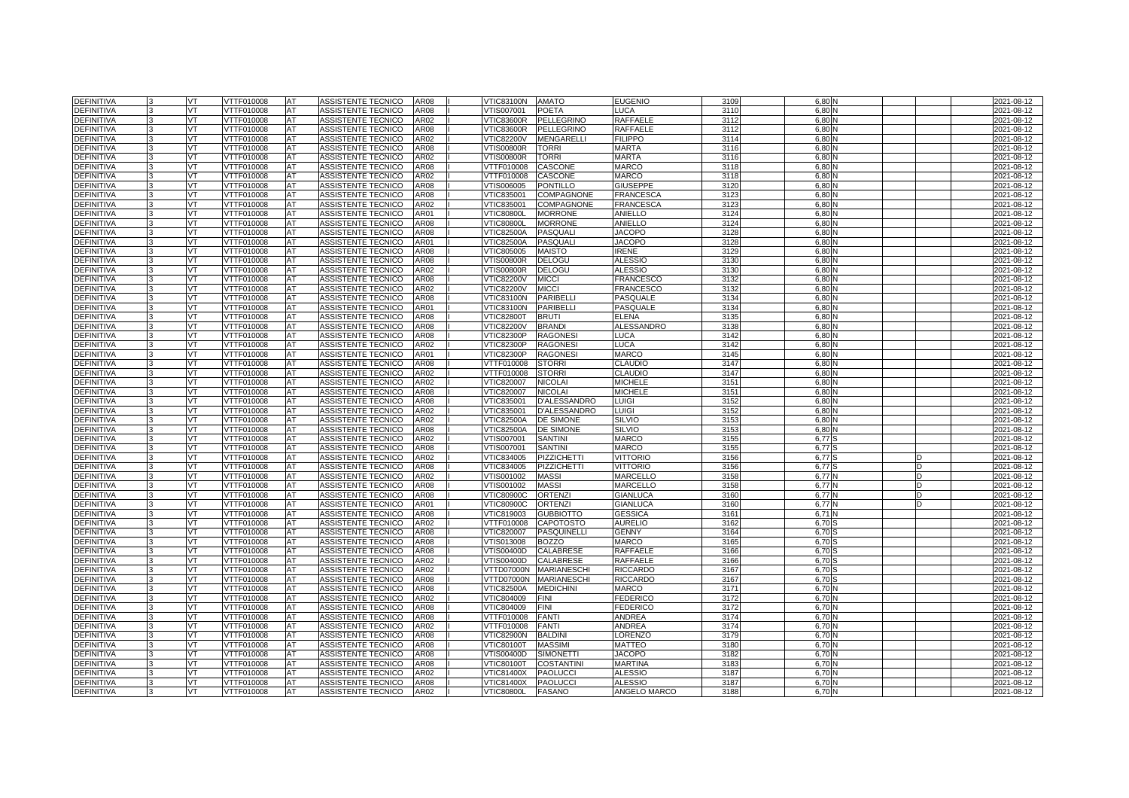| <b>DEFINITIVA</b>                      |    | VT        | VTTF010008               | <b>AT</b>       | ASSISTENTE TECNICO                       | <b>AR08</b>  | <b>VTIC83100N</b>        | <b>AMATO</b>                         | <b>EUGENIO</b>                   | 3109         | 6.80              |  | 2021-08-12               |
|----------------------------------------|----|-----------|--------------------------|-----------------|------------------------------------------|--------------|--------------------------|--------------------------------------|----------------------------------|--------------|-------------------|--|--------------------------|
| <b>DEFINITIVA</b>                      |    | VT        | VTTF010008               | AT              | ASSISTENTE TECNICO                       | AR08         | /TIS007001               | POETA                                | LUCA                             | 3110         | 6.80              |  | 2021-08-12               |
| <b>DEFINITIVA</b>                      |    | VT        | <b>VTTF010008</b>        | AT              | <b>ASSISTENTE TECNICO</b>                | AR02         | <b>VTIC83600R</b>        | <b>PELLEGRINO</b>                    | RAFFAELE                         | 3112         | 6.80              |  | 2021-08-12               |
| <b>DEFINITIVA</b>                      |    | <b>VT</b> | VTTF010008               | <b>AT</b>       | ASSISTENTE TECNICO                       | <b>AR08</b>  | <b>VTIC83600R</b>        | <b>PELLEGRINO</b>                    | RAFFAELE                         | 3112         | 6.80              |  | 2021-08-12               |
| <b>DEFINITIVA</b>                      |    | VT.       | VTTF010008               | AT              | ASSISTENTE TECNICO                       | AR02         | <b>/TIC82200V</b>        | <b>MENGARELLI</b>                    | <b>FILIPPO</b>                   | 3114         | 6.80              |  | 2021-08-12               |
| <b>DEFINITIVA</b>                      |    | VT        | VTTF010008               | AT              | ASSISTENTE TECNICO                       | <b>AR08</b>  | <b>VTIS00800R</b>        | <b>TORRI</b>                         | <b>MARTA</b>                     | 3116         | 6,80              |  | 2021-08-12               |
| <b>DEFINITIVA</b>                      |    | VT.       | VTTF010008               | <b>AT</b>       | ASSISTENTE TECNICO                       | AR02         | <b>VTIS00800R</b>        | <b>TORRI</b>                         | <b>MARTA</b>                     | 3116         | 6.80              |  | 2021-08-12               |
| <b>DEFINITIVA</b>                      |    | VT.       | VTTF010008               | AT              | ASSISTENTE TECNICO                       | AR08         | VTTF010008               | CASCONE                              | MARCO                            | 3118         | 6.80              |  | 2021-08-12               |
| <b>DEFINITIVA</b>                      |    | VT        | VTTF010008               | AT              | ASSISTENTE TECNICO                       | AR02         | VTTF010008               | CASCONE                              | MARCO                            | 3118         | 6,80              |  | 2021-08-12               |
| <b>DEFINITIVA</b>                      |    | VT        | VTTF010008               | AT              | ASSISTENTE TECNICO                       | <b>AR08</b>  | VTIS006005               | <b>PONTILLO</b>                      | <b>GIUSEPPE</b>                  | 3120         | 6.80              |  | 2021-08-12               |
| <b>DEFINITIVA</b>                      |    | VT        | VTTF010008               | <b>IAT</b>      | <b>ASSISTENTE TECNICO</b>                | <b>AR08</b>  | VTIC835001               | <b>COMPAGNONE</b>                    | <b>FRANCESCA</b>                 | 3123         | 6.80              |  | 2021-08-12               |
| <b>DEFINITIVA</b>                      |    | VT        | VTTF010008               | AT              | ASSISTENTE TECNICO                       | AR02         | VTIC835001               | <b>COMPAGNONE</b>                    | <b>FRANCESCA</b>                 | 3123         | 6.80              |  | 2021-08-12               |
| <b>DEFINITIVA</b>                      |    | VT.       | VTTF010008               | AT              | ASSISTENTE TECNICO                       | AR01         | <b>VTIC80800L</b>        | <b>MORRONE</b>                       | ANIELLO                          | 3124         | 6.80              |  | 2021-08-12               |
| <b>DEFINITIVA</b>                      |    | VT        | VTTF010008               | AT              | ASSISTENTE TECNICO                       | <b>AR08</b>  | <b>VTIC80800L</b>        | <b>MORRONE</b>                       | <b>ANIELLO</b>                   | 3124         | 6.80              |  | 2021-08-12               |
| <b>DEFINITIVA</b>                      |    | VT        | VTTF010008               | AT              | ASSISTENTE TECNICO                       | AR08         | VTIC82500A               | <b>PASQUALI</b>                      | <b>JACOPO</b>                    | 3128         | 6,80              |  | 2021-08-12               |
| <b>DEFINITIVA</b>                      |    | <b>VT</b> | VTTF010008               | <b>AT</b>       | ASSISTENTE TECNICO                       | AR01         | VTIC82500A               | <b>PASQUALI</b>                      | <b>JACOPO</b>                    | 3128         | 6,80              |  | 2021-08-12               |
| <b>DEFINITIVA</b>                      |    | VT        | VTTF010008               | <b>AT</b>       | ASSISTENTE TECNICO                       | <b>AR08</b>  | VTIC805005               | <b>MAISTO</b>                        | IRENE                            | 3129         | 6.80              |  | 2021-08-12               |
| <b>DEFINITIVA</b>                      |    | VT.       | VTTF010008               | AT              | ASSISTENTE TECNICO                       | AR08         | <b>VTIS00800R</b>        | <b>DELOGU</b>                        | <b>ALESSIO</b>                   | 3130         | 6,80              |  | 2021-08-12               |
| <b>DEFINITIVA</b>                      |    | VT.       | VTTF010008               | <b>AT</b>       | ASSISTENTE TECNICO                       | AR02         | VTIS00800R               | <b>DELOGU</b>                        | <b>ALESSIO</b>                   | 3130         | 6.80              |  | 2021-08-12               |
| <b>DEFINITIVA</b>                      |    | VT.       | VTTF010008               | AT              | ASSISTENTE TECNICO                       | AR08         | <b>VTIC82200V</b>        | <b>MICCI</b>                         | <b>FRANCESCO</b>                 | 3132         | 6.80              |  | 2021-08-12               |
| <b>DEFINITIVA</b>                      |    | VT        | VTTF010008               | AT              | ASSISTENTE TECNICO                       | AR02         | <b>VTIC82200V</b>        | <b>MICCI</b>                         | <b>FRANCESCO</b>                 | 3132         | 6,80              |  | 2021-08-12               |
| <b>DEFINITIVA</b>                      |    | <b>VT</b> | VTTF010008               | AT              | ASSISTENTE TECNICO                       | AR08         | <b>VTIC83100N</b>        | <b>PARIBELLI</b>                     | <b>PASQUALE</b>                  | 3134         | 6.80              |  | 2021-08-12               |
| <b>DEFINITIVA</b>                      |    | VT        | VTTF010008               | AT              | ASSISTENTE TECNICO                       | AR01         | /TIC83100N               | PARIBELLI                            | PASQUALE                         | 313          | 6.80              |  | 2021-08-12               |
| <b>DEFINITIVA</b>                      |    | VT        | VTTF010008               | AT              | ASSISTENTE TECNICO                       | AR08         | <b>VTIC82800T</b>        | <b>BRUTI</b>                         | <b>ELENA</b>                     | 3135         | 6,80              |  | 2021-08-12               |
| <b>DEFINITIVA</b>                      |    | VT.       | VTTF010008               | AT              | ASSISTENTE TECNICO                       | AR08         | <b>VTIC82200V</b>        | <b>BRANDI</b>                        | <b>ALESSANDRO</b>                | 3138         | 6.80              |  | 2021-08-12               |
| <b>DEFINITIVA</b>                      |    | VT.       | VTTF010008               | AT              | ASSISTENTE TECNICO                       | AR08         | VTIC82300P               | <b>RAGONES</b>                       | LUCA                             | 3142         | 6.80              |  | 2021-08-12               |
| <b>DEFINITIVA</b>                      |    | VT        | VTTF010008               | AT              | ASSISTENTE TECNICO                       | AR02         | VTIC82300P               | <b>RAGONES</b>                       | LUCA                             | 3142         | 6,80              |  | 2021-08-12               |
| <b>DEFINITIVA</b>                      | l3 | VT        | VTTF010008               | AT              | ASSISTENTE TECNICO                       | AR01         | <b>VTIC82300P</b>        | <b>RAGONES</b>                       | <b>MARCO</b>                     | 3145         | 6.80              |  | 2021-08-12               |
| DEFINITIVA                             |    | VT        | VTTF010008               | AT              | ASSISTENTE TECNICO                       | AR08         | VTTF010008               | <b>STORRI</b>                        | CLAUDIO                          | 3147         | 6.80              |  | 2021-08-12               |
| <b>DEFINITIVA</b>                      |    | VT        | VTTF010008               | AT              | ASSISTENTE TECNICO                       | AR02         | VTTF010008               | <b>STORRI</b>                        | <b>CLAUDIO</b>                   | 3147         | 6,80              |  | 2021-08-12               |
| <b>DEFINITIVA</b>                      |    | <b>VT</b> | VTTF010008               | AT              | ASSISTENTE TECNICO                       | AR02         | VTIC820007               | <b>NICOLAI</b>                       | <b>MICHELE</b>                   | 315'         | 6.80              |  | 2021-08-12               |
| <b>DEFINITIVA</b>                      |    | VT.       | VTTF010008               | AT              | ASSISTENTE TECNICO                       | AR08         | VTIC820007               | <b>NICOLAI</b>                       | <b>MICHELE</b>                   | 315          | 6.80              |  | 2021-08-12               |
| DEFINITIVA                             |    | VT        | VTTF010008               | AT              | ASSISTENTE TECNICO                       | AR08         | VTIC835001               | D'ALESSANDRO                         | LUIGI                            | 315          | 6,80              |  | 2021-08-12               |
| DEFINITIVA                             |    | VT        | VTTF010008               | AT              | ASSISTENTE TECNICO                       | AR02         | VTIC835001               | <b>D'ALESSANDRO</b>                  | LUIGI                            | 3152         | 6.80              |  | 2021-08-12               |
| DEFINITIVA                             |    | VT        | VTTF010008               | AT              | ASSISTENTE TECNICO                       | AR02         | VTIC82500A               | <b>DE SIMONE</b>                     | SILVIO                           | 315          | 6.80              |  | 2021-08-12               |
| <b>DEFINITIVA</b>                      |    | VT        | VTTF010008               | AT              | ASSISTENTE TECNICO                       | AR08         | VTIC82500A               | <b>DE SIMONE</b>                     | SILVIO                           | 3153         | 6,80              |  | 2021-08-12               |
| <b>DEFINITIVA</b>                      |    | VT.       | VTTF010008               | AT              | ASSISTENTE TECNICO                       | AR02         | VTIS007001               | <b>SANTINI</b>                       | <b>MARCO</b>                     | 3155         | 6.77 <sup>S</sup> |  | 2021-08-12               |
| <b>DEFINITIVA</b>                      |    | VT.       | VTTF010008               | AT              | ASSISTENTE TECNICO                       | AR08         | VTIS007001               | <b>SANTINI</b>                       | <b>MARCO</b>                     | 3155         | 6.77              |  | 2021-08-12               |
| <b>DEFINITIVA</b>                      |    | VT        | <b>/TTF010008</b>        | AT              | ASSISTENTE TECNICO                       | AR02         | /TIC834005               | <b>PIZZICHETTI</b>                   | VITTORIO                         | 3156         | 6,77              |  | 2021-08-12               |
| <b>DEFINITIVA</b>                      |    | VT        | VTTF010008               | AT              | ASSISTENTE TECNICO                       | AR08         | VTIC834005               | <b>PIZZICHETTI</b>                   | <b>VITTORIO</b>                  | 3156         | 6.77              |  | 2021-08-12               |
| <b>DEFINITIVA</b>                      |    | VT        | VTTF010008               | AT              | ASSISTENTE TECNICO                       | AR02         | /TIS001002               | <b>MASSI</b>                         | MARCELLO                         | 3158         | 6.77              |  | 2021-08-12               |
| <b>DEFINITIVA</b>                      |    | VT        | /TTF010008               | AT              | ASSISTENTE TECNICO                       | AR08         | /TIS001002               | <b>MASSI</b>                         | MARCELLO                         | 3158         | 6,77              |  | 2021-08-12               |
| DEFINITIVA                             |    | VT.       | VTTF010008               | AT              | ASSISTENTE TECNICO                       | <b>AR08</b>  | <b>VTIC80900C</b>        | <b>ORTENZI</b>                       | <b>GIANLUCA</b>                  | 3160         | $6,77$ M          |  | 2021-08-12               |
| DEFINITIVA                             |    | VT        | VTTF010008               | AT              | ASSISTENTE TECNICO                       | AR01         | <b>VTIC80900C</b>        | <b>ORTENZI</b>                       | <b>GIANLUCA</b>                  | 316          | 6.77              |  | 2021-08-12               |
| <b>DEFINITIVA</b><br><b>DEFINITIVA</b> |    | VT        | VTTF010008<br>VTTF010008 | AT<br><b>AT</b> | ASSISTENTE TECNICO                       | AR08<br>AR02 | VTIC819003<br>VTTF010008 | <b>GUBBIOTTO</b><br><b>CAPOTOSTO</b> | <b>GESSICA</b><br><b>AURELIO</b> | 316'<br>3162 | 6,71<br>6.70      |  | 2021-08-12               |
| <b>DEFINITIVA</b>                      |    | VT<br>VT  | VTTF010008               | <b>AT</b>       | ASSISTENTE TECNICO<br>ASSISTENTE TECNICO | AR08         | <b>VTIC820007</b>        | <b>PASQUINELLI</b>                   | GENNY                            | 316          | 6,70              |  | 2021-08-12<br>2021-08-12 |
| <b>DEFINITIVA</b>                      |    | VT        | VTTF010008               | AT              | <b>ASSISTENTE TECNICO</b>                | <b>AR08</b>  | /TIS013008               | <b>BOZZO</b>                         | <b>MARCO</b>                     | 3165         | 6,70              |  | 2021-08-12               |
| <b>DEFINITIVA</b>                      |    | VT.       | VTTF010008               | AT              | ASSISTENTE TECNICO                       | <b>AR08</b>  | VTIS00400D               | CALABRESE                            | RAFFAELE                         | 3166         | 6,70              |  | 2021-08-12               |
| <b>DEFINITIVA</b>                      |    | VT.       | VTTF010008               | AT              | ASSISTENTE TECNICO                       | AR02         | VTIS00400D               | CALABRESE                            | <b>RAFFAELE</b>                  | 3166         | 6,70              |  | 2021-08-12               |
| <b>DEFINITIVA</b>                      |    | VT        | VTTF010008               | AT              | ASSISTENTE TECNICO                       | AR02         | VTTD07000N               | <b>MARIANESCHI</b>                   | <b>RICCARDO</b>                  | 316          | 6,70              |  | 2021-08-12               |
| <b>DEFINITIVA</b>                      |    | VT        | VTTF010008               | AT              | ASSISTENTE TECNICO                       | <b>AR08</b>  | VTTD07000N               | <b>MARIANESCHI</b>                   | <b>RICCARDO</b>                  | 3167         | 6,70              |  | 2021-08-12               |
| DEFINITIVA                             |    | VT        | VTTF010008               | AT              | ASSISTENTE TECNICO                       | AR08         | VTIC82500A               | <b>MEDICHINI</b>                     | MARCO                            | 317'         | 6,70              |  | 2021-08-12               |
| <b>DEFINITIVA</b>                      |    | VT        | VTTF010008               | AT              | ASSISTENTE TECNICO                       | AR02         | VTIC804009               | <b>FINI</b>                          | FEDERICO                         | 3172         | 6,70              |  | 2021-08-12               |
| <b>DEFINITIVA</b>                      |    | VT        | VTTF010008               | AT              | ASSISTENTE TECNICO                       | AR08         | VTIC804009               | <b>FINI</b>                          | <b>FEDERICO</b>                  | 3172         | 6,70              |  | 2021-08-12               |
| DEFINITIVA                             |    | VT        | VTTF010008               | AT              | ASSISTENTE TECNICO                       | AR08         | VTTF010008               | <b>FANTI</b>                         | ANDREA                           | 3174         | 6,70              |  | 2021-08-12               |
| <b>DEFINITIVA</b>                      |    | VT        | VTTF010008               | AT              | ASSISTENTE TECNICO                       | AR02         | VTTF010008               | <b>FANTI</b>                         | ANDREA                           | 3174         | 6,70              |  | 2021-08-12               |
| <b>DEFINITIVA</b>                      |    | VT        | VTTF010008               | AT              | ASSISTENTE TECNICO                       | AR08         | <b>VTIC82900N</b>        | <b>BALDIN</b>                        | LORENZO                          | 3179         | 6.70              |  | 2021-08-12               |
| <b>DEFINITIVA</b>                      |    | VT        | VTTF010008               | AT              | ASSISTENTE TECNICO                       | AR08         | <b>VTIC80100T</b>        | <b>MASSIMI</b>                       | MATTEO                           | 318          | 6,70              |  | 2021-08-12               |
| <b>DEFINITIVA</b>                      |    | VT        | VTTF010008               | AT              | ASSISTENTE TECNICO                       | AR08         | /TIS00400D               | <b>SIMONETTI</b>                     | <b>JACOPO</b>                    | 3182         | 6,70              |  | 2021-08-12               |
| <b>DEFINITIVA</b>                      |    | VT        | VTTF010008               | AT              | ASSISTENTE TECNICO                       | AR08         | <b>VTIC80100T</b>        | <b>COSTANTINI</b>                    | MARTINA                          | 318          | 6,70              |  | 2021-08-12               |
| DEFINITIVA                             |    | VT.       | VTTF010008               | AT              | ASSISTENTE TECNICO                       | AR02         | VTIC81400X               | <b>PAOLUCCI</b>                      | <b>ALESSIO</b>                   | 318          | 6,70              |  | 2021-08-12               |
| DEFINITIVA                             |    | VT        | VTTF010008               | AT              | ASSISTENTE TECNICO                       | AR08         | VTIC81400X               | <b>PAOLUCCI</b>                      | ALESSIO                          | 318          | 6,70              |  | 2021-08-12               |
| <b>DEFINITIVA</b>                      | 3  | VT        | VTTF010008               | AT              | ASSISTENTE TECNICO                       | AR02         | VTIC80800L               | <b>FASANO</b>                        | ANGELO MARCO                     | 3188         | 6,70              |  | 2021-08-12               |
|                                        |    |           |                          |                 |                                          |              |                          |                                      |                                  |              |                   |  |                          |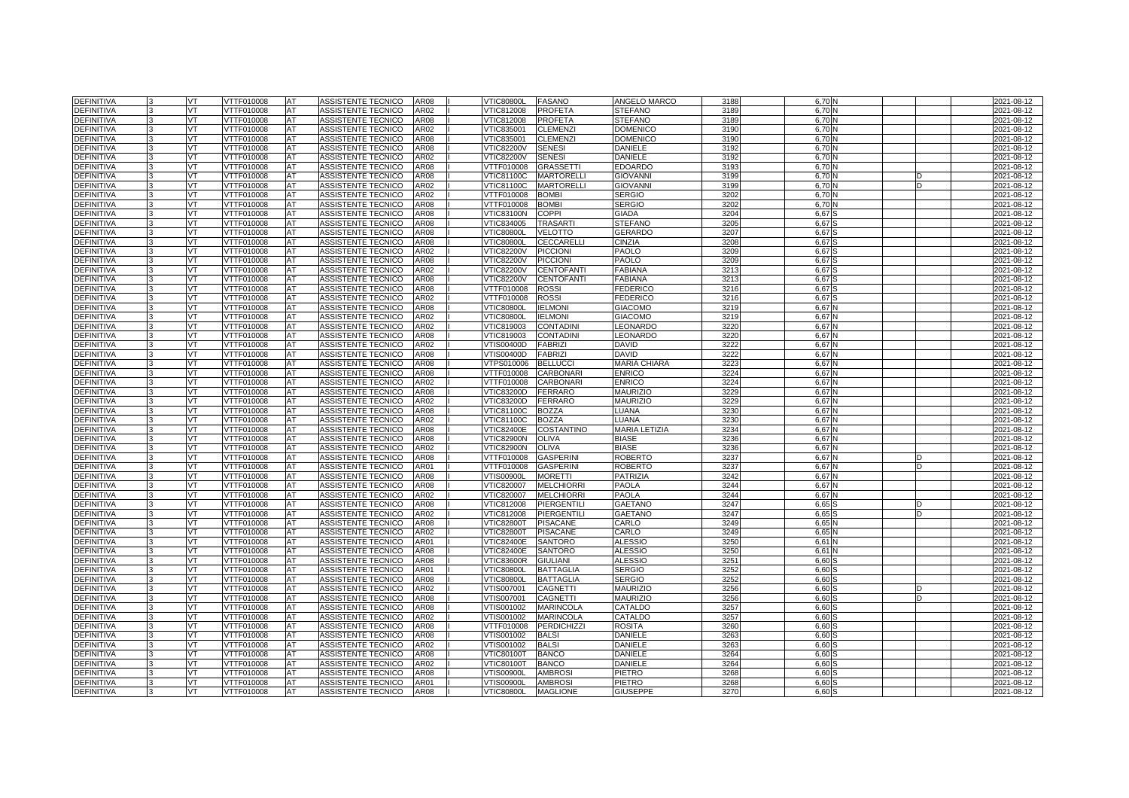| <b>DEFINITIVA</b> |              | VT        | VTTF010008        | <b>AT</b> | <b>ASSISTENTE TECNICO</b> | <b>AR08</b>      | <b>VTIC80800L</b> | <b>FASANO</b>      | ANGELO MARCO         | 3188 | 6,70N             |  | 2021-08-12 |
|-------------------|--------------|-----------|-------------------|-----------|---------------------------|------------------|-------------------|--------------------|----------------------|------|-------------------|--|------------|
| <b>DEFINITIVA</b> |              | VT        | VTTF010008        | AT        | ASSISTENTE TECNICO        | AR02             | VTIC812008        | <b>PROFETA</b>     | <b>STEFANO</b>       | 3189 | 6.70              |  | 2021-08-12 |
| <b>DEFINITIVA</b> |              | VT        | VTTF010008        | AT        | <b>ASSISTENTE TECNICO</b> | <b>AR08</b>      | <b>VTIC812008</b> | <b>PROFETA</b>     | <b>STEFANO</b>       | 3189 | 6.70              |  | 2021-08-12 |
| <b>DEFINITIVA</b> |              | <b>VT</b> | VTTF010008        | <b>AT</b> | ASSISTENTE TECNICO        | AR02             | VTIC835001        | <b>CLEMENZI</b>    | <b>DOMENICO</b>      | 3190 | 6.70              |  | 2021-08-12 |
| <b>DEFINITIVA</b> |              | VT.       | VTTF010008        | AT        | ASSISTENTE TECNICO        | <b>AR08</b>      | VTIC835001        | <b>CLEMENZI</b>    | <b>DOMENICO</b>      | 3190 | 6.70              |  | 2021-08-12 |
| <b>DEFINITIVA</b> |              | VT        | VTTF010008        | AT        | ASSISTENTE TECNICO        | <b>AR08</b>      | <b>VTIC82200V</b> | <b>SENESI</b>      | <b>DANIELE</b>       | 3192 | 6.70              |  | 2021-08-12 |
| <b>DEFINITIVA</b> |              | VT.       | VTTF010008        | <b>AT</b> | ASSISTENTE TECNICO        | AR02             | <b>VTIC82200V</b> | <b>SENESI</b>      | DANIELE              | 3192 | 6.70              |  | 2021-08-12 |
| <b>DEFINITIVA</b> |              | VT.       | VTTF010008        | AT        | ASSISTENTE TECNICO        | AR08             | VTTF010008        | <b>GRASSETTI</b>   | <b>EDOARDO</b>       | 3193 | 6.70              |  | 2021-08-12 |
| <b>DEFINITIVA</b> |              | VT        | VTTF010008        | AT        | ASSISTENTE TECNICO        | AR08             | VTIC81100C        | <b>MARTORELLI</b>  | <b>GIOVANNI</b>      | 3199 | 6.70              |  | 2021-08-12 |
| <b>DEFINITIVA</b> |              | VT        | VTTF010008        | AT        | ASSISTENTE TECNICO        | AR02             | VTIC81100C        | <b>MARTORELLI</b>  | <b>GIOVANNI</b>      | 3199 | 6,701             |  | 2021-08-12 |
| <b>DEFINITIVA</b> |              | VT        | VTTF010008        | <b>AT</b> | ASSISTENTE TECNICO        | AR02             | VTTF010008        | <b>BOMBI</b>       | <b>SERGIO</b>        | 3202 | 6.70              |  | 2021-08-12 |
| <b>DEFINITIVA</b> |              | VT        | VTTF010008        | AT        | ASSISTENTE TECNICO        | <b>AR08</b>      | VTTF010008        | <b>BOMBI</b>       | <b>SERGIO</b>        | 3202 | 6,70              |  | 2021-08-12 |
| <b>DEFINITIVA</b> |              | VT.       | VTTF010008        | AT        | ASSISTENTE TECNICO        | <b>AR08</b>      | VTIC83100N        | <b>COPPI</b>       | <b>GIADA</b>         | 3204 | 6,67              |  | 2021-08-12 |
| <b>DEFINITIVA</b> |              | VT        | VTTF010008        | AT        | ASSISTENTE TECNICO        | AR08             | VTIC834005        | <b>TRASARTI</b>    | <b>STEFANO</b>       | 3205 | 6.67              |  | 2021-08-12 |
| <b>DEFINITIVA</b> |              | VT        | VTTF010008        | AT        | ASSISTENTE TECNICO        | AR08             | <b>VTIC80800L</b> | <b>VELOTTO</b>     | GERARDC              | 3207 | 6,67              |  | 2021-08-12 |
| DEFINITIVA        |              | VT        | VTTF010008        | AT        | ASSISTENTE TECNICO        | <b>AR08</b>      | <b>VTIC80800L</b> | CECCARELLI         | CINZIA               | 3208 | 6,67              |  | 2021-08-12 |
| <b>DEFINITIVA</b> |              | VT        | VTTF010008        | AT        | ASSISTENTE TECNICO        | AR02             | <b>VTIC82200V</b> | <b>PICCION</b>     | <b>PAOLO</b>         | 3209 | 6.67              |  | 2021-08-12 |
| <b>DEFINITIVA</b> |              | VT        | VTTF010008        | AT        | ASSISTENTE TECNICO        | <b>AR08</b>      | <b>VTIC82200V</b> | <b>PICCION</b>     | PAOLO                | 3209 | 6,67              |  | 2021-08-12 |
| <b>DEFINITIVA</b> |              | <b>VT</b> | VTTF010008        | <b>AT</b> | ASSISTENTE TECNICO        | AR02             | <b>VTIC82200V</b> | <b>CENTOFANTI</b>  | FABIANA              | 321  | 6,67              |  | 2021-08-12 |
| <b>DEFINITIVA</b> |              | VT.       | VTTF010008        | AT        | ASSISTENTE TECNICO        | AR08             | <b>VTIC82200V</b> | <b>CENTOFANTI</b>  | <b>FABIANA</b>       | 3213 | 6.67              |  | 2021-08-12 |
| DEFINITIVA        |              | VT        | VTTF010008        | AT        | ASSISTENTE TECNICO        | AR08             | VTTF010008        | <b>ROSSI</b>       | <b>FEDERICO</b>      | 3216 | 6,67              |  | 2021-08-12 |
| <b>DEFINITIVA</b> |              | VT        | VTTF010008        | AT        | ASSISTENTE TECNICO        | AR02             | VTTF010008        | <b>ROSSI</b>       | <b>FEDERICO</b>      | 3216 | 6.67              |  | 2021-08-12 |
| <b>DEFINITIVA</b> |              | VT        | VTTF010008        | AT        | ASSISTENTE TECNICO        | AR08             | <b>VTIC80800L</b> | <b>IELMONI</b>     | <b>GIACOMO</b>       | 3219 | 6,67              |  | 2021-08-12 |
| DEFINITIVA        |              | VT        | VTTF010008        | AT        | ASSISTENTE TECNICO        | AR02             | <b>VTIC80800L</b> | <b>IELMONI</b>     | <b>GIACOMO</b>       | 3219 | 6,67              |  | 2021-08-12 |
| DEFINITIVA        |              | VT.       | VTTF010008        | AT        | ASSISTENTE TECNICO        | AR02             | VTIC819003        | <b>CONTADINI</b>   | LEONARDO             | 3220 | $6,67$ $\uparrow$ |  | 2021-08-12 |
| <b>DEFINITIVA</b> |              | VT.       | VTTF010008        | AT        | ASSISTENTE TECNICO        | AR08             | VTIC819003        | <b>CONTADINI</b>   | LEONARDO             | 3220 | 6,67              |  | 2021-08-12 |
| DEFINITIVA        |              | VT        | VTTF010008        | AT        | ASSISTENTE TECNICO        | AR02             | VTIS00400D        | <b>FABRIZI</b>     | DAVID                | 322  | 6,67              |  | 2021-08-12 |
| DEFINITIVA        |              | VT        | VTTF010008        | AT        | ASSISTENTE TECNICO        | AR08             | VTIS00400D        | <b>FABRIZI</b>     | <b>DAVID</b>         | 3222 | $6,67$ $\uparrow$ |  | 2021-08-12 |
| <b>DEFINITIVA</b> |              | VT        | VTTF010008        | AT        | ASSISTENTE TECNICO        | AR08             | VTPS010006        | <b>BELLUCCI</b>    | <b>MARIA CHIARA</b>  | 3223 | 6,67              |  | 2021-08-12 |
| DEFINITIVA        |              | VT        | VTTF010008        | AT        | ASSISTENTE TECNICO        | AR08             | VTTF010008        | <b>CARBONARI</b>   | <b>ENRICO</b>        | 3224 | 6,67              |  | 2021-08-12 |
| DEFINITIVA        |              | VT        | VTTF010008        | AT        | ASSISTENTE TECNICO        | AR02             | VTTF010008        | <b>CARBONARI</b>   | <b>ENRICO</b>        | 3224 | 6,67              |  | 2021-08-12 |
| <b>DEFINITIVA</b> |              | VT        | VTTF010008        | AT        | ASSISTENTE TECNICO        | AR08             | VTIC83200D        | <b>FERRARO</b>     | <b>MAURIZIO</b>      | 3229 | 6,67              |  | 2021-08-12 |
| <b>DEFINITIVA</b> |              | VT        | VTTF010008        | AT        | ASSISTENTE TECNICO        | AR02             | VTIC83200D        | <b>FERRARO</b>     | <b>MAURIZIO</b>      | 3229 | 6.67              |  | 2021-08-12 |
| <b>DEFINITIVA</b> | $\mathbf{R}$ | <b>VT</b> | VTTF010008        | AT        | ASSISTENTE TECNICO        | <b>AR08</b>      | <b>VTIC81100C</b> | <b>BOZZA</b>       | LUANA                | 323  | 6.67N             |  | 2021-08-12 |
| <b>DEFINITIVA</b> |              | VT        | VTTF010008        | AT        | ASSISTENTE TECNICO        | AR02             | VTIC81100C        | <b>BOZZA</b>       | LUANA                | 3230 | 6.67              |  | 2021-08-12 |
| <b>DEFINITIVA</b> |              | VT.       | <b>VTTF010008</b> | AT        | <b>ASSISTENTE TECNICO</b> | <b>AR08</b>      | <b>VTIC82400E</b> | <b>COSTANTINO</b>  | <b>MARIA LETIZIA</b> | 3234 | 6.67              |  | 2021-08-12 |
| <b>DEFINITIVA</b> |              | VT.       | VTTF010008        | <b>AT</b> | ASSISTENTE TECNICO        | <b>AR08</b>      | <b>VTIC82900N</b> | <b>OLIVA</b>       | <b>BIASE</b>         | 3236 | $6.67$ M          |  | 2021-08-12 |
| <b>DEFINITIVA</b> |              | VT        | VTTF010008        | AT        | ASSISTENTE TECNICO        | AR02             | <b>VTIC82900N</b> | <b>OLIVA</b>       | <b>BIASE</b>         | 3236 | 6.67              |  | 2021-08-12 |
| <b>DEFINITIVA</b> |              | VT        | <b>VTTF010008</b> | AT        | <b>ASSISTENTE TECNICO</b> | AR08             | VTTF010008        | <b>GASPERINI</b>   | <b>ROBERTO</b>       | 323  | 6.67              |  | 2021-08-12 |
| DEFINITIVA        |              | VT        | VTTF010008        | AT        | ASSISTENTE TECNICO        | AR01             | VTTF010008        | <b>GASPERINI</b>   | <b>ROBERTO</b>       | 323  | 6,67              |  | 2021-08-12 |
| <b>DEFINITIVA</b> |              | VT.       | VTTF010008        | AT        | <b>ASSISTENTE TECNICO</b> | <b>AR08</b>      | VTIS00900L        | <b>MORETTI</b>     | <b>PATRIZIA</b>      | 3242 | 6.67              |  | 2021-08-12 |
| <b>DEFINITIVA</b> |              | VT        | VTTF010008        | AT        | ASSISTENTE TECNICO        | AR08             | VTIC820007        | <b>MELCHIORRI</b>  | PAOLA                | 3244 | 6,67              |  | 2021-08-12 |
| <b>DEFINITIVA</b> |              | VT.       | VTTF010008        | <b>AT</b> | ASSISTENTE TECNICO        | AR02             | VTIC820007        | <b>MELCHIORRI</b>  | <b>PAOLA</b>         | 3244 | 6,67              |  | 2021-08-12 |
| <b>DEFINITIVA</b> |              | VT        | VTTF010008        | AT        | ASSISTENTE TECNICO        | AR08             | VTIC812008        | PIERGENTILI        | <b>GAETANO</b>       | 3247 | 6.65              |  | 2021-08-12 |
| <b>DEFINITIVA</b> |              | VT        | <b>VTTF010008</b> | AT        | ASSISTENTE TECNICO        | AR <sub>02</sub> | VTIC812008        | <b>PIERGENTILI</b> | <b>GAETANO</b>       | 324  | 6,65              |  | 2021-08-12 |
| <b>DEFINITIVA</b> |              | VT        | VTTF010008        | AT        | ASSISTENTE TECNICO        | <b>AR08</b>      | <b>VTIC82800T</b> | <b>PISACANE</b>    | CARLO                | 3249 | 6,65              |  | 2021-08-12 |
| <b>DEFINITIVA</b> |              | VT        | VTTF010008        | AT        | ASSISTENTE TECNICO        | AR02             | VTIC82800T        | <b>PISACANE</b>    | CARLO                | 3249 | 6.65              |  | 2021-08-12 |
| <b>DEFINITIVA</b> |              | VT        | VTTF010008        | AT        | ASSISTENTE TECNICO        | AR01             | VTIC82400E        | <b>SANTORO</b>     | <b>ALESSIO</b>       | 3250 | 6,61              |  | 2021-08-12 |
| DEFINITIVA        |              | <b>VT</b> | VTTF010008        | AT        | ASSISTENTE TECNICO        | AR08             | VTIC82400E        | <b>SANTORO</b>     | <b>ALESSIO</b>       | 3250 | 6,61              |  | 2021-08-12 |
| <b>DEFINITIVA</b> |              | VT        | VTTF010008        | AT        | ASSISTENTE TECNICO        | AR08             | <b>VTIC83600R</b> | <b>GIULIANI</b>    | ALESSIO              | 3251 | 6,60              |  | 2021-08-12 |
| DEFINITIVA        |              | VT        | VTTF010008        | AT        | ASSISTENTE TECNICO        | AR01             | <b>VTIC80800L</b> | <b>BATTAGLIA</b>   | <b>SERGIO</b>        | 325  | 6,60              |  | 2021-08-12 |
| DEFINITIVA        |              | VT        | VTTF010008        | AT        | <b>ASSISTENTE TECNICO</b> | <b>AR08</b>      | <b>VTIC80800L</b> | <b>BATTAGLIA</b>   | <b>SERGIO</b>        | 3252 | 6,60              |  | 2021-08-12 |
| <b>DEFINITIVA</b> |              | VT        | VTTF010008        | AT        | ASSISTENTE TECNICO        | AR02             | √TIS007001        | <b>CAGNETTI</b>    | <b>MAURIZIO</b>      | 3256 | 6,60              |  | 2021-08-12 |
| <b>DEFINITIVA</b> |              | VT        | VTTF010008        | AT        | ASSISTENTE TECNICO        | <b>AR08</b>      | VTIS007001        | <b>CAGNETTI</b>    | <b>MAURIZIO</b>      | 3256 | 6,60              |  | 2021-08-12 |
| DEFINITIVA        |              | VT        | VTTF010008        | AT        | ASSISTENTE TECNICO        | AR08             | VTIS001002        | <b>MARINCOLA</b>   | CATALDO              | 3257 | 6,60              |  | 2021-08-12 |
| <b>DEFINITIVA</b> |              | VT        | VTTF010008        | AT        | ASSISTENTE TECNICO        | AR02             | √TIS001002        | <b>MARINCOLA</b>   | CATALDO              | 325  | 6.60              |  | 2021-08-12 |
| DEFINITIVA        |              | VT        | VTTF010008        | AT        | ASSISTENTE TECNICO        | AR08             | VTTF010008        | <b>PERDICHIZZI</b> | <b>ROSITA</b>        | 326  | 6,60              |  | 2021-08-12 |
| DEFINITIVA        |              | VT        | VTTF010008        | AT        | ASSISTENTE TECNICO        | AR08             | VTIS001002        | <b>BALSI</b>       | DANIELE              | 326  | 6,60              |  | 2021-08-12 |
| <b>DEFINITIVA</b> |              | VT        | VTTF010008        | AT        | ASSISTENTE TECNICO        | AR02             | √TIS001002        | <b>BALSI</b>       | DANIELE              | 3263 | 6,60              |  | 2021-08-12 |
| DEFINITIVA        |              | VT        | VTTF010008        | AT        | ASSISTENTE TECNICO        | AR08             | √TIC80100T        | <b>BANCO</b>       | <b>DANIELE</b>       | 3264 | 6,60              |  | 2021-08-12 |
| DEFINITIVA        |              | <b>VT</b> | VTTF010008        | <b>AT</b> | ASSISTENTE TECNICO        | AR02             | √TIC80100T        | <b>BANCO</b>       | DANIELE              | 3264 | 6,60              |  | 2021-08-12 |
| DEFINITIVA        |              | VT        | VTTF010008        | AT        | ASSISTENTE TECNICO        | AR08             | √TIS00900L        | <b>AMBROSI</b>     | PIETRO               | 3268 | 6,60              |  | 2021-08-12 |
| DEFINITIVA        |              | VT        | VTTF010008        | AT        | ASSISTENTE TECNICO        | AR01             | √TIS00900L        | <b>AMBROSI</b>     | PIETRO               | 3268 | 6,60              |  | 2021-08-12 |
| <b>DEFINITIVA</b> | 3            | VT        | VTTF010008        | <b>AT</b> | ASSISTENTE TECNICO        | <b>AR08</b>      | <b>VTIC80800L</b> | <b>MAGLIONE</b>    | <b>GIUSEPPE</b>      | 3270 | 6.60 \$           |  | 2021-08-12 |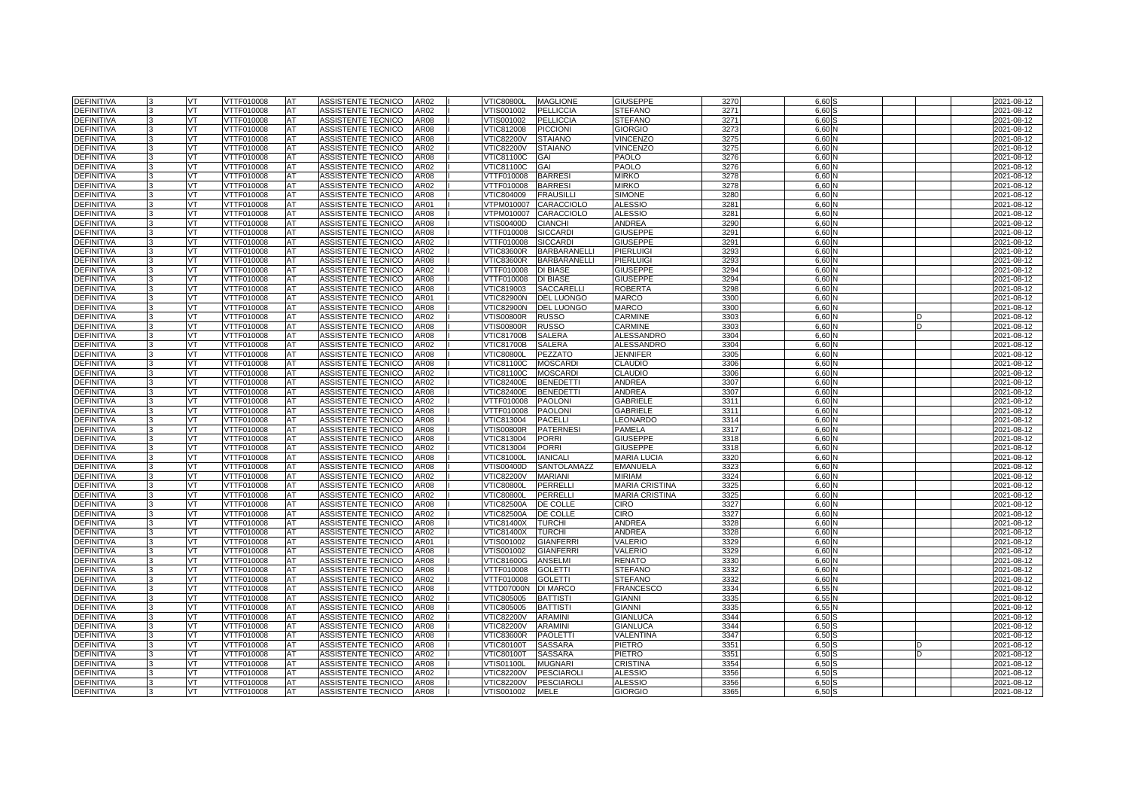| <b>DEFINITIVA</b> |    | VT        | VTTF010008        | <b>AT</b>  | ASSISTENTE TECNICO        | AR02        | <b>VTIC80800L</b> | <b>MAGLIONE</b>     | <b>GIUSEPPE</b>       | 3270    | 6.60     |  | 2021-08-12 |
|-------------------|----|-----------|-------------------|------------|---------------------------|-------------|-------------------|---------------------|-----------------------|---------|----------|--|------------|
| <b>DEFINITIVA</b> |    | VT        | VTTF010008        | AT         | ASSISTENTE TECNICO        | AR02        | /TIS001002        | <b>PELLICCIA</b>    | <b>STEFANO</b>        | 3271    | 6.60     |  | 2021-08-12 |
| <b>DEFINITIVA</b> |    | VT        | VTTF010008        | AT         | <b>ASSISTENTE TECNICO</b> | <b>AR08</b> | VTIS001002        | <b>PELLICCIA</b>    | <b>STEFANO</b>        | 327     | 6.60     |  | 2021-08-12 |
| <b>DEFINITIVA</b> |    | <b>VT</b> | VTTF010008        | <b>AT</b>  | ASSISTENTE TECNICO        | <b>AR08</b> | VTIC812008        | <b>PICCIONI</b>     | <b>GIORGIO</b>        | 327'    | 6.60     |  | 2021-08-12 |
| <b>DEFINITIVA</b> |    | VT.       | VTTF010008        | AT         | <b>ASSISTENTE TECNICO</b> | <b>AR08</b> | <b>VTIC82200V</b> | <b>STAIANO</b>      | <b>VINCENZO</b>       | 3275    | 6.60     |  | 2021-08-12 |
| <b>DEFINITIVA</b> |    | VT        | VTTF010008        | AT         | ASSISTENTE TECNICO        | AR02        | <b>VTIC82200V</b> | <b>STAIANO</b>      | <b>VINCENZO</b>       | 3275    | 6,60     |  | 2021-08-12 |
| <b>DEFINITIVA</b> |    | VT.       | VTTF010008        | <b>AT</b>  | ASSISTENTE TECNICO        | <b>AR08</b> | VTIC81100C        | GAI                 | PAOLO                 | 3276    | 6.60     |  | 2021-08-12 |
| <b>DEFINITIVA</b> |    | VT.       | VTTF010008        | AT         | <b>ASSISTENTE TECNICO</b> | AR02        | VTIC81100C        | GAI                 | PAOLO                 | 3276    | 6.60     |  | 2021-08-12 |
| <b>DEFINITIVA</b> |    | VT        | VTTF010008        | AT         | ASSISTENTE TECNICO        | AR08        | VTTF010008        | <b>BARRES</b>       | <b>MIRKO</b>          | 3278    | 6,60     |  | 2021-08-12 |
| <b>DEFINITIVA</b> |    | VT        | VTTF010008        | AT         | ASSISTENTE TECNICO        | AR02        | VTTF010008        | <b>BARRES</b>       | <b>MIRKO</b>          | 3278    | 6.60     |  | 2021-08-12 |
| <b>DEFINITIVA</b> |    | VT        | VTTF010008        | <b>IAT</b> | <b>ASSISTENTE TECNICO</b> | <b>AR08</b> | VTIC804009        | <b>FRAUSILLI</b>    | <b>SIMONE</b>         | 3280    | 6.60     |  | 2021-08-12 |
| <b>DEFINITIVA</b> |    | VT        | VTTF010008        | AT         | ASSISTENTE TECNICO        | AR01        | /TPM010007        | CARACCIOLO          | <b>ALESSIO</b>        | 3281    | 6,60     |  | 2021-08-12 |
| <b>DEFINITIVA</b> |    | VT.       | VTTF010008        | <b>AT</b>  | ASSISTENTE TECNICO        | <b>AR08</b> | VTPM010007        | CARACCIOLO          | <b>ALESSIO</b>        | 328'    | 6,60     |  | 2021-08-12 |
| <b>DEFINITIVA</b> |    | VT        | VTTF010008        | AT         | ASSISTENTE TECNICO        | <b>AR08</b> | VTIS00400D        | <b>CIANCHI</b>      | <b>ANDREA</b>         | 3290    | 6.60     |  | 2021-08-12 |
| <b>DEFINITIVA</b> |    | VT        | VTTF010008        | AT         | ASSISTENTE TECNICO        | AR08        | VTTF010008        | <b>SICCARD</b>      | <b>GIUSEPPE</b>       | $329 -$ | 6,60     |  | 2021-08-12 |
| <b>DEFINITIVA</b> |    | <b>VT</b> | VTTF010008        | <b>AT</b>  | ASSISTENTE TECNICO        | AR02        | VTTF010008        | <b>SICCARDI</b>     | <b>GIUSEPPE</b>       | 329'    | 6,60     |  | 2021-08-12 |
| <b>DEFINITIVA</b> |    | VT        | VTTF010008        | <b>AT</b>  | ASSISTENTE TECNICO        | AR02        | <b>VTIC83600R</b> | <b>BARBARANELLI</b> | PIERLUIGI             | 3293    | 6.60     |  | 2021-08-12 |
| <b>DEFINITIVA</b> |    | VT.       | VTTF010008        | AT         | ASSISTENTE TECNICO        | AR08        | <b>VTIC83600R</b> | <b>BARBARANELLI</b> | PIERLUIGI             | 3293    | 6,60     |  | 2021-08-12 |
| <b>DEFINITIVA</b> |    | VT.       | VTTF010008        | <b>AT</b>  | ASSISTENTE TECNICO        | AR02        | VTTF010008        | <b>DI BIASE</b>     | <b>GIUSEPPE</b>       | 3294    | 6.60     |  | 2021-08-12 |
| <b>DEFINITIVA</b> |    | VT.       | VTTF010008        | AT         | ASSISTENTE TECNICO        | AR08        | VTTF010008        | <b>DI BIASE</b>     | <b>GIUSEPPE</b>       | 3294    | 6.60     |  | 2021-08-12 |
| <b>DEFINITIVA</b> |    | VT        | VTTF010008        | AT         | ASSISTENTE TECNICO        | AR08        | VTIC819003        | <b>SACCARELLI</b>   | <b>ROBERTA</b>        | 3298    | 6,60     |  | 2021-08-12 |
| <b>DEFINITIVA</b> |    | <b>VT</b> | VTTF010008        | AT         | ASSISTENTE TECNICO        | AR01        | <b>VTIC82900N</b> | <b>DEL LUONGO</b>   | <b>MARCO</b>          | 330     | 6.60     |  | 2021-08-12 |
| <b>DEFINITIVA</b> |    | VT        | VTTF010008        | AT         | ASSISTENTE TECNICO        | AR08        | /TIC82900N        | <b>DEL LUONGO</b>   | <b>MARCO</b>          | 330     | 6.60     |  | 2021-08-12 |
| <b>DEFINITIVA</b> |    | VT        | VTTF010008        | AT         | ASSISTENTE TECNICO        | AR02        | <b>VTIS00800R</b> | <b>RUSSO</b>        | CARMINE               | 3303    | 6,60     |  | 2021-08-12 |
| <b>DEFINITIVA</b> |    | VT.       | VTTF010008        | AT         | ASSISTENTE TECNICO        | AR08        | √TIS00800R        | <b>RUSSO</b>        | CARMINE               | 3303    | 6.60     |  | 2021-08-12 |
| <b>DEFINITIVA</b> |    | VT.       | VTTF010008        | AT         | ASSISTENTE TECNICO        | AR08        | <b>VTIC81700B</b> | <b>SALERA</b>       | <b>ALESSANDRO</b>     | 3304    | 6.60     |  | 2021-08-12 |
| <b>DEFINITIVA</b> |    | VT        | VTTF010008        | AT         | ASSISTENTE TECNICO        | AR02        | <b>VTIC81700B</b> | <b>SALERA</b>       | <b>ALESSANDRO</b>     | 3304    | 6,60     |  | 2021-08-12 |
| <b>DEFINITIVA</b> | l3 | VT        | VTTF010008        | AT         | ASSISTENTE TECNICO        | AR08        | <b>VTIC80800L</b> | PEZZATO             | <b>JENNIFER</b>       | 3305    | 6.60     |  | 2021-08-12 |
| DEFINITIVA        |    | VT        | VTTF010008        | AT         | ASSISTENTE TECNICO        | AR08        | VTIC81100C        | <b>MOSCARDI</b>     | <b>CLAUDIO</b>        | 3306    | 6.60     |  | 2021-08-12 |
| <b>DEFINITIVA</b> |    | VT        | VTTF010008        | AT         | ASSISTENTE TECNICO        | AR02        | VTIC81100C        | <b>MOSCARDI</b>     | <b>CLAUDIO</b>        | 3306    | 6,60     |  | 2021-08-12 |
| <b>DEFINITIVA</b> |    | <b>VT</b> | VTTF010008        | AT         | ASSISTENTE TECNICO        | AR02        | <b>VTIC82400E</b> | <b>BENEDETT</b>     | <b>ANDREA</b>         | 3307    | 6.60     |  | 2021-08-12 |
| <b>DEFINITIVA</b> |    | VT.       | VTTF010008        | AT         | ASSISTENTE TECNICO        | AR08        | <b>VTIC82400E</b> | <b>BENEDETTI</b>    | ANDREA                | 3307    | 6.60     |  | 2021-08-12 |
| DEFINITIVA        |    | VT        | VTTF010008        | AT         | ASSISTENTE TECNICO        | AR02        | VTTF010008        | <b>PAOLON</b>       | <b>GABRIELE</b>       | 331'    | 6,60     |  | 2021-08-12 |
| <b>DEFINITIVA</b> |    | VT        | VTTF010008        | AT         | ASSISTENTE TECNICO        | AR08        | VTTF010008        | <b>PAOLON</b>       | <b>GABRIELE</b>       | 331'    | 6.60     |  | 2021-08-12 |
| DEFINITIVA        |    | VT        | VTTF010008        | AT         | ASSISTENTE TECNICO        | AR08        | VTIC813004        | <b>PACELLI</b>      | EONARDO               | 3314    | 6,60     |  | 2021-08-12 |
| <b>DEFINITIVA</b> |    | VT        | VTTF010008        | AT         | ASSISTENTE TECNICO        | AR08        | /TIS00800R        | <b>PATERNESI</b>    | PAMELA                | 3317    | 6,60     |  | 2021-08-12 |
| <b>DEFINITIVA</b> |    | VT.       | VTTF010008        | AT         | ASSISTENTE TECNICO        | <b>AR08</b> | VTIC813004        | <b>PORRI</b>        | <b>GIUSEPPE</b>       | 3318    | 6.60     |  | 2021-08-12 |
| <b>DEFINITIVA</b> |    | VT.       | VTTF010008        | AT         | ASSISTENTE TECNICO        | AR02        | VTIC813004        | <b>PORRI</b>        | <b>GIUSEPPE</b>       | 3318    | 6.60     |  | 2021-08-12 |
| <b>DEFINITIVA</b> |    | VT        | <b>/TTF010008</b> | AT         | ASSISTENTE TECNICO        | AR08        | /TIC81000L        | <b>IANICAL</b>      | <b>MARIA LUCIA</b>    | 3320    | 6,60     |  | 2021-08-12 |
| <b>DEFINITIVA</b> |    | VT        | VTTF010008        | AT         | ASSISTENTE TECNICO        | AR08        | VTIS00400D        | SANTOLAMAZZ         | <b>EMANUELA</b>       | 3323    | 6.60     |  | 2021-08-12 |
| <b>DEFINITIVA</b> |    | VT        | VTTF010008        | AT         | ASSISTENTE TECNICO        | AR02        | <b>VTIC82200V</b> | <b>MARIANI</b>      | <b>MIRIAM</b>         | 3324    | 6,60     |  | 2021-08-12 |
| <b>DEFINITIVA</b> |    | VT        | /TTF010008        | AT         | ASSISTENTE TECNICO        | AR08        | <b>/TIC80800L</b> | PERRELLI            | <b>MARIA CRISTINA</b> | 3325    | 6,60     |  | 2021-08-12 |
| DEFINITIVA        |    | VT.       | VTTF010008        | AT         | ASSISTENTE TECNICO        | AR02        | <b>VTIC80800L</b> | <b>PERRELLI</b>     | <b>MARIA CRISTINA</b> | 3325    | 6,60     |  | 2021-08-12 |
| <b>DEFINITIVA</b> |    | VT        | VTTF010008        | AT         | ASSISTENTE TECNICO        | AR08        | VTIC82500A        | DE COLLE            | CIRO                  | 3327    | 6.60     |  | 2021-08-12 |
| <b>DEFINITIVA</b> |    | VT        | VTTF010008        | AT         | ASSISTENTE TECNICO        | AR02        | VTIC82500A        | DE COLLE            | <b>CIRO</b>           | 3327    | 6,60     |  | 2021-08-12 |
| <b>DEFINITIVA</b> |    | VT        | VTTF010008        | <b>AT</b>  | ASSISTENTE TECNICO        | <b>AR08</b> | <b>VTIC81400X</b> | <b>TURCHI</b>       | <b>ANDREA</b>         | 3328    | 6.60     |  | 2021-08-12 |
| <b>DEFINITIVA</b> |    | VT        | VTTF010008        | <b>AT</b>  | ASSISTENTE TECNICO        | AR02        | VTIC81400X        | <b>TURCHI</b>       | <b>ANDREA</b>         | 3328    | 6,60     |  | 2021-08-12 |
| <b>DEFINITIVA</b> |    | VT        | VTTF010008        | AT         | ASSISTENTE TECNICO        | AR01        | /TIS001002        | <b>GIANFERRI</b>    | VALERIO               | 3329    | 6,60     |  | 2021-08-12 |
| <b>DEFINITIVA</b> |    | VT.       | VTTF010008        | AT         | ASSISTENTE TECNICO        | <b>AR08</b> | VTIS001002        | <b>GIANFERRI</b>    | VALERIO               | 3329    | 6,60     |  | 2021-08-12 |
| <b>DEFINITIVA</b> |    | VT.       | VTTF010008        | AT         | ASSISTENTE TECNICO        | AR08        | <b>VTIC81600G</b> | <b>ANSELMI</b>      | <b>RENATO</b>         | 3330    | 6,60     |  | 2021-08-12 |
| <b>DEFINITIVA</b> |    | VT        | VTTF010008        | AT         | ASSISTENTE TECNICO        | AR08        | VTTF010008        | <b>GOLETTI</b>      | <b>STEFANO</b>        | 3332    | 6,60     |  | 2021-08-12 |
| <b>DEFINITIVA</b> |    | VT        | VTTF010008        | AT         | ASSISTENTE TECNICO        | AR02        | VTTF010008        | <b>GOLETTI</b>      | <b>STEFANO</b>        | 3332    | 6,60     |  | 2021-08-12 |
| DEFINITIVA        |    | VT        | VTTF010008        | AT         | ASSISTENTE TECNICO        | AR08        | VTTD07000N        | <b>DI MARCO</b>     | <b>FRANCESCO</b>      | 3334    | 6,55     |  | 2021-08-12 |
| <b>DEFINITIVA</b> |    | VT        | VTTF010008        | AT         | ASSISTENTE TECNICO        | AR02        | /TIC805005        | <b>BATTISTI</b>     | <b>GIANNI</b>         | 3335    | 6,55     |  | 2021-08-12 |
| <b>DEFINITIVA</b> |    | VT        | VTTF010008        | AT         | ASSISTENTE TECNICO        | AR08        | VTIC805005        | <b>BATTISTI</b>     | <b>GIANNI</b>         | 3335    | 6,55     |  | 2021-08-12 |
| DEFINITIVA        |    | VT        | VTTF010008        | AT         | ASSISTENTE TECNICO        | AR02        | <b>VTIC82200V</b> | <b>ARAMINI</b>      | <b>GIANLUCA</b>       | 3344    | 6,50     |  | 2021-08-12 |
| <b>DEFINITIVA</b> |    | VT        | VTTF010008        | AT         | ASSISTENTE TECNICO        | AR08        | <b>VTIC82200V</b> | <b>ARAMINI</b>      | <b>GIANLUCA</b>       | 3344    | 6,50     |  | 2021-08-12 |
| <b>DEFINITIVA</b> |    | VT        | VTTF010008        | AT         | ASSISTENTE TECNICO        | AR08        | <b>VTIC83600R</b> | <b>PAOLETT</b>      | VALENTINA             | 3347    | 6.50     |  | 2021-08-12 |
| <b>DEFINITIVA</b> |    | VT        | VTTF010008        | AT         | ASSISTENTE TECNICO        | AR08        | <b>VTIC80100T</b> | SASSARA             | PIETRO                | 335'    | 6,50     |  | 2021-08-12 |
| <b>DEFINITIVA</b> |    | VT        | VTTF010008        | AT         | ASSISTENTE TECNICO        | AR02        | <b>VTIC80100T</b> | <b>SASSARA</b>      | PIETRO                | 3351    | 6,50     |  | 2021-08-12 |
| <b>DEFINITIVA</b> |    | VT        | VTTF010008        | AT         | ASSISTENTE TECNICO        | AR08        | √TIS01100L        | <b>MUGNARI</b>      | CRISTINA              | 3354    | 6,50     |  | 2021-08-12 |
| DEFINITIVA        |    | VT.       | VTTF010008        | AT         | ASSISTENTE TECNICO        | AR02        | <b>VTIC82200V</b> | <b>PESCIAROL</b>    | <b>ALESSIO</b>        | 3356    | 6,50     |  | 2021-08-12 |
| DEFINITIVA        |    | VT        | VTTF010008        | AT         | ASSISTENTE TECNICO        | AR08        | <b>VTIC82200V</b> | <b>PESCIAROLI</b>   | <b>ALESSIO</b>        | 3356    | 6,50     |  | 2021-08-12 |
| <b>DEFINITIVA</b> | 3  | VT        | VTTF010008        | <b>AT</b>  | ASSISTENTE TECNICO        | AR08        | VTIS001002        | MELE                | <b>GIORGIO</b>        | 3365    | $6,50$ S |  | 2021-08-12 |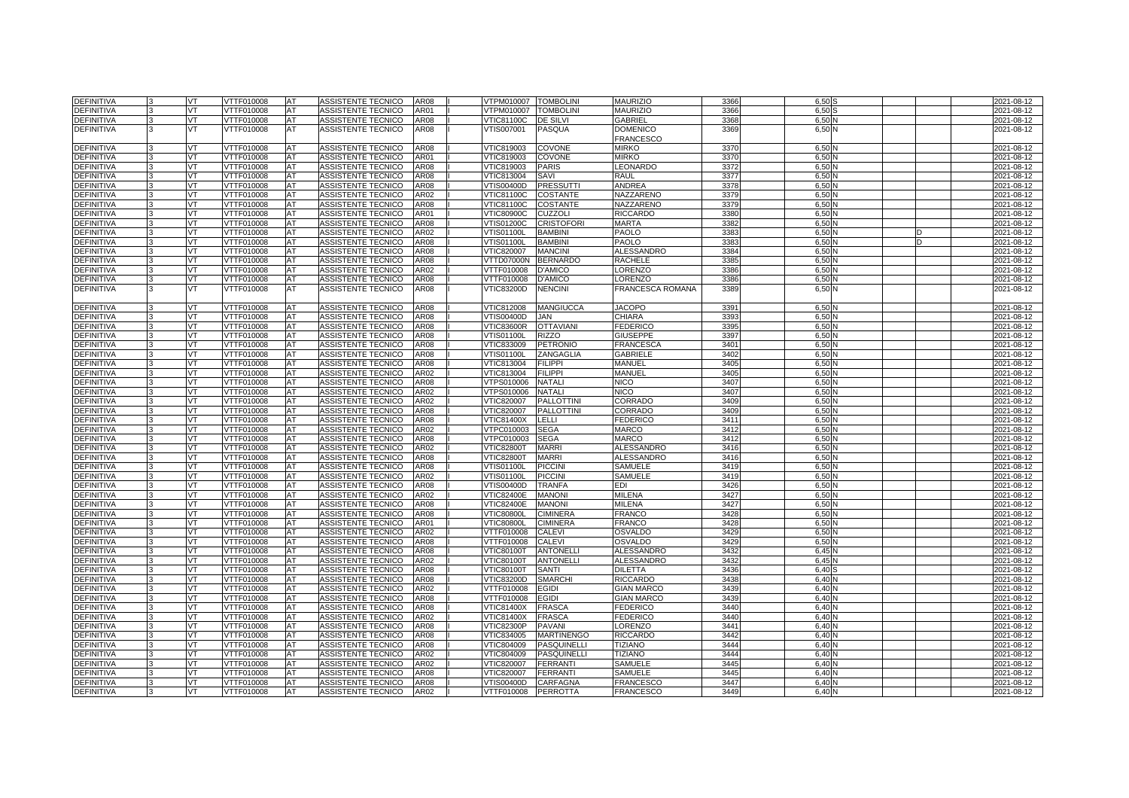| DEFINITIVA        | VT  | VTTF010008 | AT | ASSISTENTE TECNICO                       | AR08 | VTPM010007        | <b>TOMBOLINI</b>   | <b>MAURIZIO</b>                     | 3366             | 6,50                  | 2021-08-12 |
|-------------------|-----|------------|----|------------------------------------------|------|-------------------|--------------------|-------------------------------------|------------------|-----------------------|------------|
| <b>DEFINITIVA</b> | vт  | VTTF010008 | AT | ASSISTENTE TECNICO                       | AR01 | VTPM010007        | <b>TOMBOLINI</b>   | <b>MAURIZIO</b>                     | 3366             | 6,50                  | 2021-08-12 |
| DEFINITIVA        | VT  | VTTF010008 | AT | ASSISTENTE TECNICO                       | AR08 | VTIC81100C        | <b>DE SILVI</b>    | GABRIEL                             | 3368             | 6,50                  | 2021-08-12 |
| DEFINITIVA        | vт  | VTTF010008 | AT | ASSISTENTE TECNICO                       | AR08 | /TIS007001        | PASQUA             | <b>DOMENICO</b><br><b>FRANCESCO</b> | 3369             | 6,50 N                | 2021-08-12 |
| DEFINITIVA        | VT  | VTTF010008 | AT | ASSISTENTE TECNICO                       | AR08 | VTIC819003        | <b>COVONE</b>      | <b>MIRKO</b>                        | 3370             | 6,50                  | 2021-08-12 |
| DEFINITIVA        | VT  | VTTF010008 | AT | ASSISTENTE TECNICO                       | AR01 | VTIC819003        | <b>COVONE</b>      | <b>MIRKO</b>                        | 3370             | 6,50                  | 2021-08-12 |
| DEFINITIVA        | VT  | VTTF010008 | AT | ASSISTENTE TECNICO                       | AR08 | VTIC819003        | <b>PARIS</b>       | <b>EONARDO</b>                      | 3372             | 6.50N                 | 2021-08-12 |
| DEFINITIVA        | VT  | VTTF010008 | AT | ASSISTENTE TECNICO                       | AR08 | VTIC813004        | SAVI               | RAUL                                | 337              | 6,50                  | 2021-08-12 |
| DEFINITIVA        | VT  | VTTF010008 | AT | ASSISTENTE TECNICO                       | AR08 | VTIS00400D        | <b>PRESSUTTI</b>   | ANDREA                              | 3378             | 6,50                  | 2021-08-12 |
| DEFINITIVA        | VT  | VTTF010008 | AT | ASSISTENTE TECNICO                       | AR02 | √TIC81100C        | <b>COSTANTE</b>    | NAZZARENO                           | 3379             | $6,50$ $\prime$       | 2021-08-12 |
| DEFINITIVA        |     | VTTF010008 |    | ASSISTENTE TECNICO                       | AR08 |                   |                    | NAZZARENO                           | 3379             | 6,50                  |            |
|                   | VT  |            | AT |                                          |      | √TIC81100C        | <b>COSTANTE</b>    |                                     |                  |                       | 2021-08-12 |
| DEFINITIVA        | VT  | VTTF010008 | AT | ASSISTENTE TECNICO                       | AR01 | <b>VTIC80900C</b> | <b>CUZZOLI</b>     | <b>RICCARDO</b>                     | 338              | 6,50                  | 2021-08-12 |
| DEFINITIVA        | VT  | VTTF010008 | AT | ASSISTENTE TECNICO                       | AR08 | √TIS01200C        | <b>CRISTOFORI</b>  | MARTA                               | 3382             | 6,50                  | 2021-08-12 |
| DEFINITIVA        | VT  | VTTF010008 | AT | ASSISTENTE TECNICO                       | AR02 | √TIS01100L        | <b>BAMBINI</b>     | PAOLO                               | 338              | 6,50                  | 2021-08-12 |
| DEFINITIVA        | VT  | VTTF010008 | AT | ASSISTENTE TECNICO                       | AR08 | √TIS01100L        | <b>BAMBINI</b>     | PAOLO                               | 338              | 6,50                  | 2021-08-12 |
| DEFINITIVA        | VT  | VTTF010008 | AT | ASSISTENTE TECNICO                       | AR08 | VTIC820007        | <b>MANCINI</b>     | <b>ALESSANDRO</b>                   | 3384             | 6,50N                 | 2021-08-12 |
| DEFINITIVA        | VT  | VTTF010008 | AT | ASSISTENTE TECNICO                       | AR08 | VTTD07000N        | <b>BERNARDO</b>    | RACHELE                             | 338              | 6,50                  | 2021-08-12 |
| DEFINITIVA        | VT  | VTTF010008 | AT | ASSISTENTE TECNICO                       | AR02 | VTTF010008        | <b>D'AMICO</b>     | LORENZO                             | 3386             | 6,50                  | 2021-08-12 |
| DEFINITIVA        | VT  | VTTF010008 | AT | ASSISTENTE TECNICO                       | AR08 | VTTF010008        | <b>D'AMICO</b>     | LORENZO                             | 3386             | 6,50                  | 2021-08-12 |
| DEFINITIVA        | vт  | VTTF010008 | AT | <b>ASSISTENTE TECNICO</b>                | AR08 | VTIC83200D        | <b>NENCINI</b>     | FRANCESCA ROMANA                    | 3389             | 6,50 N                | 2021-08-12 |
| DEFINITIVA        | VT  | VTTF010008 | AT | ASSISTENTE TECNICO                       | AR08 | VTIC812008        | <b>MANGIUCCA</b>   | <b>JACOPO</b>                       | 339 <sup>°</sup> | 6,50                  | 2021-08-12 |
| DEFINITIVA        | VT  | VTTF010008 | AT | ASSISTENTE TECNICO                       | AR08 | VTIS00400D        | JAN                | CHIARA                              | 3393             | 6,50                  | 2021-08-12 |
| DEFINITIVA        | VT  | VTTF010008 | AT | ASSISTENTE TECNICO                       | AR08 | VTIC83600R        | <b>OTTAVIANI</b>   | <b>FEDERICO</b>                     | 339              | 6,50                  | 2021-08-12 |
| DEFINITIVA        | VT  | VTTF010008 | AT | ASSISTENTE TECNICO                       | AR08 | √TIS01100L        | <b>RIZZO</b>       | <b>GIUSEPPE</b>                     | 3397             | 6,50                  | 2021-08-12 |
| DEFINITIVA        | VT  | VTTF010008 | AT | ASSISTENTE TECNICO                       | AR08 | VTIC833009        | <b>PETRONIO</b>    | <b>FRANCESCA</b>                    | 340 <sup>°</sup> | 6,50                  | 2021-08-12 |
| DEFINITIVA        | VT  | VTTF010008 | AT | ASSISTENTE TECNICO                       | AR08 | √TIS01100L        | ZANGAGLIA          | <b>GABRIELE</b>                     | 3402             | 6,50                  | 2021-08-12 |
| DEFINITIVA        | VT  | VTTF010008 | AT | ASSISTENTE TECNICO                       | AR08 | VTIC813004        | <b>FILIPPI</b>     | MANUEL                              | 340              | 6,50                  | 2021-08-12 |
| DEFINITIVA        | VT. | VTTF010008 | AT | ASSISTENTE TECNICO                       | AR02 | VTIC813004        | <b>FILIPPI</b>     | MANUEL                              | 340              | 6,50                  | 2021-08-12 |
| DEFINITIVA        | VT  | VTTF010008 | AT | ASSISTENTE TECNICO                       | AR08 | VTPS010006        | <b>NATALI</b>      | <b>NICO</b>                         | 3407             | 6,50                  | 2021-08-12 |
| DEFINITIVA        | VT  | VTTF010008 | AT | ASSISTENTE TECNICO                       | AR02 | √TPS010006        | <b>NATALI</b>      | <b>NICO</b>                         | 340              | 6,50                  | 2021-08-12 |
| DEFINITIVA        | VT  | VTTF010008 | AT | ASSISTENTE TECNICO                       | AR02 | VTIC820007        | <b>PALLOTTINI</b>  | CORRADO                             | 340              | 6,50                  | 2021-08-12 |
| DEFINITIVA        | VT  | VTTF010008 | AT | ASSISTENTE TECNICO                       | AR08 | VTIC820007        | <b>PALLOTTINI</b>  | CORRADO                             | 3409             | 6,50N                 | 2021-08-12 |
| DEFINITIVA        | VT  | VTTF010008 | AT | ASSISTENTE TECNICO                       | AR08 | VTIC81400X        | LELLI              | <b>FEDERICO</b>                     | 341              | 6,50                  | 2021-08-12 |
| DEFINITIVA        | VT  | VTTF010008 | AT | ASSISTENTE TECNICO                       | AR02 | VTPC010003        | <b>SEGA</b>        | <b>MARCO</b>                        | 3412             | 6,50                  | 2021-08-12 |
| DEFINITIVA        | VT  | VTTF010008 | AT | ASSISTENTE TECNICO                       | AR08 | VTPC010003        | <b>SEGA</b>        | <b>MARCO</b>                        | 3412             | 6,50N                 | 2021-08-12 |
| DEFINITIVA        | VT  | VTTF010008 | AT | ASSISTENTE TECNICO                       | AR02 | <b>VTIC82800T</b> | <b>MARRI</b>       | <b>ALESSANDRO</b>                   | 3416             | 6,50                  | 2021-08-12 |
| DEFINITIVA        | VT  | VTTF010008 | AT | ASSISTENTE TECNICO                       | AR08 | VTIC82800T        | <b>MARRI</b>       | <b>ALESSANDRC</b>                   | 3416             | 6,50                  | 2021-08-12 |
| DEFINITIVA        | VT  | VTTF010008 | AT |                                          | AR08 | √TIS01100L        | <b>PICCINI</b>     | SAMUELE                             | 3419             | 6,50N                 |            |
|                   |     |            |    | ASSISTENTE TECNICO<br>ASSISTENTE TECNICO |      |                   |                    |                                     |                  |                       | 2021-08-12 |
| DEFINITIVA        | VT  | VTTF010008 | AT |                                          | AR02 | √TIS01100L        | <b>PICCINI</b>     | SAMUELE<br>EDI                      | 3419             | 6,50                  | 2021-08-12 |
| DEFINITIVA        | VT  | VTTF010008 | AT | ASSISTENTE TECNICO                       | AR08 | VTIS00400D        | <b>TRANFA</b>      |                                     | 3426             | 6,50                  | 2021-08-12 |
| DEFINITIVA        | VT  | VTTF010008 | AT | ASSISTENTE TECNICO                       | AR02 | <b>VTIC82400E</b> | <b>MANONI</b>      | MILENA                              | 3427             | 6,50N                 | 2021-08-12 |
| DEFINITIVA        | VT  | VTTF010008 | AT | ASSISTENTE TECNICO                       | AR08 | <b>VTIC82400E</b> | <b>MANONI</b>      | MILENA                              | 3427             | 6,50                  | 2021-08-12 |
| DEFINITIVA        | vт  | VTTF010008 | AT | ASSISTENTE TECNICO                       | AR08 | <b>VTIC80800L</b> | <b>CIMINERA</b>    | FRANCC                              | 3428             | 6,50                  | 2021-08-12 |
| <b>DEFINITIVA</b> | VT  | VTTF010008 | AT | ASSISTENTE TECNICO                       | AR01 | <b>VTIC80800L</b> | <b>CIMINERA</b>    | <b>FRANCO</b>                       | 3428             | 6,50N                 | 2021-08-12 |
| DEFINITIVA        | VT  | VTTF010008 | AT | ASSISTENTE TECNICO                       | AR02 | VTTF010008        | <b>CALEVI</b>      | OSVALDO                             | 3429             | $6,50$ $\blacksquare$ | 2021-08-12 |
| DEFINITIVA        | vт  | VTTF010008 | AT | ASSISTENTE TECNICO                       | AR08 | VTTF010008        | <b>CALEVI</b>      | <b>OSVALDO</b>                      | 3429             | 6,50                  | 2021-08-12 |
| DEFINITIVA        | VT  | VTTF010008 | AT | ASSISTENTE TECNICO                       | AR08 | <b>VTIC80100T</b> | <b>ANTONELLI</b>   | <b>ALESSANDRO</b>                   | 343              | 6,45N                 | 2021-08-12 |
| DEFINITIVA        | VT  | VTTF010008 | AT | ASSISTENTE TECNICO                       | AR02 | √TIC80100T        | <b>ANTONELLI</b>   | <b>ALESSANDRO</b>                   | 343              | 6,45                  | 2021-08-12 |
| DEFINITIVA        | vт  | VTTF010008 | AT | ASSISTENTE TECNICO                       | AR08 | <b>VTIC80100T</b> | <b>SANTI</b>       | <b>DILETTA</b>                      | 3436             | 6,40                  | 2021-08-12 |
| DEFINITIVA        | VT  | VTTF010008 | AT | ASSISTENTE TECNICO                       | AR08 | VTIC83200D        | <b>SMARCHI</b>     | <b>RICCARDO</b>                     | 3438             | 6,40N                 | 2021-08-12 |
| DEFINITIVA        | VT  | VTTF010008 | AT | ASSISTENTE TECNICO                       | AR02 | VTTF010008        | <b>EGIDI</b>       | <b>GIAN MARCO</b>                   | 343              | 6,40                  | 2021-08-12 |
| DEFINITIVA        | vт  | VTTF010008 | AT | ASSISTENTE TECNICO                       | AR08 | VTTF010008        | <b>EGIDI</b>       | <b>GIAN MARCO</b>                   | 3439             | 6,40                  | 2021-08-12 |
| DEFINITIVA        | VT  | VTTF010008 | AT | ASSISTENTE TECNICO                       | AR08 | VTIC81400X        | <b>FRASCA</b>      | <b>FEDERICO</b>                     | 3440             | 6,40N                 | 2021-08-12 |
| DEFINITIVA        | VT  | VTTF010008 | AT | <b>ASSISTENTE TECNICO</b>                | AR02 | VTIC81400X        | <b>FRASCA</b>      | FEDERICO                            | 3440             | 6,40                  | 2021-08-12 |
| DEFINITIVA        | vт  | VTTF010008 | AT | ASSISTENTE TECNICO                       | AR08 | <b>VTIC82300P</b> | <b>PAVANI</b>      | LORENZO                             | 3441             | 6,40                  | 2021-08-12 |
| DEFINITIVA        | VТ  | VTTF010008 | AT | ASSISTENTE TECNICO                       | AR08 | VTIC834005        | <b>MARTINENGO</b>  | <b>RICCARDO</b>                     | 3442             | 6.40N                 | 2021-08-12 |
| DEFINITIVA        | VT  | VTTF010008 | AT | ASSISTENTE TECNICO                       | AR08 | VTIC804009        | <b>PASQUINELLI</b> | <b>TIZIANO</b>                      | 3444             | 6,40                  | 2021-08-12 |
| DEFINITIVA        | vт  | VTTF010008 | AT | ASSISTENTE TECNICO                       | AR02 | VTIC804009        | PASQUINELLI        | <b>TIZIANO</b>                      | 3444             | 6,40                  | 2021-08-12 |
| DEFINITIVA        | VT  | VTTF010008 | AT | ASSISTENTE TECNICO                       | AR02 | VTIC820007        | <b>FERRANTI</b>    | SAMUELE                             | 344              | 6,40                  | 2021-08-12 |
| DEFINITIVA        | VT  | VTTF010008 | AT | ASSISTENTE TECNICO                       | AR08 | VTIC820007        | <b>FERRANTI</b>    | SAMUELE                             | 344              | 6,40                  | 2021-08-12 |
| DEFINITIVA        | vт  | VTTF010008 | AT | ASSISTENTE TECNICO                       | AR08 | VTIS00400D        | CARFAGNA           | <b>FRANCESCO</b>                    | 344              | 6,40                  | 2021-08-12 |
| <b>DEFINITIVA</b> | VT  | VTTF010008 | AT | ASSISTENTE TECNICO                       | AR02 | VTTF010008        | <b>PERROTTA</b>    | <b>FRANCESCO</b>                    | 3449             | 1∣6,40                | 2021-08-12 |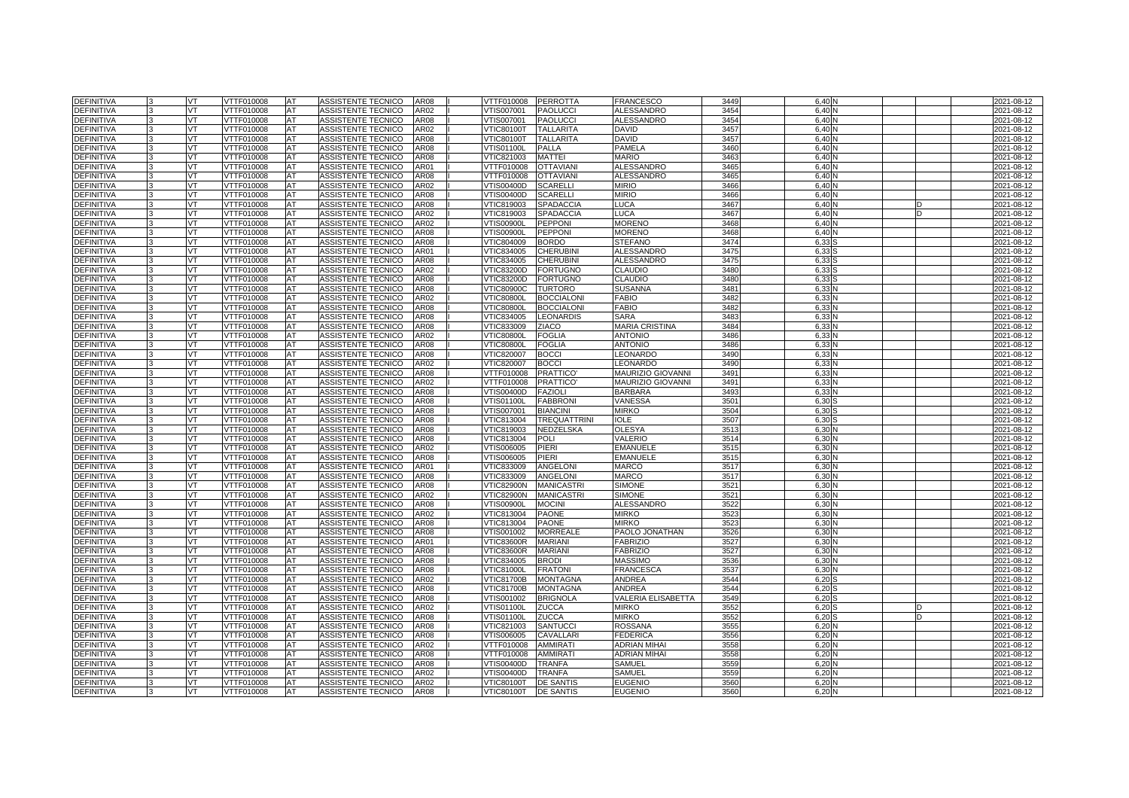| <b>DEFINITIVA</b> |              | VT        | VTTF010008        | <b>AT</b> | ASSISTENTE TECNICO        | <b>AR08</b> | VTTF010008        | <b>PERROTTA</b>     | <b>FRANCESCO</b>      | 3449             | 6.40  |   | 2021-08-12 |
|-------------------|--------------|-----------|-------------------|-----------|---------------------------|-------------|-------------------|---------------------|-----------------------|------------------|-------|---|------------|
| <b>DEFINITIVA</b> |              | VT        | VTTF010008        | AT        | ASSISTENTE TECNICO        | AR02        | /TIS007001        | <b>PAOLUCCI</b>     | <b>ALESSANDRO</b>     | 3454             | 6.40  |   | 2021-08-12 |
| <b>DEFINITIVA</b> |              | VT        | <b>VTTF010008</b> | AT        | <b>ASSISTENTE TECNICO</b> | AR08        | VTIS007001        | <b>PAOLUCCI</b>     | <b>ALESSANDRO</b>     | 3454             | 6.40  |   | 2021-08-12 |
| DEFINITIVA        |              | <b>VT</b> | VTTF010008        | AT        | ASSISTENTE TECNICO        | AR02        | <b>VTIC80100T</b> | <b>TALLARITA</b>    | <b>DAVID</b>          | 345              | 6.40  |   | 2021-08-12 |
| <b>DEFINITIVA</b> |              | VT.       | VTTF010008        | AT        | ASSISTENTE TECNICO        | <b>AR08</b> | <b>VTIC80100T</b> | <b>TALLARITA</b>    | <b>DAVID</b>          | 345              | 6.40  |   | 2021-08-12 |
| <b>DEFINITIVA</b> |              | VT        | VTTF010008        | AT        | ASSISTENTE TECNICO        | <b>AR08</b> | VTIS01100L        | <b>PALLA</b>        | PAMELA                | 3460             | 6.40  |   | 2021-08-12 |
| <b>DEFINITIVA</b> |              | VT.       | VTTF010008        | <b>AT</b> | ASSISTENTE TECNICO        | <b>AR08</b> | VTIC821003        | <b>MATTEI</b>       | <b>MARIO</b>          | 3463             | 6.40  |   | 2021-08-12 |
| <b>DEFINITIVA</b> |              | VT.       | VTTF010008        | AT        | ASSISTENTE TECNICO        | AR01        | VTTF010008        | <b>OTTAVIANI</b>    | <b>ALESSANDRO</b>     | 346              | 6.40  |   | 2021-08-12 |
| <b>DEFINITIVA</b> |              | VT        | VTTF010008        | AT        | ASSISTENTE TECNICO        | AR08        | VTTF010008        | <b>OTTAVIAN</b>     | <b>ALESSANDRO</b>     | 3465             | 6.40  |   | 2021-08-12 |
| <b>DEFINITIVA</b> |              | VT        | VTTF010008        | AT        | ASSISTENTE TECNICO        | AR02        | VTIS00400D        | <b>SCARELLI</b>     | <b>MIRIO</b>          | 3466             | 6.40  |   | 2021-08-12 |
| <b>DEFINITIVA</b> |              | VT        | VTTF010008        | AT        | ASSISTENTE TECNICO        | <b>AR08</b> | VTIS00400D        | <b>SCARELLI</b>     | <b>MIRIO</b>          | 3466             | 6.40  |   | 2021-08-12 |
| <b>DEFINITIVA</b> |              | VT        | VTTF010008        | AT        | ASSISTENTE TECNICO        | AR08        | VTIC819003        | <b>SPADACCIA</b>    | LUCA                  | 3467             | 6,40  |   | 2021-08-12 |
| DEFINITIVA        |              | <b>VT</b> | VTTF010008        | AT        | ASSISTENTE TECNICO        | AR02        | VTIC819003        | <b>SPADACCIA</b>    | <b>LUCA</b>           | 346              | 6,40  | D | 2021-08-12 |
| <b>DEFINITIVA</b> |              | VT        | VTTF010008        | AT        | ASSISTENTE TECNICO        | AR02        | <b>VTIS00900L</b> | <b>PEPPONI</b>      | <b>MORENO</b>         | 3468             | 6.40  |   | 2021-08-12 |
| <b>DEFINITIVA</b> |              | VT        | VTTF010008        | AT        | ASSISTENTE TECNICO        | AR08        | <b>VTIS00900L</b> | <b>PEPPON</b>       | <b>MORENO</b>         | 346              | 6,40  |   | 2021-08-12 |
| DEFINITIVA        |              | VT        | VTTF010008        | AT        | ASSISTENTE TECNICO        | AR08        | VTIC804009        | <b>BORDO</b>        | <b>STEFANO</b>        | 3474             | 6,33  |   | 2021-08-12 |
| <b>DEFINITIVA</b> |              | VT        | VTTF010008        | AT        | ASSISTENTE TECNICO        | AR01        | VTIC834005        | <b>CHERUBINI</b>    | <b>ALESSANDRC</b>     | 3475             | 6,33  |   | 2021-08-12 |
| DEFINITIVA        |              | VT        | VTTF010008        | AT        | ASSISTENTE TECNICO        | <b>AR08</b> | VTIC834005        | <b>CHERUBINI</b>    | <b>ALESSANDRO</b>     | 3475             | 6,33  |   | 2021-08-12 |
| <b>DEFINITIVA</b> |              | <b>VT</b> | VTTF010008        | AT        | ASSISTENTE TECNICO        | AR02        | VTIC83200D        | <b>FORTUGNO</b>     | <b>CLAUDIO</b>        | 3480             | 6,33  |   | 2021-08-12 |
| DEFINITIVA        |              | VT.       | VTTF010008        | AT        | ASSISTENTE TECNICO        | AR08        | VTIC83200D        | <b>FORTUGNO</b>     | CLAUDIO               | 348              | 6.33  |   | 2021-08-12 |
| DEFINITIVA        |              | VT        | VTTF010008        | AT        | ASSISTENTE TECNICO        | AR08        | <b>VTIC80900C</b> | <b>TURTORO</b>      | <b>SUSANNA</b>        | 348              | 6,33  |   | 2021-08-12 |
| <b>DEFINITIVA</b> |              | VT        | VTTF010008        | AT        | ASSISTENTE TECNICO        | AR02        | <b>VTIC80800L</b> | <b>BOCCIALONI</b>   | <b>FABIO</b>          | 3482             | 6.33  |   | 2021-08-12 |
| <b>DEFINITIVA</b> |              | VT        | VTTF010008        | AT        | ASSISTENTE TECNICO        | AR08        | <b>VTIC80800L</b> | <b>BOCCIALONI</b>   | <b>FABIO</b>          | 3482             | 6,33  |   | 2021-08-12 |
| DEFINITIVA        |              | VT        | VTTF010008        | AT        | ASSISTENTE TECNICO        | AR08        | VTIC834005        | <b>LEONARDIS</b>    | <b>SARA</b>           | 348              | 6,33  |   | 2021-08-12 |
| DEFINITIVA        |              | VT.       | VTTF010008        | AT        | ASSISTENTE TECNICO        | AR08        | VTIC833009        | <b>ZIACO</b>        | <b>MARIA CRISTINA</b> | 3484             | 6,33  |   | 2021-08-12 |
| DEFINITIVA        |              | VT.       | VTTF010008        | AT        | ASSISTENTE TECNICO        | AR02        | <b>VTIC80800L</b> | <b>FOGLIA</b>       | ANTONIO               | 3486             | 6,33  |   | 2021-08-12 |
| DEFINITIVA        |              | VT        | VTTF010008        | AT        | ASSISTENTE TECNICO        | AR08        | <b>VTIC80800L</b> | <b>FOGLIA</b>       | <b>ANTONIO</b>        | 3486             | 6,33  |   | 2021-08-12 |
| DEFINITIVA        |              | VT        | VTTF010008        | AT        | ASSISTENTE TECNICO        | AR08        | VTIC820007        | <b>BOCCI</b>        | LEONARDO              | 349              | 6,33  |   | 2021-08-12 |
| <b>DEFINITIVA</b> |              | VT        | VTTF010008        | AT        | ASSISTENTE TECNICO        | AR02        | VTIC820007        | <b>BOCCI</b>        | LEONARDO              | 349              | 6,33  |   | 2021-08-12 |
| DEFINITIVA        |              | VT        | VTTF010008        | AT        | ASSISTENTE TECNICO        | AR08        | VTTF010008        | <b>PRATTICO</b>     | MAURIZIO GIOVANNI     | 349              | 6,33  |   | 2021-08-12 |
| DEFINITIVA        |              | VT        | VTTF010008        | AT        | ASSISTENTE TECNICO        | AR02        | VTTF010008        | <b>PRATTICO</b>     | MAURIZIO GIOVANNI     | 349'             | 6,33  |   | 2021-08-12 |
| <b>DEFINITIVA</b> |              | VT        | VTTF010008        | AT        | ASSISTENTE TECNICO        | AR08        | VTIS00400D        | <b>FAZIOLI</b>      | <b>BARBARA</b>        | 349              | 6,33  |   | 2021-08-12 |
| <b>DEFINITIVA</b> |              | VT.       | VTTF010008        | AT        | <b>ASSISTENTE TECNICO</b> | AR08        | VTIS01100L        | <b>FABBRONI</b>     | VANESSA               | 350 <sup>°</sup> | 6.30  |   | 2021-08-12 |
| <b>DEFINITIVA</b> | $\mathbf{R}$ | <b>VT</b> | VTTF010008        | AT        | ASSISTENTE TECNICO        | <b>AR08</b> | VTIS007001        | <b>BIANCINI</b>     | <b>MIRKO</b>          | 3504             | 6,30  |   | 2021-08-12 |
| <b>DEFINITIVA</b> |              | VT        | VTTF010008        | AT        | ASSISTENTE TECNICO        | <b>AR08</b> | VTIC813004        | <b>TREQUATTRINI</b> | <b>IOLE</b>           | 3507             | 6.30  |   | 2021-08-12 |
| <b>DEFINITIVA</b> |              | VT.       | <b>VTTF010008</b> | AT        | ASSISTENTE TECNICO        | <b>AR08</b> | VTIC819003        | NEDZELSKA           | <b>OLESYA</b>         | 351              | 6,30  |   | 2021-08-12 |
| <b>DEFINITIVA</b> |              | VT.       | VTTF010008        | AT        | ASSISTENTE TECNICO        | <b>AR08</b> | VTIC813004        | <b>POLI</b>         | <b>VALERIO</b>        | 3514             | 6,30  |   | 2021-08-12 |
| <b>DEFINITIVA</b> |              | VT        | VTTF010008        | AT        | <b>ASSISTENTE TECNICO</b> | AR02        | VTIS006005        | PIERI               | <b>EMANUELE</b>       | 351              | 6.30  |   | 2021-08-12 |
| <b>DEFINITIVA</b> |              | VT        | <b>VTTF010008</b> | AT        | <b>ASSISTENTE TECNICO</b> | AR08        | VTIS006005        | <b>PIERI</b>        | <b>EMANUELE</b>       | 351              | 6,30  |   | 2021-08-12 |
| DEFINITIVA        |              | VT        | VTTF010008        | AT        | ASSISTENTE TECNICO        | AR01        | VTIC833009        | <b>ANGELONI</b>     | <b>MARCO</b>          | 351              | 6,30  |   | 2021-08-12 |
| <b>DEFINITIVA</b> |              | VT.       | VTTF010008        | AT        | <b>ASSISTENTE TECNICO</b> | <b>AR08</b> | VTIC833009        | <b>ANGELONI</b>     | <b>MARCO</b>          | 351              | 6.30  |   | 2021-08-12 |
| <b>DEFINITIVA</b> | 3            | VT        | VTTF010008        | AT        | ASSISTENTE TECNICO        | <b>AR08</b> | VTIC82900N        | <b>MANICASTRI</b>   | <b>SIMONE</b>         | 352              | 6,30  |   | 2021-08-12 |
| <b>DEFINITIVA</b> |              | VT.       | VTTF010008        | <b>AT</b> | ASSISTENTE TECNICO        | AR02        | <b>VTIC82900N</b> | <b>MANICASTRI</b>   | <b>SIMONE</b>         | $352^{\circ}$    | 6,30  |   | 2021-08-12 |
| <b>DEFINITIVA</b> |              | VT        | VTTF010008        | AT        | <b>ASSISTENTE TECNICO</b> | AR08        | /TIS00900L        | <b>MOCINI</b>       | <b>ALESSANDRO</b>     | 3522             | 6.30  |   | 2021-08-12 |
| <b>DEFINITIVA</b> |              | VT        | <b>VTTF010008</b> | AT        | ASSISTENTE TECNICO        | AR02        | VTIC813004        | <b>PAONE</b>        | <b>MIRKO</b>          | 352              | 6,30  |   | 2021-08-12 |
| DEFINITIVA        |              | VT        | VTTF010008        | AT        | ASSISTENTE TECNICO        | AR08        | VTIC813004        | <b>PAONE</b>        | <b>MIRKO</b>          | 352              | 6,30  |   | 2021-08-12 |
| <b>DEFINITIVA</b> |              | VT        | VTTF010008        | AT        | ASSISTENTE TECNICO        | <b>AR08</b> | VTIS001002        | <b>MORREALE</b>     | PAOLO JONATHAN        | 3526             | 6.30  |   | 2021-08-12 |
| DEFINITIVA        |              | VT        | VTTF010008        | AT        | ASSISTENTE TECNICO        | AR01        | <b>VTIC83600R</b> | <b>MARIAN</b>       | <b>FABRIZIC</b>       | 3527             | 6,30  |   | 2021-08-12 |
| DEFINITIVA        |              | <b>VT</b> | VTTF010008        | AT        | ASSISTENTE TECNICO        | AR08        | <b>VTIC83600R</b> | <b>MARIANI</b>      | <b>FABRIZIO</b>       | 3527             | 6,30  |   | 2021-08-12 |
| <b>DEFINITIVA</b> |              | VT        | VTTF010008        | AT        | ASSISTENTE TECNICO        | AR08        | VTIC834005        | <b>BRODI</b>        | <b>MASSIMO</b>        | 3536             | 6,30  |   | 2021-08-12 |
| DEFINITIVA        |              | VT        | VTTF010008        | AT        | ASSISTENTE TECNICO        | AR08        | <b>VTIC81000L</b> | <b>FRATON</b>       | <b>FRANCESCA</b>      | 353              | 6,30  |   | 2021-08-12 |
| DEFINITIVA        |              | VT        | VTTF010008        | AT        | <b>ASSISTENTE TECNICO</b> | AR02        | <b>VTIC81700B</b> | <b>MONTAGNA</b>     | <b>ANDREA</b>         | 3544             | 6,20  |   | 2021-08-12 |
| <b>DEFINITIVA</b> |              | VT.       | VTTF010008        | AT        | ASSISTENTE TECNICO        | AR08        | √TIC81700B        | <b>MONTAGNA</b>     | ANDREA                | 3544             | 6,20  |   | 2021-08-12 |
| <b>DEFINITIVA</b> |              | VT        | VTTF010008        | AT        | ASSISTENTE TECNICO        | <b>AR08</b> | VTIS001002        | <b>BRIGNOLA</b>     | VALERIA ELISABETTA    | 3549             | 6,20  |   | 2021-08-12 |
| DEFINITIVA        |              | VT        | VTTF010008        | AT        | ASSISTENTE TECNICO        | AR02        | √TIS01100L        | <b>ZUCCA</b>        | <b>MIRKO</b>          | 3552             | 6,20  |   | 2021-08-12 |
| <b>DEFINITIVA</b> |              | VT        | VTTF010008        | AT        | ASSISTENTE TECNICO        | AR08        | √TIS01100L        | <b>ZUCCA</b>        | <b>MIRKO</b>          | 3552             | 6,20  |   | 2021-08-12 |
| DEFINITIVA        |              | VT        | VTTF010008        | AT        | ASSISTENTE TECNICO        | AR08        | VTIC821003        | <b>SANTUCCI</b>     | ROSSANA               | 355              | 6,20  |   | 2021-08-12 |
| DEFINITIVA        |              | VT        | VTTF010008        | AT        | ASSISTENTE TECNICO        | AR08        | VTIS006005        | CAVALLAR            | <b>FEDERICA</b>       | 3556             | 6,20  |   | 2021-08-12 |
| <b>DEFINITIVA</b> |              | VT        | VTTF010008        | AT        | ASSISTENTE TECNICO        | AR02        | VTTF010008        | AMMIRATI            | ADRIAN MIHAI          | 3558             | 6,20  |   | 2021-08-12 |
| DEFINITIVA        |              | VT        | VTTF010008        | AT        | ASSISTENTE TECNICO        | AR08        | VTTF010008        | <b>AMMIRAT</b>      | <b>ADRIAN MIHAI</b>   | 3558             | 6,20  |   | 2021-08-12 |
| DEFINITIVA        |              | VT        | VTTF010008        | AT        | ASSISTENTE TECNICO        | AR08        | VTIS00400D        | <b>TRANFA</b>       | SAMUEL                | 3559             | 6,20  |   | 2021-08-12 |
| DEFINITIVA        |              | VT        | VTTF010008        | AT        | ASSISTENTE TECNICO        | AR02        | VTIS00400D        | <b>TRANFA</b>       | SAMUEL                | 3559             | 6,20  |   | 2021-08-12 |
| <b>DEFINITIVA</b> |              | VT        | VTTF010008        | AT        | ASSISTENTE TECNICO        | AR02        | VTIC80100T        | <b>DE SANTIS</b>    | <b>EUGENIC</b>        | 356              | 6,20  |   | 2021-08-12 |
| <b>DEFINITIVA</b> | 3            | VT        | VTTF010008        | <b>AT</b> | ASSISTENTE TECNICO        | <b>AR08</b> | √TIC80100T        | <b>DE SANTIS</b>    | <b>EUGENIO</b>        | 3560             | 6.20N |   | 2021-08-12 |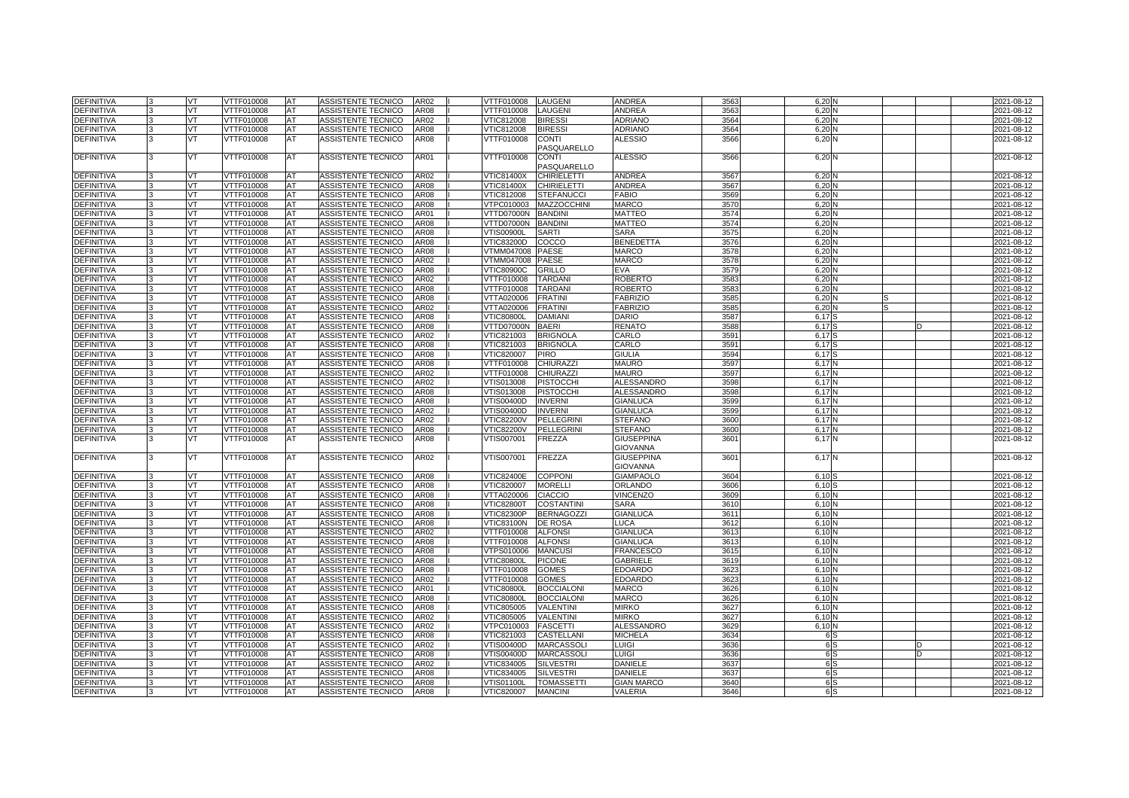| <b>DEFINITIVA</b> | VT       | VTTF010008        | AT | ASSISTENTE TECNICO        | AR02        | VTTF010008        | <b>LAUGENI</b>     | ANDREA            | 3563             | 6,20              | 2021-08-12 |
|-------------------|----------|-------------------|----|---------------------------|-------------|-------------------|--------------------|-------------------|------------------|-------------------|------------|
| <b>DEFINITIVA</b> | vт       | VTTF010008        | AT | ASSISTENTE TECNICO        | <b>AR08</b> | VTTF010008        | LAUGENI            | <b>ANDREA</b>     | 3563             | 6,20N             | 2021-08-12 |
| DEFINITIVA        | VT       | VTTF010008        | AT | ASSISTENTE TECNICO        | AR02        | VTIC812008        | <b>BIRESSI</b>     | <b>ADRIANO</b>    | 3564             | 6,20              | 2021-08-12 |
| DEFINITIVA        | VT       | VTTF010008        | AT | ASSISTENTE TECNICO        | AR08        | VTIC812008        | <b>BIRESSI</b>     | ADRIANO           | 3564             | $6,20$ $N$        | 2021-08-12 |
| DEFINITIVA        | vт       | VTTF010008        | AT | ASSISTENTE TECNICO        | <b>AR08</b> | VTTF010008        | <b>CONTI</b>       | <b>ALESSIO</b>    | 3566             | 6,20 N            | 2021-08-12 |
|                   |          |                   |    |                           |             |                   | PASQUARELLO        |                   |                  |                   |            |
| <b>DEFINITIVA</b> | VT       | VTTF010008        | AT | ASSISTENTE TECNICO        | AR01        | VTTF010008        | <b>CONTI</b>       | <b>ALESSIO</b>    | 3566             | 6,20 N            | 2021-08-12 |
|                   |          |                   |    |                           |             |                   | PASQUARELLO        |                   |                  |                   |            |
| DEFINITIVA        | VT       | VTTF010008        | AT | ASSISTENTE TECNICO        | AR02        | VTIC81400X        | <b>CHIRIELETTI</b> | ANDREA            | 3567             | 6,20N             | 2021-08-12 |
| DEFINITIVA        | VT       | VTTF010008        | AT | ASSISTENTE TECNICO        | AR08        | VTIC81400X        | <b>CHIRIELETTI</b> | ANDREA            | 3567             | 6,20N             | 2021-08-12 |
| DEFINITIVA        | VT       | VTTF010008        | AT | ASSISTENTE TECNICO        | <b>AR08</b> | VTIC812008        | <b>STEFANUCCI</b>  | <b>FABIO</b>      | 3569             | 6,20N             | 2021-08-12 |
| DEFINITIVA        | VT.      | VTTF010008        | AT | ASSISTENTE TECNICO        | <b>AR08</b> | VTPC010003        | <b>MAZZOCCHINI</b> | <b>MARCO</b>      | 357C             | 6,20N             | 2021-08-12 |
|                   | VT       |                   |    |                           |             |                   |                    |                   |                  |                   |            |
| DEFINITIVA        |          | VTTF010008        | AT | ASSISTENTE TECNICO        | AR01        | VTTD07000N        | <b>BANDIN</b>      | <b>MATTEO</b>     | 3574             | 6,20              | 2021-08-12 |
| DEFINITIVA        | VT       | VTTF010008        | AT | ASSISTENTE TECNICO        | AR08        | VTTD07000N        | <b>BANDINI</b>     | <b>MATTEO</b>     | 3574             | 6,20N             | 2021-08-12 |
| DEFINITIVA        | vт       | VTTF010008        | AT | ASSISTENTE TECNICO        | <b>AR08</b> | √TIS00900L        | <b>SARTI</b>       | <b>SARA</b>       | 3575             | 6,20              | 2021-08-12 |
| DEFINITIVA        | VT       | VTTF010008        | AT | ASSISTENTE TECNICO        | AR08        | VTIC83200D        | COCCO              | <b>BENEDETTA</b>  | 3576             | 6,20N             | 2021-08-12 |
| DEFINITIVA        | VT       | VTTF010008        | AT | ASSISTENTE TECNICO        | AR08        | /TMM047008        | <b>PAESE</b>       | <b>MARCO</b>      | 3578             | 6,20N             | 2021-08-12 |
| DEFINITIVA        | VT       | VTTF010008        | AT | ASSISTENTE TECNICO        | AR02        | /TMM047008        | <b>PAESE</b>       | <b>MARCO</b>      | 3578             | 6,20              | 2021-08-12 |
| DEFINITIVA        | VT       | VTTF010008        | AT | ASSISTENTE TECNICO        | AR08        | <b>VTIC80900C</b> | <b>GRILLO</b>      | <b>EVA</b>        | 3579             | 6,20N             | 2021-08-12 |
| DEFINITIVA        | VT       | VTTF010008        | AT | ASSISTENTE TECNICO        | AR02        | VTTF010008        | <b>TARDAN</b>      | <b>ROBERTO</b>    | 3583             | $6,20$ $N$        | 2021-08-12 |
| DEFINITIVA        | VТ       | VTTF010008        | AT | ASSISTENTE TECNICO        | AR08        | VTTF010008        | <b>TARDAN</b>      | <b>ROBERTO</b>    | 3583             | 6,20N             | 2021-08-12 |
| DEFINITIVA        | VT       | VTTF010008        | AT | ASSISTENTE TECNICO        | <b>AR08</b> | VTTA020006        | <b>FRATINI</b>     | <b>FABRIZIO</b>   | 3585             | 6.20 N            | 2021-08-12 |
| DEFINITIVA        | VT       | VTTF010008        | AT | ASSISTENTE TECNICO        | AR02        | VTTA020006        | <b>FRATINI</b>     | <b>FABRIZIO</b>   | 3585             | 6,20              | 2021-08-12 |
| DEFINITIVA        | VT       | VTTF010008        | AT | ASSISTENTE TECNICO        | AR08        | <b>VTIC80800L</b> | <b>DAMIAN</b>      | <b>DARIO</b>      | 3587             | 6,17              | 2021-08-12 |
| DEFINITIVA        | VT       | VTTF010008        | AT | ASSISTENTE TECNICO        | AR08        | VTTD07000N        | <b>BAERI</b>       | <b>RENATO</b>     | 3588             | 6,17              | 2021-08-12 |
| DEFINITIVA        | VT       | VTTF010008        | AT | ASSISTENTE TECNICO        | AR02        | VTIC821003        | <b>BRIGNOLA</b>    | CARLO             | 3591             | 6.17 <sup>S</sup> | 2021-08-12 |
| DEFINITIVA        | VТ       | VTTF010008        | AT | ASSISTENTE TECNICO        | AR08        | VTIC821003        | <b>BRIGNOLA</b>    | CARLO             | 3591             | 6,17              | 2021-08-12 |
| DEFINITIVA        | VT       | VTTF010008        | AT | ASSISTENTE TECNICO        | AR08        | VTIC820007        | <b>PIRO</b>        | <b>GIULIA</b>     | 3594             | 6.17 <sup>S</sup> | 2021-08-12 |
| DEFINITIVA        | VT       | VTTF010008        | AT | ASSISTENTE TECNICO        | AR08        | VTTF010008        | CHIURAZZI          | <b>MAURO</b>      | 3597             | 6.17              | 2021-08-12 |
| DEFINITIVA        | vт       | VTTF010008        | AT | ASSISTENTE TECNICO        | AR02        | VTTF010008        | <b>CHIURAZZI</b>   | <b>MAURO</b>      | 3597             | 6,17              | 2021-08-12 |
| DEFINITIVA        | VT       | VTTF010008        | AT | ASSISTENTE TECNICO        | AR02        | VTIS013008        | <b>PISTOCCHI</b>   | <b>ALESSANDRO</b> | 3598             | 6.17N             | 2021-08-12 |
| DEFINITIVA        | VT       | VTTF010008        | AT | ASSISTENTE TECNICO        | AR08        | VTIS013008        | <b>PISTOCCHI</b>   | <b>ALESSANDRO</b> | 3598             | 6.17N             | 2021-08-12 |
| DEFINITIVA        | vт       | VTTF010008        | AT | ASSISTENTE TECNICO        | AR08        | VTIS00400D        | <b>INVERNI</b>     | <b>GIANLUCA</b>   | 3599             | 6.17              | 2021-08-12 |
| DEFINITIVA        | VT       | VTTF010008        | AT | ASSISTENTE TECNICO        | AR02        | VTIS00400D        | <b>INVERNI</b>     | <b>GIANLUCA</b>   | 3599             | 6.17 N            | 2021-08-12 |
| DEFINITIVA        | VT       | VTTF010008        | AT | ASSISTENTE TECNICO        | AR02        | <b>VTIC82200V</b> | <b>PELLEGRINI</b>  | <b>STEFANO</b>    | 3600             | 6.17N             | 2021-08-12 |
| <b>DEFINITIVA</b> | /Τ       | VTTF010008        | AT | ASSISTENTE TECNICO        | AR08        | <b>VTIC82200V</b> | <b>PELLEGRINI</b>  | <b>STEFANO</b>    | 3600             | 6,17              | 2021-08-12 |
| <b>DEFINITIVA</b> | VT       | VTTF010008        | AT | ASSISTENTE TECNICO        | <b>AR08</b> | VTIS007001        | <b>FREZZA</b>      | <b>GIUSEPPINA</b> | 3601             | 6,17 N            | 2021-08-12 |
|                   |          |                   |    |                           |             |                   |                    | GIOVANNA          |                  |                   |            |
| <b>DEFINITIVA</b> | vт       | VTTF010008        | AT | <b>ASSISTENTE TECNICO</b> | AR02        | VTIS007001        | <b>FREZZA</b>      | <b>GIUSEPPINA</b> | 360 <sup>°</sup> | 6,17              | 2021-08-12 |
|                   |          |                   |    |                           |             |                   |                    | <b>GIOVANNA</b>   |                  |                   |            |
| DEFINITIVA        | VT       | VTTF010008        | AT | ASSISTENTE TECNICO        | AR08        | VTIC82400E        | <b>COPPONI</b>     | <b>GIAMPAOLO</b>  | 3604             | 6.10              | 2021-08-12 |
| <b>DEFINITIVA</b> | /Τ       | VTTF010008        | AT | <b>ASSISTENTE TECNICO</b> | AR08        | VTIC820007        | <b>MORELLI</b>     | ORLANDO           | 3606             | 6.10              | 2021-08-12 |
| DEFINITIVA        | VT       | VTTF010008        | AT | ASSISTENTE TECNICO        | AR08        | VTTA020006        | <b>CIACCIO</b>     | <b>VINCENZO</b>   | 3609             | 6.10N             | 2021-08-12 |
| DEFINITIVA        | VT       | VTTF010008        | AT | ASSISTENTE TECNICO        | AR08        | <b>VTIC82800T</b> | <b>COSTANTINI</b>  | <b>SARA</b>       | 3610             | 6.10              | 2021-08-12 |
| DEFINITIVA        | ΓΤ       | VTTF010008        | AT | ASSISTENTE TECNICO        | AR08        | /TIC82300P        | <b>BERNAGOZZI</b>  | <b>GIANLUCA</b>   | 361              | 6.10              | 2021-08-12 |
| DEFINITIVA        | VT       | VTTF010008        | AT | <b>ASSISTENTE TECNICO</b> | AR08        | <b>VTIC83100N</b> | <b>DE ROSA</b>     | LUCA              | 3612             | 6.10N             | 2021-08-12 |
| <b>DEFINITIVA</b> | VT       | <b>VTTF010008</b> | AT | ASSISTENTE TECNICO        | AR02        | VTTF010008        | <b>ALFONSI</b>     | <b>GIANLUCA</b>   | 361              | 6,10N             | 2021-08-12 |
| DEFINITIVA        | ΓΤ       | VTTF010008        | AT | ASSISTENTE TECNICO        | AR08        | /TTF010008        | <b>ALFONSI</b>     | <b>GIANLUCA</b>   | 361              | 6.10 <sup>1</sup> | 2021-08-12 |
| DEFINITIVA        | VT       | VTTF010008        | AT | ASSISTENTE TECNICO        | AR08        | VTPS010006        | <b>MANCUS</b>      | <b>FRANCESCO</b>  | 3615             | 6.10N             | 2021-08-12 |
| DEFINITIVA        | VT       | VTTF010008        | AT | <b>ASSISTENTE TECNICO</b> | AR08        | <b>VTIC80800L</b> | <b>PICONE</b>      | <b>GABRIELE</b>   | 3619             | 6,10N             | 2021-08-12 |
| <b>DEFINITIVA</b> | VT       | VTTF010008        | AT | ASSISTENTE TECNICO        | <b>AR08</b> | VTTF010008        | <b>GOMES</b>       | <b>EDOARDO</b>    | 3623             | 6.10N             | 2021-08-12 |
|                   |          |                   |    |                           |             |                   |                    |                   |                  |                   |            |
| DEFINITIVA        | VT<br>VT | VTTF010008        | AT | <b>ASSISTENTE TECNICO</b> | AR02        | VTTF010008        | <b>GOMES</b>       | <b>EDOARDO</b>    | 362              | 6.10N             | 2021-08-12 |
| DEFINITIVA        |          | VTTF010008        | AT | <b>ASSISTENTE TECNICO</b> | AR01        | <b>VTIC80800L</b> | <b>BOCCIALONI</b>  | <b>MARCO</b>      | 3626             | 6,10N             | 2021-08-12 |
| <b>DEFINITIVA</b> | vт       | VTTF010008        | AT | ASSISTENTE TECNICO        | <b>AR08</b> | /TIC80800L        | <b>BOCCIALONI</b>  | <b>MARCO</b>      | 3626             | 6.10N             | 2021-08-12 |
| DEFINITIVA        | VT       | VTTF010008        | AT | <b>ASSISTENTE TECNICO</b> | AR08        | VTIC805005        | <b>VALENTINI</b>   | <b>MIRKO</b>      | 3627             | 6.10N             | 2021-08-12 |
| DEFINITIVA        | VT       | <b>VTTF010008</b> | AT | <b>ASSISTENTE TECNICO</b> | AR02        | <b>VTIC805005</b> | <b>VALENTINI</b>   | <b>MIRKO</b>      | 3627             | 6.10              | 2021-08-12 |
| <b>DEFINITIVA</b> | VT       | VTTF010008        | AT | ASSISTENTE TECNICO        | AR02        | VTPC010003        | <b>FASCETTI</b>    | ALESSANDRO        | 3629             | 6.10N             | 2021-08-12 |
| DEFINITIVA        | VT       | VTTF010008        | AT | <b>ASSISTENTE TECNICO</b> | AR08        | VTIC821003        | CASTELLAN          | <b>MICHELA</b>    | 3634             | 6 S               | 2021-08-12 |
| DEFINITIVA        | VT       | VTTF010008        | AT | ASSISTENTE TECNICO        | AR02        | VTIS00400D        | <b>MARCASSOLI</b>  | LUIGI             | 3636             | 6S                | 2021-08-12 |
| <b>DEFINITIVA</b> | VT.      | VTTF010008        | AT | ASSISTENTE TECNICO        | AR08        | VTIS00400D        | <b>MARCASSOLI</b>  | LUIGI             | 3636             | 6S                | 2021-08-12 |
| DEFINITIVA        | VT       | VTTF010008        | AT | ASSISTENTE TECNICO        | AR02        | VTIC834005        | <b>SILVESTRI</b>   | <b>DANIELE</b>    | 3637             | 6 S               | 2021-08-12 |
| DEFINITIVA        | VT       | VTTF010008        | AT | ASSISTENTE TECNICO        | AR08        | VTIC834005        | <b>SILVESTRI</b>   | DANIELE           | 3637             | 6S                | 2021-08-12 |
| DEFINITIVA        | ΓΤ       | VTTF010008        | AT | ASSISTENTE TECNICO        | AR08        | /TIS01100L        | <b>TOMASSETTI</b>  | <b>GIAN MARCO</b> | 3640             | 6S                | 2021-08-12 |
| <b>DEFINITIVA</b> | vΤ       | VTTF010008        | AT | <b>ASSISTENTE TECNICO</b> | <b>AR08</b> | VTIC820007        | <b>MANCINI</b>     | VALERIA           | 3646             | 6 S               | 2021-08-12 |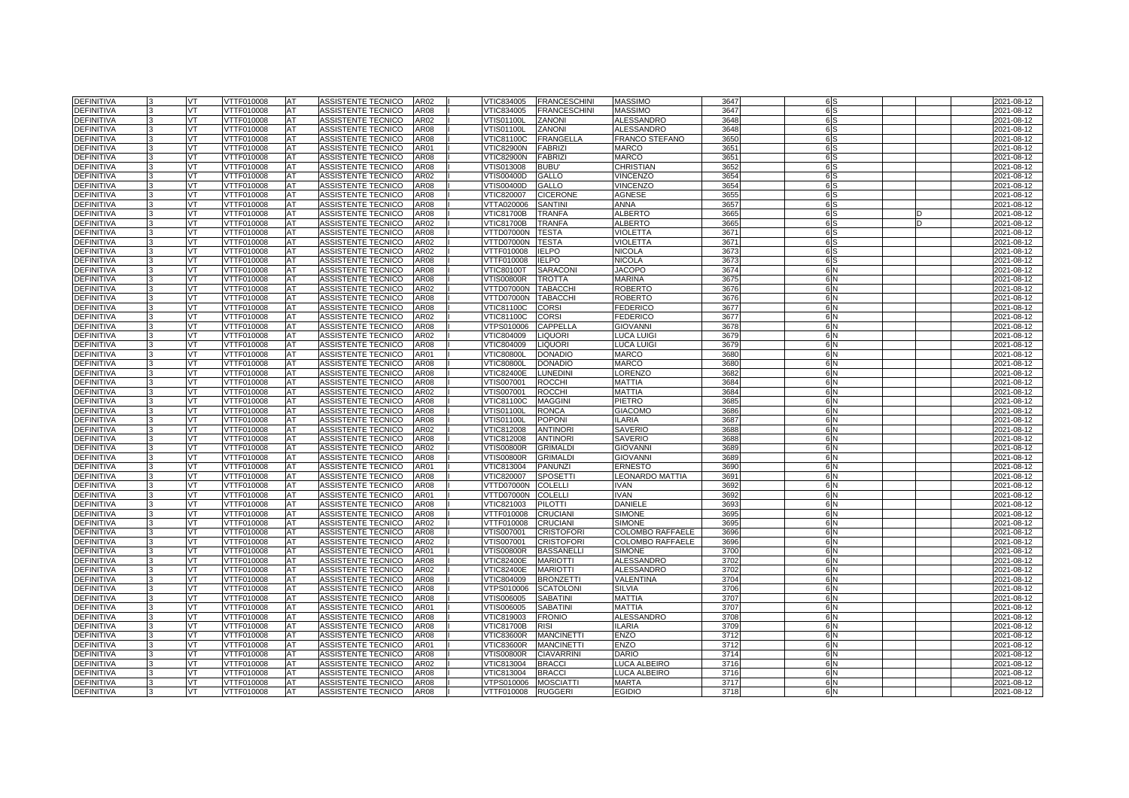| <b>DEFINITIVA</b> |              | <b>VT</b> | VTTF010008        | AT        | ASSISTENTE TECNICO        | AR02             | VTIC834005        | <b>FRANCESCHINI</b> | <b>MASSIMO</b>         | 3647 | 6 S            | 2021-08-12 |
|-------------------|--------------|-----------|-------------------|-----------|---------------------------|------------------|-------------------|---------------------|------------------------|------|----------------|------------|
| <b>DEFINITIVA</b> |              | VT        | VTTF010008        | AT        | <b>ASSISTENTE TECNICO</b> | AR08             | VTIC834005        | <b>FRANCESCHINI</b> | <b>MASSIMO</b>         | 3647 | 6 <sub>S</sub> | 2021-08-12 |
| <b>DEFINITIVA</b> |              | VT        | <b>VTTF010008</b> | AT        | <b>ASSISTENTE TECNICO</b> | <b>AR02</b>      | <b>VTIS01100L</b> | <b>ZANONI</b>       | <b>ALESSANDRO</b>      | 3648 | 6 <sub>S</sub> | 2021-08-12 |
| <b>DEFINITIVA</b> |              | <b>VT</b> | VTTF010008        | <b>AT</b> | ASSISTENTE TECNICO        | AR08             | VTIS01100L        | ZANONI              | <b>ALESSANDRO</b>      | 3648 | 6 <sup>S</sup> | 2021-08-12 |
| <b>DEFINITIVA</b> |              | VT        | VTTF010008        | <b>AT</b> | <b>ASSISTENTE TECNICO</b> | AR08             | <b>VTIC81100C</b> | <b>FRANGELLA</b>    | <b>FRANCO STEFANO</b>  | 3650 | 6S             | 2021-08-12 |
| <b>DEFINITIVA</b> |              | VT        | VTTF010008        | AT        | ASSISTENTE TECNICO        | <b>AR01</b>      | <b>VTIC82900N</b> | <b>FABRIZI</b>      | <b>MARCO</b>           | 3651 | 6S             | 2021-08-12 |
| <b>DEFINITIVA</b> |              | VT.       | VTTF010008        | <b>AT</b> | ASSISTENTE TECNICO        | <b>AR08</b>      | <b>VTIC82900N</b> | <b>FABRIZI</b>      | <b>MARCO</b>           | 3651 | 6 <sub>S</sub> | 2021-08-12 |
| <b>DEFINITIVA</b> |              | VT        | VTTF010008        | AT        | <b>ASSISTENTE TECNICO</b> | AR08             | VTIS013008        | <b>BUBU</b>         | CHRISTIAN              | 3652 | 6 <sub>S</sub> | 2021-08-12 |
| <b>DEFINITIVA</b> |              | VT        | VTTF010008        | AT        | ASSISTENTE TECNICO        | AR02             | VTIS00400D        | GALLO               | <b>VINCENZO</b>        | 3654 | 6 <sub>S</sub> | 2021-08-12 |
| <b>DEFINITIVA</b> |              | VT        | VTTF010008        | <b>AT</b> | ASSISTENTE TECNICO        | AR08             | VTIS00400D        | GALLO               | <b>VINCENZO</b>        | 3654 | 6 <sub>S</sub> | 2021-08-12 |
| <b>DEFINITIVA</b> |              | VT        | VTTF010008        | AT        | ASSISTENTE TECNICO        | AR <sub>08</sub> | VTIC820007        | <b>CICERONE</b>     | AGNESE                 | 3655 | 6S             | 2021-08-12 |
| <b>DEFINITIVA</b> |              | VT        | VTTF010008        | AT        | ASSISTENTE TECNICO        | AR08             | VTTA020006        | <b>SANTINI</b>      | <b>ANNA</b>            | 3657 | 6 <sub>S</sub> | 2021-08-12 |
| DEFINITIVA        |              | <b>VT</b> | VTTF010008        | AT        | ASSISTENTE TECNICO        | AR08             | <b>VTIC81700B</b> | <b>TRANFA</b>       | <b>ALBERTO</b>         | 3665 | 6S             | 2021-08-12 |
| <b>DEFINITIVA</b> |              | <b>VT</b> | VTTF010008        | AT        | ASSISTENTE TECNICO        | AR02             | <b>VTIC81700B</b> | <b>TRANFA</b>       | <b>ALBERTO</b>         | 3665 | 6 <sub>S</sub> | 2021-08-12 |
| <b>DEFINITIVA</b> |              | VT        | VTTF010008        | AT        | ASSISTENTE TECNICO        | AR08             | VTTD07000N        | <b>TESTA</b>        | VIOLETTA               | 3671 | 6 <sub>S</sub> | 2021-08-12 |
| DEFINITIVA        |              | <b>VT</b> | VTTF010008        | <b>AT</b> | ASSISTENTE TECNICO        | AR02             | VTTD07000N        | <b>TESTA</b>        | <b>VIOLETTA</b>        | 3671 | 6 S            | 2021-08-12 |
| <b>DEFINITIVA</b> |              | VT        | VTTF010008        | AT        | ASSISTENTE TECNICO        | AR02             | VTTF010008        | <b>IELPO</b>        | <b>NICOLA</b>          | 3673 | 6 <sub>S</sub> | 2021-08-12 |
| <b>DEFINITIVA</b> |              | VT        | VTTF010008        | AT        | ASSISTENTE TECNICO        | AR08             | VTTF010008        | <b>IELPO</b>        | <b>NICOLA</b>          | 3673 | 6 <sub>S</sub> | 2021-08-12 |
| <b>DEFINITIVA</b> |              | <b>VT</b> | VTTF010008        | AT        | ASSISTENTE TECNICO        | AR08             | <b>VTIC80100T</b> | <b>SARACONI</b>     | <b>JACOPO</b>          | 3674 | 6 N            | 2021-08-12 |
| DEFINITIVA        |              | VT        | VTTF010008        | AT        | ASSISTENTE TECNICO        | AR08             | √TIS00800R        | <b>TROTTA</b>       | <b>MARINA</b>          | 3675 | 6 <sub>N</sub> | 2021-08-12 |
| DEFINITIVA        |              | VT        | VTTF010008        | AT        | ASSISTENTE TECNICO        | AR02             | VTTD07000N        | <b>TABACCHI</b>     | <b>ROBERTO</b>         | 3676 | 6N             | 2021-08-12 |
| <b>DEFINITIVA</b> |              | <b>VT</b> | VTTF010008        | AT        | ASSISTENTE TECNICO        | AR08             | VTTD07000N        | <b>TABACCHI</b>     | ROBERTO                | 3676 | 6 N            | 2021-08-12 |
| <b>DEFINITIVA</b> |              | VT.       | VTTF010008        | AT        | ASSISTENTE TECNICO        | AR08             | <b>VTIC81100C</b> | <b>CORSI</b>        | <b>FEDERICO</b>        | 3677 | 6N             | 2021-08-12 |
| DEFINITIVA        |              | VT        | VTTF010008        | AT        | ASSISTENTE TECNICO        | AR02             | <b>VTIC81100C</b> | <b>CORSI</b>        | FEDERICO               | 3677 | 6N             | 2021-08-12 |
| DEFINITIVA        |              | VT.       | VTTF010008        | AT        | ASSISTENTE TECNICO        | <b>AR08</b>      | VTPS010006        | CAPPELLA            | <b>GIOVANNI</b>        | 3678 | 6 N            | 2021-08-12 |
| DEFINITIVA        |              | VT        | VTTF010008        | AT        | ASSISTENTE TECNICO        | AR02             | VTIC804009        | <b>LIQUORI</b>      | LUCA LUIGI             | 3679 | 6 <sub>N</sub> | 2021-08-12 |
| DEFINITIVA        |              | VT        | VTTF010008        | AT        | ASSISTENTE TECNICO        | AR08             | VTIC804009        | <b>LIQUORI</b>      | <b>LUCA LUIGI</b>      | 3679 | 6N             | 2021-08-12 |
| DEFINITIVA        |              | <b>VT</b> | VTTF010008        | AT        | ASSISTENTE TECNICO        | AR01             | <b>VTIC80800L</b> | <b>DONADIO</b>      | MARCO                  | 3680 | 6 N            | 2021-08-12 |
| <b>DEFINITIVA</b> |              | VT        | VTTF010008        | AT        | ASSISTENTE TECNICO        | AR08             | <b>VTIC80800L</b> | <b>DONADIO</b>      | MARCO                  | 3680 | 6N             | 2021-08-12 |
| DEFINITIVA        |              | VT        | VTTF010008        | AT        | ASSISTENTE TECNICO        | AR08             | <b>VTIC82400E</b> | <b>LUNEDINI</b>     | <b>ORENZO</b>          | 3682 | 6N             | 2021-08-12 |
| DEFINITIVA        |              | VT        | VTTF010008        | AT        | ASSISTENTE TECNICO        | AR08             | VTIS007001        | <b>ROCCHI</b>       | <b>MATTIA</b>          | 3684 | 6 N            | 2021-08-12 |
| <b>DEFINITIVA</b> |              | VT        | VTTF010008        | AT        | ASSISTENTE TECNICO        | AR02             | VTIS007001        | <b>ROCCHI</b>       | MATTIA                 | 3684 | 6N             | 2021-08-12 |
| <b>DEFINITIVA</b> |              | VT        | VTTF010008        | AT        | ASSISTENTE TECNICO        | AR08             | VTIC81100C        | <b>MAGGINI</b>      | PIETRO                 | 3685 | 6 N            | 2021-08-12 |
| <b>DEFINITIVA</b> | $\mathbf{R}$ | <b>VT</b> | VTTF010008        | <b>AT</b> | ASSISTENTE TECNICO        | AR08             | VTIS01100L        | <b>RONCA</b>        | <b>GIACOMO</b>         | 3686 | 6 N            | 2021-08-12 |
| <b>DEFINITIVA</b> |              | VT        | VTTF010008        | <b>AT</b> | ASSISTENTE TECNICO        | AR08             | VTIS01100L        | <b>POPONI</b>       | <b>ILARIA</b>          | 3687 | 6N             | 2021-08-12 |
| <b>DEFINITIVA</b> |              | VT        | <b>VTTF010008</b> | AT        | ASSISTENTE TECNICO        | AR02             | VTIC812008        | <b>ANTINORI</b>     | <b>SAVERIO</b>         | 3688 | 6 N            | 2021-08-12 |
| <b>DEFINITIVA</b> |              | <b>VT</b> | VTTF010008        | AT        | ASSISTENTE TECNICO        | <b>AR08</b>      | VTIC812008        | <b>ANTINORI</b>     | <b>SAVERIO</b>         | 3688 | 6 N            | 2021-08-12 |
| <b>DEFINITIVA</b> |              | VT        | VTTF010008        | AT        | <b>ASSISTENTE TECNICO</b> | AR02             | <b>VTIS00800R</b> | <b>GRIMALDI</b>     | <b>GIOVANNI</b>        | 3689 | 6 N            | 2021-08-12 |
| <b>DEFINITIVA</b> |              | VT        | <b>VTTF010008</b> | AT        | <b>ASSISTENTE TECNICO</b> | <b>AR08</b>      | <b>VTIS00800R</b> | <b>GRIMALDI</b>     | <b>GIOVANNI</b>        | 3689 | 6N             | 2021-08-12 |
| DEFINITIVA        |              | <b>VT</b> | VTTF010008        | AT        | ASSISTENTE TECNICO        | AR01             | VTIC813004        | <b>PANUNZI</b>      | <b>ERNESTO</b>         | 3690 | 6 N            | 2021-08-12 |
| <b>DEFINITIVA</b> |              | VT        | VTTF010008        | <b>AT</b> | <b>ASSISTENTE TECNICO</b> | AR08             | VTIC820007        | <b>SPOSETTI</b>     | <b>LEONARDO MATTIA</b> | 3691 | 6N             | 2021-08-12 |
| <b>DEFINITIVA</b> |              | VT        | VTTF010008        | AT        | ASSISTENTE TECNICO        | AR08             | VTTD07000N        | <b>COLELLI</b>      | <b>IVAN</b>            | 3692 | 6N             | 2021-08-12 |
| <b>DEFINITIVA</b> |              | VT.       | VTTF010008        | <b>AT</b> | ASSISTENTE TECNICO        | AR01             | VTTD07000N        | <b>COLELLI</b>      | <b>IVAN</b>            | 3692 | 6 N            | 2021-08-12 |
| <b>DEFINITIVA</b> |              | VT        | VTTF010008        | AT        | <b>ASSISTENTE TECNICO</b> | AR08             | VTIC821003        | <b>PILOTTI</b>      | <b>DANIELE</b>         | 3693 | 6 N            | 2021-08-12 |
| <b>DEFINITIVA</b> |              | VT        | <b>VTTF010008</b> | AT        | ASSISTENTE TECNICO        | <b>AR08</b>      | <b>VTTF010008</b> | <b>CRUCIANI</b>     | <b>SIMONE</b>          | 3695 | 6N             | 2021-08-12 |
| <b>DEFINITIVA</b> |              | VT        | VTTF010008        | AT        | ASSISTENTE TECNICO        | AR02             | VTTF010008        | <b>CRUCIANI</b>     | <b>SIMONE</b>          | 3695 | 6 N            | 2021-08-12 |
| DEFINITIVA        |              | VT        | VTTF010008        | AT        | ASSISTENTE TECNICO        | AR08             | <b>VTIS007001</b> | <b>CRISTOFORI</b>   | COLOMBO RAFFAELE       | 3696 | 6N             | 2021-08-12 |
| <b>DEFINITIVA</b> |              | VT        | VTTF010008        | AT        | ASSISTENTE TECNICO        | AR02             | VTIS007001        | <b>CRISTOFORI</b>   | COLOMBO RAFFAELE       | 3696 | 6N             | 2021-08-12 |
| DEFINITIVA        |              | <b>VT</b> | VTTF010008        | AT        | ASSISTENTE TECNICO        | AR01             | VTIS00800R        | <b>BASSANELLI</b>   | <b>SIMONE</b>          | 3700 | 6N             | 2021-08-12 |
| <b>DEFINITIVA</b> |              | <b>VT</b> | VTTF010008        | AT        | ASSISTENTE TECNICO        | AR08             | <b>VTIC82400E</b> | <b>MARIOTTI</b>     | ALESSANDRO             | 3702 | 6 N            | 2021-08-12 |
| DEFINITIVA        |              | VT        | VTTF010008        | AT        | ASSISTENTE TECNICO        | AR02             | <b>VTIC82400E</b> | <b>MARIOTTI</b>     | <b>ALESSANDRO</b>      | 3702 | 6N             | 2021-08-12 |
| DEFINITIVA        |              | <b>VT</b> | VTTF010008        | AT        | ASSISTENTE TECNICO        | AR08             | VTIC804009        | <b>BRONZETTI</b>    | VALENTINA              | 3704 | 6N             | 2021-08-12 |
| DEFINITIVA        |              | VT        | VTTF010008        | AT        | ASSISTENTE TECNICO        | AR08             | √TPS010006        | <b>SCATOLON</b>     | SILVIA                 | 3706 | 6N             | 2021-08-12 |
| <b>DEFINITIVA</b> |              | <b>VT</b> | VTTF010008        | AT        | ASSISTENTE TECNICO        | AR08             | √TIS006005        | <b>SABATINI</b>     | <b>MATTIA</b>          | 3707 | 6N             | 2021-08-12 |
| DEFINITIVA        |              | <b>VT</b> | VTTF010008        | AT        | ASSISTENTE TECNICO        | AR01             | VTIS006005        | <b>SABATINI</b>     | <b>MATTIA</b>          | 3707 | 6N             | 2021-08-12 |
| DEFINITIVA        |              | VT        | VTTF010008        | AT        | ASSISTENTE TECNICO        | AR08             | VTIC819003        | <b>FRONIO</b>       | ALESSANDRO             | 3708 | 6N             | 2021-08-12 |
| DEFINITIVA        |              | VT        | VTTF010008        | AT        | ASSISTENTE TECNICO        | AR08             | VTIC81700B        | <b>RISI</b>         | LARIA                  | 3709 | 6N             | 2021-08-12 |
| DEFINITIVA        |              | VT        | VTTF010008        | AT        | ASSISTENTE TECNICO        | <b>AR08</b>      | VTIC83600R        | <b>MANCINETTI</b>   | ENZO                   | 3712 | 6 N            | 2021-08-12 |
| DEFINITIVA        |              | VT.       | VTTF010008        | AT        | ASSISTENTE TECNICO        | AR01             | √TIC83600R        | <b>MANCINETTI</b>   | <b>ENZO</b>            | 3712 | 6N             | 2021-08-12 |
| DEFINITIVA        |              | VT        | VTTF010008        | AT        | ASSISTENTE TECNICO        | AR08             | √TIS00800R        | <b>CIAVARRINI</b>   | <b>DARIO</b>           | 3714 | 6N             | 2021-08-12 |
| DEFINITIVA        |              | <b>VT</b> | VTTF010008        | AT        | ASSISTENTE TECNICO        | AR02             | VTIC813004        | <b>BRACCI</b>       | LUCA ALBEIRO           | 3716 | 6N             | 2021-08-12 |
| DEFINITIVA        |              | VT        | VTTF010008        | AT        | ASSISTENTE TECNICO        | AR08             | VTIC813004        | <b>BRACCI</b>       | <b>LUCA ALBEIRO</b>    | 3716 | 6N             | 2021-08-12 |
| DEFINITIVA        |              | VT        | VTTF010008        | AT        | ASSISTENTE TECNICO        | AR08             | VTPS010006        | <b>MOSCIATTI</b>    | <b>MARTA</b>           | 3717 | 6N             | 2021-08-12 |
| <b>DEFINITIVA</b> | 3            | VT        | VTTF010008        | AT        | <b>ASSISTENTE TECNICO</b> | <b>AR08</b>      | VTTF010008        | <b>RUGGERI</b>      | <b>EGIDIO</b>          | 3718 | 6 N            | 2021-08-12 |